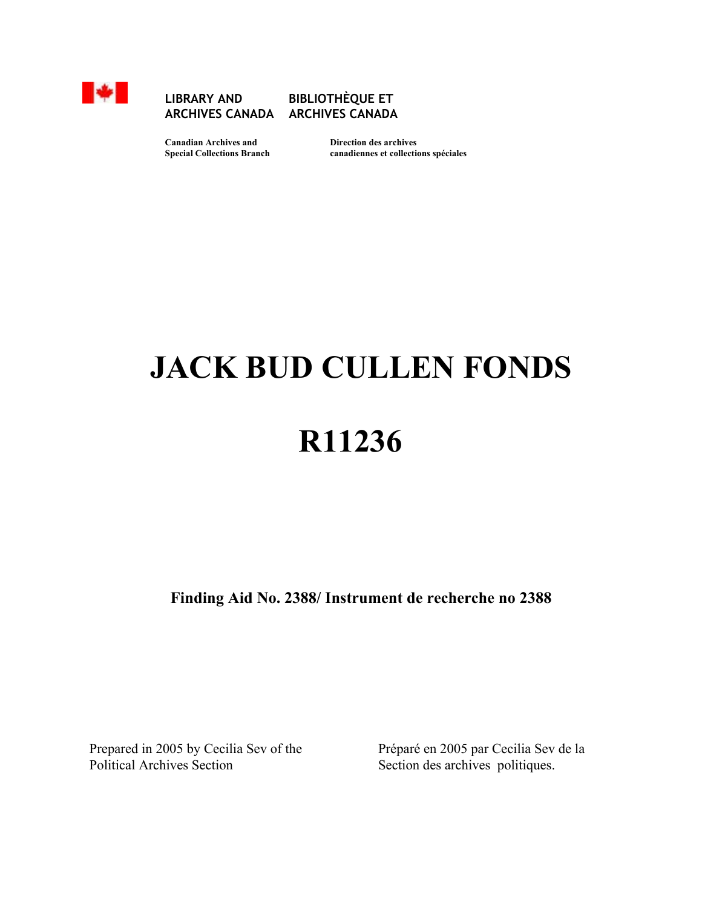

#### **EXAMPLE BIBLIOTHÈQUE ET ARCHIVES CANADA ARCHIVES CANADA**

 **Canadian Archives and Direction des archives** 

 **Special Collections Branch canadiennes et collections spéciales** 

# **JACK BUD CULLEN FONDS**

## **R11236**

**Finding Aid No. 2388/ Instrument de recherche no 2388**

Prepared in 2005 by Cecilia Sev of the Political Archives Section

Préparé en 2005 par Cecilia Sev de la Section des archives politiques.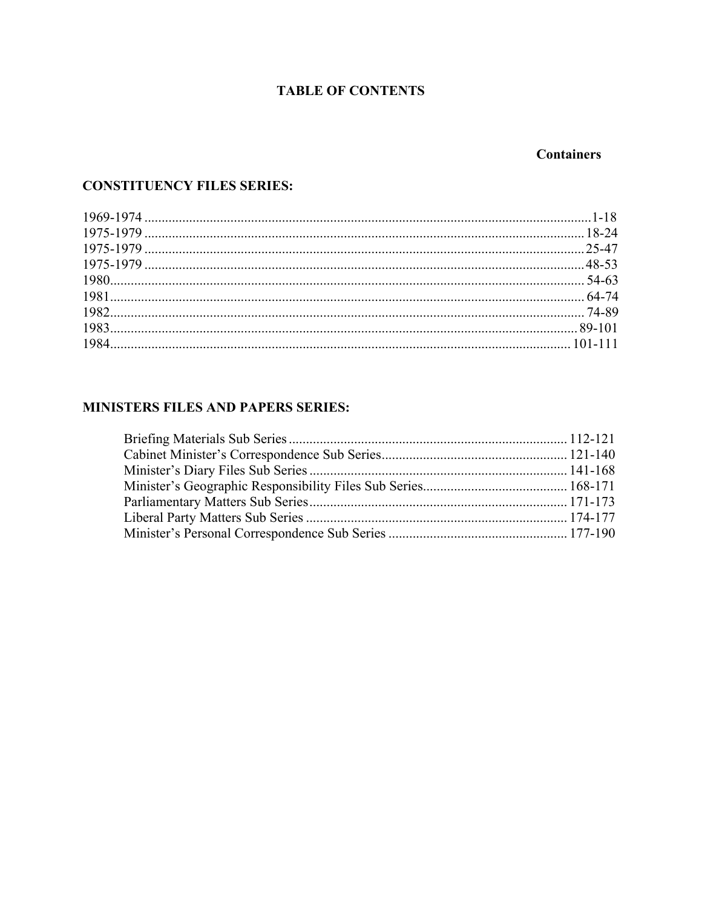#### **TABLE OF CONTENTS**

#### **Containers**

#### **CONSTITUENCY FILES SERIES:**

#### MINISTERS FILES AND PAPERS SERIES: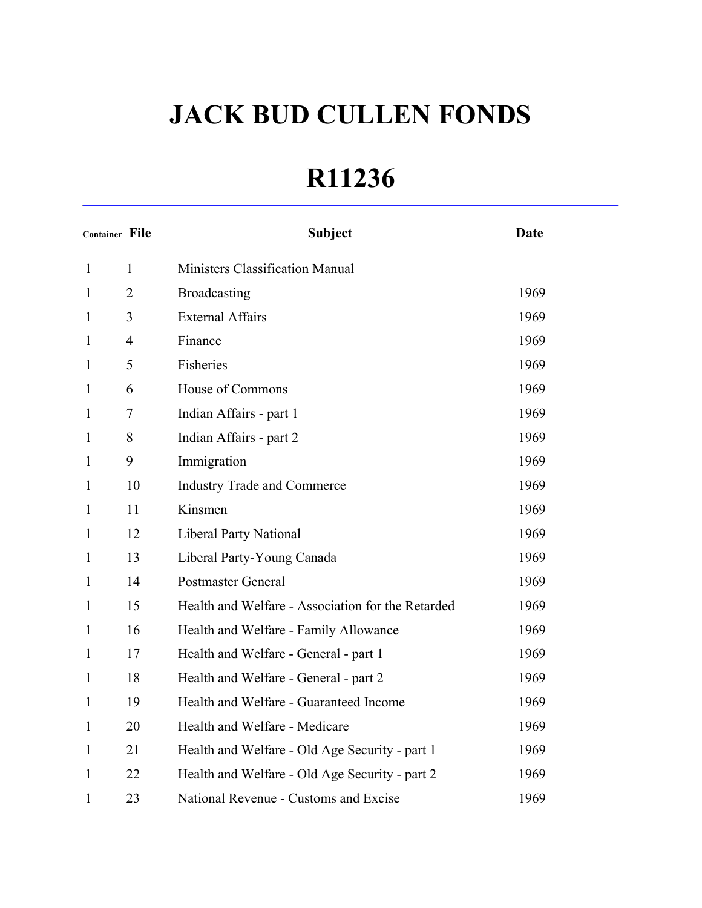### **R11236**

| <b>Container File</b> |                | <b>Subject</b>                                    | <b>Date</b> |
|-----------------------|----------------|---------------------------------------------------|-------------|
| $\mathbf{1}$          | 1              | <b>Ministers Classification Manual</b>            |             |
| 1                     | $\overline{2}$ | <b>Broadcasting</b>                               | 1969        |
| $\mathbf{1}$          | $\overline{3}$ | <b>External Affairs</b>                           | 1969        |
| $\mathbf{1}$          | $\overline{4}$ | Finance                                           | 1969        |
| $\mathbf{1}$          | 5              | Fisheries                                         | 1969        |
| $\mathbf{1}$          | 6              | House of Commons                                  | 1969        |
| $\mathbf{1}$          | $\tau$         | Indian Affairs - part 1                           | 1969        |
| $\mathbf{1}$          | 8              | Indian Affairs - part 2                           | 1969        |
| $\mathbf{1}$          | 9              | Immigration                                       | 1969        |
| $\mathbf{1}$          | 10             | <b>Industry Trade and Commerce</b>                | 1969        |
| $\mathbf{1}$          | 11             | Kinsmen                                           | 1969        |
| $\mathbf{1}$          | 12             | <b>Liberal Party National</b>                     | 1969        |
| $\mathbf{1}$          | 13             | Liberal Party-Young Canada                        | 1969        |
| $\mathbf{1}$          | 14             | <b>Postmaster General</b>                         | 1969        |
| $\mathbf{1}$          | 15             | Health and Welfare - Association for the Retarded | 1969        |
| $\mathbf{1}$          | 16             | Health and Welfare - Family Allowance             | 1969        |
| $\mathbf{1}$          | 17             | Health and Welfare - General - part 1             | 1969        |
| $\mathbf{1}$          | 18             | Health and Welfare - General - part 2             | 1969        |
| $\mathbf{1}$          | 19             | Health and Welfare - Guaranteed Income            | 1969        |
| $\mathbf{1}$          | 20             | Health and Welfare - Medicare                     | 1969        |
| $\mathbf{1}$          | 21             | Health and Welfare - Old Age Security - part 1    | 1969        |
| $\mathbf{1}$          | 22             | Health and Welfare - Old Age Security - part 2    | 1969        |
| 1                     | 23             | National Revenue - Customs and Excise             | 1969        |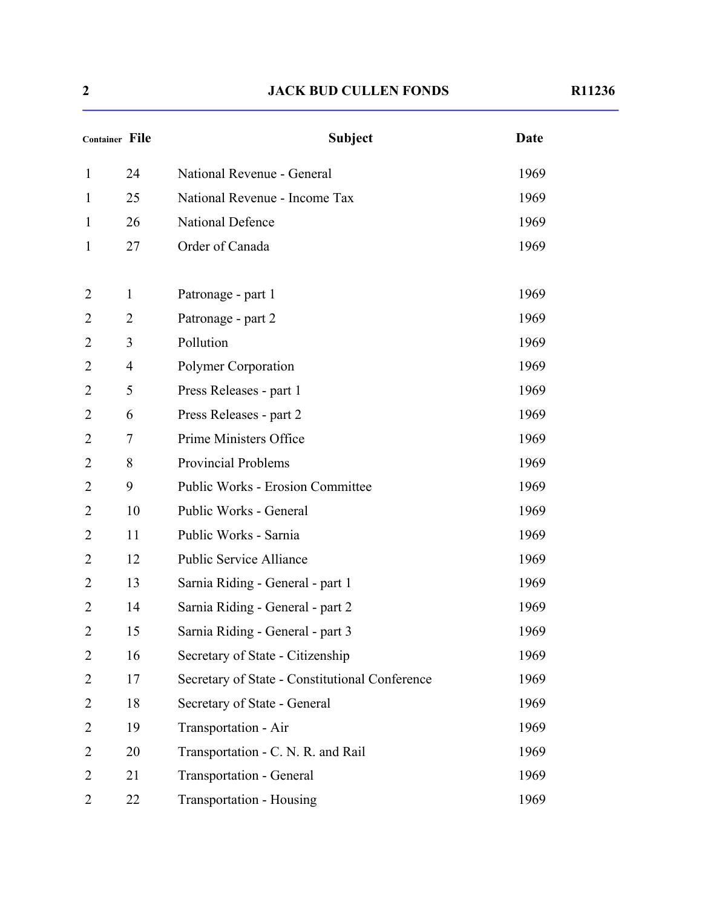| <b>Container File</b> |                | <b>Subject</b>                                 | <b>Date</b> |
|-----------------------|----------------|------------------------------------------------|-------------|
| $\mathbf{1}$          | 24             | National Revenue - General                     | 1969        |
| $\mathbf{1}$          | 25             | National Revenue - Income Tax                  | 1969        |
| $\mathbf{1}$          | 26             | National Defence                               | 1969        |
| $\mathbf{1}$          | 27             | Order of Canada                                | 1969        |
| $\overline{2}$        | $\mathbf{1}$   | Patronage - part 1                             | 1969        |
| $\overline{2}$        | $\overline{2}$ | Patronage - part 2                             | 1969        |
| 2                     | 3              | Pollution                                      | 1969        |
| 2                     | $\overline{4}$ | Polymer Corporation                            | 1969        |
| 2                     | 5              | Press Releases - part 1                        | 1969        |
| 2                     | 6              | Press Releases - part 2                        | 1969        |
| 2                     | $\overline{7}$ | Prime Ministers Office                         | 1969        |
| $\overline{2}$        | 8              | <b>Provincial Problems</b>                     | 1969        |
| 2                     | 9              | <b>Public Works - Erosion Committee</b>        | 1969        |
| 2                     | 10             | Public Works - General                         | 1969        |
| $\overline{2}$        | 11             | Public Works - Sarnia                          | 1969        |
| 2                     | 12             | <b>Public Service Alliance</b>                 | 1969        |
| 2                     | 13             | Sarnia Riding - General - part 1               | 1969        |
| 2                     | 14             | Sarnia Riding - General - part 2               | 1969        |
| 2                     | 15             | Sarnia Riding - General - part 3               | 1969        |
| $\overline{2}$        | 16             | Secretary of State - Citizenship               | 1969        |
| 2                     | 17             | Secretary of State - Constitutional Conference | 1969        |
| 2                     | 18             | Secretary of State - General                   | 1969        |
| 2                     | 19             | Transportation - Air                           | 1969        |
| 2                     | 20             | Transportation - C. N. R. and Rail             | 1969        |
| 2                     | 21             | <b>Transportation - General</b>                | 1969        |
| $\overline{2}$        | $22\,$         | <b>Transportation - Housing</b>                | 1969        |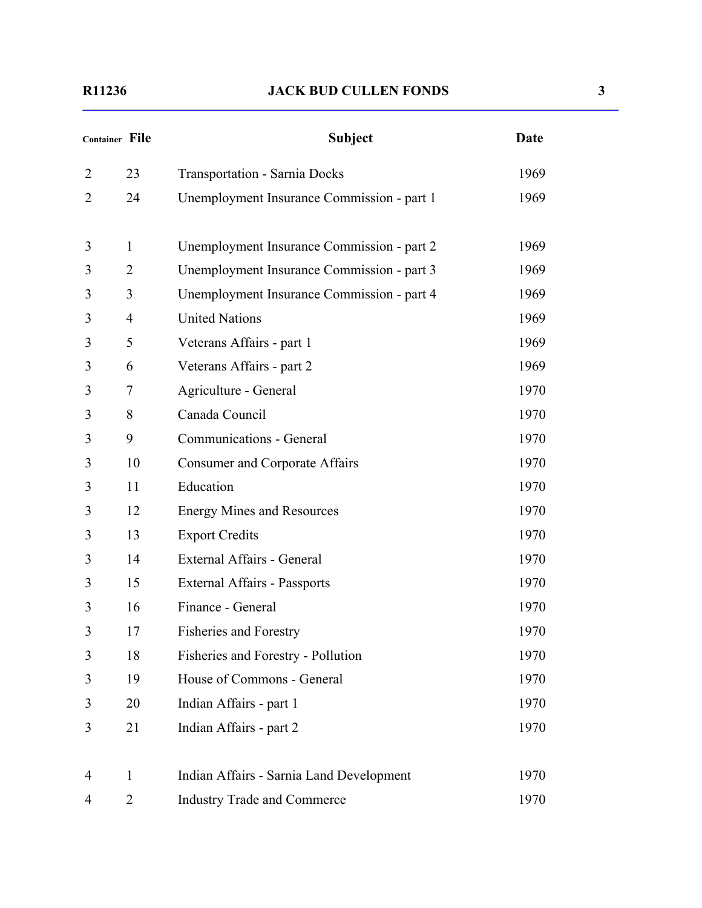|                | Container File | <b>Subject</b>                             | Date |
|----------------|----------------|--------------------------------------------|------|
| $\overline{2}$ | 23             | <b>Transportation - Sarnia Docks</b>       | 1969 |
| 2              | 24             | Unemployment Insurance Commission - part 1 | 1969 |
| 3              | $\mathbf{1}$   | Unemployment Insurance Commission - part 2 | 1969 |
| 3              | $\overline{2}$ | Unemployment Insurance Commission - part 3 | 1969 |
| 3              | 3              | Unemployment Insurance Commission - part 4 | 1969 |
| 3              | $\overline{4}$ | <b>United Nations</b>                      | 1969 |
| 3              | 5              | Veterans Affairs - part 1                  | 1969 |
| 3              | 6              | Veterans Affairs - part 2                  | 1969 |
| 3              | 7              | Agriculture - General                      | 1970 |
| 3              | 8              | Canada Council                             | 1970 |
| 3              | 9              | Communications - General                   | 1970 |
| 3              | 10             | <b>Consumer and Corporate Affairs</b>      | 1970 |
| 3              | 11             | Education                                  | 1970 |
| 3              | 12             | <b>Energy Mines and Resources</b>          | 1970 |
| 3              | 13             | <b>Export Credits</b>                      | 1970 |
| 3              | 14             | External Affairs - General                 | 1970 |
| 3              | 15             | <b>External Affairs - Passports</b>        | 1970 |
| 3              | 16             | Finance - General                          | 1970 |
| 3              | 17             | <b>Fisheries and Forestry</b>              | 1970 |
| 3              | 18             | Fisheries and Forestry - Pollution         | 1970 |
| 3              | 19             | House of Commons - General                 | 1970 |
| 3              | 20             | Indian Affairs - part 1                    | 1970 |
| 3              | 21             | Indian Affairs - part 2                    | 1970 |
| 4              | $\mathbf{1}$   | Indian Affairs - Sarnia Land Development   | 1970 |
| 4              | $\overline{2}$ | <b>Industry Trade and Commerce</b>         | 1970 |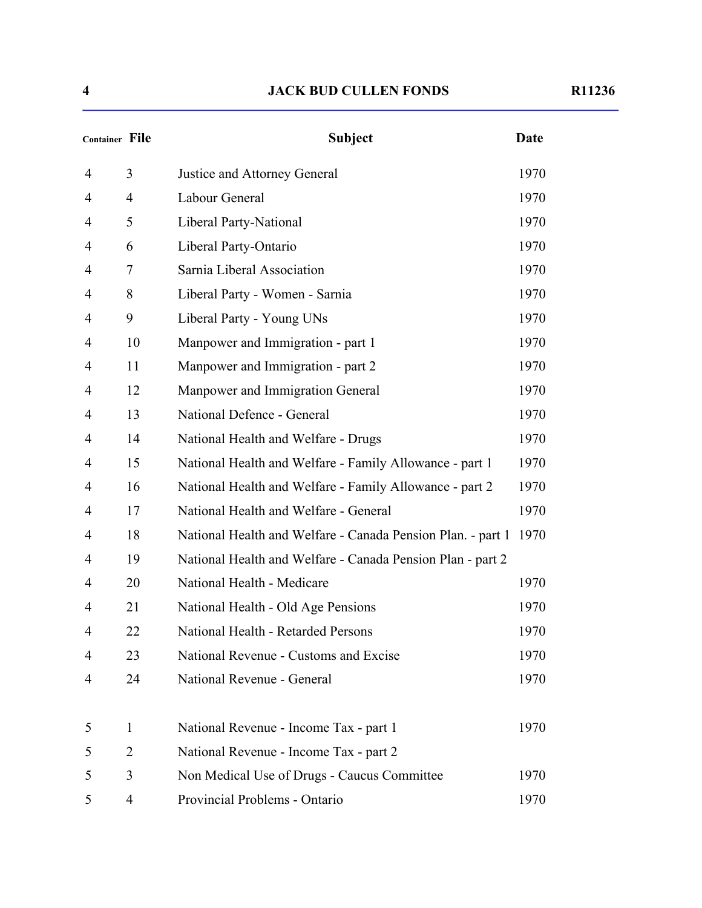| <b>Container File</b> |                | <b>Subject</b>                                              | <b>Date</b> |
|-----------------------|----------------|-------------------------------------------------------------|-------------|
| 4                     | 3              | Justice and Attorney General                                | 1970        |
| 4                     | $\overline{4}$ | Labour General                                              | 1970        |
| 4                     | 5              | Liberal Party-National                                      | 1970        |
| 4                     | 6              | Liberal Party-Ontario                                       | 1970        |
| 4                     | 7              | Sarnia Liberal Association                                  | 1970        |
| 4                     | 8              | Liberal Party - Women - Sarnia                              | 1970        |
| 4                     | 9              | Liberal Party - Young UNs                                   | 1970        |
| 4                     | 10             | Manpower and Immigration - part 1                           | 1970        |
| 4                     | 11             | Manpower and Immigration - part 2                           | 1970        |
| 4                     | 12             | Manpower and Immigration General                            | 1970        |
| 4                     | 13             | National Defence - General                                  | 1970        |
| 4                     | 14             | National Health and Welfare - Drugs                         | 1970        |
| 4                     | 15             | National Health and Welfare - Family Allowance - part 1     | 1970        |
| 4                     | 16             | National Health and Welfare - Family Allowance - part 2     | 1970        |
| 4                     | 17             | National Health and Welfare - General                       | 1970        |
| 4                     | 18             | National Health and Welfare - Canada Pension Plan. - part 1 | 1970        |
| 4                     | 19             | National Health and Welfare - Canada Pension Plan - part 2  |             |
| 4                     | 20             | National Health - Medicare                                  | 1970        |
| 4                     | 21             | National Health - Old Age Pensions                          | 1970        |
| 4                     | 22             | National Health - Retarded Persons                          | 1970        |
| 4                     | 23             | National Revenue - Customs and Excise                       | 1970        |
| 4                     | 24             | National Revenue - General                                  | 1970        |
| 5                     | $\mathbf{1}$   | National Revenue - Income Tax - part 1                      | 1970        |
| 5                     | $\overline{2}$ | National Revenue - Income Tax - part 2                      |             |
| 5                     | 3              | Non Medical Use of Drugs - Caucus Committee                 | 1970        |
| 5                     | $\overline{4}$ | Provincial Problems - Ontario                               | 1970        |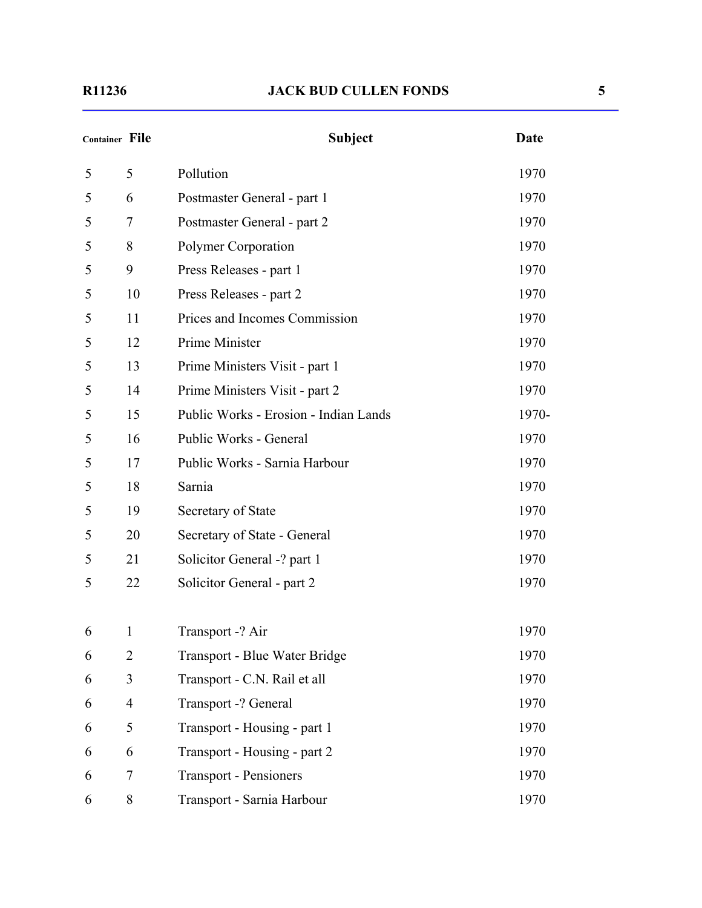| <b>Container File</b> |                | <b>Subject</b>                        | Date  |
|-----------------------|----------------|---------------------------------------|-------|
| 5                     | 5              | Pollution                             | 1970  |
| 5                     | 6              | Postmaster General - part 1           | 1970  |
| 5                     | $\tau$         | Postmaster General - part 2           | 1970  |
| 5                     | 8              | Polymer Corporation                   | 1970  |
| 5                     | 9              | Press Releases - part 1               | 1970  |
| 5                     | 10             | Press Releases - part 2               | 1970  |
| 5                     | 11             | Prices and Incomes Commission         | 1970  |
| 5                     | 12             | Prime Minister                        | 1970  |
| 5                     | 13             | Prime Ministers Visit - part 1        | 1970  |
| 5                     | 14             | Prime Ministers Visit - part 2        | 1970  |
| 5                     | 15             | Public Works - Erosion - Indian Lands | 1970- |
| 5                     | 16             | Public Works - General                | 1970  |
| 5                     | 17             | Public Works - Sarnia Harbour         | 1970  |
| 5                     | 18             | Sarnia                                | 1970  |
| 5                     | 19             | Secretary of State                    | 1970  |
| 5                     | 20             | Secretary of State - General          | 1970  |
| 5                     | 21             | Solicitor General -? part 1           | 1970  |
| 5                     | 22             | Solicitor General - part 2            | 1970  |
| 6                     | 1              | Transport -? Air                      | 1970  |
| 6                     | $\overline{2}$ | Transport - Blue Water Bridge         | 1970  |
| 6                     | 3              | Transport - C.N. Rail et all          | 1970  |
| 6                     | $\overline{4}$ | Transport -? General                  | 1970  |
| 6                     | 5              | Transport - Housing - part 1          | 1970  |
| 6                     | 6              | Transport - Housing - part 2          | 1970  |
| 6                     | 7              | <b>Transport - Pensioners</b>         | 1970  |
| 6                     | 8              | Transport - Sarnia Harbour            | 1970  |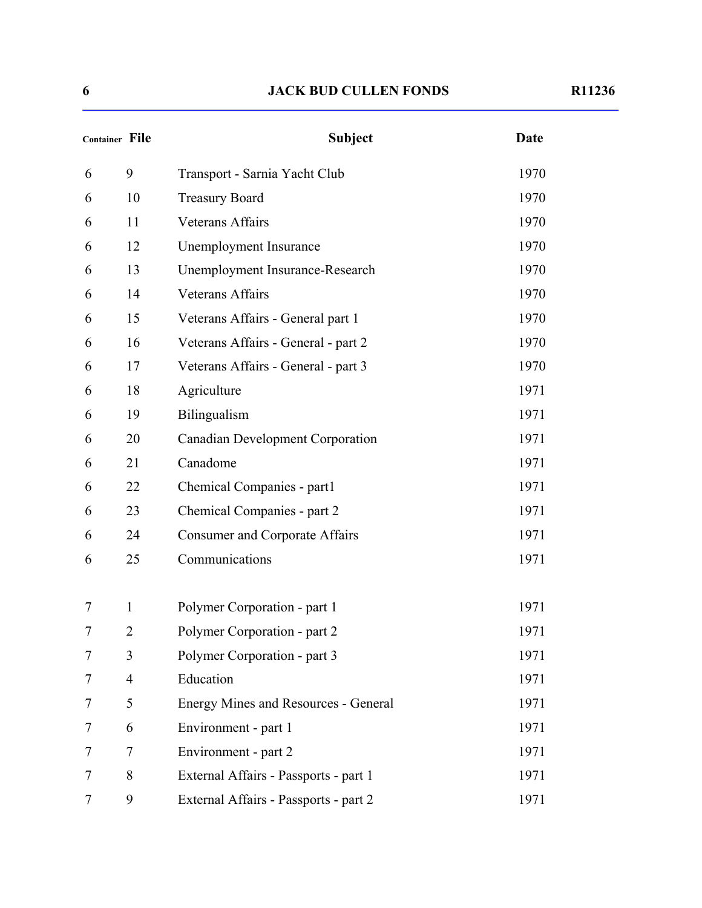| <b>Container File</b> |                | <b>Subject</b>                              | Date |
|-----------------------|----------------|---------------------------------------------|------|
| 6                     | 9              | Transport - Sarnia Yacht Club               | 1970 |
| 6                     | 10             | <b>Treasury Board</b>                       | 1970 |
| 6                     | 11             | <b>Veterans Affairs</b>                     | 1970 |
| 6                     | 12             | Unemployment Insurance                      | 1970 |
| 6                     | 13             | Unemployment Insurance-Research             | 1970 |
| 6                     | 14             | <b>Veterans Affairs</b>                     | 1970 |
| 6                     | 15             | Veterans Affairs - General part 1           | 1970 |
| 6                     | 16             | Veterans Affairs - General - part 2         | 1970 |
| 6                     | 17             | Veterans Affairs - General - part 3         | 1970 |
| 6                     | 18             | Agriculture                                 | 1971 |
| 6                     | 19             | Bilingualism                                | 1971 |
| 6                     | 20             | <b>Canadian Development Corporation</b>     | 1971 |
| 6                     | 21             | Canadome                                    | 1971 |
| 6                     | 22             | Chemical Companies - part1                  | 1971 |
| 6                     | 23             | Chemical Companies - part 2                 | 1971 |
| 6                     | 24             | <b>Consumer and Corporate Affairs</b>       | 1971 |
| 6                     | 25             | Communications                              | 1971 |
| 7                     | $\mathbf{1}$   | Polymer Corporation - part 1                | 1971 |
| 7                     | $\overline{2}$ | Polymer Corporation - part 2                | 1971 |
| 7                     | 3              | Polymer Corporation - part 3                | 1971 |
| 7                     | $\overline{4}$ | Education                                   | 1971 |
| 7                     | 5              | <b>Energy Mines and Resources - General</b> | 1971 |
| 7                     | 6              | Environment - part 1                        | 1971 |
| 7                     | $\overline{7}$ | Environment - part 2                        | 1971 |
| 7                     | 8              | External Affairs - Passports - part 1       | 1971 |
| 7                     | 9              | External Affairs - Passports - part 2       | 1971 |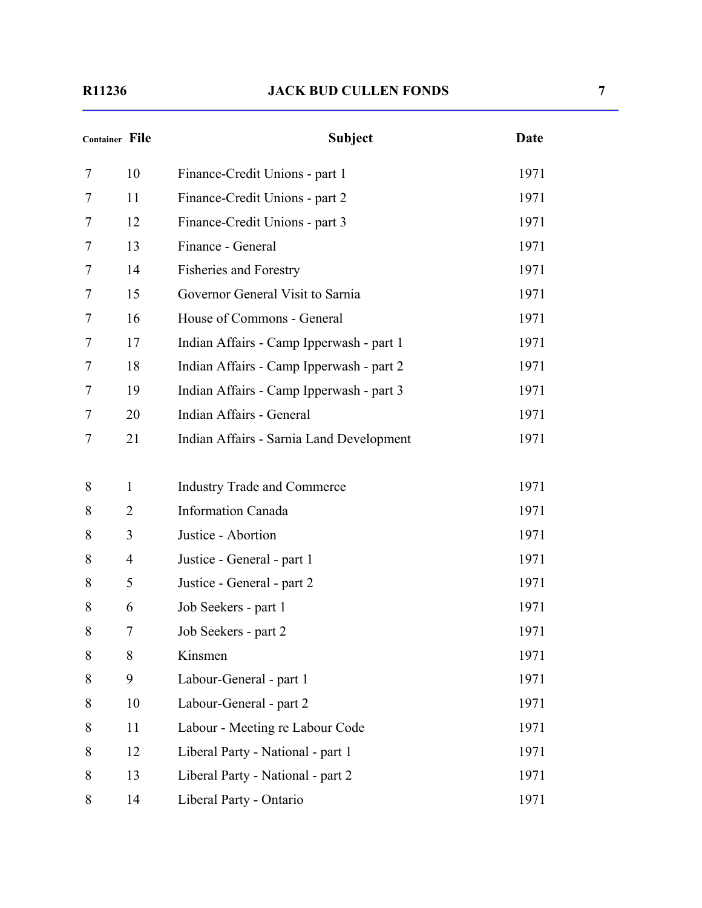| <b>Container File</b> |                | <b>Subject</b>                           | Date |
|-----------------------|----------------|------------------------------------------|------|
| 7                     | 10             | Finance-Credit Unions - part 1           | 1971 |
| 7                     | 11             | Finance-Credit Unions - part 2           | 1971 |
| 7                     | 12             | Finance-Credit Unions - part 3           | 1971 |
| 7                     | 13             | Finance - General                        | 1971 |
| 7                     | 14             | <b>Fisheries and Forestry</b>            | 1971 |
| 7                     | 15             | Governor General Visit to Sarnia         | 1971 |
| 7                     | 16             | House of Commons - General               | 1971 |
| 7                     | 17             | Indian Affairs - Camp Ipperwash - part 1 | 1971 |
| 7                     | 18             | Indian Affairs - Camp Ipperwash - part 2 | 1971 |
| 7                     | 19             | Indian Affairs - Camp Ipperwash - part 3 | 1971 |
| 7                     | 20             | Indian Affairs - General                 | 1971 |
| 7                     | 21             | Indian Affairs - Sarnia Land Development | 1971 |
| 8                     | $\mathbf{1}$   | <b>Industry Trade and Commerce</b>       | 1971 |
| 8                     | $\overline{2}$ | <b>Information Canada</b>                | 1971 |
| 8                     | 3              | Justice - Abortion                       | 1971 |
| 8                     | $\overline{4}$ | Justice - General - part 1               | 1971 |
| 8                     | 5              | Justice - General - part 2               | 1971 |
| 8                     | 6              | Job Seekers - part 1                     | 1971 |
| 8                     | 7              | Job Seekers - part 2                     | 1971 |
| 8                     | 8              | Kinsmen                                  | 1971 |
| 8                     | 9              | Labour-General - part 1                  | 1971 |
| 8                     | 10             | Labour-General - part 2                  | 1971 |
| 8                     | 11             | Labour - Meeting re Labour Code          | 1971 |
| 8                     | 12             | Liberal Party - National - part 1        | 1971 |
| 8                     | 13             | Liberal Party - National - part 2        | 1971 |
| 8                     | 14             | Liberal Party - Ontario                  | 1971 |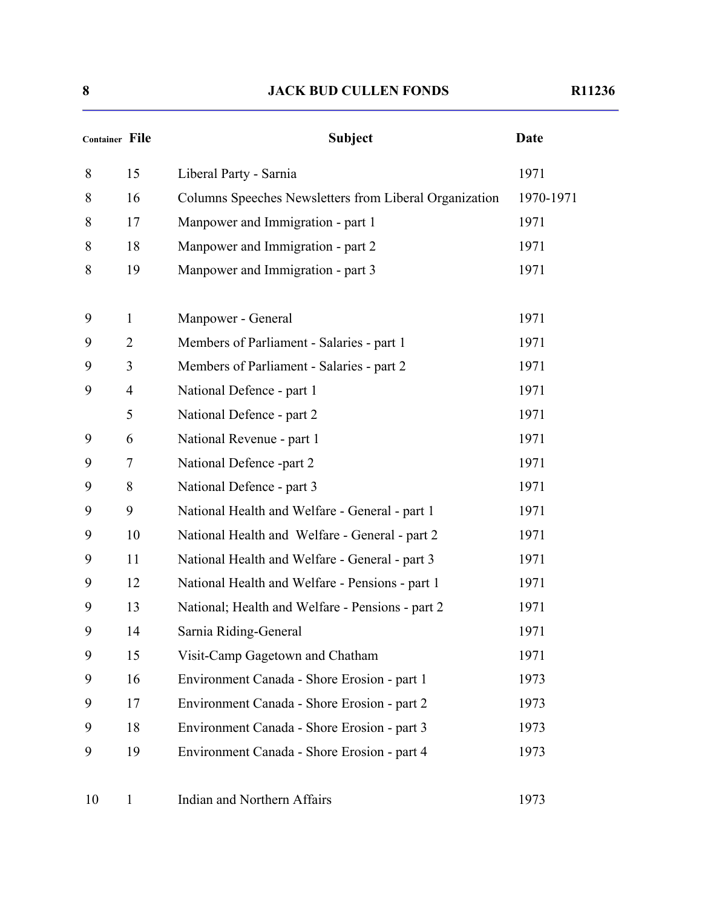| Container File |                | <b>Subject</b>                                         | <b>Date</b> |
|----------------|----------------|--------------------------------------------------------|-------------|
| 8              | 15             | Liberal Party - Sarnia                                 | 1971        |
| 8              | 16             | Columns Speeches Newsletters from Liberal Organization | 1970-1971   |
| 8              | 17             | Manpower and Immigration - part 1                      | 1971        |
| 8              | 18             | Manpower and Immigration - part 2                      | 1971        |
| 8              | 19             | Manpower and Immigration - part 3                      | 1971        |
| 9              | $\mathbf{1}$   | Manpower - General                                     | 1971        |
| 9              | $\overline{2}$ | Members of Parliament - Salaries - part 1              | 1971        |
| 9              | 3              | Members of Parliament - Salaries - part 2              | 1971        |
| 9              | $\overline{4}$ | National Defence - part 1                              | 1971        |
|                | 5              | National Defence - part 2                              | 1971        |
| 9              | 6              | National Revenue - part 1                              | 1971        |
| 9              | 7              | National Defence -part 2                               | 1971        |
| 9              | 8              | National Defence - part 3                              | 1971        |
| 9              | 9              | National Health and Welfare - General - part 1         | 1971        |
| 9              | 10             | National Health and Welfare - General - part 2         | 1971        |
| 9              | 11             | National Health and Welfare - General - part 3         | 1971        |
| 9              | 12             | National Health and Welfare - Pensions - part 1        | 1971        |
| 9              | 13             | National; Health and Welfare - Pensions - part 2       | 1971        |
| 9              | 14             | Sarnia Riding-General                                  | 1971        |
| 9              | 15             | Visit-Camp Gagetown and Chatham                        | 1971        |
| 9              | 16             | Environment Canada - Shore Erosion - part 1            | 1973        |
| 9              | 17             | Environment Canada - Shore Erosion - part 2            | 1973        |
| 9              | 18             | Environment Canada - Shore Erosion - part 3            | 1973        |
| 9              | 19             | Environment Canada - Shore Erosion - part 4            | 1973        |

10 1 Indian and Northern Affairs 1973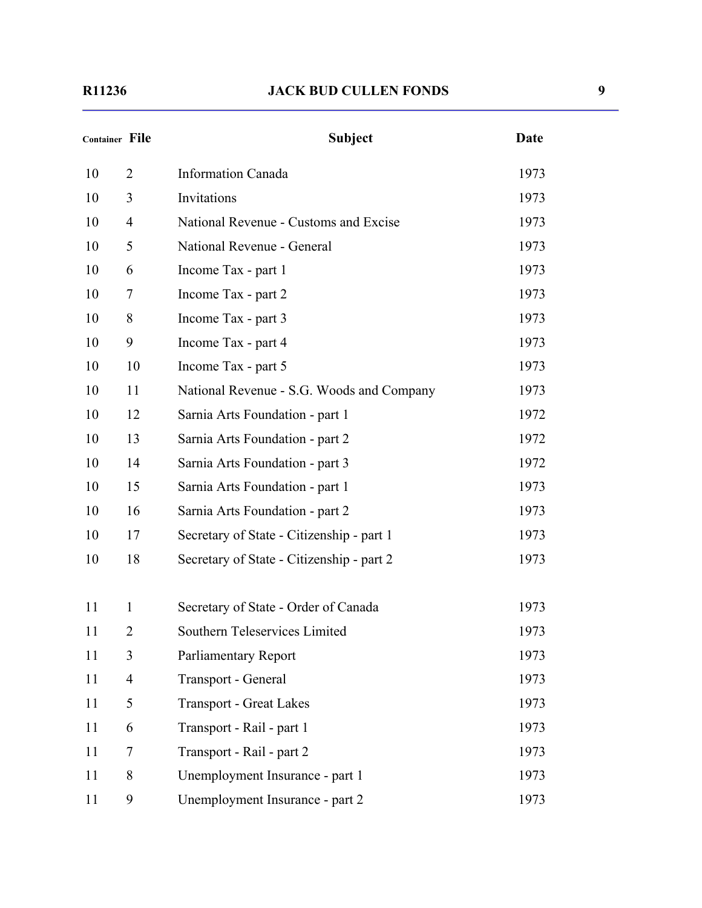#### **R11236 JACK BUD CULLEN FONDS 9**

| <b>Container File</b> |                | <b>Subject</b>                            | Date |
|-----------------------|----------------|-------------------------------------------|------|
| 10                    | $\overline{2}$ | <b>Information Canada</b>                 | 1973 |
| 10                    | 3              | Invitations                               | 1973 |
| 10                    | $\overline{4}$ | National Revenue - Customs and Excise     | 1973 |
| 10                    | 5              | National Revenue - General                | 1973 |
| 10                    | 6              | Income Tax - part 1                       | 1973 |
| 10                    | 7              | Income Tax - part 2                       | 1973 |
| 10                    | 8              | Income Tax - part 3                       | 1973 |
| 10                    | 9              | Income Tax - part 4                       | 1973 |
| 10                    | 10             | Income Tax - part 5                       | 1973 |
| 10                    | 11             | National Revenue - S.G. Woods and Company | 1973 |
| 10                    | 12             | Sarnia Arts Foundation - part 1           | 1972 |
| 10                    | 13             | Sarnia Arts Foundation - part 2           | 1972 |
| 10                    | 14             | Sarnia Arts Foundation - part 3           | 1972 |
| 10                    | 15             | Sarnia Arts Foundation - part 1           | 1973 |
| 10                    | 16             | Sarnia Arts Foundation - part 2           | 1973 |
| 10                    | 17             | Secretary of State - Citizenship - part 1 | 1973 |
| 10                    | 18             | Secretary of State - Citizenship - part 2 | 1973 |
| 11                    | $\mathbf{1}$   | Secretary of State - Order of Canada      | 1973 |
| 11                    | 2              | Southern Teleservices Limited             | 1973 |
| 11                    | 3              | Parliamentary Report                      | 1973 |
| 11                    | $\overline{4}$ | Transport - General                       | 1973 |
| 11                    | 5              | <b>Transport - Great Lakes</b>            | 1973 |
| 11                    | 6              | Transport - Rail - part 1                 | 1973 |
| 11                    | 7              | Transport - Rail - part 2                 | 1973 |
| 11                    | 8              | Unemployment Insurance - part 1           | 1973 |
| 11                    | 9              | Unemployment Insurance - part 2           | 1973 |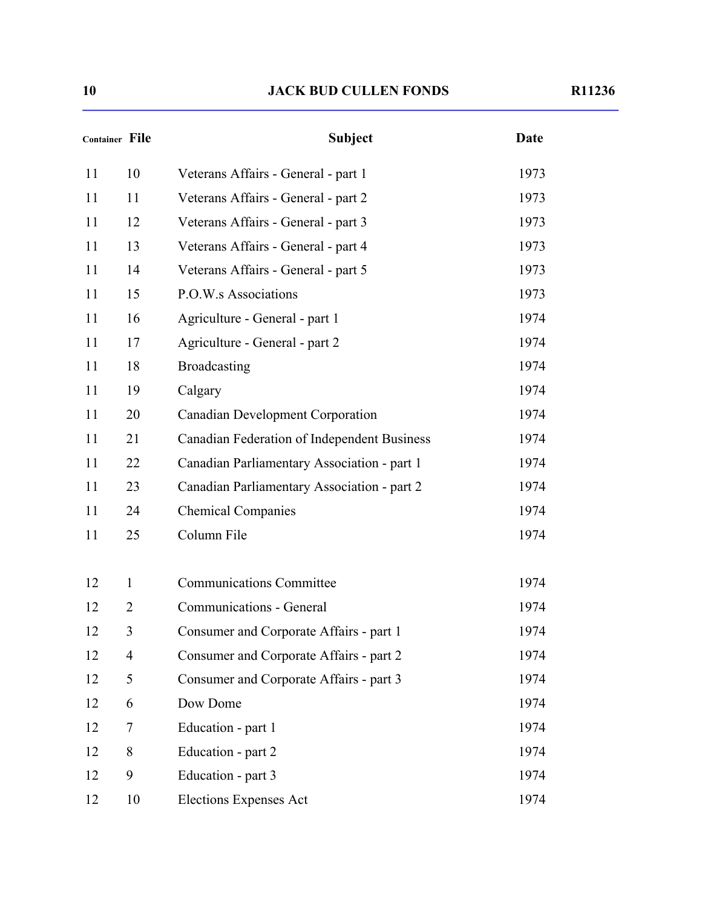| <b>Container File</b> |                | <b>Subject</b>                              | <b>Date</b> |
|-----------------------|----------------|---------------------------------------------|-------------|
| 11                    | 10             | Veterans Affairs - General - part 1         | 1973        |
| 11                    | 11             | Veterans Affairs - General - part 2         | 1973        |
| 11                    | 12             | Veterans Affairs - General - part 3         | 1973        |
| 11                    | 13             | Veterans Affairs - General - part 4         | 1973        |
| 11                    | 14             | Veterans Affairs - General - part 5         | 1973        |
| 11                    | 15             | P.O.W.s Associations                        | 1973        |
| 11                    | 16             | Agriculture - General - part 1              | 1974        |
| 11                    | 17             | Agriculture - General - part 2              | 1974        |
| 11                    | 18             | <b>Broadcasting</b>                         | 1974        |
| 11                    | 19             | Calgary                                     | 1974        |
| 11                    | 20             | <b>Canadian Development Corporation</b>     | 1974        |
| 11                    | 21             | Canadian Federation of Independent Business | 1974        |
| 11                    | 22             | Canadian Parliamentary Association - part 1 | 1974        |
| 11                    | 23             | Canadian Parliamentary Association - part 2 | 1974        |
| 11                    | 24             | <b>Chemical Companies</b>                   | 1974        |
| 11                    | 25             | Column File                                 | 1974        |
| 12                    | $\mathbf{1}$   | <b>Communications Committee</b>             | 1974        |
| 12                    | $\overline{2}$ | Communications - General                    | 1974        |
| 12                    | 3              | Consumer and Corporate Affairs - part 1     | 1974        |
| 12                    | $\overline{4}$ | Consumer and Corporate Affairs - part 2     | 1974        |
| 12                    | 5              | Consumer and Corporate Affairs - part 3     | 1974        |
| 12                    | 6              | Dow Dome                                    | 1974        |
| 12                    | 7              | Education - part 1                          | 1974        |
| 12                    | 8              | Education - part 2                          | 1974        |
| 12                    | 9              | Education - part 3                          | 1974        |
| 12                    | 10             | <b>Elections Expenses Act</b>               | 1974        |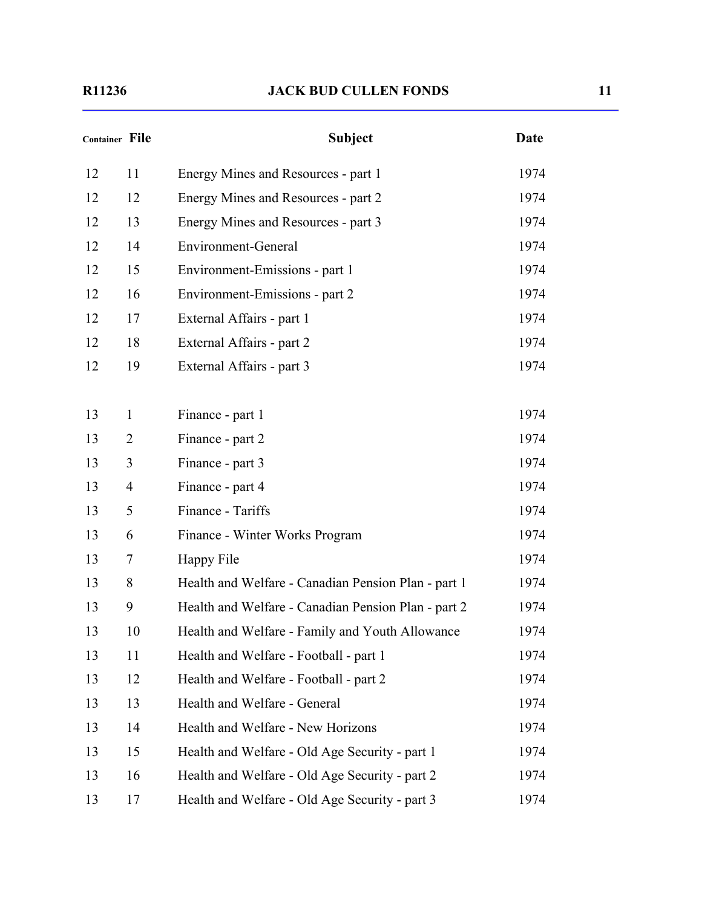| Container File |                | <b>Subject</b>                                      | Date |  |
|----------------|----------------|-----------------------------------------------------|------|--|
| 12             | 11             | Energy Mines and Resources - part 1                 | 1974 |  |
| 12             | 12             | Energy Mines and Resources - part 2                 | 1974 |  |
| 12             | 13             | Energy Mines and Resources - part 3                 | 1974 |  |
| 12             | 14             | Environment-General                                 | 1974 |  |
| 12             | 15             | Environment-Emissions - part 1                      | 1974 |  |
| 12             | 16             | Environment-Emissions - part 2                      | 1974 |  |
| 12             | 17             | External Affairs - part 1                           | 1974 |  |
| 12             | 18             | External Affairs - part 2                           | 1974 |  |
| 12             | 19             | External Affairs - part 3                           | 1974 |  |
|                |                |                                                     |      |  |
| 13             | $\mathbf{1}$   | Finance - part 1                                    | 1974 |  |
| 13             | 2              | Finance - part 2                                    | 1974 |  |
| 13             | 3              | Finance - part 3                                    | 1974 |  |
| 13             | $\overline{4}$ | Finance - part 4                                    | 1974 |  |
| 13             | 5              | Finance - Tariffs                                   | 1974 |  |
| 13             | 6              | Finance - Winter Works Program                      | 1974 |  |
| 13             | 7              | Happy File                                          | 1974 |  |
| 13             | 8              | Health and Welfare - Canadian Pension Plan - part 1 | 1974 |  |
| 13             | 9              | Health and Welfare - Canadian Pension Plan - part 2 | 1974 |  |
| 13             | 10             | Health and Welfare - Family and Youth Allowance     | 1974 |  |
| 13             | 11             | Health and Welfare - Football - part 1              | 1974 |  |
| 13             | 12             | Health and Welfare - Football - part 2              | 1974 |  |
| 13             | 13             | Health and Welfare - General                        | 1974 |  |
| 13             | 14             | Health and Welfare - New Horizons                   | 1974 |  |
| 13             | 15             | Health and Welfare - Old Age Security - part 1      | 1974 |  |
| 13             | 16             | Health and Welfare - Old Age Security - part 2      | 1974 |  |
| 13             | 17             | Health and Welfare - Old Age Security - part 3      | 1974 |  |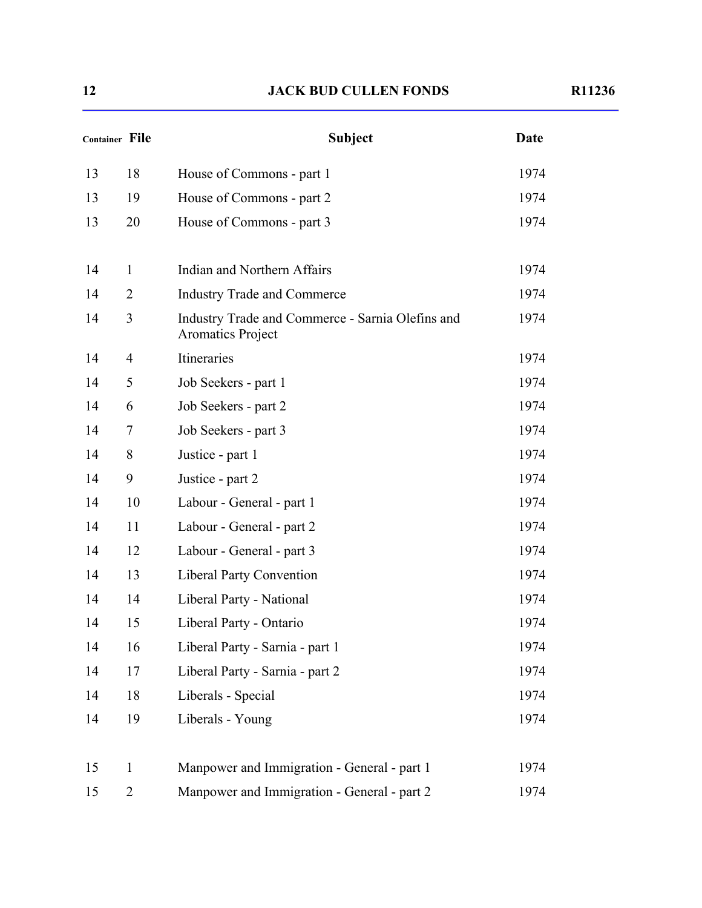| <b>Container File</b> |                | <b>Subject</b>                                                        | <b>Date</b> |  |
|-----------------------|----------------|-----------------------------------------------------------------------|-------------|--|
| 13                    | 18             | House of Commons - part 1                                             | 1974        |  |
| 13                    | 19             | House of Commons - part 2                                             | 1974        |  |
| 13                    | 20             | House of Commons - part 3                                             | 1974        |  |
| 14                    | 1              | Indian and Northern Affairs                                           | 1974        |  |
| 14                    | $\overline{2}$ | <b>Industry Trade and Commerce</b>                                    | 1974        |  |
| 14                    | 3              | Industry Trade and Commerce - Sarnia Olefins and<br>Aromatics Project | 1974        |  |
| 14                    | $\overline{4}$ | Itineraries                                                           | 1974        |  |
| 14                    | 5              | Job Seekers - part 1                                                  | 1974        |  |
| 14                    | 6              | Job Seekers - part 2                                                  | 1974        |  |
| 14                    | 7              | Job Seekers - part 3                                                  | 1974        |  |
| 14                    | 8              | Justice - part 1                                                      | 1974        |  |
| 14                    | 9              | Justice - part 2                                                      | 1974        |  |
| 14                    | 10             | Labour - General - part 1                                             | 1974        |  |
| 14                    | 11             | Labour - General - part 2                                             | 1974        |  |
| 14                    | 12             | Labour - General - part 3                                             | 1974        |  |
| 14                    | 13             | <b>Liberal Party Convention</b>                                       | 1974        |  |
| 14                    | 14             | Liberal Party - National                                              | 1974        |  |
| 14                    | 15             | Liberal Party - Ontario                                               | 1974        |  |
| 14                    | 16             | Liberal Party - Sarnia - part 1                                       | 1974        |  |
| 14                    | 17             | Liberal Party - Sarnia - part 2                                       | 1974        |  |
| 14                    | 18             | Liberals - Special                                                    | 1974        |  |
| 14                    | 19             | Liberals - Young                                                      | 1974        |  |
| 15                    | $\mathbf{1}$   | Manpower and Immigration - General - part 1                           | 1974        |  |
| 15                    | $\overline{2}$ | Manpower and Immigration - General - part 2                           | 1974        |  |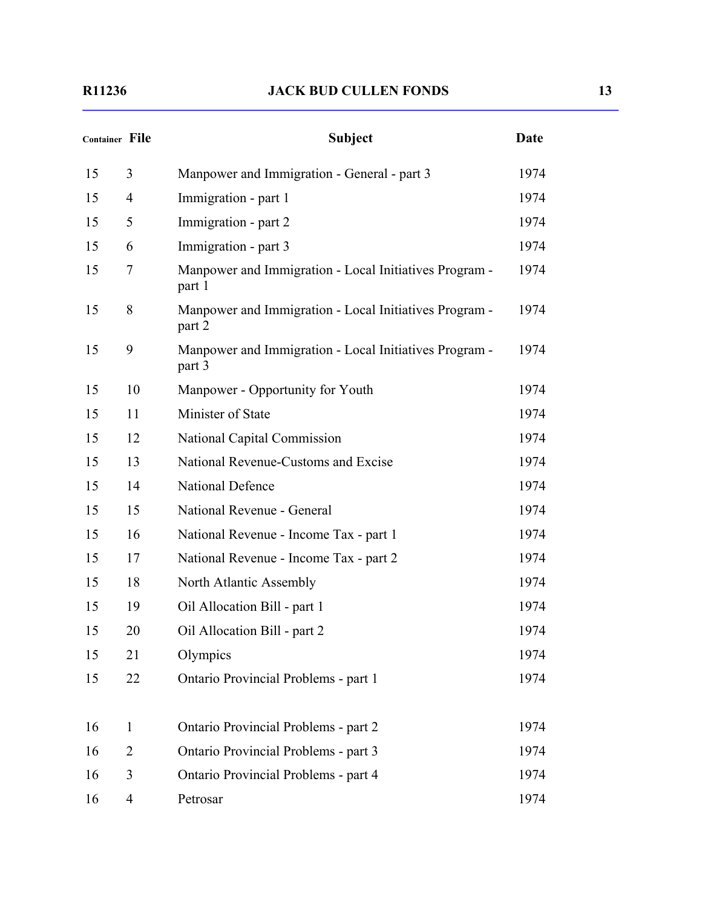#### **R11236 JACK BUD CULLEN FONDS 13**

| <b>Container File</b> |                | <b>Subject</b>                                                   | <b>Date</b> |
|-----------------------|----------------|------------------------------------------------------------------|-------------|
| 15                    | 3              | Manpower and Immigration - General - part 3                      | 1974        |
| 15                    | $\overline{4}$ | Immigration - part 1                                             | 1974        |
| 15                    | 5              | Immigration - part 2                                             | 1974        |
| 15                    | 6              | Immigration - part 3                                             | 1974        |
| 15                    | $\overline{7}$ | Manpower and Immigration - Local Initiatives Program -<br>part 1 | 1974        |
| 15                    | 8              | Manpower and Immigration - Local Initiatives Program -<br>part 2 | 1974        |
| 15                    | 9              | Manpower and Immigration - Local Initiatives Program -<br>part 3 | 1974        |
| 15                    | 10             | Manpower - Opportunity for Youth                                 | 1974        |
| 15                    | 11             | Minister of State                                                | 1974        |
| 15                    | 12             | National Capital Commission                                      | 1974        |
| 15                    | 13             | National Revenue-Customs and Excise                              | 1974        |
| 15                    | 14             | <b>National Defence</b>                                          | 1974        |
| 15                    | 15             | National Revenue - General                                       | 1974        |
| 15                    | 16             | National Revenue - Income Tax - part 1                           | 1974        |
| 15                    | 17             | National Revenue - Income Tax - part 2                           | 1974        |
| 15                    | 18             | North Atlantic Assembly                                          | 1974        |
| 15                    | 19             | Oil Allocation Bill - part 1                                     | 1974        |
| 15                    | 20             | Oil Allocation Bill - part 2                                     | 1974        |
| 15                    | 21             | Olympics                                                         | 1974        |
| 15                    | 22             | Ontario Provincial Problems - part 1                             | 1974        |
| 16                    | $\mathbf{1}$   | Ontario Provincial Problems - part 2                             | 1974        |
| 16                    | $\overline{2}$ | Ontario Provincial Problems - part 3                             | 1974        |
| 16                    | 3              | Ontario Provincial Problems - part 4                             | 1974        |
| 16                    | $\overline{4}$ | Petrosar                                                         | 1974        |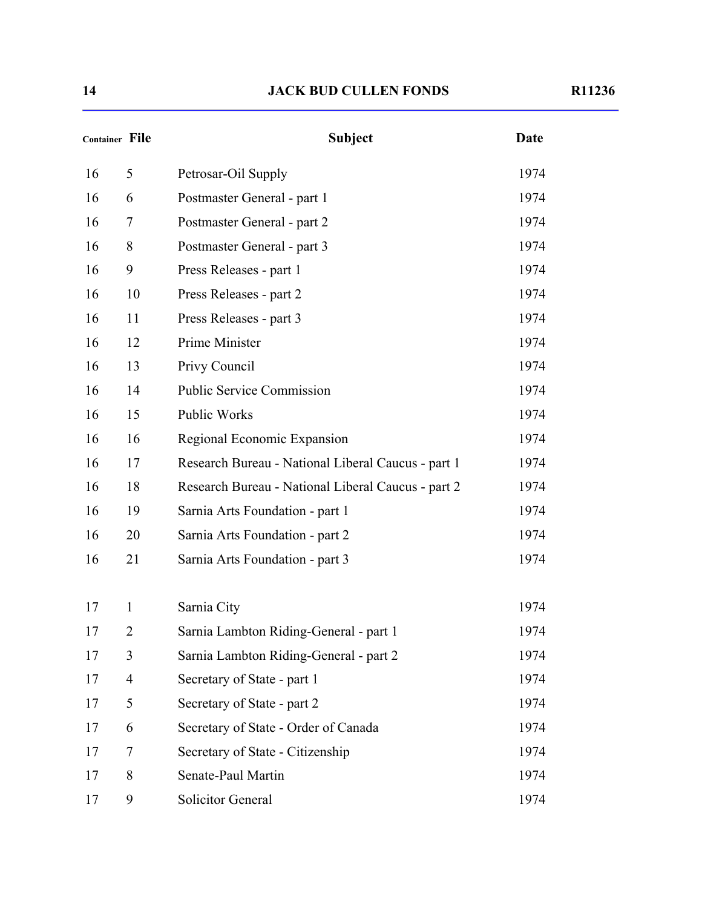| <b>Container File</b> |                | <b>Subject</b>                                     | <b>Date</b> |  |
|-----------------------|----------------|----------------------------------------------------|-------------|--|
| 16                    | 5              | Petrosar-Oil Supply                                | 1974        |  |
| 16                    | 6              | Postmaster General - part 1                        | 1974        |  |
| 16                    | 7              | Postmaster General - part 2                        | 1974        |  |
| 16                    | 8              | Postmaster General - part 3                        | 1974        |  |
| 16                    | 9              | Press Releases - part 1                            | 1974        |  |
| 16                    | 10             | Press Releases - part 2                            | 1974        |  |
| 16                    | 11             | Press Releases - part 3                            | 1974        |  |
| 16                    | 12             | Prime Minister                                     | 1974        |  |
| 16                    | 13             | Privy Council                                      | 1974        |  |
| 16                    | 14             | <b>Public Service Commission</b>                   | 1974        |  |
| 16                    | 15             | Public Works                                       | 1974        |  |
| 16                    | 16             | Regional Economic Expansion                        | 1974        |  |
| 16                    | 17             | Research Bureau - National Liberal Caucus - part 1 | 1974        |  |
| 16                    | 18             | Research Bureau - National Liberal Caucus - part 2 | 1974        |  |
| 16                    | 19             | Sarnia Arts Foundation - part 1                    | 1974        |  |
| 16                    | 20             | Sarnia Arts Foundation - part 2                    | 1974        |  |
| 16                    | 21             | Sarnia Arts Foundation - part 3                    | 1974        |  |
| 17                    | $\mathbf{1}$   | Sarnia City                                        | 1974        |  |
| 17                    | 2              | Sarnia Lambton Riding-General - part 1             | 1974        |  |
| 17                    | 3              | Sarnia Lambton Riding-General - part 2             | 1974        |  |
| 17                    | $\overline{4}$ | Secretary of State - part 1                        | 1974        |  |
| 17                    | 5              | Secretary of State - part 2                        | 1974        |  |
| 17                    | 6              | Secretary of State - Order of Canada               | 1974        |  |
| 17                    | 7              | Secretary of State - Citizenship                   | 1974        |  |
| 17                    | 8              | Senate-Paul Martin                                 | 1974        |  |
| 17                    | 9              | Solicitor General                                  | 1974        |  |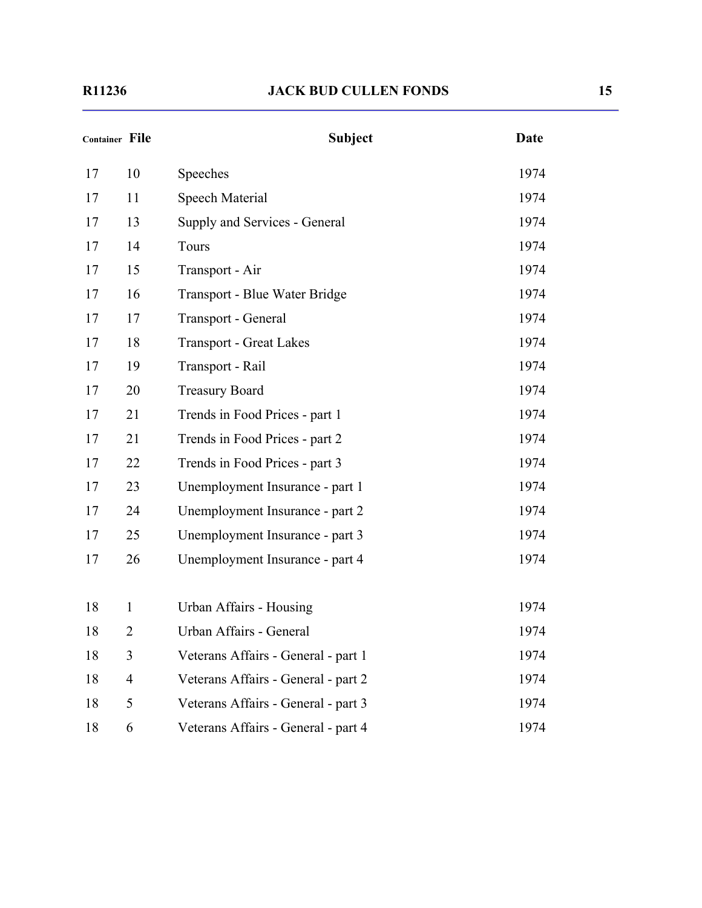| <b>Container File</b> |                | <b>Subject</b>                      | <b>Date</b> |
|-----------------------|----------------|-------------------------------------|-------------|
| 17                    | 10             | Speeches                            | 1974        |
| 17                    | 11             | Speech Material                     | 1974        |
| 17                    | 13             | Supply and Services - General       | 1974        |
| 17                    | 14             | Tours                               | 1974        |
| 17                    | 15             | Transport - Air                     | 1974        |
| 17                    | 16             | Transport - Blue Water Bridge       | 1974        |
| 17                    | 17             | Transport - General                 | 1974        |
| 17                    | 18             | <b>Transport - Great Lakes</b>      | 1974        |
| 17                    | 19             | Transport - Rail                    | 1974        |
| 17                    | 20             | <b>Treasury Board</b>               | 1974        |
| 17                    | 21             | Trends in Food Prices - part 1      | 1974        |
| 17                    | 21             | Trends in Food Prices - part 2      | 1974        |
| 17                    | 22             | Trends in Food Prices - part 3      | 1974        |
| 17                    | 23             | Unemployment Insurance - part 1     | 1974        |
| 17                    | 24             | Unemployment Insurance - part 2     | 1974        |
| 17                    | 25             | Unemployment Insurance - part 3     | 1974        |
| 17                    | 26             | Unemployment Insurance - part 4     | 1974        |
| 18                    | $\mathbf{1}$   | Urban Affairs - Housing             | 1974        |
| 18                    | $\overline{2}$ | Urban Affairs - General             | 1974        |
| 18                    | 3              | Veterans Affairs - General - part 1 | 1974        |
| 18                    | $\overline{4}$ | Veterans Affairs - General - part 2 | 1974        |
| 18                    | 5              | Veterans Affairs - General - part 3 | 1974        |
| 18                    | 6              | Veterans Affairs - General - part 4 | 1974        |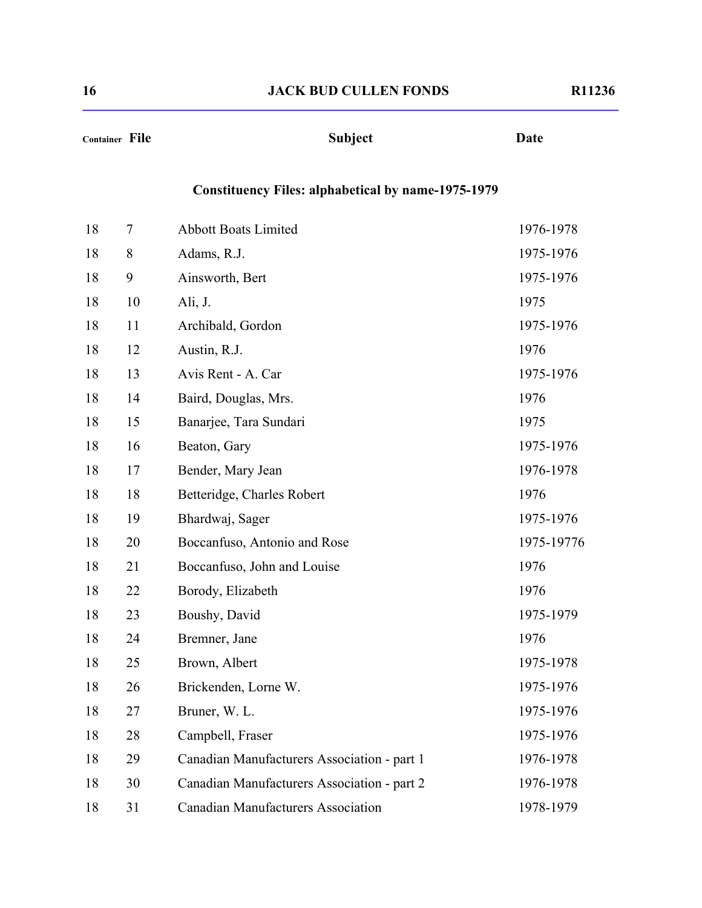#### **Container File Subject Date**

#### **Constituency Files: alphabetical by name-1975-1979**

| 18 | 7  | <b>Abbott Boats Limited</b>                 | 1976-1978  |
|----|----|---------------------------------------------|------------|
| 18 | 8  | Adams, R.J.                                 | 1975-1976  |
| 18 | 9  | Ainsworth, Bert                             | 1975-1976  |
| 18 | 10 | Ali, J.                                     | 1975       |
| 18 | 11 | Archibald, Gordon                           | 1975-1976  |
| 18 | 12 | Austin, R.J.                                | 1976       |
| 18 | 13 | Avis Rent - A. Car                          | 1975-1976  |
| 18 | 14 | Baird, Douglas, Mrs.                        | 1976       |
| 18 | 15 | Banarjee, Tara Sundari                      | 1975       |
| 18 | 16 | Beaton, Gary                                | 1975-1976  |
| 18 | 17 | Bender, Mary Jean                           | 1976-1978  |
| 18 | 18 | Betteridge, Charles Robert                  | 1976       |
| 18 | 19 | Bhardwaj, Sager                             | 1975-1976  |
| 18 | 20 | Boccanfuso, Antonio and Rose                | 1975-19776 |
| 18 | 21 | Boccanfuso, John and Louise                 | 1976       |
| 18 | 22 | Borody, Elizabeth                           | 1976       |
| 18 | 23 | Boushy, David                               | 1975-1979  |
| 18 | 24 | Bremner, Jane                               | 1976       |
| 18 | 25 | Brown, Albert                               | 1975-1978  |
| 18 | 26 | Brickenden, Lorne W.                        | 1975-1976  |
| 18 | 27 | Bruner, W. L.                               | 1975-1976  |
| 18 | 28 | Campbell, Fraser                            | 1975-1976  |
| 18 | 29 | Canadian Manufacturers Association - part 1 | 1976-1978  |
| 18 | 30 | Canadian Manufacturers Association - part 2 | 1976-1978  |
| 18 | 31 | <b>Canadian Manufacturers Association</b>   | 1978-1979  |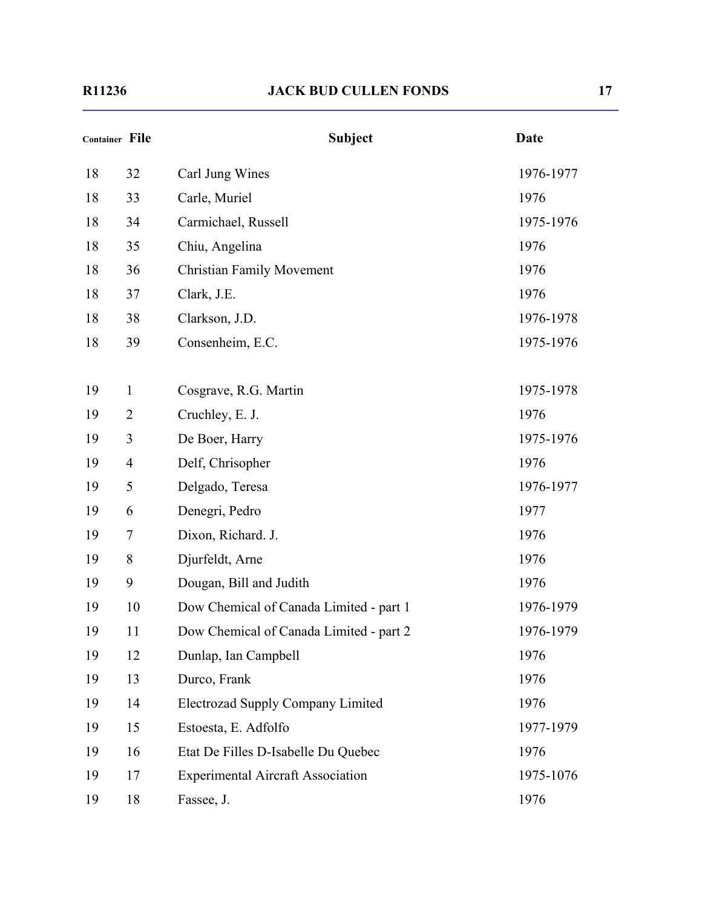|    | Container File | <b>Subject</b>                           | <b>Date</b> |
|----|----------------|------------------------------------------|-------------|
| 18 | 32             | Carl Jung Wines                          | 1976-1977   |
| 18 | 33             | Carle, Muriel                            | 1976        |
| 18 | 34             | Carmichael, Russell                      | 1975-1976   |
| 18 | 35             | Chiu, Angelina                           | 1976        |
| 18 | 36             | <b>Christian Family Movement</b>         | 1976        |
| 18 | 37             | Clark, J.E.                              | 1976        |
| 18 | 38             | Clarkson, J.D.                           | 1976-1978   |
| 18 | 39             | Consenheim, E.C.                         | 1975-1976   |
| 19 | $\mathbf{1}$   | Cosgrave, R.G. Martin                    | 1975-1978   |
| 19 | $\overline{2}$ | Cruchley, E. J.                          | 1976        |
| 19 | 3              | De Boer, Harry                           | 1975-1976   |
| 19 | $\overline{4}$ | Delf, Chrisopher                         | 1976        |
| 19 | 5              | Delgado, Teresa                          | 1976-1977   |
| 19 | 6              | Denegri, Pedro                           | 1977        |
| 19 | 7              | Dixon, Richard. J.                       | 1976        |
| 19 | 8              | Djurfeldt, Arne                          | 1976        |
| 19 | 9              | Dougan, Bill and Judith                  | 1976        |
| 19 | 10             | Dow Chemical of Canada Limited - part 1  | 1976-1979   |
| 19 | 11             | Dow Chemical of Canada Limited - part 2  | 1976-1979   |
| 19 | 12             | Dunlap, Ian Campbell                     | 1976        |
| 19 | 13             | Durco, Frank                             | 1976        |
| 19 | 14             | Electrozad Supply Company Limited        | 1976        |
| 19 | 15             | Estoesta, E. Adfolfo                     | 1977-1979   |
| 19 | 16             | Etat De Filles D-Isabelle Du Quebec      | 1976        |
| 19 | 17             | <b>Experimental Aircraft Association</b> | 1975-1076   |
| 19 | 18             | Fassee, J.                               | 1976        |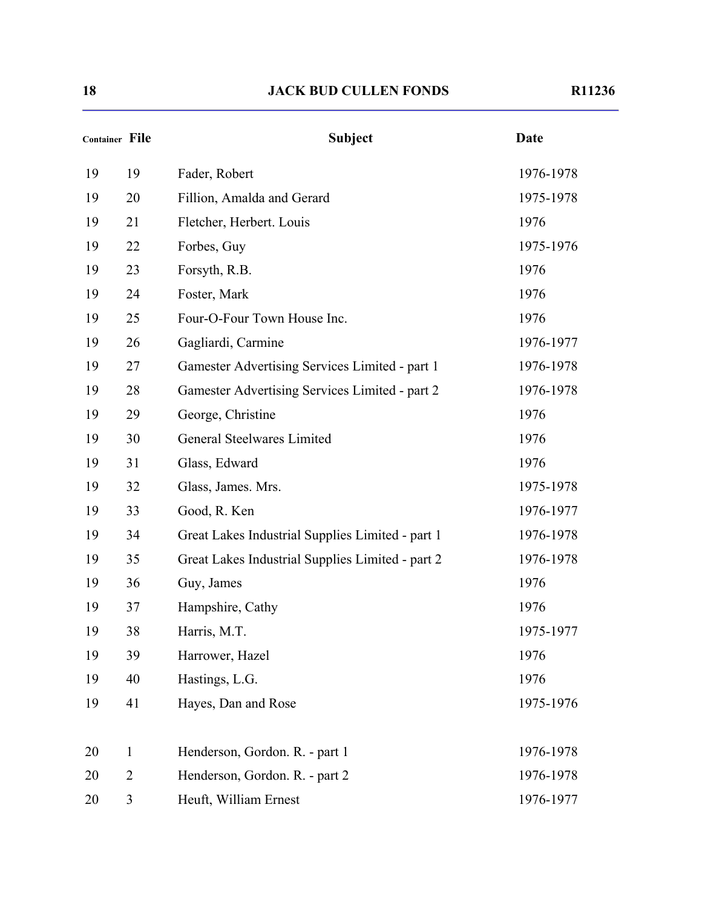| <b>Container File</b> |                | <b>Subject</b>                                   | <b>Date</b> |
|-----------------------|----------------|--------------------------------------------------|-------------|
| 19                    | 19             | Fader, Robert                                    | 1976-1978   |
| 19                    | 20             | Fillion, Amalda and Gerard                       | 1975-1978   |
| 19                    | 21             | Fletcher, Herbert. Louis                         | 1976        |
| 19                    | 22             | Forbes, Guy                                      | 1975-1976   |
| 19                    | 23             | Forsyth, R.B.                                    | 1976        |
| 19                    | 24             | Foster, Mark                                     | 1976        |
| 19                    | 25             | Four-O-Four Town House Inc.                      | 1976        |
| 19                    | 26             | Gagliardi, Carmine                               | 1976-1977   |
| 19                    | 27             | Gamester Advertising Services Limited - part 1   | 1976-1978   |
| 19                    | 28             | Gamester Advertising Services Limited - part 2   | 1976-1978   |
| 19                    | 29             | George, Christine                                | 1976        |
| 19                    | 30             | General Steelwares Limited                       | 1976        |
| 19                    | 31             | Glass, Edward                                    | 1976        |
| 19                    | 32             | Glass, James. Mrs.                               | 1975-1978   |
| 19                    | 33             | Good, R. Ken                                     | 1976-1977   |
| 19                    | 34             | Great Lakes Industrial Supplies Limited - part 1 | 1976-1978   |
| 19                    | 35             | Great Lakes Industrial Supplies Limited - part 2 | 1976-1978   |
| 19                    | 36             | Guy, James                                       | 1976        |
| 19                    | 37             | Hampshire, Cathy                                 | 1976        |
| 19                    | 38             | Harris, M.T.                                     | 1975-1977   |
| 19                    | 39             | Harrower, Hazel                                  | 1976        |
| 19                    | 40             | Hastings, L.G.                                   | 1976        |
| 19                    | 41             | Hayes, Dan and Rose                              | 1975-1976   |
| 20                    | $\mathbf{1}$   | Henderson, Gordon. R. - part 1                   | 1976-1978   |
| 20                    | $\overline{2}$ | Henderson, Gordon. R. - part 2                   | 1976-1978   |
| 20                    | 3              | Heuft, William Ernest                            | 1976-1977   |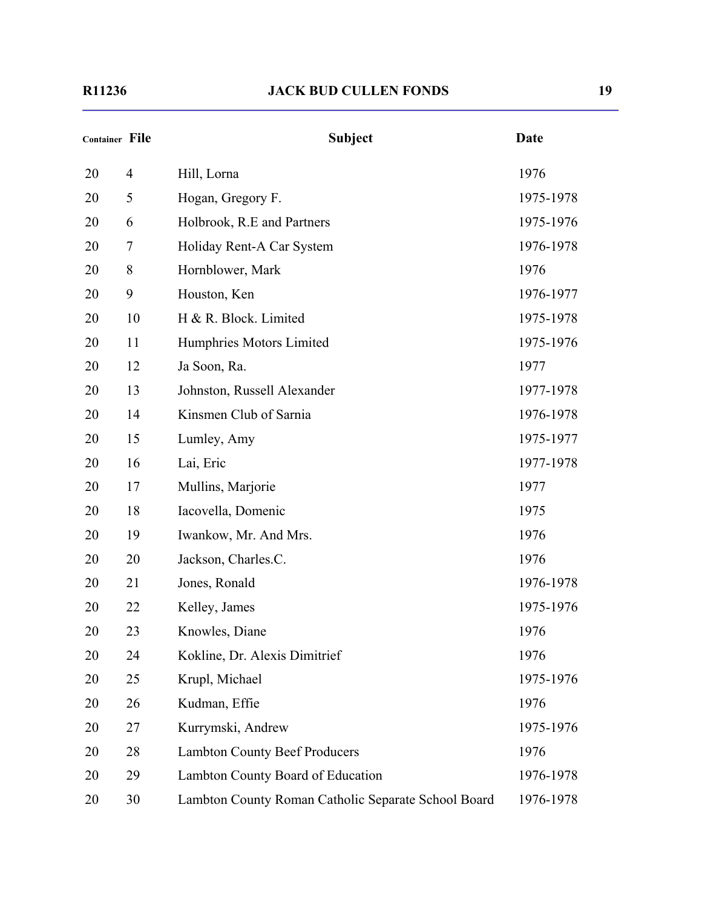| <b>Container File</b> |                | <b>Subject</b>                                      | <b>Date</b> |
|-----------------------|----------------|-----------------------------------------------------|-------------|
| 20                    | $\overline{4}$ | Hill, Lorna                                         | 1976        |
| 20                    | 5              | Hogan, Gregory F.                                   | 1975-1978   |
| 20                    | 6              | Holbrook, R.E and Partners                          | 1975-1976   |
| 20                    | 7              | Holiday Rent-A Car System                           | 1976-1978   |
| 20                    | 8              | Hornblower, Mark                                    | 1976        |
| 20                    | 9              | Houston, Ken                                        | 1976-1977   |
| 20                    | 10             | H & R. Block. Limited                               | 1975-1978   |
| 20                    | 11             | Humphries Motors Limited                            | 1975-1976   |
| 20                    | 12             | Ja Soon, Ra.                                        | 1977        |
| 20                    | 13             | Johnston, Russell Alexander                         | 1977-1978   |
| 20                    | 14             | Kinsmen Club of Sarnia                              | 1976-1978   |
| 20                    | 15             | Lumley, Amy                                         | 1975-1977   |
| 20                    | 16             | Lai, Eric                                           | 1977-1978   |
| 20                    | 17             | Mullins, Marjorie                                   | 1977        |
| 20                    | 18             | Iacovella, Domenic                                  | 1975        |
| 20                    | 19             | Iwankow, Mr. And Mrs.                               | 1976        |
| 20                    | 20             | Jackson, Charles.C.                                 | 1976        |
| 20                    | 21             | Jones, Ronald                                       | 1976-1978   |
| 20                    | 22             | Kelley, James                                       | 1975-1976   |
| 20                    | 23             | Knowles, Diane                                      | 1976        |
| 20                    | 24             | Kokline, Dr. Alexis Dimitrief                       | 1976        |
| 20                    | 25             | Krupl, Michael                                      | 1975-1976   |
| 20                    | 26             | Kudman, Effie                                       | 1976        |
| 20                    | 27             | Kurrymski, Andrew                                   | 1975-1976   |
| 20                    | 28             | <b>Lambton County Beef Producers</b>                | 1976        |
| 20                    | 29             | Lambton County Board of Education                   | 1976-1978   |
| 20                    | 30             | Lambton County Roman Catholic Separate School Board | 1976-1978   |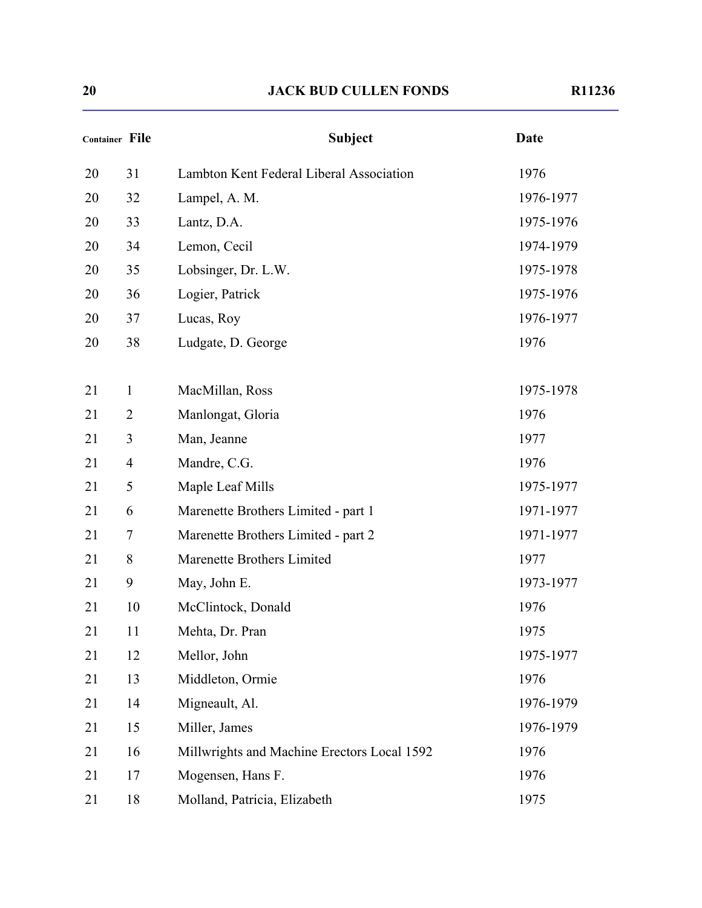| 17 I | 1236 |  |
|------|------|--|
|      |      |  |

| <b>Container File</b> |                | <b>Subject</b>                              | <b>Date</b> |
|-----------------------|----------------|---------------------------------------------|-------------|
| 20                    | 31             | Lambton Kent Federal Liberal Association    | 1976        |
| 20                    | 32             | Lampel, A. M.                               | 1976-1977   |
| 20                    | 33             | Lantz, D.A.                                 | 1975-1976   |
| 20                    | 34             | Lemon, Cecil                                | 1974-1979   |
| 20                    | 35             | Lobsinger, Dr. L.W.                         | 1975-1978   |
| 20                    | 36             | Logier, Patrick                             | 1975-1976   |
| 20                    | 37             | Lucas, Roy                                  | 1976-1977   |
| 20                    | 38             | Ludgate, D. George                          | 1976        |
| 21                    | $\mathbf{1}$   | MacMillan, Ross                             | 1975-1978   |
| 21                    | $\overline{2}$ | Manlongat, Gloria                           | 1976        |
| 21                    | 3              | Man, Jeanne                                 | 1977        |
| 21                    | $\overline{4}$ | Mandre, C.G.                                | 1976        |
| 21                    | 5              | Maple Leaf Mills                            | 1975-1977   |
| 21                    | 6              | Marenette Brothers Limited - part 1         | 1971-1977   |
| 21                    | 7              | Marenette Brothers Limited - part 2         | 1971-1977   |
| 21                    | 8              | Marenette Brothers Limited                  | 1977        |
| 21                    | 9              | May, John E.                                | 1973-1977   |
| 21                    | 10             | McClintock, Donald                          | 1976        |
| 21                    | 11             | Mehta, Dr. Pran                             | 1975        |
| 21                    | 12             | Mellor, John                                | 1975-1977   |
| 21                    | 13             | Middleton, Ormie                            | 1976        |
| 21                    | 14             | Migneault, Al.                              | 1976-1979   |
| 21                    | 15             | Miller, James                               | 1976-1979   |
| 21                    | 16             | Millwrights and Machine Erectors Local 1592 | 1976        |
| 21                    | 17             | Mogensen, Hans F.                           | 1976        |
| 21                    | 18             | Molland, Patricia, Elizabeth                | 1975        |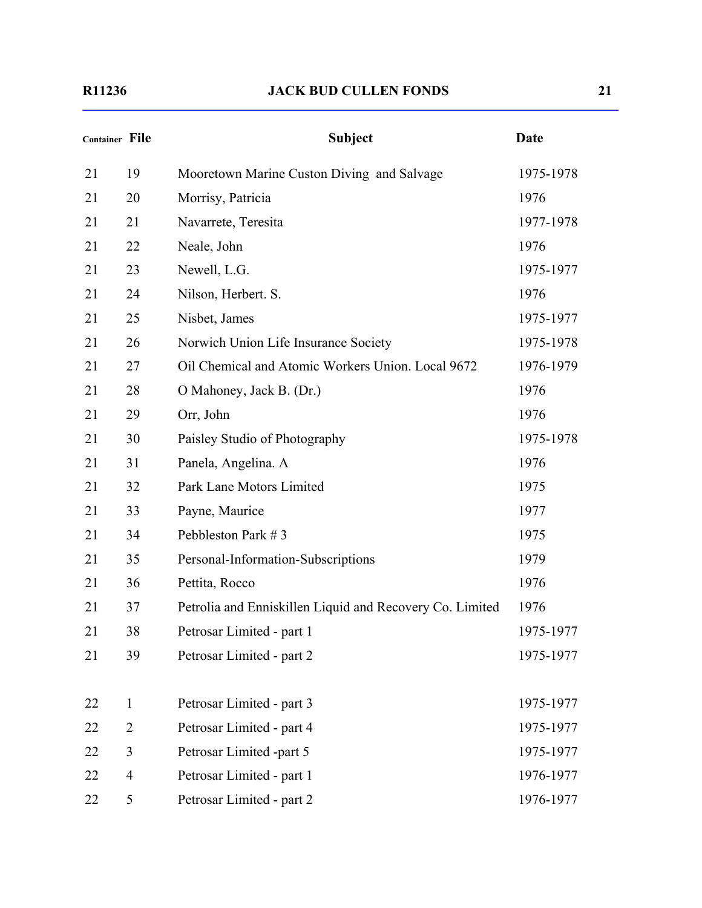| <b>Container File</b> |                | <b>Subject</b>                                           | <b>Date</b> |
|-----------------------|----------------|----------------------------------------------------------|-------------|
| 21                    | 19             | Mooretown Marine Custon Diving and Salvage               | 1975-1978   |
| 21                    | 20             | Morrisy, Patricia                                        | 1976        |
| 21                    | 21             | Navarrete, Teresita                                      | 1977-1978   |
| 21                    | 22             | Neale, John                                              | 1976        |
| 21                    | 23             | Newell, L.G.                                             | 1975-1977   |
| 21                    | 24             | Nilson, Herbert. S.                                      | 1976        |
| 21                    | 25             | Nisbet, James                                            | 1975-1977   |
| 21                    | 26             | Norwich Union Life Insurance Society                     | 1975-1978   |
| 21                    | 27             | Oil Chemical and Atomic Workers Union. Local 9672        | 1976-1979   |
| 21                    | 28             | O Mahoney, Jack B. (Dr.)                                 | 1976        |
| 21                    | 29             | Orr, John                                                | 1976        |
| 21                    | 30             | Paisley Studio of Photography                            | 1975-1978   |
| 21                    | 31             | Panela, Angelina. A                                      | 1976        |
| 21                    | 32             | Park Lane Motors Limited                                 | 1975        |
| 21                    | 33             | Payne, Maurice                                           | 1977        |
| 21                    | 34             | Pebbleston Park #3                                       | 1975        |
| 21                    | 35             | Personal-Information-Subscriptions                       | 1979        |
| 21                    | 36             | Pettita, Rocco                                           | 1976        |
| 21                    | 37             | Petrolia and Enniskillen Liquid and Recovery Co. Limited | 1976        |
| 21                    | 38             | Petrosar Limited - part 1                                | 1975-1977   |
| 21                    | 39             | Petrosar Limited - part 2                                | 1975-1977   |
|                       |                |                                                          |             |
| 22                    | $\mathbf{1}$   | Petrosar Limited - part 3                                | 1975-1977   |
| 22                    | $\overline{2}$ | Petrosar Limited - part 4                                | 1975-1977   |
| 22                    | 3              | Petrosar Limited -part 5                                 | 1975-1977   |
| 22                    | $\overline{4}$ | Petrosar Limited - part 1                                | 1976-1977   |
| 22                    | 5              | Petrosar Limited - part 2                                | 1976-1977   |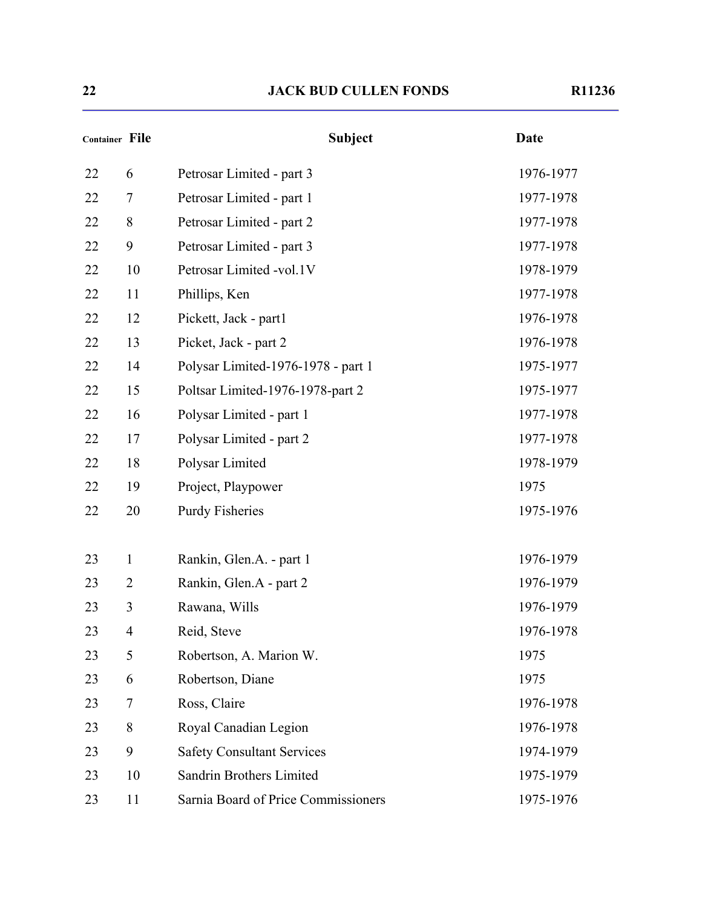| <b>Container File</b> |                | <b>Subject</b>                      | Date      |
|-----------------------|----------------|-------------------------------------|-----------|
| 22                    | 6              | Petrosar Limited - part 3           | 1976-1977 |
| 22                    | $\tau$         | Petrosar Limited - part 1           | 1977-1978 |
| 22                    | 8              | Petrosar Limited - part 2           | 1977-1978 |
| 22                    | 9              | Petrosar Limited - part 3           | 1977-1978 |
| 22                    | 10             | Petrosar Limited -vol.1V            | 1978-1979 |
| 22                    | 11             | Phillips, Ken                       | 1977-1978 |
| 22                    | 12             | Pickett, Jack - part1               | 1976-1978 |
| 22                    | 13             | Picket, Jack - part 2               | 1976-1978 |
| 22                    | 14             | Polysar Limited-1976-1978 - part 1  | 1975-1977 |
| 22                    | 15             | Poltsar Limited-1976-1978-part 2    | 1975-1977 |
| 22                    | 16             | Polysar Limited - part 1            | 1977-1978 |
| 22                    | 17             | Polysar Limited - part 2            | 1977-1978 |
| 22                    | 18             | Polysar Limited                     | 1978-1979 |
| 22                    | 19             | Project, Playpower                  | 1975      |
| 22                    | 20             | <b>Purdy Fisheries</b>              | 1975-1976 |
| 23                    | $\mathbf{1}$   | Rankin, Glen.A. - part 1            | 1976-1979 |
| 23                    | 2              | Rankin, Glen.A - part 2             | 1976-1979 |
| 23                    | 3              | Rawana, Wills                       | 1976-1979 |
| 23                    | $\overline{4}$ | Reid, Steve                         | 1976-1978 |
| 23                    | 5              | Robertson, A. Marion W.             | 1975      |
| 23                    | 6              | Robertson, Diane                    | 1975      |
| 23                    | 7              | Ross, Claire                        | 1976-1978 |
| 23                    | 8              | Royal Canadian Legion               | 1976-1978 |
| 23                    | 9              | <b>Safety Consultant Services</b>   | 1974-1979 |
| 23                    | 10             | Sandrin Brothers Limited            | 1975-1979 |
| 23                    | 11             | Sarnia Board of Price Commissioners | 1975-1976 |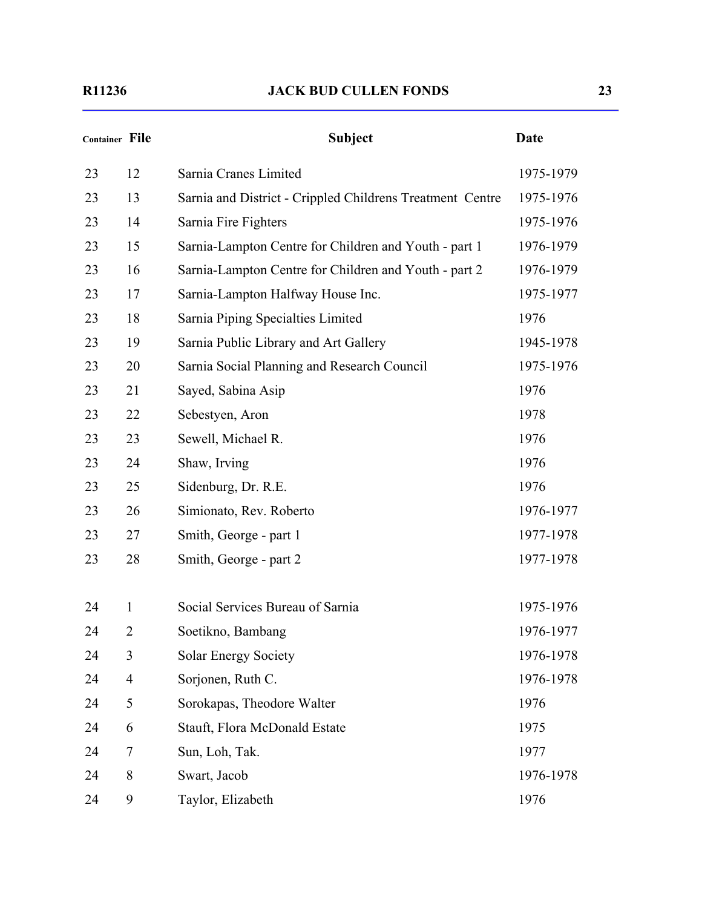| <b>Container File</b> |                | <b>Subject</b>                                            | <b>Date</b> |
|-----------------------|----------------|-----------------------------------------------------------|-------------|
| 23                    | 12             | Sarnia Cranes Limited                                     | 1975-1979   |
| 23                    | 13             | Sarnia and District - Crippled Childrens Treatment Centre | 1975-1976   |
| 23                    | 14             | Sarnia Fire Fighters                                      | 1975-1976   |
| 23                    | 15             | Sarnia-Lampton Centre for Children and Youth - part 1     | 1976-1979   |
| 23                    | 16             | Sarnia-Lampton Centre for Children and Youth - part 2     | 1976-1979   |
| 23                    | 17             | Sarnia-Lampton Halfway House Inc.                         | 1975-1977   |
| 23                    | 18             | Sarnia Piping Specialties Limited                         | 1976        |
| 23                    | 19             | Sarnia Public Library and Art Gallery                     | 1945-1978   |
| 23                    | 20             | Sarnia Social Planning and Research Council               | 1975-1976   |
| 23                    | 21             | Sayed, Sabina Asip                                        | 1976        |
| 23                    | 22             | Sebestyen, Aron                                           | 1978        |
| 23                    | 23             | Sewell, Michael R.                                        | 1976        |
| 23                    | 24             | Shaw, Irving                                              | 1976        |
| 23                    | 25             | Sidenburg, Dr. R.E.                                       | 1976        |
| 23                    | 26             | Simionato, Rev. Roberto                                   | 1976-1977   |
| 23                    | 27             | Smith, George - part 1                                    | 1977-1978   |
| 23                    | 28             | Smith, George - part 2                                    | 1977-1978   |
| 24                    | 1              | Social Services Bureau of Sarnia                          | 1975-1976   |
| 24                    | 2              | Soetikno, Bambang                                         | 1976-1977   |
| 24                    | 3              | <b>Solar Energy Society</b>                               | 1976-1978   |
| 24                    | $\overline{4}$ | Sorjonen, Ruth C.                                         | 1976-1978   |
| 24                    | 5              | Sorokapas, Theodore Walter                                | 1976        |
| 24                    | 6              | Stauft, Flora McDonald Estate                             | 1975        |
| 24                    | 7              | Sun, Loh, Tak.                                            | 1977        |
| 24                    | 8              | Swart, Jacob                                              | 1976-1978   |
| 24                    | 9              | Taylor, Elizabeth                                         | 1976        |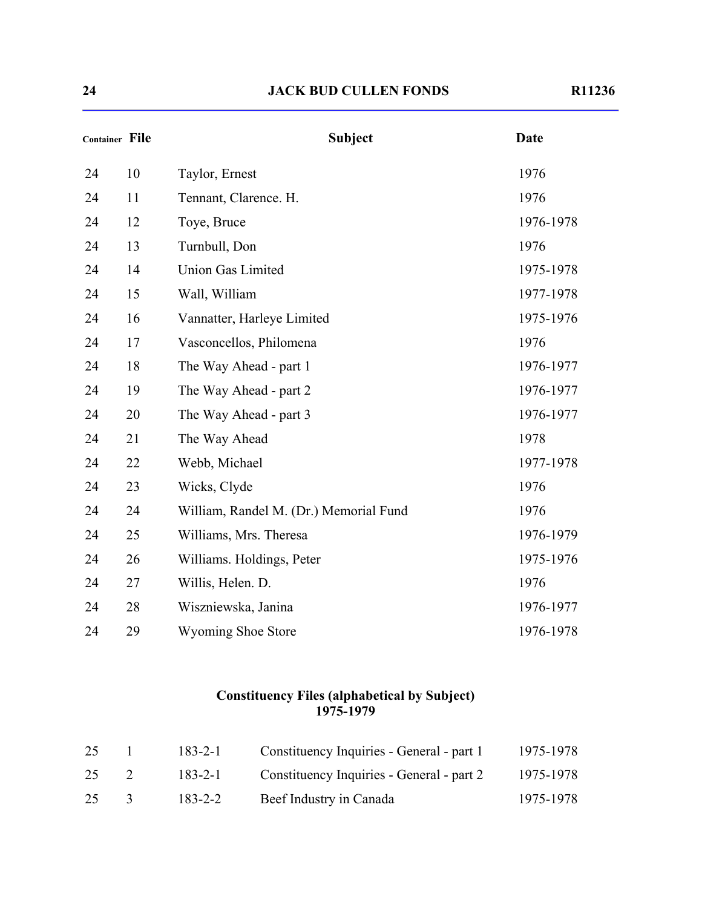| יי | $-1236$ |  |
|----|---------|--|
|    |         |  |

| <b>Container File</b> |    | <b>Subject</b>                         | <b>Date</b> |
|-----------------------|----|----------------------------------------|-------------|
| 24                    | 10 | Taylor, Ernest                         | 1976        |
| 24                    | 11 | Tennant, Clarence. H.                  | 1976        |
| 24                    | 12 | Toye, Bruce                            | 1976-1978   |
| 24                    | 13 | Turnbull, Don                          | 1976        |
| 24                    | 14 | <b>Union Gas Limited</b>               | 1975-1978   |
| 24                    | 15 | Wall, William                          | 1977-1978   |
| 24                    | 16 | Vannatter, Harleye Limited             | 1975-1976   |
| 24                    | 17 | Vasconcellos, Philomena                | 1976        |
| 24                    | 18 | The Way Ahead - part 1                 | 1976-1977   |
| 24                    | 19 | The Way Ahead - part 2                 | 1976-1977   |
| 24                    | 20 | The Way Ahead - part 3                 | 1976-1977   |
| 24                    | 21 | The Way Ahead                          | 1978        |
| 24                    | 22 | Webb, Michael                          | 1977-1978   |
| 24                    | 23 | Wicks, Clyde                           | 1976        |
| 24                    | 24 | William, Randel M. (Dr.) Memorial Fund | 1976        |
| 24                    | 25 | Williams, Mrs. Theresa                 | 1976-1979   |
| 24                    | 26 | Williams. Holdings, Peter              | 1975-1976   |
| 24                    | 27 | Willis, Helen. D.                      | 1976        |
| 24                    | 28 | Wiszniewska, Janina                    | 1976-1977   |
| 24                    | 29 | <b>Wyoming Shoe Store</b>              | 1976-1978   |

#### **Constituency Files (alphabetical by Subject) 1975-1979**

| 25 |               | 183-2-1 | Constituency Inquiries - General - part 1 | 1975-1978 |
|----|---------------|---------|-------------------------------------------|-----------|
| 25 | $\sim$ 2      | 183-2-1 | Constituency Inquiries - General - part 2 | 1975-1978 |
| 25 | $\mathcal{R}$ | 183-2-2 | Beef Industry in Canada                   | 1975-1978 |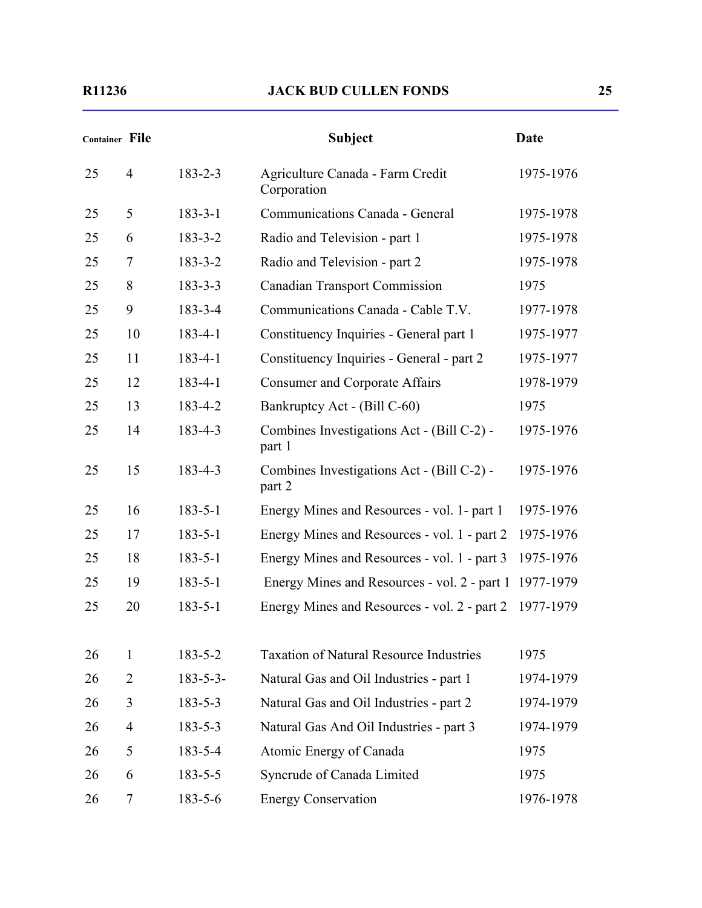| <b>Container File</b> |                |                 | <b>Subject</b>                                       | <b>Date</b> |
|-----------------------|----------------|-----------------|------------------------------------------------------|-------------|
| 25                    | $\overline{4}$ | $183 - 2 - 3$   | Agriculture Canada - Farm Credit<br>Corporation      | 1975-1976   |
| 25                    | 5              | $183 - 3 - 1$   | Communications Canada - General                      | 1975-1978   |
| 25                    | 6              | $183 - 3 - 2$   | Radio and Television - part 1                        | 1975-1978   |
| 25                    | 7              | $183 - 3 - 2$   | Radio and Television - part 2                        | 1975-1978   |
| 25                    | 8              | $183 - 3 - 3$   | <b>Canadian Transport Commission</b>                 | 1975        |
| 25                    | 9              | 183-3-4         | Communications Canada - Cable T.V.                   | 1977-1978   |
| 25                    | 10             | $183 - 4 - 1$   | Constituency Inquiries - General part 1              | 1975-1977   |
| 25                    | 11             | $183 - 4 - 1$   | Constituency Inquiries - General - part 2            | 1975-1977   |
| 25                    | 12             | $183 - 4 - 1$   | <b>Consumer and Corporate Affairs</b>                | 1978-1979   |
| 25                    | 13             | 183-4-2         | Bankruptcy Act - (Bill C-60)                         | 1975        |
| 25                    | 14             | 183-4-3         | Combines Investigations Act - (Bill C-2) -<br>part 1 | 1975-1976   |
| 25                    | 15             | 183-4-3         | Combines Investigations Act - (Bill C-2) -<br>part 2 | 1975-1976   |
| 25                    | 16             | $183 - 5 - 1$   | Energy Mines and Resources - vol. 1- part 1          | 1975-1976   |
| 25                    | 17             | $183 - 5 - 1$   | Energy Mines and Resources - vol. 1 - part 2         | 1975-1976   |
| 25                    | 18             | $183 - 5 - 1$   | Energy Mines and Resources - vol. 1 - part 3         | 1975-1976   |
| 25                    | 19             | $183 - 5 - 1$   | Energy Mines and Resources - vol. 2 - part 1         | 1977-1979   |
| 25                    | 20             | $183 - 5 - 1$   | Energy Mines and Resources - vol. 2 - part 2         | 1977-1979   |
| 26                    | 1              | $183 - 5 - 2$   | <b>Taxation of Natural Resource Industries</b>       | 1975        |
| 26                    | $\overline{2}$ | $183 - 5 - 3 -$ | Natural Gas and Oil Industries - part 1              | 1974-1979   |
| 26                    | 3              | $183 - 5 - 3$   | Natural Gas and Oil Industries - part 2              | 1974-1979   |
| 26                    | $\overline{4}$ | $183 - 5 - 3$   | Natural Gas And Oil Industries - part 3              | 1974-1979   |
| 26                    | 5              | 183-5-4         | Atomic Energy of Canada                              | 1975        |
| 26                    | 6              | $183 - 5 - 5$   | Syncrude of Canada Limited                           | 1975        |
| 26                    | 7              | 183-5-6         | <b>Energy Conservation</b>                           | 1976-1978   |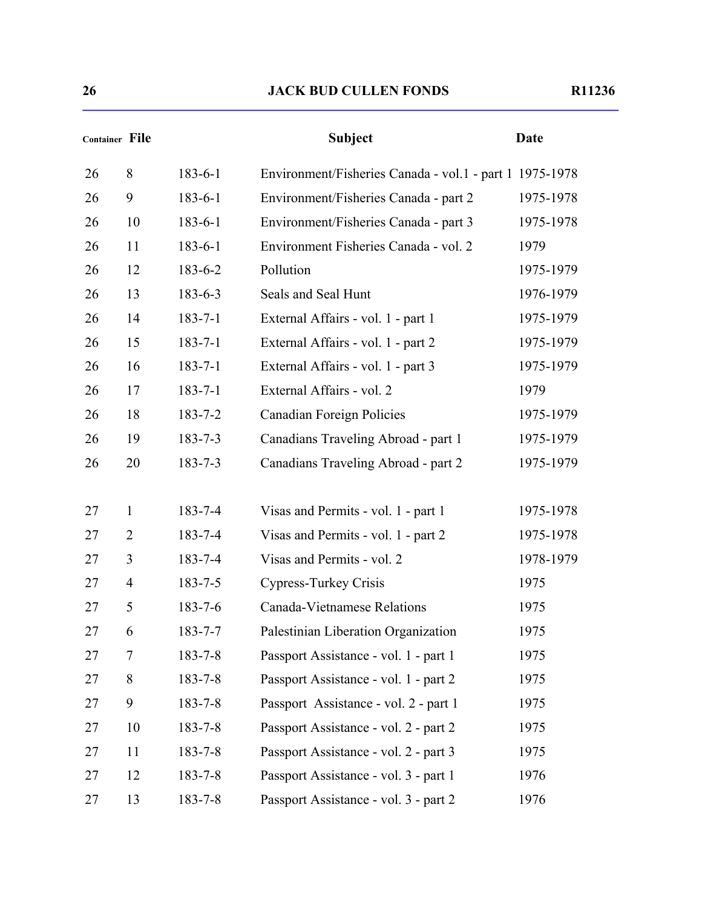|    | <b>Container File</b> |               | <b>Subject</b>                                          | <b>Date</b> |
|----|-----------------------|---------------|---------------------------------------------------------|-------------|
| 26 | 8                     | $183 - 6 - 1$ | Environment/Fisheries Canada - vol.1 - part 1 1975-1978 |             |
| 26 | 9                     | $183 - 6 - 1$ | Environment/Fisheries Canada - part 2                   | 1975-1978   |
| 26 | 10                    | $183 - 6 - 1$ | Environment/Fisheries Canada - part 3                   | 1975-1978   |
| 26 | 11                    | $183 - 6 - 1$ | Environment Fisheries Canada - vol. 2                   | 1979        |
| 26 | 12                    | $183 - 6 - 2$ | Pollution                                               | 1975-1979   |
| 26 | 13                    | $183 - 6 - 3$ | Seals and Seal Hunt                                     | 1976-1979   |
| 26 | 14                    | $183 - 7 - 1$ | External Affairs - vol. 1 - part 1                      | 1975-1979   |
| 26 | 15                    | $183 - 7 - 1$ | External Affairs - vol. 1 - part 2                      | 1975-1979   |
| 26 | 16                    | $183 - 7 - 1$ | External Affairs - vol. 1 - part 3                      | 1975-1979   |
| 26 | 17                    | $183 - 7 - 1$ | External Affairs - vol. 2                               | 1979        |
| 26 | 18                    | $183 - 7 - 2$ | <b>Canadian Foreign Policies</b>                        | 1975-1979   |
| 26 | 19                    | $183 - 7 - 3$ | Canadians Traveling Abroad - part 1                     | 1975-1979   |
| 26 | 20                    | $183 - 7 - 3$ | Canadians Traveling Abroad - part 2                     | 1975-1979   |
| 27 | 1                     | $183 - 7 - 4$ | Visas and Permits - vol. 1 - part 1                     | 1975-1978   |
| 27 | $\overline{2}$        | $183 - 7 - 4$ | Visas and Permits - vol. 1 - part 2                     | 1975-1978   |
| 27 | 3                     | 183-7-4       | Visas and Permits - vol. 2                              | 1978-1979   |
| 27 | $\overline{4}$        | $183 - 7 - 5$ | Cypress-Turkey Crisis                                   | 1975        |
| 27 | 5                     | $183 - 7 - 6$ | Canada-Vietnamese Relations                             | 1975        |
| 27 | 6                     | 183-7-7       | Palestinian Liberation Organization                     | 1975        |
| 27 | 7                     | $183 - 7 - 8$ | Passport Assistance - vol. 1 - part 1                   | 1975        |
| 27 | 8                     | $183 - 7 - 8$ | Passport Assistance - vol. 1 - part 2                   | 1975        |
| 27 | 9                     | $183 - 7 - 8$ | Passport Assistance - vol. 2 - part 1                   | 1975        |
| 27 | 10                    | $183 - 7 - 8$ | Passport Assistance - vol. 2 - part 2                   | 1975        |
| 27 | 11                    | $183 - 7 - 8$ | Passport Assistance - vol. 2 - part 3                   | 1975        |
| 27 | 12                    | $183 - 7 - 8$ | Passport Assistance - vol. 3 - part 1                   | 1976        |
| 27 | 13                    | $183 - 7 - 8$ | Passport Assistance - vol. 3 - part 2                   | 1976        |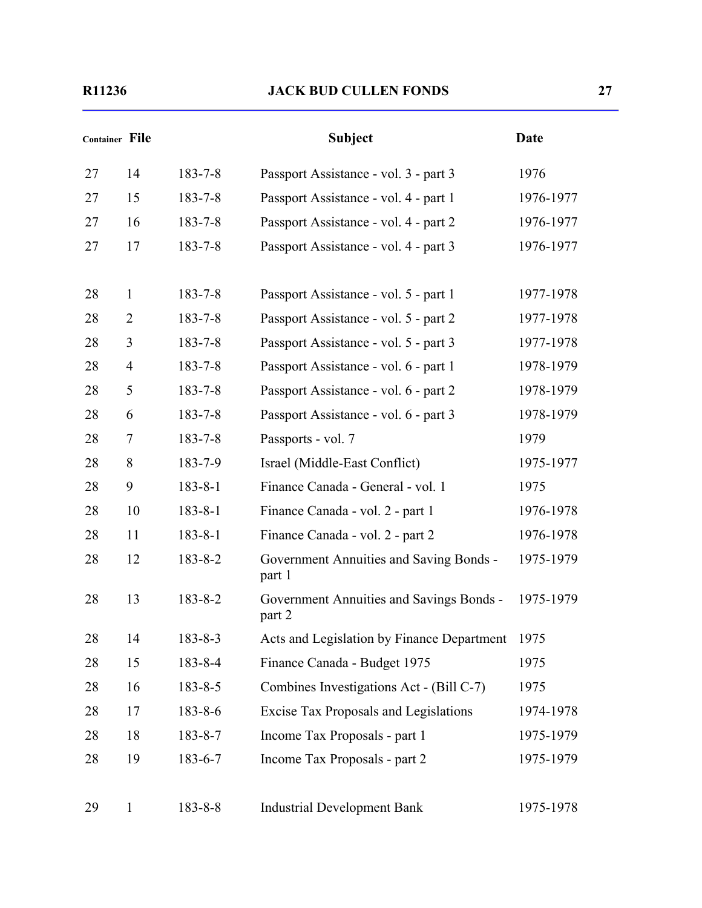| <b>Container File</b> |                |               | <b>Subject</b>                                     | <b>Date</b> |
|-----------------------|----------------|---------------|----------------------------------------------------|-------------|
| 27                    | 14             | $183 - 7 - 8$ | Passport Assistance - vol. 3 - part 3              | 1976        |
| 27                    | 15             | $183 - 7 - 8$ | Passport Assistance - vol. 4 - part 1              | 1976-1977   |
| 27                    | 16             | $183 - 7 - 8$ | Passport Assistance - vol. 4 - part 2              | 1976-1977   |
| 27                    | 17             | $183 - 7 - 8$ | Passport Assistance - vol. 4 - part 3              | 1976-1977   |
| 28                    | 1              | $183 - 7 - 8$ | Passport Assistance - vol. 5 - part 1              | 1977-1978   |
| 28                    | $\overline{2}$ | $183 - 7 - 8$ | Passport Assistance - vol. 5 - part 2              | 1977-1978   |
| 28                    | 3              | $183 - 7 - 8$ | Passport Assistance - vol. 5 - part 3              | 1977-1978   |
| 28                    | $\overline{4}$ | $183 - 7 - 8$ | Passport Assistance - vol. 6 - part 1              | 1978-1979   |
| 28                    | 5              | $183 - 7 - 8$ | Passport Assistance - vol. 6 - part 2              | 1978-1979   |
| 28                    | 6              | $183 - 7 - 8$ | Passport Assistance - vol. 6 - part 3              | 1978-1979   |
| 28                    | 7              | $183 - 7 - 8$ | Passports - vol. 7                                 | 1979        |
| 28                    | 8              | 183-7-9       | Israel (Middle-East Conflict)                      | 1975-1977   |
| 28                    | 9              | $183 - 8 - 1$ | Finance Canada - General - vol. 1                  | 1975        |
| 28                    | 10             | $183 - 8 - 1$ | Finance Canada - vol. 2 - part 1                   | 1976-1978   |
| 28                    | 11             | $183 - 8 - 1$ | Finance Canada - vol. 2 - part 2                   | 1976-1978   |
| 28                    | 12             | $183 - 8 - 2$ | Government Annuities and Saving Bonds -<br>part 1  | 1975-1979   |
| 28                    | 13             | $183 - 8 - 2$ | Government Annuities and Savings Bonds -<br>part 2 | 1975-1979   |
| 28                    | 14             | $183 - 8 - 3$ | Acts and Legislation by Finance Department         | 1975        |
| 28                    | 15             | 183-8-4       | Finance Canada - Budget 1975                       | 1975        |
| 28                    | 16             | $183 - 8 - 5$ | Combines Investigations Act - (Bill C-7)           | 1975        |
| 28                    | 17             | $183 - 8 - 6$ | <b>Excise Tax Proposals and Legislations</b>       | 1974-1978   |
| 28                    | 18             | $183 - 8 - 7$ | Income Tax Proposals - part 1                      | 1975-1979   |
| 28                    | 19             | 183-6-7       | Income Tax Proposals - part 2                      | 1975-1979   |
| 29                    | $\mathbf{1}$   | $183 - 8 - 8$ | <b>Industrial Development Bank</b>                 | 1975-1978   |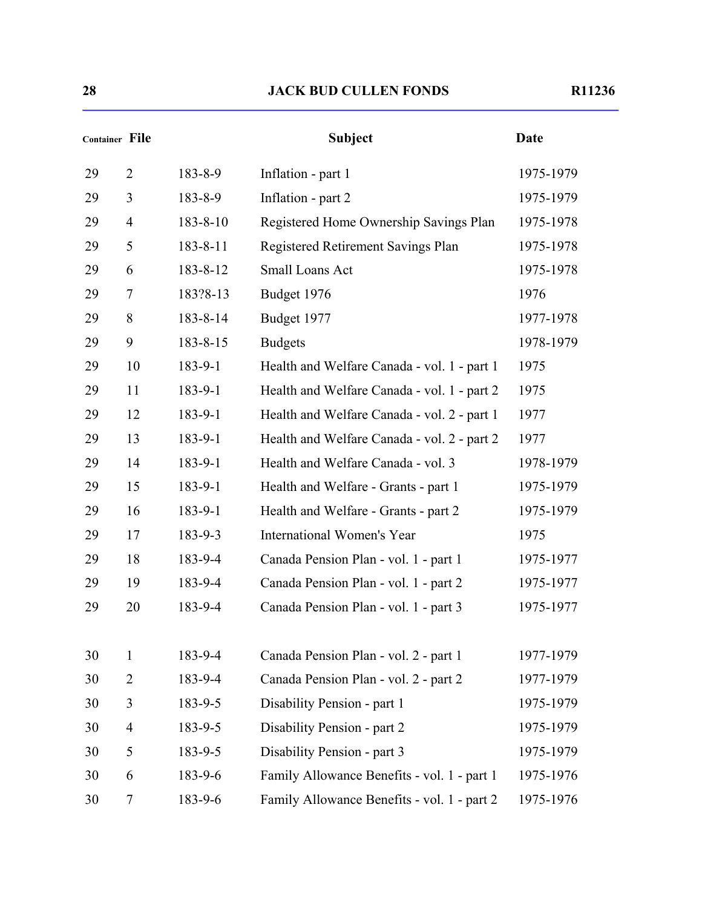|    | <b>Container File</b> |          | <b>Subject</b>                              | Date      |
|----|-----------------------|----------|---------------------------------------------|-----------|
| 29 | $\overline{2}$        | 183-8-9  | Inflation - part 1                          | 1975-1979 |
| 29 | 3                     | 183-8-9  | Inflation - part 2                          | 1975-1979 |
| 29 | $\overline{4}$        | 183-8-10 | Registered Home Ownership Savings Plan      | 1975-1978 |
| 29 | 5                     | 183-8-11 | Registered Retirement Savings Plan          | 1975-1978 |
| 29 | 6                     | 183-8-12 | Small Loans Act                             | 1975-1978 |
| 29 | 7                     | 183?8-13 | Budget 1976                                 | 1976      |
| 29 | 8                     | 183-8-14 | Budget 1977                                 | 1977-1978 |
| 29 | 9                     | 183-8-15 | <b>Budgets</b>                              | 1978-1979 |
| 29 | 10                    | 183-9-1  | Health and Welfare Canada - vol. 1 - part 1 | 1975      |
| 29 | 11                    | 183-9-1  | Health and Welfare Canada - vol. 1 - part 2 | 1975      |
| 29 | 12                    | 183-9-1  | Health and Welfare Canada - vol. 2 - part 1 | 1977      |
| 29 | 13                    | 183-9-1  | Health and Welfare Canada - vol. 2 - part 2 | 1977      |
| 29 | 14                    | 183-9-1  | Health and Welfare Canada - vol. 3          | 1978-1979 |
| 29 | 15                    | 183-9-1  | Health and Welfare - Grants - part 1        | 1975-1979 |
| 29 | 16                    | 183-9-1  | Health and Welfare - Grants - part 2        | 1975-1979 |
| 29 | 17                    | 183-9-3  | International Women's Year                  | 1975      |
| 29 | 18                    | 183-9-4  | Canada Pension Plan - vol. 1 - part 1       | 1975-1977 |
| 29 | 19                    | 183-9-4  | Canada Pension Plan - vol. 1 - part 2       | 1975-1977 |
| 29 | 20                    | 183-9-4  | Canada Pension Plan - vol. 1 - part 3       | 1975-1977 |
| 30 | $\mathbf{1}$          | 183-9-4  | Canada Pension Plan - vol. 2 - part 1       | 1977-1979 |
| 30 | $\overline{2}$        | 183-9-4  | Canada Pension Plan - vol. 2 - part 2       | 1977-1979 |
| 30 | 3                     | 183-9-5  | Disability Pension - part 1                 | 1975-1979 |
| 30 | $\overline{4}$        | 183-9-5  | Disability Pension - part 2                 | 1975-1979 |
| 30 | 5                     | 183-9-5  | Disability Pension - part 3                 | 1975-1979 |
| 30 | 6                     | 183-9-6  | Family Allowance Benefits - vol. 1 - part 1 | 1975-1976 |
| 30 | 7                     | 183-9-6  | Family Allowance Benefits - vol. 1 - part 2 | 1975-1976 |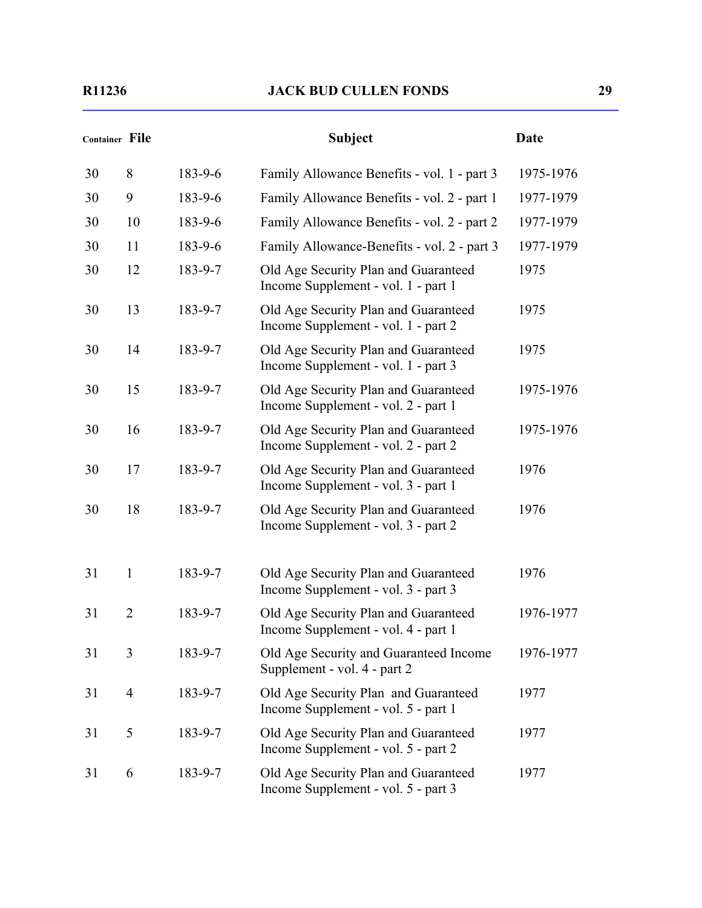|    | <b>Container File</b> |         | <b>Subject</b>                                                              | <b>Date</b> |
|----|-----------------------|---------|-----------------------------------------------------------------------------|-------------|
| 30 | 8                     | 183-9-6 | Family Allowance Benefits - vol. 1 - part 3                                 | 1975-1976   |
| 30 | 9                     | 183-9-6 | Family Allowance Benefits - vol. 2 - part 1                                 | 1977-1979   |
| 30 | 10                    | 183-9-6 | Family Allowance Benefits - vol. 2 - part 2                                 | 1977-1979   |
| 30 | 11                    | 183-9-6 | Family Allowance-Benefits - vol. 2 - part 3                                 | 1977-1979   |
| 30 | 12                    | 183-9-7 | Old Age Security Plan and Guaranteed<br>Income Supplement - vol. 1 - part 1 | 1975        |
| 30 | 13                    | 183-9-7 | Old Age Security Plan and Guaranteed<br>Income Supplement - vol. 1 - part 2 | 1975        |
| 30 | 14                    | 183-9-7 | Old Age Security Plan and Guaranteed<br>Income Supplement - vol. 1 - part 3 | 1975        |
| 30 | 15                    | 183-9-7 | Old Age Security Plan and Guaranteed<br>Income Supplement - vol. 2 - part 1 | 1975-1976   |
| 30 | 16                    | 183-9-7 | Old Age Security Plan and Guaranteed<br>Income Supplement - vol. 2 - part 2 | 1975-1976   |
| 30 | 17                    | 183-9-7 | Old Age Security Plan and Guaranteed<br>Income Supplement - vol. 3 - part 1 | 1976        |
| 30 | 18                    | 183-9-7 | Old Age Security Plan and Guaranteed<br>Income Supplement - vol. 3 - part 2 | 1976        |
| 31 | 1                     | 183-9-7 | Old Age Security Plan and Guaranteed<br>Income Supplement - vol. 3 - part 3 | 1976        |
| 31 | $\overline{2}$        | 183-9-7 | Old Age Security Plan and Guaranteed<br>Income Supplement - vol. 4 - part 1 | 1976-1977   |
| 31 | 3                     | 183-9-7 | Old Age Security and Guaranteed Income<br>Supplement - vol. 4 - part 2      | 1976-1977   |
| 31 | $\overline{4}$        | 183-9-7 | Old Age Security Plan and Guaranteed<br>Income Supplement - vol. 5 - part 1 | 1977        |
| 31 | 5                     | 183-9-7 | Old Age Security Plan and Guaranteed<br>Income Supplement - vol. 5 - part 2 | 1977        |
| 31 | 6                     | 183-9-7 | Old Age Security Plan and Guaranteed<br>Income Supplement - vol. 5 - part 3 | 1977        |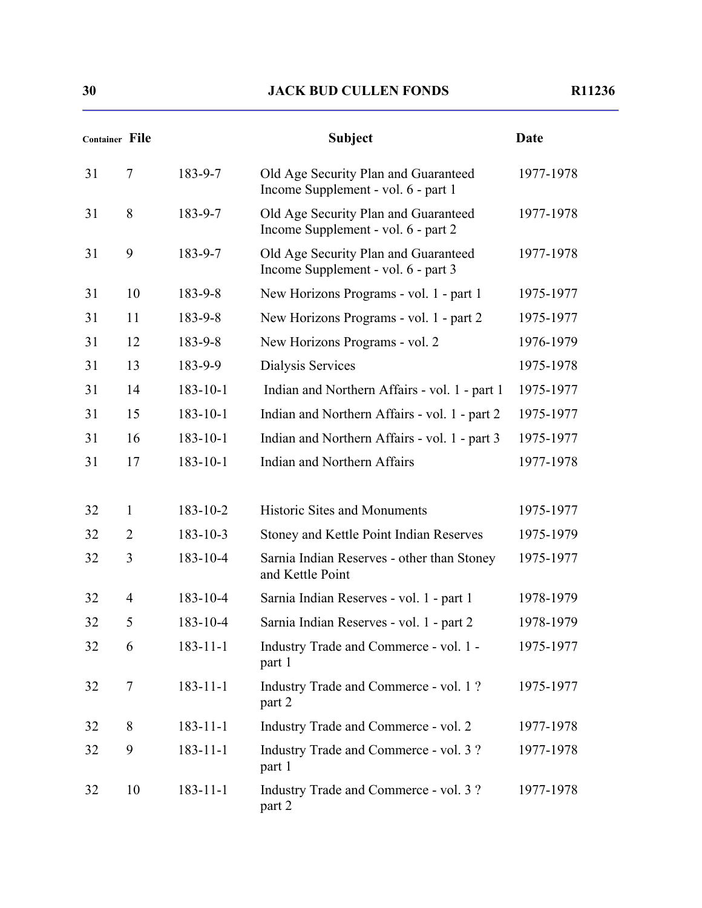| <b>Container File</b> |                |                | <b>Subject</b>                                                              | Date      |
|-----------------------|----------------|----------------|-----------------------------------------------------------------------------|-----------|
| 31                    | $\overline{7}$ | 183-9-7        | Old Age Security Plan and Guaranteed<br>Income Supplement - vol. 6 - part 1 | 1977-1978 |
| 31                    | 8              | 183-9-7        | Old Age Security Plan and Guaranteed<br>Income Supplement - vol. 6 - part 2 | 1977-1978 |
| 31                    | 9              | 183-9-7        | Old Age Security Plan and Guaranteed<br>Income Supplement - vol. 6 - part 3 | 1977-1978 |
| 31                    | 10             | 183-9-8        | New Horizons Programs - vol. 1 - part 1                                     | 1975-1977 |
| 31                    | 11             | 183-9-8        | New Horizons Programs - vol. 1 - part 2                                     | 1975-1977 |
| 31                    | 12             | 183-9-8        | New Horizons Programs - vol. 2                                              | 1976-1979 |
| 31                    | 13             | 183-9-9        | Dialysis Services                                                           | 1975-1978 |
| 31                    | 14             | $183 - 10 - 1$ | Indian and Northern Affairs - vol. 1 - part 1                               | 1975-1977 |
| 31                    | 15             | $183 - 10 - 1$ | Indian and Northern Affairs - vol. 1 - part 2                               | 1975-1977 |
| 31                    | 16             | $183 - 10 - 1$ | Indian and Northern Affairs - vol. 1 - part 3                               | 1975-1977 |
| 31                    | 17             | $183 - 10 - 1$ | <b>Indian and Northern Affairs</b>                                          | 1977-1978 |
| 32                    | 1              | $183 - 10 - 2$ | <b>Historic Sites and Monuments</b>                                         | 1975-1977 |
| 32                    | $\overline{2}$ | $183 - 10 - 3$ | Stoney and Kettle Point Indian Reserves                                     | 1975-1979 |
| 32                    | 3              | 183-10-4       | Sarnia Indian Reserves - other than Stoney<br>and Kettle Point              | 1975-1977 |
| 32                    | $\overline{4}$ | 183-10-4       | Sarnia Indian Reserves - vol. 1 - part 1                                    | 1978-1979 |
| 32                    | 5              | 183-10-4       | Sarnia Indian Reserves - vol. 1 - part 2                                    | 1978-1979 |
| 32                    | 6              | $183 - 11 - 1$ | Industry Trade and Commerce - vol. 1 -<br>part 1                            | 1975-1977 |
| 32                    | $\tau$         | $183 - 11 - 1$ | Industry Trade and Commerce - vol. 1?<br>part 2                             | 1975-1977 |
| 32                    | 8              | $183 - 11 - 1$ | Industry Trade and Commerce - vol. 2                                        | 1977-1978 |
| 32                    | 9              | $183 - 11 - 1$ | Industry Trade and Commerce - vol. 3?<br>part 1                             | 1977-1978 |
| 32                    | 10             | $183 - 11 - 1$ | Industry Trade and Commerce - vol. 3?<br>part 2                             | 1977-1978 |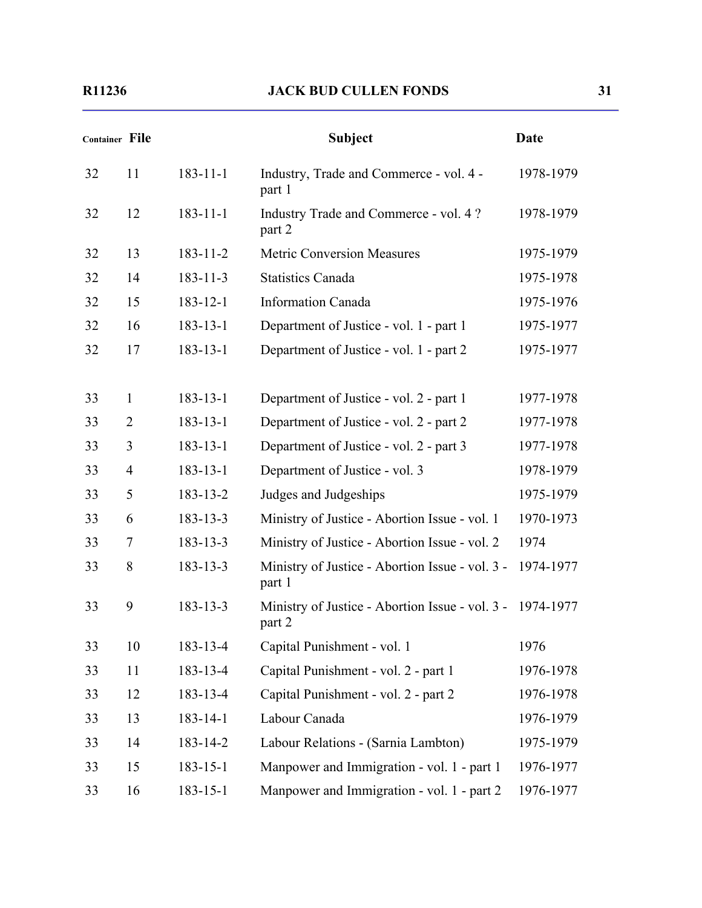| <b>Container File</b> |                |                | <b>Subject</b>                                                      | <b>Date</b> |
|-----------------------|----------------|----------------|---------------------------------------------------------------------|-------------|
| 32                    | 11             | $183 - 11 - 1$ | Industry, Trade and Commerce - vol. 4 -<br>part 1                   | 1978-1979   |
| 32                    | 12             | $183 - 11 - 1$ | Industry Trade and Commerce - vol. 4?<br>part 2                     | 1978-1979   |
| 32                    | 13             | $183 - 11 - 2$ | <b>Metric Conversion Measures</b>                                   | 1975-1979   |
| 32                    | 14             | $183 - 11 - 3$ | <b>Statistics Canada</b>                                            | 1975-1978   |
| 32                    | 15             | $183 - 12 - 1$ | <b>Information Canada</b>                                           | 1975-1976   |
| 32                    | 16             | $183 - 13 - 1$ | Department of Justice - vol. 1 - part 1                             | 1975-1977   |
| 32                    | 17             | $183 - 13 - 1$ | Department of Justice - vol. 1 - part 2                             | 1975-1977   |
|                       |                |                |                                                                     |             |
| 33                    | $\mathbf{1}$   | $183 - 13 - 1$ | Department of Justice - vol. 2 - part 1                             | 1977-1978   |
| 33                    | $\overline{2}$ | $183 - 13 - 1$ | Department of Justice - vol. 2 - part 2                             | 1977-1978   |
| 33                    | 3              | $183 - 13 - 1$ | Department of Justice - vol. 2 - part 3                             | 1977-1978   |
| 33                    | $\overline{4}$ | $183 - 13 - 1$ | Department of Justice - vol. 3                                      | 1978-1979   |
| 33                    | 5              | 183-13-2       | Judges and Judgeships                                               | 1975-1979   |
| 33                    | 6              | $183 - 13 - 3$ | Ministry of Justice - Abortion Issue - vol. 1                       | 1970-1973   |
| 33                    | $\tau$         | $183 - 13 - 3$ | Ministry of Justice - Abortion Issue - vol. 2                       | 1974        |
| 33                    | 8              | 183-13-3       | Ministry of Justice - Abortion Issue - vol. 3 -<br>part 1           | 1974-1977   |
| 33                    | 9              | $183 - 13 - 3$ | Ministry of Justice - Abortion Issue - vol. 3 - 1974-1977<br>part 2 |             |
| 33                    | 10             | 183-13-4       | Capital Punishment - vol. 1                                         | 1976        |
| 33                    | 11             | 183-13-4       | Capital Punishment - vol. 2 - part 1                                | 1976-1978   |
| 33                    | 12             | 183-13-4       | Capital Punishment - vol. 2 - part 2                                | 1976-1978   |
| 33                    | 13             | 183-14-1       | Labour Canada                                                       | 1976-1979   |
| 33                    | 14             | 183-14-2       | Labour Relations - (Sarnia Lambton)                                 | 1975-1979   |
| 33                    | 15             | $183 - 15 - 1$ | Manpower and Immigration - vol. 1 - part 1                          | 1976-1977   |
| 33                    | 16             | $183 - 15 - 1$ | Manpower and Immigration - vol. 1 - part 2                          | 1976-1977   |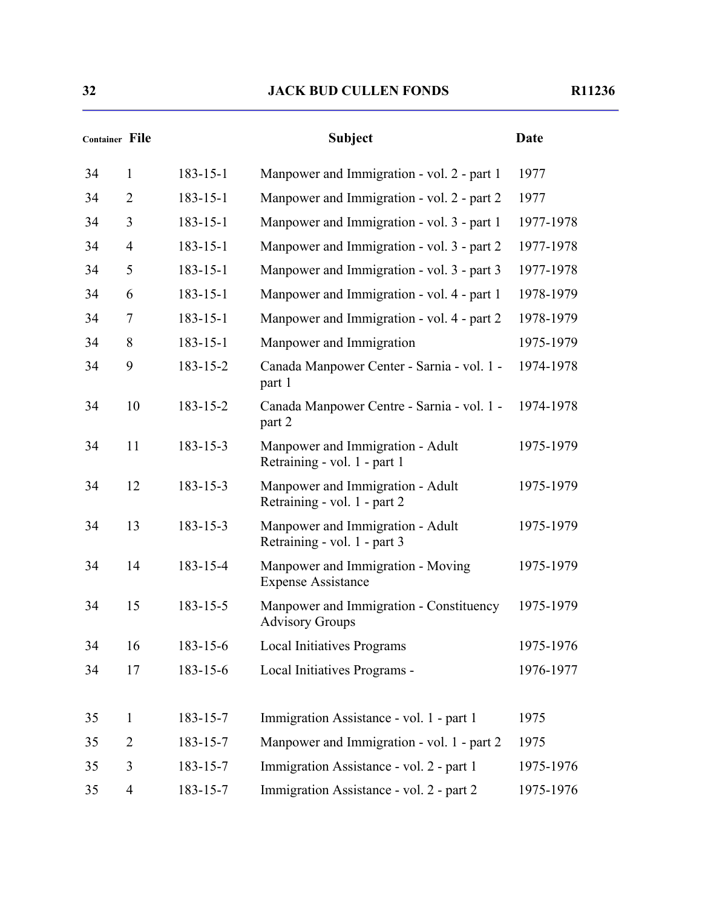|    | Container File |                | <b>Subject</b>                                                    | <b>Date</b> |
|----|----------------|----------------|-------------------------------------------------------------------|-------------|
| 34 | $\mathbf{1}$   | $183 - 15 - 1$ | Manpower and Immigration - vol. 2 - part 1                        | 1977        |
| 34 | $\overline{2}$ | $183 - 15 - 1$ | Manpower and Immigration - vol. 2 - part 2                        | 1977        |
| 34 | 3              | $183 - 15 - 1$ | Manpower and Immigration - vol. 3 - part 1                        | 1977-1978   |
| 34 | $\overline{4}$ | $183 - 15 - 1$ | Manpower and Immigration - vol. 3 - part 2                        | 1977-1978   |
| 34 | 5              | $183 - 15 - 1$ | Manpower and Immigration - vol. 3 - part 3                        | 1977-1978   |
| 34 | 6              | $183 - 15 - 1$ | Manpower and Immigration - vol. 4 - part 1                        | 1978-1979   |
| 34 | 7              | $183 - 15 - 1$ | Manpower and Immigration - vol. 4 - part 2                        | 1978-1979   |
| 34 | 8              | $183 - 15 - 1$ | Manpower and Immigration                                          | 1975-1979   |
| 34 | 9              | $183 - 15 - 2$ | Canada Manpower Center - Sarnia - vol. 1 -<br>part 1              | 1974-1978   |
| 34 | 10             | 183-15-2       | Canada Manpower Centre - Sarnia - vol. 1 -<br>part 2              | 1974-1978   |
| 34 | 11             | $183 - 15 - 3$ | Manpower and Immigration - Adult<br>Retraining - vol. 1 - part 1  | 1975-1979   |
| 34 | 12             | $183 - 15 - 3$ | Manpower and Immigration - Adult<br>Retraining - vol. 1 - part 2  | 1975-1979   |
| 34 | 13             | $183 - 15 - 3$ | Manpower and Immigration - Adult<br>Retraining - vol. 1 - part 3  | 1975-1979   |
| 34 | 14             | 183-15-4       | Manpower and Immigration - Moving<br><b>Expense Assistance</b>    | 1975-1979   |
| 34 | 15             | $183 - 15 - 5$ | Manpower and Immigration - Constituency<br><b>Advisory Groups</b> | 1975-1979   |
| 34 | 16             | 183-15-6       | <b>Local Initiatives Programs</b>                                 | 1975-1976   |
| 34 | 17             | 183-15-6       | Local Initiatives Programs -                                      | 1976-1977   |
| 35 | $\mathbf{1}$   | $183 - 15 - 7$ | Immigration Assistance - vol. 1 - part 1                          | 1975        |
| 35 | $\overline{2}$ | 183-15-7       | Manpower and Immigration - vol. 1 - part 2                        | 1975        |
| 35 | 3              | 183-15-7       | Immigration Assistance - vol. 2 - part 1                          | 1975-1976   |
| 35 | $\overline{4}$ | 183-15-7       | Immigration Assistance - vol. 2 - part 2                          | 1975-1976   |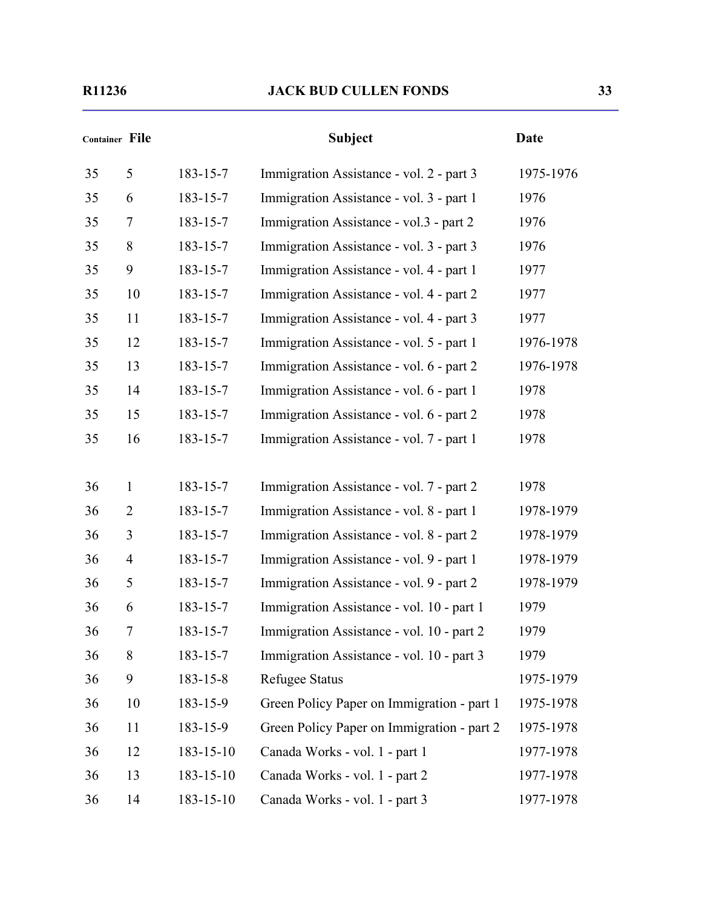|    | <b>Container File</b> |                | <b>Subject</b>                             | Date      |
|----|-----------------------|----------------|--------------------------------------------|-----------|
| 35 | 5                     | 183-15-7       | Immigration Assistance - vol. 2 - part 3   | 1975-1976 |
| 35 | 6                     | 183-15-7       | Immigration Assistance - vol. 3 - part 1   | 1976      |
| 35 | 7                     | 183-15-7       | Immigration Assistance - vol.3 - part 2    | 1976      |
| 35 | 8                     | 183-15-7       | Immigration Assistance - vol. 3 - part 3   | 1976      |
| 35 | 9                     | 183-15-7       | Immigration Assistance - vol. 4 - part 1   | 1977      |
| 35 | 10                    | 183-15-7       | Immigration Assistance - vol. 4 - part 2   | 1977      |
| 35 | 11                    | 183-15-7       | Immigration Assistance - vol. 4 - part 3   | 1977      |
| 35 | 12                    | 183-15-7       | Immigration Assistance - vol. 5 - part 1   | 1976-1978 |
| 35 | 13                    | $183 - 15 - 7$ | Immigration Assistance - vol. 6 - part 2   | 1976-1978 |
| 35 | 14                    | 183-15-7       | Immigration Assistance - vol. 6 - part 1   | 1978      |
| 35 | 15                    | 183-15-7       | Immigration Assistance - vol. 6 - part 2   | 1978      |
| 35 | 16                    | 183-15-7       | Immigration Assistance - vol. 7 - part 1   | 1978      |
|    |                       |                |                                            |           |
| 36 | $\mathbf{1}$          | 183-15-7       | Immigration Assistance - vol. 7 - part 2   | 1978      |
| 36 | $\overline{2}$        | 183-15-7       | Immigration Assistance - vol. 8 - part 1   | 1978-1979 |
| 36 | 3                     | 183-15-7       | Immigration Assistance - vol. 8 - part 2   | 1978-1979 |
| 36 | $\overline{4}$        | 183-15-7       | Immigration Assistance - vol. 9 - part 1   | 1978-1979 |
| 36 | 5                     | 183-15-7       | Immigration Assistance - vol. 9 - part 2   | 1978-1979 |
| 36 | 6                     | 183-15-7       | Immigration Assistance - vol. 10 - part 1  | 1979      |
| 36 |                       | 183-15-7       | Immigration Assistance - vol. 10 - part 2  | 1979      |
| 36 | 8                     | 183-15-7       | Immigration Assistance - vol. 10 - part 3  | 1979      |
| 36 | 9                     | $183 - 15 - 8$ | <b>Refugee Status</b>                      | 1975-1979 |
| 36 | 10                    | 183-15-9       | Green Policy Paper on Immigration - part 1 | 1975-1978 |
| 36 | 11                    | 183-15-9       | Green Policy Paper on Immigration - part 2 | 1975-1978 |
| 36 | 12                    | 183-15-10      | Canada Works - vol. 1 - part 1             | 1977-1978 |
| 36 | 13                    | 183-15-10      | Canada Works - vol. 1 - part 2             | 1977-1978 |
| 36 | 14                    | 183-15-10      | Canada Works - vol. 1 - part 3             | 1977-1978 |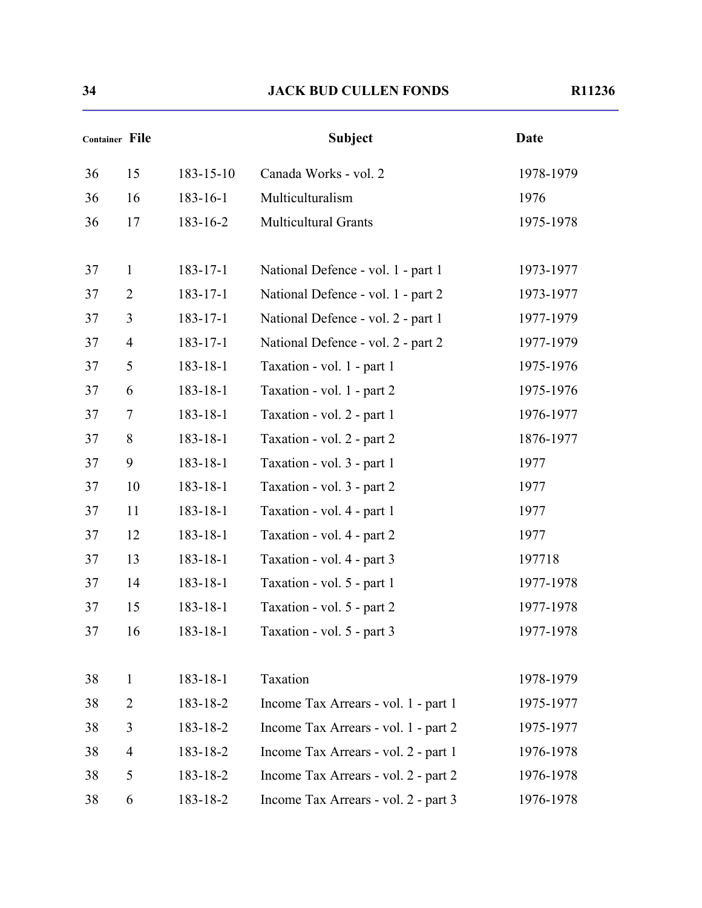|    | Container File |                 | <b>Subject</b>                       | <b>Date</b> |
|----|----------------|-----------------|--------------------------------------|-------------|
| 36 | 15             | $183 - 15 - 10$ | Canada Works - vol. 2                | 1978-1979   |
| 36 | 16             | $183 - 16 - 1$  | Multiculturalism                     | 1976        |
| 36 | 17             | 183-16-2        | <b>Multicultural Grants</b>          | 1975-1978   |
| 37 | $\mathbf{1}$   | $183 - 17 - 1$  | National Defence - vol. 1 - part 1   | 1973-1977   |
| 37 | $\overline{2}$ | $183 - 17 - 1$  | National Defence - vol. 1 - part 2   | 1973-1977   |
| 37 | 3              | $183 - 17 - 1$  | National Defence - vol. 2 - part 1   | 1977-1979   |
| 37 | $\overline{4}$ | $183 - 17 - 1$  | National Defence - vol. 2 - part 2   | 1977-1979   |
| 37 | 5              | $183 - 18 - 1$  | Taxation - vol. 1 - part 1           | 1975-1976   |
| 37 | 6              | $183 - 18 - 1$  | Taxation - vol. 1 - part 2           | 1975-1976   |
| 37 | 7              | $183 - 18 - 1$  | Taxation - vol. 2 - part 1           | 1976-1977   |
| 37 | 8              | 183-18-1        | Taxation - vol. 2 - part 2           | 1876-1977   |
| 37 | 9              | $183 - 18 - 1$  | Taxation - vol. 3 - part 1           | 1977        |
| 37 | 10             | $183 - 18 - 1$  | Taxation - vol. 3 - part 2           | 1977        |
| 37 | 11             | $183 - 18 - 1$  | Taxation - vol. 4 - part 1           | 1977        |
| 37 | 12             | 183-18-1        | Taxation - vol. 4 - part 2           | 1977        |
| 37 | 13             | $183 - 18 - 1$  | Taxation - vol. 4 - part 3           | 197718      |
| 37 | 14             | $183 - 18 - 1$  | Taxation - vol. 5 - part 1           | 1977-1978   |
| 37 | 15             | $183 - 18 - 1$  | Taxation - vol. 5 - part 2           | 1977-1978   |
| 37 | 16             | $183 - 18 - 1$  | Taxation - vol. 5 - part 3           | 1977-1978   |
| 38 | $\mathbf{1}$   | $183 - 18 - 1$  | Taxation                             | 1978-1979   |
| 38 | $\overline{2}$ | 183-18-2        | Income Tax Arrears - vol. 1 - part 1 | 1975-1977   |
| 38 | 3              | 183-18-2        | Income Tax Arrears - vol. 1 - part 2 | 1975-1977   |
| 38 | $\overline{4}$ | 183-18-2        | Income Tax Arrears - vol. 2 - part 1 | 1976-1978   |
| 38 | 5              | 183-18-2        | Income Tax Arrears - vol. 2 - part 2 | 1976-1978   |
| 38 | 6              | 183-18-2        | Income Tax Arrears - vol. 2 - part 3 | 1976-1978   |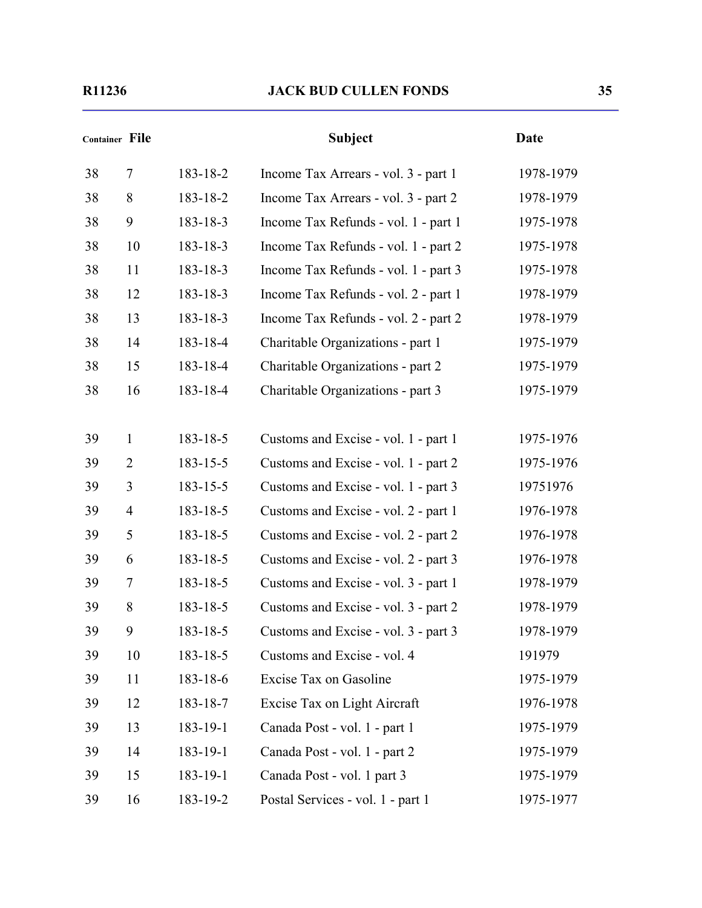# **Container File Subject Date** 38 7 183-18-2 Income Tax Arrears - vol. 3 - part 1 1978-1979 38 8 183-18-2 Income Tax Arrears - vol. 3 - part 2 1978-1979 38 9 183-18-3 Income Tax Refunds - vol. 1 - part 1 1975-1978 38 10 183-18-3 Income Tax Refunds - vol. 1 - part 2 1975-1978 38 11 183-18-3 Income Tax Refunds - vol. 1 - part 3 1975-1978 38 12 183-18-3 Income Tax Refunds - vol. 2 - part 1 1978-1979 38 13 183-18-3 Income Tax Refunds - vol. 2 - part 2 1978-1979 38 14 183-18-4 Charitable Organizations - part 1 1975-1979 38 15 183-18-4 Charitable Organizations - part 2 1975-1979 38 16 183-18-4 Charitable Organizations - part 3 1975-1979 39 1 183-18-5 Customs and Excise - vol. 1 - part 1 1975-1976 39 2 183-15-5 Customs and Excise - vol. 1 - part 2 1975-1976 39 3 183-15-5 Customs and Excise - vol. 1 - part 3 19751976 39 4 183-18-5 Customs and Excise - vol. 2 - part 1 1976-1978 39 5 183-18-5 Customs and Excise - vol. 2 - part 2 1976-1978 39 6 183-18-5 Customs and Excise - vol. 2 - part 3 1976-1978 39 7 183-18-5 Customs and Excise - vol. 3 - part 1 1978-1979 39 8 183-18-5 Customs and Excise - vol. 3 - part 2 1978-1979 39 9 183-18-5 Customs and Excise - vol. 3 - part 3 1978-1979 39 10 183-18-5 Customs and Excise - vol. 4 191979 39 11 183-18-6 Excise Tax on Gasoline 1975-1979 39 12 183-18-7 Excise Tax on Light Aircraft 1976-1978 39 13 183-19-1 Canada Post - vol. 1 - part 1 1975-1979 39 14 183-19-1 Canada Post - vol. 1 - part 2 1975-1979 39 15 183-19-1 Canada Post - vol. 1 part 3 1975-1979

39 16 183-19-2 Postal Services - vol. 1 - part 1 1975-1977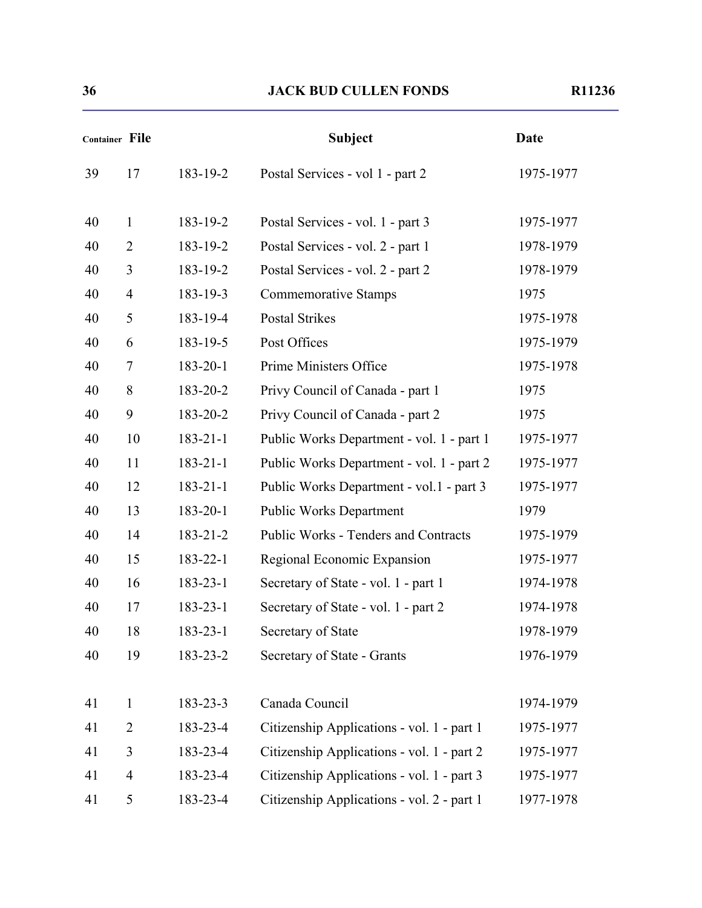| <b>Container File</b> |                |                | <b>Subject</b>                             | <b>Date</b> |
|-----------------------|----------------|----------------|--------------------------------------------|-------------|
| 39                    | 17             | 183-19-2       | Postal Services - vol 1 - part 2           | 1975-1977   |
| 40                    | $\mathbf{1}$   | 183-19-2       | Postal Services - vol. 1 - part 3          | 1975-1977   |
| 40                    | $\overline{2}$ | 183-19-2       | Postal Services - vol. 2 - part 1          | 1978-1979   |
| 40                    | 3              | 183-19-2       | Postal Services - vol. 2 - part 2          | 1978-1979   |
| 40                    | $\overline{4}$ | 183-19-3       | <b>Commemorative Stamps</b>                | 1975        |
| 40                    | 5              | 183-19-4       | <b>Postal Strikes</b>                      | 1975-1978   |
| 40                    | 6              | 183-19-5       | Post Offices                               | 1975-1979   |
| 40                    | 7              | 183-20-1       | Prime Ministers Office                     | 1975-1978   |
| 40                    | 8              | 183-20-2       | Privy Council of Canada - part 1           | 1975        |
| 40                    | 9              | 183-20-2       | Privy Council of Canada - part 2           | 1975        |
| 40                    | 10             | $183 - 21 - 1$ | Public Works Department - vol. 1 - part 1  | 1975-1977   |
| 40                    | 11             | $183 - 21 - 1$ | Public Works Department - vol. 1 - part 2  | 1975-1977   |
| 40                    | 12             | $183 - 21 - 1$ | Public Works Department - vol.1 - part 3   | 1975-1977   |
| 40                    | 13             | 183-20-1       | <b>Public Works Department</b>             | 1979        |
| 40                    | 14             | 183-21-2       | Public Works - Tenders and Contracts       | 1975-1979   |
| 40                    | 15             | $183 - 22 - 1$ | Regional Economic Expansion                | 1975-1977   |
| 40                    | 16             | $183 - 23 - 1$ | Secretary of State - vol. 1 - part 1       | 1974-1978   |
| 40                    | 17             | 183-23-1       | Secretary of State - vol. 1 - part 2       | 1974-1978   |
| 40                    | 18             | 183-23-1       | Secretary of State                         | 1978-1979   |
| 40                    | 19             | 183-23-2       | Secretary of State - Grants                | 1976-1979   |
| 41                    | $\mathbf{1}$   | 183-23-3       | Canada Council                             | 1974-1979   |
| 41                    | $\overline{2}$ | 183-23-4       | Citizenship Applications - vol. 1 - part 1 | 1975-1977   |
| 41                    | 3              | 183-23-4       | Citizenship Applications - vol. 1 - part 2 | 1975-1977   |
| 41                    | $\overline{4}$ | 183-23-4       | Citizenship Applications - vol. 1 - part 3 | 1975-1977   |
| 41                    | 5              | 183-23-4       | Citizenship Applications - vol. 2 - part 1 | 1977-1978   |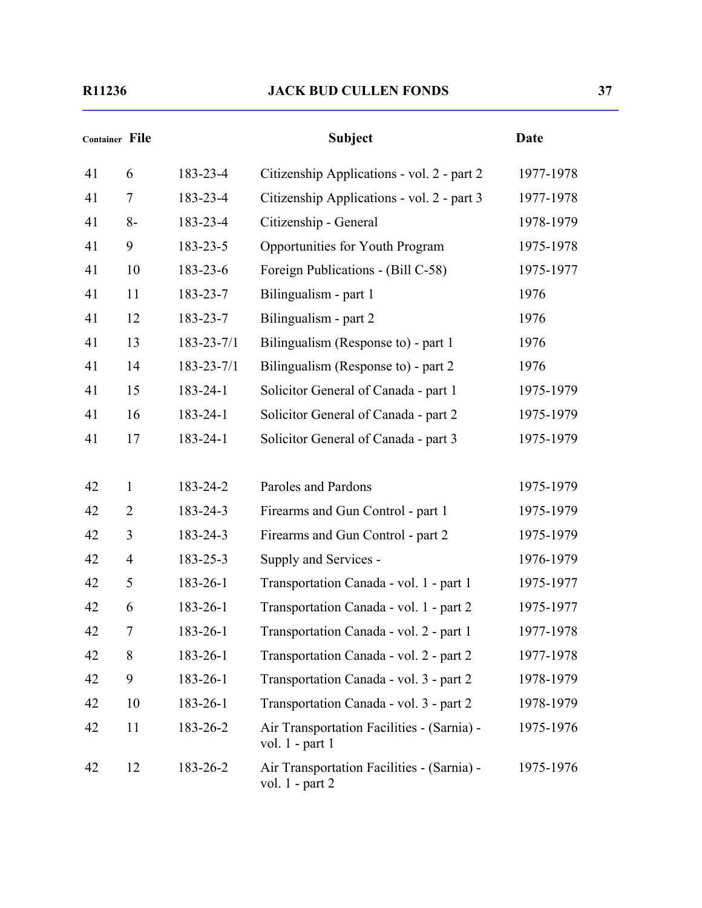| Container File |                |                  | <b>Subject</b>                                                | <b>Date</b> |
|----------------|----------------|------------------|---------------------------------------------------------------|-------------|
| 41             | 6              | 183-23-4         | Citizenship Applications - vol. 2 - part 2                    | 1977-1978   |
| 41             | $\tau$         | 183-23-4         | Citizenship Applications - vol. 2 - part 3                    | 1977-1978   |
| 41             | $8-$           | 183-23-4         | Citizenship - General                                         | 1978-1979   |
| 41             | 9              | 183-23-5         | Opportunities for Youth Program                               | 1975-1978   |
| 41             | 10             | 183-23-6         | Foreign Publications - (Bill C-58)                            | 1975-1977   |
| 41             | 11             | 183-23-7         | Bilingualism - part 1                                         | 1976        |
| 41             | 12             | 183-23-7         | Bilingualism - part 2                                         | 1976        |
| 41             | 13             | $183 - 23 - 7/1$ | Bilingualism (Response to) - part 1                           | 1976        |
| 41             | 14             | $183 - 23 - 7/1$ | Bilingualism (Response to) - part 2                           | 1976        |
| 41             | 15             | 183-24-1         | Solicitor General of Canada - part 1                          | 1975-1979   |
| 41             | 16             | 183-24-1         | Solicitor General of Canada - part 2                          | 1975-1979   |
| 41             | 17             | 183-24-1         | Solicitor General of Canada - part 3                          | 1975-1979   |
|                |                |                  |                                                               |             |
| 42             | $\mathbf{1}$   | 183-24-2         | Paroles and Pardons                                           | 1975-1979   |
| 42             | $\overline{2}$ | 183-24-3         | Firearms and Gun Control - part 1                             | 1975-1979   |
| 42             | 3              | 183-24-3         | Firearms and Gun Control - part 2                             | 1975-1979   |
| 42             | $\overline{4}$ | 183-25-3         | Supply and Services -                                         | 1976-1979   |
| 42             | 5              | 183-26-1         | Transportation Canada - vol. 1 - part 1                       | 1975-1977   |
| 42             | 6              | 183-26-1         | Transportation Canada - vol. 1 - part 2                       | 1975-1977   |
| 42             | $\overline{7}$ | 183-26-1         | Transportation Canada - vol. 2 - part 1                       | 1977-1978   |
| 42             | 8              | 183-26-1         | Transportation Canada - vol. 2 - part 2                       | 1977-1978   |
| 42             | 9              | 183-26-1         | Transportation Canada - vol. 3 - part 2                       | 1978-1979   |
| 42             | 10             | 183-26-1         | Transportation Canada - vol. 3 - part 2                       | 1978-1979   |
| 42             | 11             | 183-26-2         | Air Transportation Facilities - (Sarnia) -<br>vol. 1 - part 1 | 1975-1976   |
| 42             | 12             | 183-26-2         | Air Transportation Facilities - (Sarnia) -<br>vol. 1 - part 2 | 1975-1976   |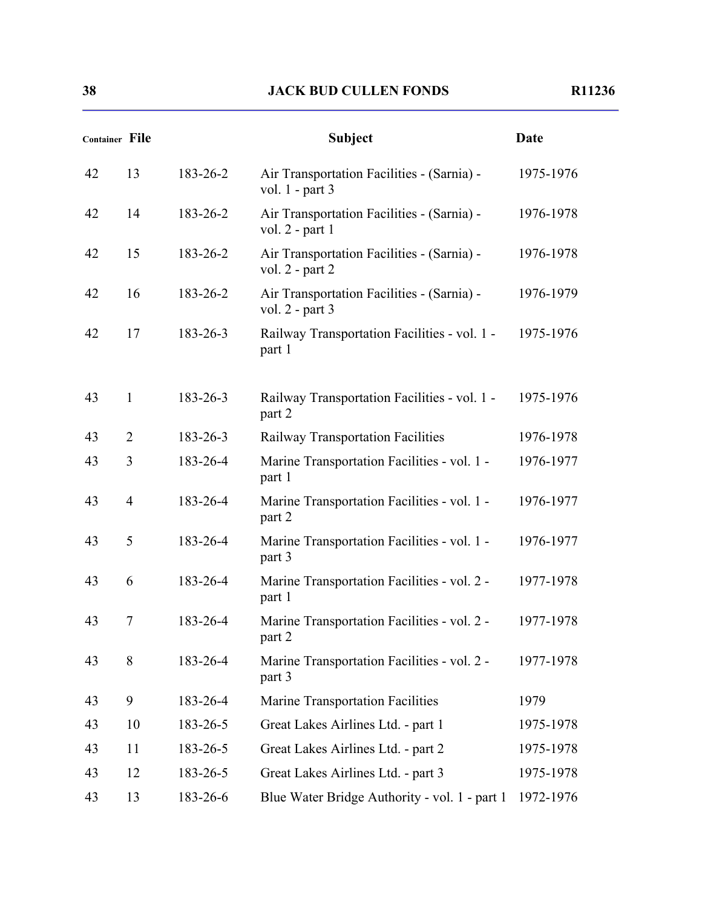| <b>Container File</b> |                |          | <b>Subject</b>                                                    | <b>Date</b> |
|-----------------------|----------------|----------|-------------------------------------------------------------------|-------------|
| 42                    | 13             | 183-26-2 | Air Transportation Facilities - (Sarnia) -<br>vol. $1$ - part 3   | 1975-1976   |
| 42                    | 14             | 183-26-2 | Air Transportation Facilities - (Sarnia) -<br>vol. $2$ - part 1   | 1976-1978   |
| 42                    | 15             | 183-26-2 | Air Transportation Facilities - (Sarnia) -<br>vol. $2$ - part $2$ | 1976-1978   |
| 42                    | 16             | 183-26-2 | Air Transportation Facilities - (Sarnia) -<br>vol. $2$ - part 3   | 1976-1979   |
| 42                    | 17             | 183-26-3 | Railway Transportation Facilities - vol. 1 -<br>part 1            | 1975-1976   |
| 43                    | 1              | 183-26-3 | Railway Transportation Facilities - vol. 1 -<br>part 2            | 1975-1976   |
| 43                    | $\overline{2}$ | 183-26-3 | Railway Transportation Facilities                                 | 1976-1978   |
| 43                    | 3              | 183-26-4 | Marine Transportation Facilities - vol. 1 -<br>part 1             | 1976-1977   |
| 43                    | $\overline{4}$ | 183-26-4 | Marine Transportation Facilities - vol. 1 -<br>part 2             | 1976-1977   |
| 43                    | 5              | 183-26-4 | Marine Transportation Facilities - vol. 1 -<br>part 3             | 1976-1977   |
| 43                    | 6              | 183-26-4 | Marine Transportation Facilities - vol. 2 -<br>part 1             | 1977-1978   |
| 43                    | 7              | 183-26-4 | Marine Transportation Facilities - vol. 2 -<br>part 2             | 1977-1978   |
| 43                    | 8              | 183-26-4 | Marine Transportation Facilities - vol. 2 -<br>part 3             | 1977-1978   |
| 43                    | 9              | 183-26-4 | <b>Marine Transportation Facilities</b>                           | 1979        |
| 43                    | 10             | 183-26-5 | Great Lakes Airlines Ltd. - part 1                                | 1975-1978   |
| 43                    | 11             | 183-26-5 | Great Lakes Airlines Ltd. - part 2                                | 1975-1978   |
| 43                    | 12             | 183-26-5 | Great Lakes Airlines Ltd. - part 3                                | 1975-1978   |
| 43                    | 13             | 183-26-6 | Blue Water Bridge Authority - vol. 1 - part 1                     | 1972-1976   |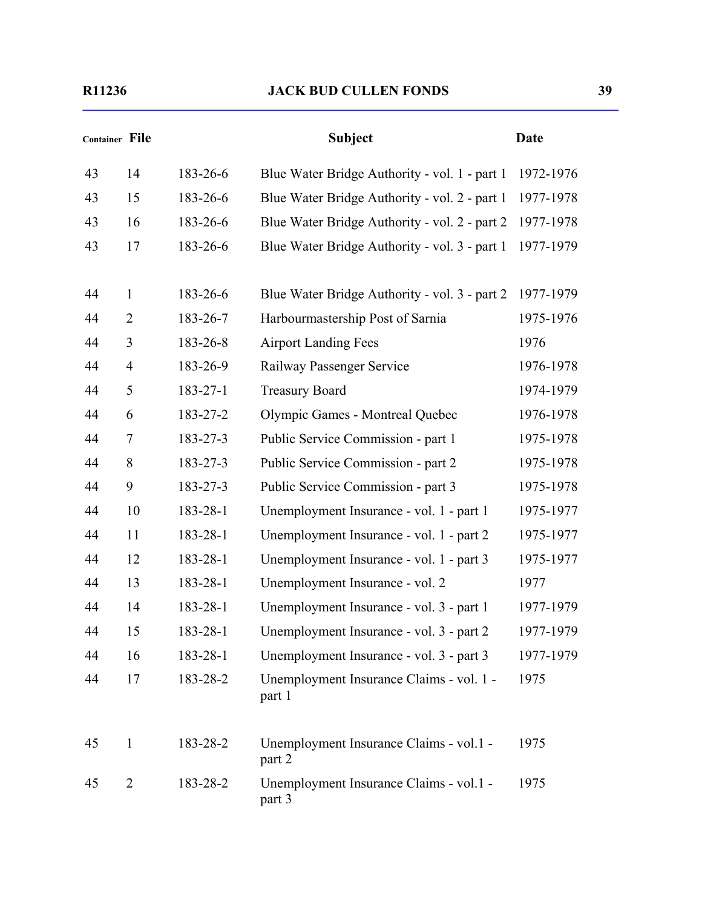| Container File |                |          | <b>Subject</b>                                     | <b>Date</b> |
|----------------|----------------|----------|----------------------------------------------------|-------------|
| 43             | 14             | 183-26-6 | Blue Water Bridge Authority - vol. 1 - part 1      | 1972-1976   |
| 43             | 15             | 183-26-6 | Blue Water Bridge Authority - vol. 2 - part 1      | 1977-1978   |
| 43             | 16             | 183-26-6 | Blue Water Bridge Authority - vol. 2 - part 2      | 1977-1978   |
| 43             | 17             | 183-26-6 | Blue Water Bridge Authority - vol. 3 - part 1      | 1977-1979   |
| 44             | $\mathbf{1}$   | 183-26-6 | Blue Water Bridge Authority - vol. 3 - part 2      | 1977-1979   |
| 44             | $\overline{2}$ | 183-26-7 | Harbourmastership Post of Sarnia                   | 1975-1976   |
| 44             | 3              | 183-26-8 | <b>Airport Landing Fees</b>                        | 1976        |
| 44             | $\overline{4}$ | 183-26-9 | Railway Passenger Service                          | 1976-1978   |
| 44             | 5              | 183-27-1 | <b>Treasury Board</b>                              | 1974-1979   |
| 44             | 6              | 183-27-2 | Olympic Games - Montreal Quebec                    | 1976-1978   |
| 44             | 7              | 183-27-3 | Public Service Commission - part 1                 | 1975-1978   |
| 44             | 8              | 183-27-3 | Public Service Commission - part 2                 | 1975-1978   |
| 44             | 9              | 183-27-3 | Public Service Commission - part 3                 | 1975-1978   |
| 44             | 10             | 183-28-1 | Unemployment Insurance - vol. 1 - part 1           | 1975-1977   |
| 44             | 11             | 183-28-1 | Unemployment Insurance - vol. 1 - part 2           | 1975-1977   |
| 44             | 12             | 183-28-1 | Unemployment Insurance - vol. 1 - part 3           | 1975-1977   |
| 44             | 13             | 183-28-1 | Unemployment Insurance - vol. 2                    | 1977        |
| 44             | 14             | 183-28-1 | Unemployment Insurance - vol. 3 - part 1           | 1977-1979   |
| 44             | 15             | 183-28-1 | Unemployment Insurance - vol. 3 - part 2           | 1977-1979   |
| 44             | 16             | 183-28-1 | Unemployment Insurance - vol. 3 - part 3           | 1977-1979   |
| 44             | 17             | 183-28-2 | Unemployment Insurance Claims - vol. 1 -<br>part 1 | 1975        |
| 45             | $\mathbf{1}$   | 183-28-2 | Unemployment Insurance Claims - vol.1 -<br>part 2  | 1975        |
| 45             | $\overline{2}$ | 183-28-2 | Unemployment Insurance Claims - vol.1 -<br>part 3  | 1975        |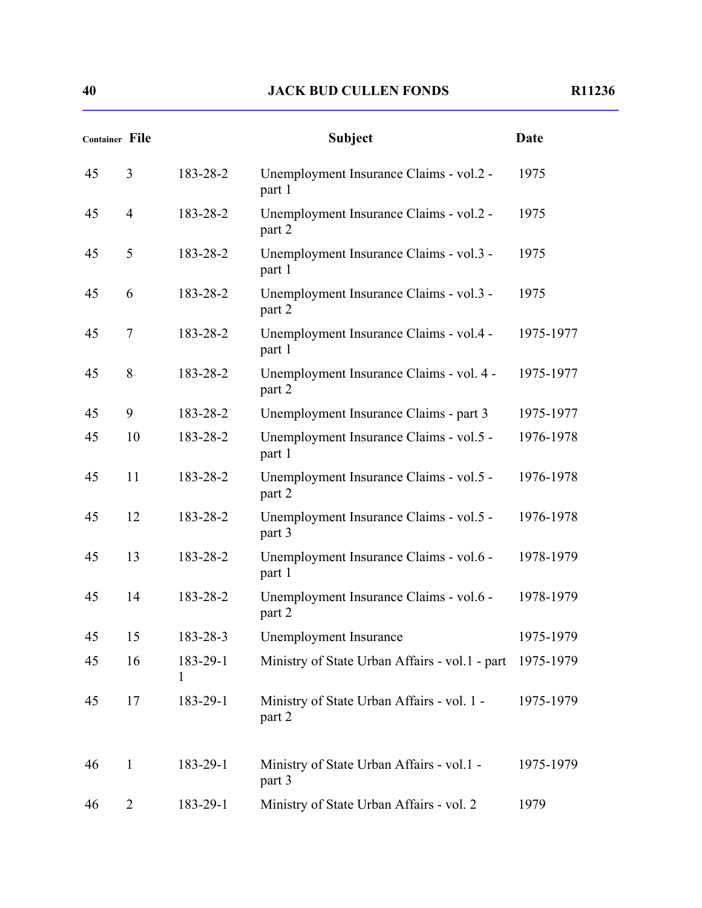| <b>Container File</b> |                |               | <b>Subject</b>                                           | <b>Date</b> |
|-----------------------|----------------|---------------|----------------------------------------------------------|-------------|
| 45                    | 3              | 183-28-2      | Unemployment Insurance Claims - vol.2 -<br>part 1        | 1975        |
| 45                    | $\overline{4}$ | 183-28-2      | Unemployment Insurance Claims - vol.2 -<br>part 2        | 1975        |
| 45                    | 5              | 183-28-2      | Unemployment Insurance Claims - vol.3 -<br>part 1        | 1975        |
| 45                    | 6              | 183-28-2      | Unemployment Insurance Claims - vol.3 -<br>part 2        | 1975        |
| 45                    | 7              | 183-28-2      | Unemployment Insurance Claims - vol.4 -<br>part 1        | 1975-1977   |
| 45                    | 8              | 183-28-2      | Unemployment Insurance Claims - vol. 4 -<br>part 2       | 1975-1977   |
| 45                    | 9              | 183-28-2      | Unemployment Insurance Claims - part 3                   | 1975-1977   |
| 45                    | 10             | 183-28-2      | Unemployment Insurance Claims - vol.5 -<br>part 1        | 1976-1978   |
| 45                    | 11             | 183-28-2      | Unemployment Insurance Claims - vol.5 -<br>part 2        | 1976-1978   |
| 45                    | 12             | 183-28-2      | Unemployment Insurance Claims - vol.5 -<br>part 3        | 1976-1978   |
| 45                    | 13             | 183-28-2      | Unemployment Insurance Claims - vol.6 -<br>part 1        | 1978-1979   |
| 45                    | 14             | 183-28-2      | Unemployment Insurance Claims - vol.6 -<br>part 2        | 1978-1979   |
| 45                    | 15             | 183-28-3      | Unemployment Insurance                                   | 1975-1979   |
| 45                    | 16             | 183-29-1<br>1 | Ministry of State Urban Affairs - vol.1 - part 1975-1979 |             |
| 45                    | 17             | 183-29-1      | Ministry of State Urban Affairs - vol. 1 -<br>part 2     | 1975-1979   |
| 46                    | $\mathbf{1}$   | 183-29-1      | Ministry of State Urban Affairs - vol.1 -<br>part 3      | 1975-1979   |
| 46                    | $\overline{2}$ | 183-29-1      | Ministry of State Urban Affairs - vol. 2                 | 1979        |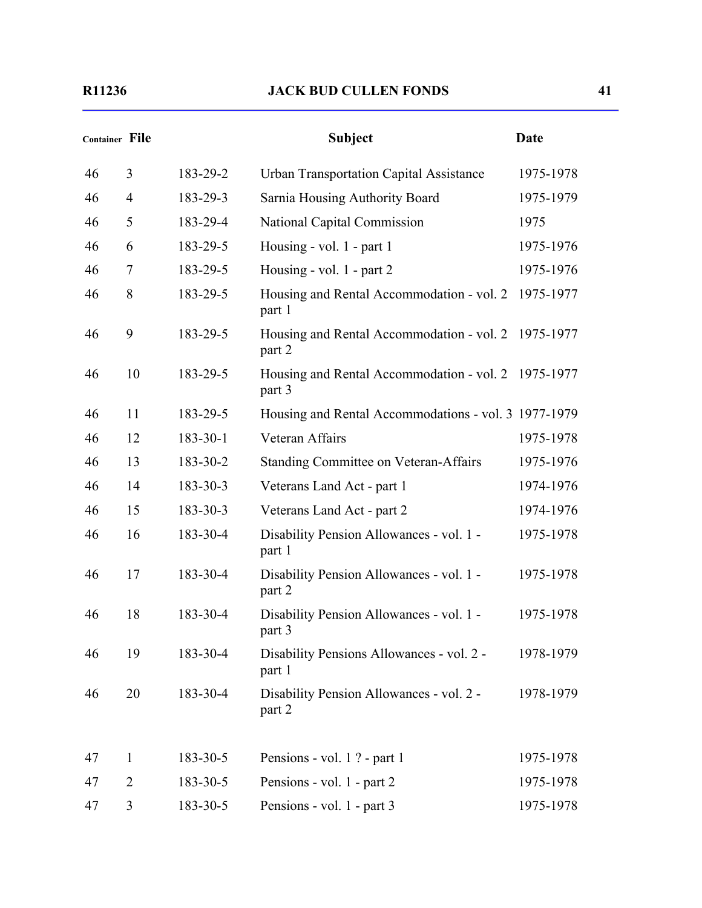| <b>Container File</b> |                |          | <b>Subject</b>                                                | <b>Date</b> |
|-----------------------|----------------|----------|---------------------------------------------------------------|-------------|
| 46                    | 3              | 183-29-2 | <b>Urban Transportation Capital Assistance</b>                | 1975-1978   |
| 46                    | $\overline{4}$ | 183-29-3 | Sarnia Housing Authority Board                                | 1975-1979   |
| 46                    | 5              | 183-29-4 | National Capital Commission                                   | 1975        |
| 46                    | 6              | 183-29-5 | Housing - vol. 1 - part 1                                     | 1975-1976   |
| 46                    | 7              | 183-29-5 | Housing - vol. $1$ - part 2                                   | 1975-1976   |
| 46                    | 8              | 183-29-5 | Housing and Rental Accommodation - vol. 2<br>part 1           | 1975-1977   |
| 46                    | 9              | 183-29-5 | Housing and Rental Accommodation - vol. 2 1975-1977<br>part 2 |             |
| 46                    | 10             | 183-29-5 | Housing and Rental Accommodation - vol. 2 1975-1977<br>part 3 |             |
| 46                    | 11             | 183-29-5 | Housing and Rental Accommodations - vol. 3 1977-1979          |             |
| 46                    | 12             | 183-30-1 | Veteran Affairs                                               | 1975-1978   |
| 46                    | 13             | 183-30-2 | <b>Standing Committee on Veteran-Affairs</b>                  | 1975-1976   |
| 46                    | 14             | 183-30-3 | Veterans Land Act - part 1                                    | 1974-1976   |
| 46                    | 15             | 183-30-3 | Veterans Land Act - part 2                                    | 1974-1976   |
| 46                    | 16             | 183-30-4 | Disability Pension Allowances - vol. 1 -<br>part 1            | 1975-1978   |
| 46                    | 17             | 183-30-4 | Disability Pension Allowances - vol. 1 -<br>part 2            | 1975-1978   |
| 46                    | 18             | 183-30-4 | Disability Pension Allowances - vol. 1 -<br>part 3            | 1975-1978   |
| 46                    | 19             | 183-30-4 | Disability Pensions Allowances - vol. 2 -<br>part 1           | 1978-1979   |
| 46                    | 20             | 183-30-4 | Disability Pension Allowances - vol. 2 -<br>part 2            | 1978-1979   |
| 47                    | $\mathbf{1}$   | 183-30-5 | Pensions - vol. 1 ? - part 1                                  | 1975-1978   |
| 47                    | $\overline{2}$ | 183-30-5 | Pensions - vol. 1 - part 2                                    | 1975-1978   |
| 47                    | 3              | 183-30-5 | Pensions - vol. 1 - part 3                                    | 1975-1978   |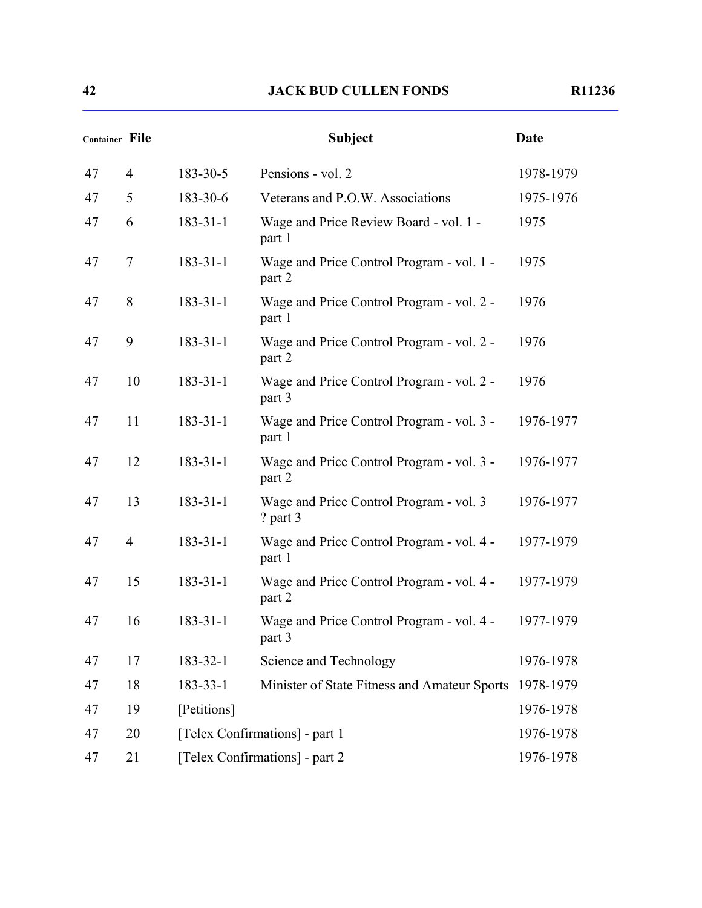| Container File |                |                | <b>Subject</b>                                      | <b>Date</b> |
|----------------|----------------|----------------|-----------------------------------------------------|-------------|
| 47             | $\overline{4}$ | 183-30-5       | Pensions - vol. 2                                   | 1978-1979   |
| 47             | 5              | 183-30-6       | Veterans and P.O.W. Associations                    | 1975-1976   |
| 47             | 6              | $183 - 31 - 1$ | Wage and Price Review Board - vol. 1 -<br>part 1    | 1975        |
| 47             | $\tau$         | $183 - 31 - 1$ | Wage and Price Control Program - vol. 1 -<br>part 2 | 1975        |
| 47             | 8              | $183 - 31 - 1$ | Wage and Price Control Program - vol. 2 -<br>part 1 | 1976        |
| 47             | 9              | $183 - 31 - 1$ | Wage and Price Control Program - vol. 2 -<br>part 2 | 1976        |
| 47             | 10             | $183 - 31 - 1$ | Wage and Price Control Program - vol. 2 -<br>part 3 | 1976        |
| 47             | 11             | $183 - 31 - 1$ | Wage and Price Control Program - vol. 3 -<br>part 1 | 1976-1977   |
| 47             | 12             | $183 - 31 - 1$ | Wage and Price Control Program - vol. 3 -<br>part 2 | 1976-1977   |
| 47             | 13             | $183 - 31 - 1$ | Wage and Price Control Program - vol. 3<br>? part 3 | 1976-1977   |
| 47             | $\overline{4}$ | $183 - 31 - 1$ | Wage and Price Control Program - vol. 4 -<br>part 1 | 1977-1979   |
| 47             | 15             | $183 - 31 - 1$ | Wage and Price Control Program - vol. 4 -<br>part 2 | 1977-1979   |
| 47             | 16             | $183 - 31 - 1$ | Wage and Price Control Program - vol. 4 -<br>part 3 | 1977-1979   |
| 47             | 17             | 183-32-1       | Science and Technology                              | 1976-1978   |
| 47             | 18             | $183 - 33 - 1$ | Minister of State Fitness and Amateur Sports        | 1978-1979   |
| 47             | 19             | [Petitions]    |                                                     | 1976-1978   |
| 47             | 20             |                | [Telex Confirmations] - part 1                      | 1976-1978   |
| 47             | 21             |                | [Telex Confirmations] - part 2                      | 1976-1978   |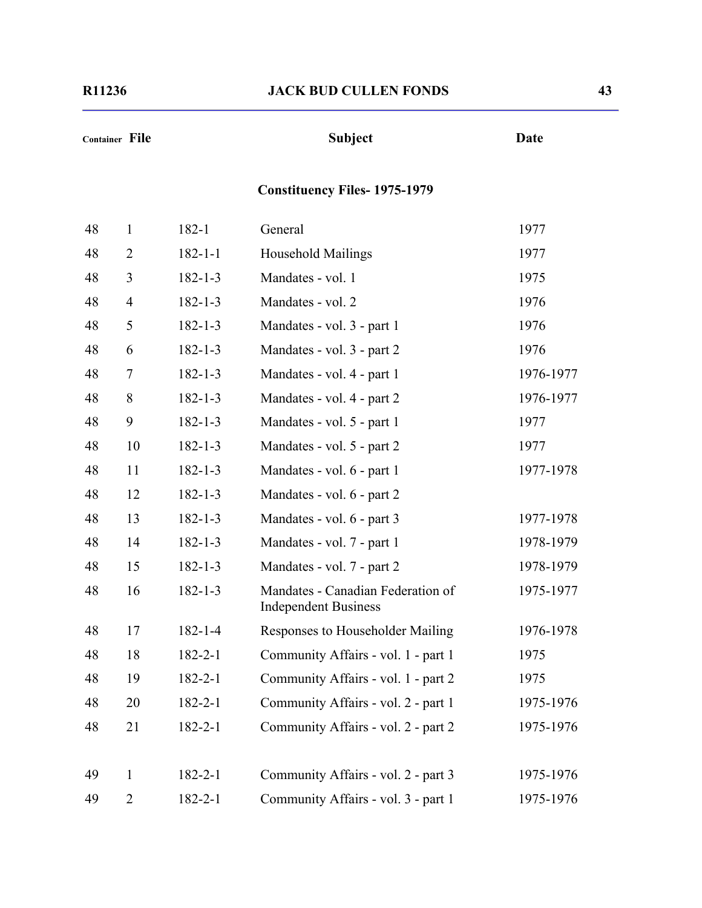# **Container File Subject Date**

# **Constituency Files- 1975-1979**

| 48 | $\mathbf{1}$   | 182-1         | General                                                          | 1977      |
|----|----------------|---------------|------------------------------------------------------------------|-----------|
| 48 | $\overline{2}$ | $182 - 1 - 1$ | Household Mailings                                               | 1977      |
| 48 | 3              | $182 - 1 - 3$ | Mandates - vol. 1                                                | 1975      |
| 48 | $\overline{4}$ | $182 - 1 - 3$ | Mandates - vol. 2                                                | 1976      |
| 48 | 5              | $182 - 1 - 3$ | Mandates - vol. 3 - part 1                                       | 1976      |
| 48 | 6              | $182 - 1 - 3$ | Mandates - vol. 3 - part 2                                       | 1976      |
| 48 | 7              | $182 - 1 - 3$ | Mandates - vol. 4 - part 1                                       | 1976-1977 |
| 48 | 8              | $182 - 1 - 3$ | Mandates - vol. 4 - part 2                                       | 1976-1977 |
| 48 | 9              | $182 - 1 - 3$ | Mandates - vol. 5 - part 1                                       | 1977      |
| 48 | 10             | $182 - 1 - 3$ | Mandates - vol. 5 - part 2                                       | 1977      |
| 48 | 11             | $182 - 1 - 3$ | Mandates - vol. 6 - part 1                                       | 1977-1978 |
| 48 | 12             | $182 - 1 - 3$ | Mandates - vol. 6 - part 2                                       |           |
| 48 | 13             | $182 - 1 - 3$ | Mandates - vol. 6 - part 3                                       | 1977-1978 |
| 48 | 14             | $182 - 1 - 3$ | Mandates - vol. 7 - part 1                                       | 1978-1979 |
| 48 | 15             | $182 - 1 - 3$ | Mandates - vol. 7 - part 2                                       | 1978-1979 |
| 48 | 16             | $182 - 1 - 3$ | Mandates - Canadian Federation of<br><b>Independent Business</b> | 1975-1977 |
| 48 | 17             | $182 - 1 - 4$ | Responses to Householder Mailing                                 | 1976-1978 |
| 48 | 18             | $182 - 2 - 1$ | Community Affairs - vol. 1 - part 1                              | 1975      |
| 48 | 19             | $182 - 2 - 1$ | Community Affairs - vol. 1 - part 2                              | 1975      |
| 48 | 20             | $182 - 2 - 1$ | Community Affairs - vol. 2 - part 1                              | 1975-1976 |
| 48 | 21             | $182 - 2 - 1$ | Community Affairs - vol. 2 - part 2                              | 1975-1976 |
| 49 | $\mathbf{1}$   | $182 - 2 - 1$ | Community Affairs - vol. 2 - part 3                              | 1975-1976 |
| 49 | $\overline{2}$ | $182 - 2 - 1$ | Community Affairs - vol. 3 - part 1                              | 1975-1976 |
|    |                |               |                                                                  |           |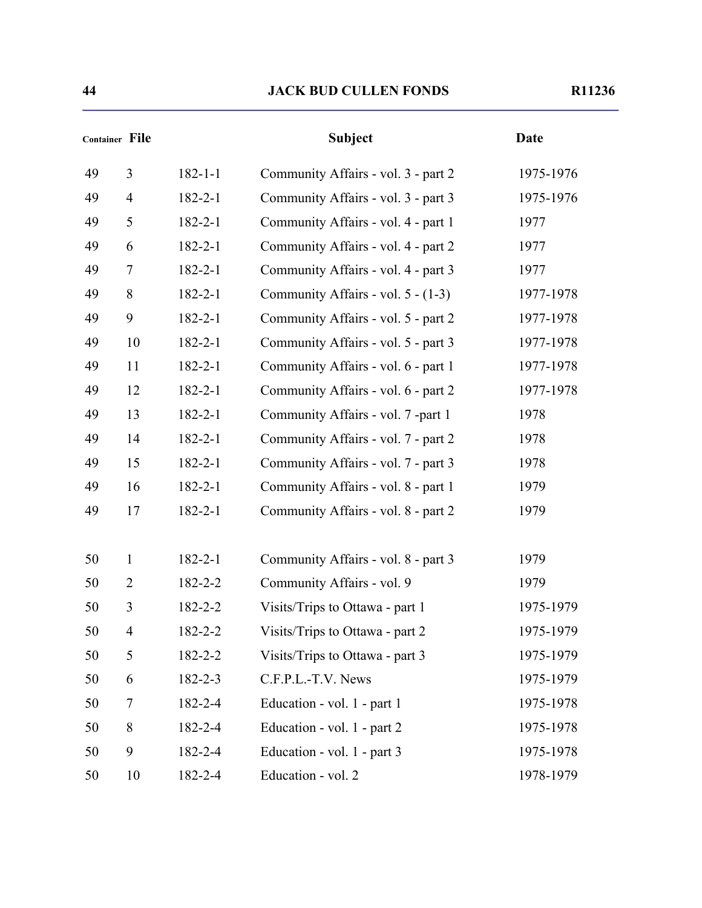|    | <b>Container File</b> |               | <b>Subject</b>                      | <b>Date</b> |
|----|-----------------------|---------------|-------------------------------------|-------------|
| 49 | $\overline{3}$        | $182 - 1 - 1$ | Community Affairs - vol. 3 - part 2 | 1975-1976   |
| 49 | $\overline{4}$        | $182 - 2 - 1$ | Community Affairs - vol. 3 - part 3 | 1975-1976   |
| 49 | 5                     | $182 - 2 - 1$ | Community Affairs - vol. 4 - part 1 | 1977        |
| 49 | 6                     | $182 - 2 - 1$ | Community Affairs - vol. 4 - part 2 | 1977        |
| 49 | 7                     | $182 - 2 - 1$ | Community Affairs - vol. 4 - part 3 | 1977        |
| 49 | 8                     | $182 - 2 - 1$ | Community Affairs - vol. 5 - (1-3)  | 1977-1978   |
| 49 | 9                     | $182 - 2 - 1$ | Community Affairs - vol. 5 - part 2 | 1977-1978   |
| 49 | 10                    | $182 - 2 - 1$ | Community Affairs - vol. 5 - part 3 | 1977-1978   |
| 49 | 11                    | $182 - 2 - 1$ | Community Affairs - vol. 6 - part 1 | 1977-1978   |
| 49 | 12                    | $182 - 2 - 1$ | Community Affairs - vol. 6 - part 2 | 1977-1978   |
| 49 | 13                    | $182 - 2 - 1$ | Community Affairs - vol. 7 -part 1  | 1978        |
| 49 | 14                    | $182 - 2 - 1$ | Community Affairs - vol. 7 - part 2 | 1978        |
| 49 | 15                    | $182 - 2 - 1$ | Community Affairs - vol. 7 - part 3 | 1978        |
| 49 | 16                    | $182 - 2 - 1$ | Community Affairs - vol. 8 - part 1 | 1979        |
| 49 | 17                    | $182 - 2 - 1$ | Community Affairs - vol. 8 - part 2 | 1979        |
|    |                       |               |                                     |             |
| 50 | $\mathbf{1}$          | $182 - 2 - 1$ | Community Affairs - vol. 8 - part 3 | 1979        |
| 50 | 2                     | $182 - 2 - 2$ | Community Affairs - vol. 9          | 1979        |
| 50 | 3                     | $182 - 2 - 2$ | Visits/Trips to Ottawa - part 1     | 1975-1979   |
| 50 | $\overline{4}$        | $182 - 2 - 2$ | Visits/Trips to Ottawa - part 2     | 1975-1979   |
| 50 | 5                     | $182 - 2 - 2$ | Visits/Trips to Ottawa - part 3     | 1975-1979   |
| 50 | 6                     | $182 - 2 - 3$ | C.F.P.L.-T.V. News                  | 1975-1979   |
| 50 | $\overline{7}$        | 182-2-4       | Education - vol. 1 - part 1         | 1975-1978   |
| 50 | 8                     | $182 - 2 - 4$ | Education - vol. 1 - part 2         | 1975-1978   |
| 50 | 9                     | 182-2-4       | Education - vol. 1 - part 3         | 1975-1978   |
| 50 | 10                    | 182-2-4       | Education - vol. 2                  | 1978-1979   |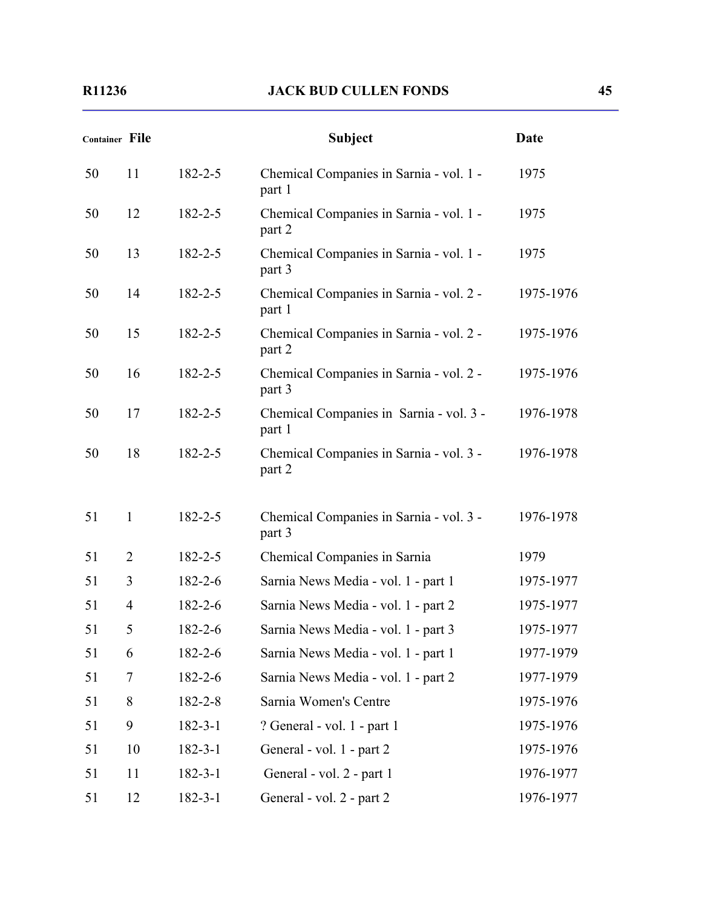| <b>Container File</b> |                |               | <b>Subject</b>                                    | <b>Date</b> |
|-----------------------|----------------|---------------|---------------------------------------------------|-------------|
| 50                    | 11             | $182 - 2 - 5$ | Chemical Companies in Sarnia - vol. 1 -<br>part 1 | 1975        |
| 50                    | 12             | $182 - 2 - 5$ | Chemical Companies in Sarnia - vol. 1 -<br>part 2 | 1975        |
| 50                    | 13             | $182 - 2 - 5$ | Chemical Companies in Sarnia - vol. 1 -<br>part 3 | 1975        |
| 50                    | 14             | $182 - 2 - 5$ | Chemical Companies in Sarnia - vol. 2 -<br>part 1 | 1975-1976   |
| 50                    | 15             | $182 - 2 - 5$ | Chemical Companies in Sarnia - vol. 2 -<br>part 2 | 1975-1976   |
| 50                    | 16             | $182 - 2 - 5$ | Chemical Companies in Sarnia - vol. 2 -<br>part 3 | 1975-1976   |
| 50                    | 17             | $182 - 2 - 5$ | Chemical Companies in Sarnia - vol. 3 -<br>part 1 | 1976-1978   |
| 50                    | 18             | $182 - 2 - 5$ | Chemical Companies in Sarnia - vol. 3 -<br>part 2 | 1976-1978   |
| 51                    | $\mathbf{1}$   | $182 - 2 - 5$ | Chemical Companies in Sarnia - vol. 3 -<br>part 3 | 1976-1978   |
| 51                    | $\overline{2}$ | $182 - 2 - 5$ | Chemical Companies in Sarnia                      | 1979        |
| 51                    | 3              | $182 - 2 - 6$ | Sarnia News Media - vol. 1 - part 1               | 1975-1977   |
| 51                    | $\overline{4}$ | $182 - 2 - 6$ | Sarnia News Media - vol. 1 - part 2               | 1975-1977   |
| 51                    | 5              | $182 - 2 - 6$ | Sarnia News Media - vol. 1 - part 3               | 1975-1977   |
| 51                    | 6              | 182-2-6       | Sarnia News Media - vol. 1 - part 1               | 1977-1979   |
| 51                    | 7              | 182-2-6       | Sarnia News Media - vol. 1 - part 2               | 1977-1979   |
| 51                    | 8              | 182-2-8       | Sarnia Women's Centre                             | 1975-1976   |
| 51                    | 9              | $182 - 3 - 1$ | ? General - vol. 1 - part 1                       | 1975-1976   |
| 51                    | 10             | $182 - 3 - 1$ | General - vol. 1 - part 2                         | 1975-1976   |
| 51                    | 11             | $182 - 3 - 1$ | General - vol. 2 - part 1                         | 1976-1977   |
| 51                    | 12             | $182 - 3 - 1$ | General - vol. 2 - part 2                         | 1976-1977   |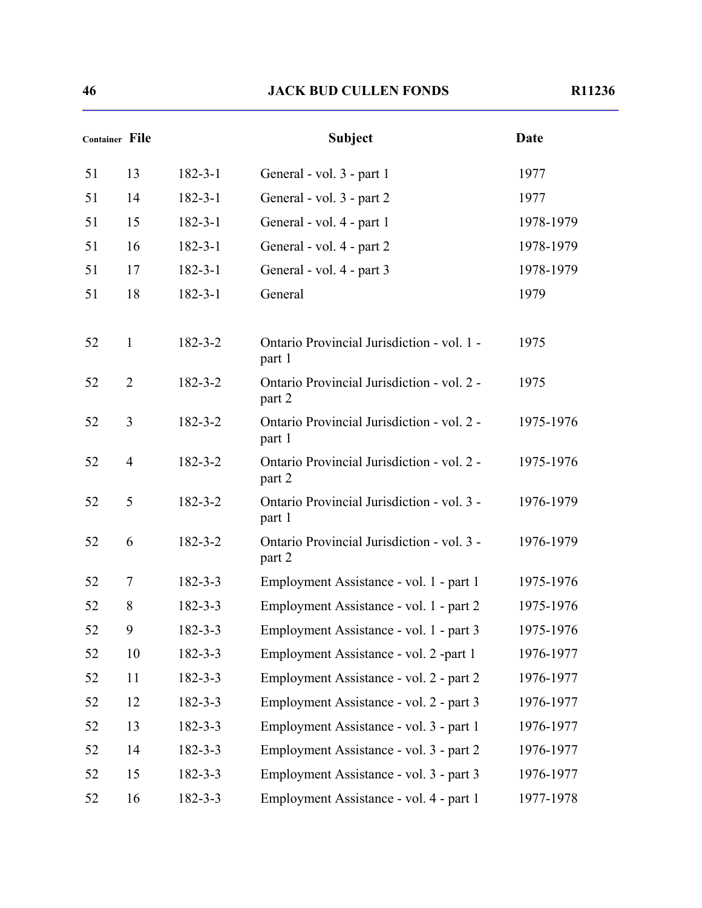|    | <b>Container File</b> |               | <b>Subject</b>                                       | <b>Date</b> |
|----|-----------------------|---------------|------------------------------------------------------|-------------|
| 51 | 13                    | $182 - 3 - 1$ | General - vol. 3 - part 1                            | 1977        |
| 51 | 14                    | $182 - 3 - 1$ | General - vol. 3 - part 2                            | 1977        |
| 51 | 15                    | $182 - 3 - 1$ | General - vol. 4 - part 1                            | 1978-1979   |
| 51 | 16                    | $182 - 3 - 1$ | General - vol. 4 - part 2                            | 1978-1979   |
| 51 | 17                    | $182 - 3 - 1$ | General - vol. 4 - part 3                            | 1978-1979   |
| 51 | 18                    | $182 - 3 - 1$ | General                                              | 1979        |
| 52 | $\mathbf{1}$          | $182 - 3 - 2$ | Ontario Provincial Jurisdiction - vol. 1 -<br>part 1 | 1975        |
| 52 | $\overline{2}$        | $182 - 3 - 2$ | Ontario Provincial Jurisdiction - vol. 2 -<br>part 2 | 1975        |
| 52 | 3                     | $182 - 3 - 2$ | Ontario Provincial Jurisdiction - vol. 2 -<br>part 1 | 1975-1976   |
| 52 | $\overline{4}$        | $182 - 3 - 2$ | Ontario Provincial Jurisdiction - vol. 2 -<br>part 2 | 1975-1976   |
| 52 | 5                     | $182 - 3 - 2$ | Ontario Provincial Jurisdiction - vol. 3 -<br>part 1 | 1976-1979   |
| 52 | 6                     | $182 - 3 - 2$ | Ontario Provincial Jurisdiction - vol. 3 -<br>part 2 | 1976-1979   |
| 52 | 7                     | $182 - 3 - 3$ | Employment Assistance - vol. 1 - part 1              | 1975-1976   |
| 52 | 8                     | $182 - 3 - 3$ | Employment Assistance - vol. 1 - part 2              | 1975-1976   |
| 52 | 9                     | $182 - 3 - 3$ | Employment Assistance - vol. 1 - part 3              | 1975-1976   |
| 52 | 10                    | $182 - 3 - 3$ | Employment Assistance - vol. 2 -part 1               | 1976-1977   |
| 52 | 11                    | $182 - 3 - 3$ | Employment Assistance - vol. 2 - part 2              | 1976-1977   |
| 52 | 12                    | $182 - 3 - 3$ | Employment Assistance - vol. 2 - part 3              | 1976-1977   |
| 52 | 13                    | $182 - 3 - 3$ | Employment Assistance - vol. 3 - part 1              | 1976-1977   |
| 52 | 14                    | $182 - 3 - 3$ | Employment Assistance - vol. 3 - part 2              | 1976-1977   |
| 52 | 15                    | $182 - 3 - 3$ | Employment Assistance - vol. 3 - part 3              | 1976-1977   |
| 52 | 16                    | $182 - 3 - 3$ | Employment Assistance - vol. 4 - part 1              | 1977-1978   |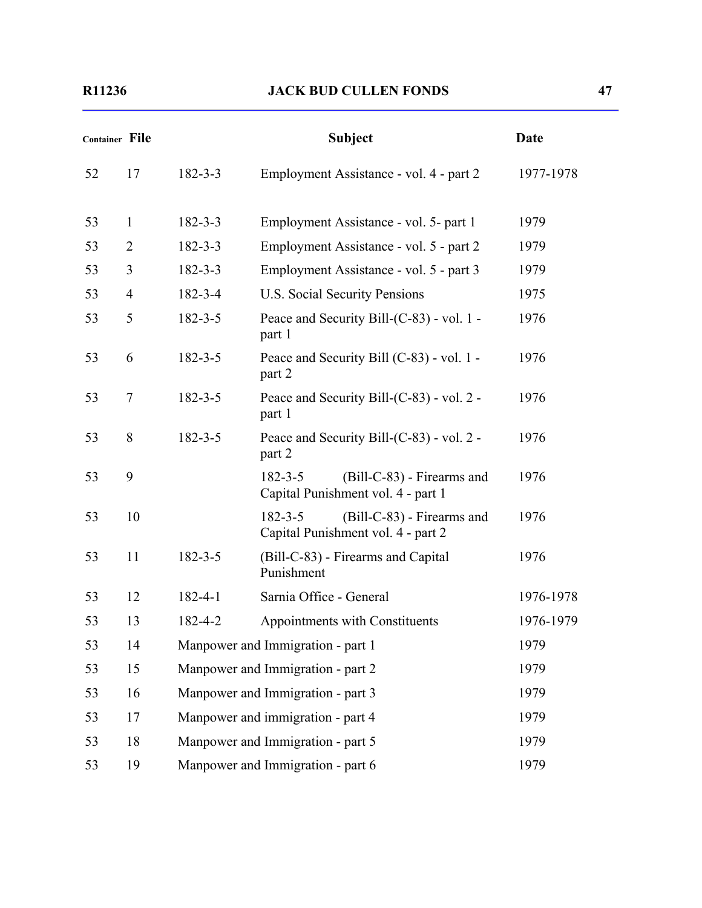| <b>Container File</b> |                |               | <b>Subject</b>                                                                    | Date      |
|-----------------------|----------------|---------------|-----------------------------------------------------------------------------------|-----------|
| 52                    | 17             | $182 - 3 - 3$ | Employment Assistance - vol. 4 - part 2                                           | 1977-1978 |
| 53                    | $\mathbf{1}$   | $182 - 3 - 3$ | Employment Assistance - vol. 5- part 1                                            | 1979      |
| 53                    | $\overline{2}$ | $182 - 3 - 3$ | Employment Assistance - vol. 5 - part 2                                           | 1979      |
| 53                    | 3              | $182 - 3 - 3$ | Employment Assistance - vol. 5 - part 3                                           | 1979      |
| 53                    | $\overline{4}$ | 182-3-4       | U.S. Social Security Pensions                                                     | 1975      |
| 53                    | 5              | $182 - 3 - 5$ | Peace and Security Bill-(C-83) - vol. 1 -<br>part 1                               | 1976      |
| 53                    | 6              | $182 - 3 - 5$ | Peace and Security Bill (C-83) - vol. 1 -<br>part 2                               | 1976      |
| 53                    | 7              | $182 - 3 - 5$ | Peace and Security Bill-(C-83) - vol. 2 -<br>part 1                               | 1976      |
| 53                    | 8              | $182 - 3 - 5$ | Peace and Security Bill-(C-83) - vol. 2 -<br>part 2                               | 1976      |
| 53                    | 9              |               | $182 - 3 - 5$<br>(Bill-C-83) - Firearms and<br>Capital Punishment vol. 4 - part 1 | 1976      |
| 53                    | 10             |               | (Bill-C-83) - Firearms and<br>$182 - 3 - 5$<br>Capital Punishment vol. 4 - part 2 | 1976      |
| 53                    | 11             | $182 - 3 - 5$ | (Bill-C-83) - Firearms and Capital<br>Punishment                                  | 1976      |
| 53                    | 12             | $182 - 4 - 1$ | Sarnia Office - General                                                           | 1976-1978 |
| 53                    | 13             | 182-4-2       | Appointments with Constituents                                                    | 1976-1979 |
| 53                    | 14             |               | Manpower and Immigration - part 1                                                 | 1979      |
| 53                    | 15             |               | Manpower and Immigration - part 2                                                 | 1979      |
| 53                    | 16             |               | Manpower and Immigration - part 3                                                 | 1979      |
| 53                    | 17             |               | Manpower and immigration - part 4                                                 | 1979      |
| 53                    | 18             |               | Manpower and Immigration - part 5                                                 | 1979      |
| 53                    | 19             |               | Manpower and Immigration - part 6                                                 | 1979      |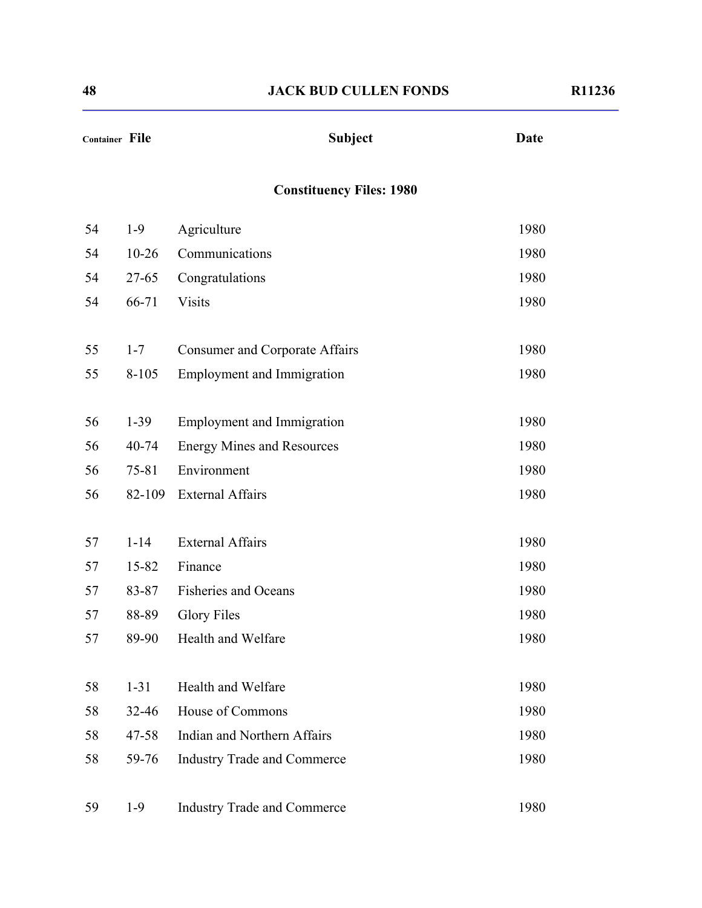| Container File |           | <b>Subject</b>                        | <b>Date</b> |
|----------------|-----------|---------------------------------------|-------------|
|                |           | <b>Constituency Files: 1980</b>       |             |
| 54             | $1-9$     | Agriculture                           | 1980        |
| 54             | $10 - 26$ | Communications                        | 1980        |
| 54             | $27 - 65$ | Congratulations                       | 1980        |
| 54             | 66-71     | <b>Visits</b>                         | 1980        |
| 55             | $1 - 7$   | <b>Consumer and Corporate Affairs</b> | 1980        |
| 55             | $8 - 105$ | <b>Employment and Immigration</b>     | 1980        |
|                |           |                                       |             |
| 56             | $1-39$    | <b>Employment and Immigration</b>     | 1980        |
| 56             | $40 - 74$ | <b>Energy Mines and Resources</b>     | 1980        |
| 56             | 75-81     | Environment                           | 1980        |
| 56             | 82-109    | <b>External Affairs</b>               | 1980        |
|                |           |                                       |             |
| 57             | $1 - 14$  | <b>External Affairs</b>               | 1980        |
| 57             | $15 - 82$ | Finance                               | 1980        |
| 57             | 83-87     | <b>Fisheries and Oceans</b>           | 1980        |
| 57             | 88-89     | <b>Glory Files</b>                    | 1980        |
| 57             | 89-90     | Health and Welfare                    | 1980        |
|                |           |                                       |             |
| 58             | $1 - 31$  | Health and Welfare                    | 1980        |
| 58             | $32 - 46$ | House of Commons                      | 1980        |
| 58             | $47 - 58$ | <b>Indian and Northern Affairs</b>    | 1980        |
| 58             | 59-76     | <b>Industry Trade and Commerce</b>    | 1980        |
| 59             | $1-9$     | <b>Industry Trade and Commerce</b>    | 1980        |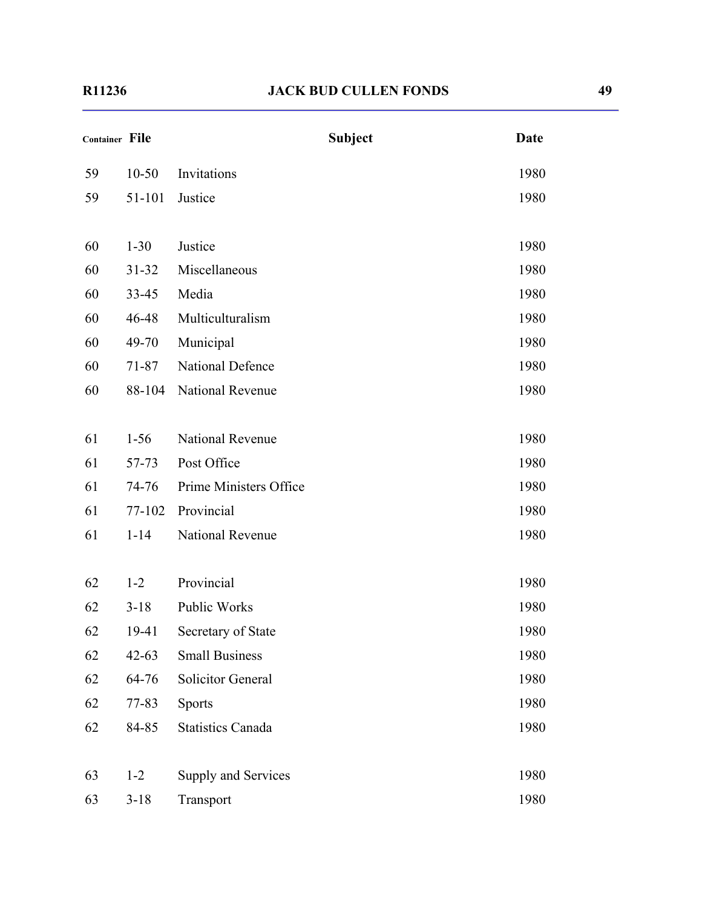| Container File |           |                          | <b>Subject</b> | <b>Date</b> |
|----------------|-----------|--------------------------|----------------|-------------|
| 59             | $10 - 50$ | Invitations              |                | 1980        |
| 59             | 51-101    | Justice                  |                | 1980        |
| 60             | $1 - 30$  | Justice                  |                | 1980        |
| 60             | $31 - 32$ | Miscellaneous            |                | 1980        |
| 60             | $33 - 45$ | Media                    |                | 1980        |
| 60             | 46-48     | Multiculturalism         |                | 1980        |
| 60             | 49-70     | Municipal                |                | 1980        |
| 60             | $71 - 87$ | <b>National Defence</b>  |                | 1980        |
| 60             | 88-104    | National Revenue         |                | 1980        |
|                |           |                          |                |             |
| 61             | $1 - 56$  | National Revenue         |                | 1980        |
| 61             | 57-73     | Post Office              |                | 1980        |
| 61             | 74-76     | Prime Ministers Office   |                | 1980        |
| 61             | 77-102    | Provincial               |                | 1980        |
| 61             | $1 - 14$  | National Revenue         |                | 1980        |
|                |           |                          |                |             |
| 62             | $1 - 2$   | Provincial               |                | 1980        |
| 62             | $3 - 18$  | Public Works             |                | 1980        |
| 62             | 19-41     | Secretary of State       |                | 1980        |
| 62             | $42 - 63$ | <b>Small Business</b>    |                | 1980        |
| 62             | 64-76     | Solicitor General        |                | 1980        |
| 62             | 77-83     | Sports                   |                | 1980        |
| 62             | 84-85     | <b>Statistics Canada</b> |                | 1980        |
|                |           |                          |                |             |
| 63             | $1 - 2$   | Supply and Services      |                | 1980        |
| 63             | $3 - 18$  | Transport                |                | 1980        |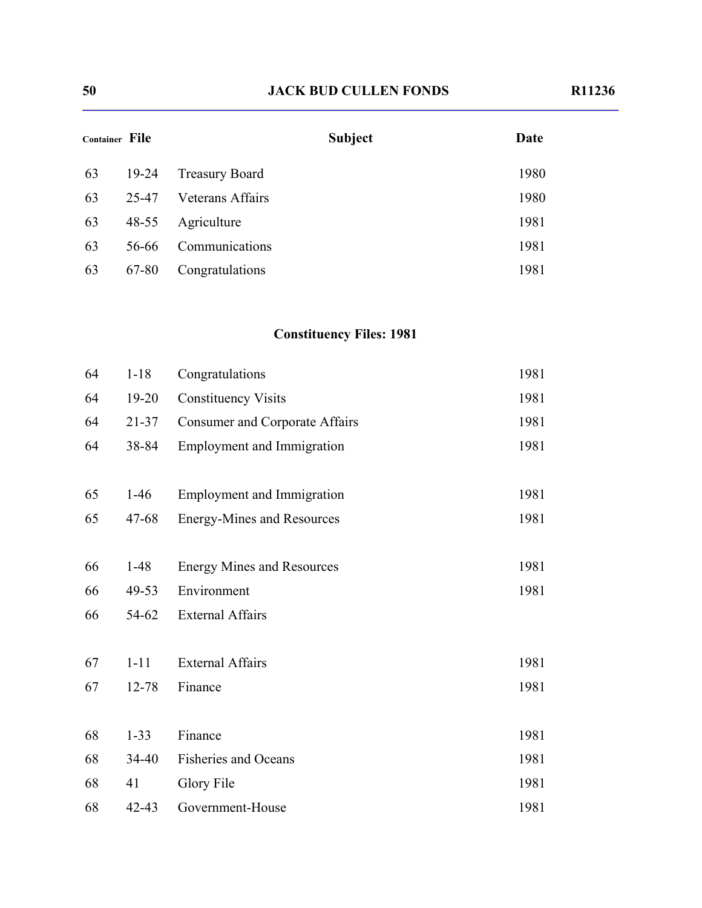| Container File |           | <b>Subject</b>          | Date |
|----------------|-----------|-------------------------|------|
| 63             | $19-24$   | <b>Treasury Board</b>   | 1980 |
| 63             | 25-47     | <b>Veterans Affairs</b> | 1980 |
| 63             | $48 - 55$ | Agriculture             | 1981 |
| 63             | 56-66     | Communications          | 1981 |
| 63             | 67-80     | Congratulations         | 1981 |

# **Constituency Files: 1981**

| 64 | $1 - 18$  | Congratulations                       | 1981 |
|----|-----------|---------------------------------------|------|
| 64 | $19 - 20$ | <b>Constituency Visits</b>            | 1981 |
| 64 | $21 - 37$ | <b>Consumer and Corporate Affairs</b> | 1981 |
| 64 | 38-84     | <b>Employment and Immigration</b>     | 1981 |
|    |           |                                       |      |
| 65 | $1-46$    | <b>Employment and Immigration</b>     | 1981 |
| 65 | $47 - 68$ | <b>Energy-Mines and Resources</b>     | 1981 |
|    |           |                                       |      |
| 66 | $1-48$    | <b>Energy Mines and Resources</b>     | 1981 |
| 66 | 49-53     | Environment                           | 1981 |
| 66 | 54-62     | <b>External Affairs</b>               |      |
|    |           |                                       |      |
| 67 | $1 - 11$  | <b>External Affairs</b>               | 1981 |
| 67 | 12-78     | Finance                               | 1981 |
|    |           |                                       |      |
| 68 | $1 - 33$  | Finance                               | 1981 |
| 68 | $34 - 40$ | <b>Fisheries and Oceans</b>           | 1981 |
| 68 | 41        | <b>Glory File</b>                     | 1981 |
| 68 | $42 - 43$ | Government-House                      | 1981 |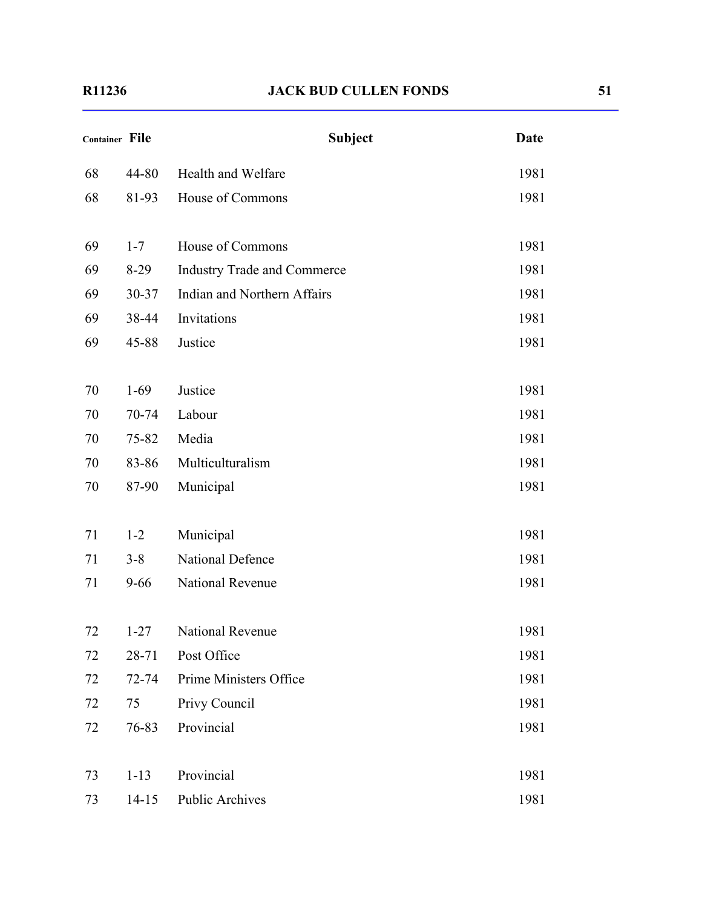| Container File |           | <b>Subject</b>                     | <b>Date</b> |
|----------------|-----------|------------------------------------|-------------|
| 68             | 44-80     | Health and Welfare                 | 1981        |
| 68             | 81-93     | House of Commons                   | 1981        |
| 69             | $1 - 7$   | House of Commons                   | 1981        |
| 69             | $8-29$    | <b>Industry Trade and Commerce</b> | 1981        |
| 69             | 30-37     | Indian and Northern Affairs        | 1981        |
| 69             | 38-44     | Invitations                        | 1981        |
| 69             | 45-88     | Justice                            | 1981        |
|                |           |                                    |             |
| 70             | $1-69$    | Justice                            | 1981        |
| 70             | 70-74     | Labour                             | 1981        |
| 70             | $75 - 82$ | Media                              | 1981        |
| 70             | 83-86     | Multiculturalism                   | 1981        |
| 70             | 87-90     | Municipal                          | 1981        |
| 71             | $1 - 2$   | Municipal                          | 1981        |
| 71             | $3 - 8$   | National Defence                   | 1981        |
| 71             | $9 - 66$  | National Revenue                   | 1981        |
| 72             | $1 - 27$  | National Revenue                   | 1981        |
| 72             | $28 - 71$ | Post Office                        | 1981        |
| 72             | 72-74     | Prime Ministers Office             | 1981        |
| 72             | 75        | Privy Council                      | 1981        |
| 72             | 76-83     | Provincial                         | 1981        |
| 73             | $1 - 13$  | Provincial                         | 1981        |
| 73             | $14 - 15$ | Public Archives                    | 1981        |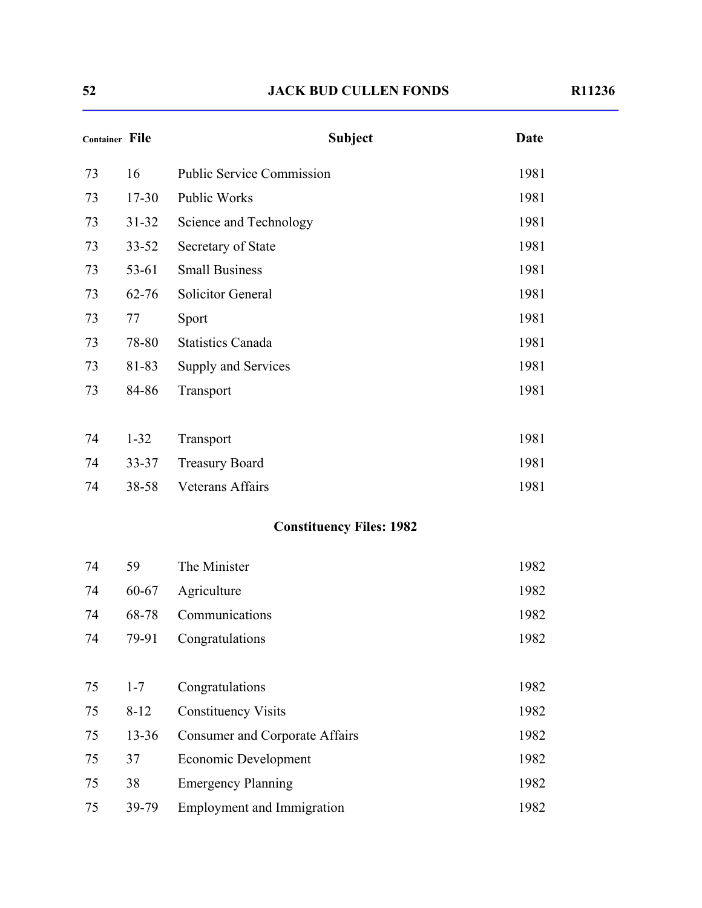| <b>Container File</b> |           | <b>Subject</b>                        | <b>Date</b> |
|-----------------------|-----------|---------------------------------------|-------------|
| 73                    | 16        | <b>Public Service Commission</b>      | 1981        |
| 73                    | $17 - 30$ | Public Works                          | 1981        |
| 73                    | $31 - 32$ | Science and Technology                | 1981        |
| 73                    | $33 - 52$ | Secretary of State                    | 1981        |
| 73                    | 53-61     | <b>Small Business</b>                 | 1981        |
| 73                    | $62 - 76$ | Solicitor General                     | 1981        |
| 73                    | 77        | Sport                                 | 1981        |
| 73                    | 78-80     | <b>Statistics Canada</b>              | 1981        |
| 73                    | 81-83     | Supply and Services                   | 1981        |
| 73                    | 84-86     | Transport                             | 1981        |
|                       |           |                                       |             |
| 74                    | $1 - 32$  | Transport                             | 1981        |
| 74                    | $33 - 37$ | <b>Treasury Board</b>                 | 1981        |
| 74                    | 38-58     | <b>Veterans Affairs</b>               | 1981        |
|                       |           | <b>Constituency Files: 1982</b>       |             |
| 74                    | 59        | The Minister                          | 1982        |
| 74                    | $60 - 67$ | Agriculture                           | 1982        |
| 74                    | 68-78     | Communications                        | 1982        |
| 74                    | 79-91     | Congratulations                       | 1982        |
| 75                    | $1 - 7$   | Congratulations                       | 1982        |
| 75                    | $8 - 12$  | <b>Constituency Visits</b>            | 1982        |
| 75                    | $13 - 36$ | <b>Consumer and Corporate Affairs</b> | 1982        |
| 75                    | 37        | <b>Economic Development</b>           | 1982        |
| 75                    | 38        | <b>Emergency Planning</b>             | 1982        |
| 75                    | 39-79     | <b>Employment and Immigration</b>     | 1982        |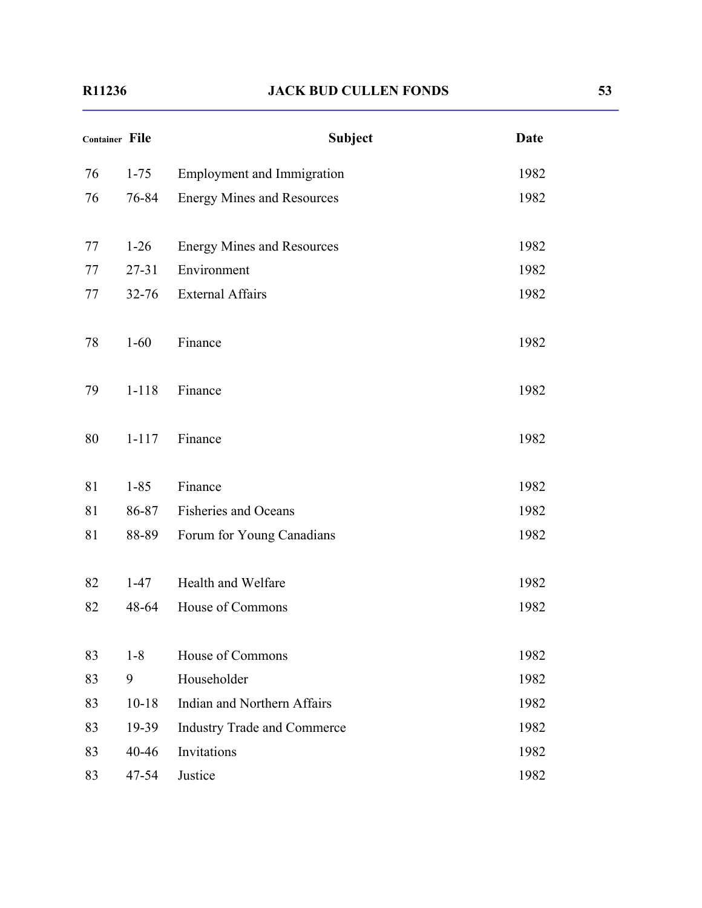| <b>Container File</b> |           | <b>Subject</b>                     | <b>Date</b> |
|-----------------------|-----------|------------------------------------|-------------|
| 76                    | $1 - 75$  | <b>Employment and Immigration</b>  | 1982        |
| 76                    | 76-84     | <b>Energy Mines and Resources</b>  | 1982        |
| 77                    | $1-26$    | <b>Energy Mines and Resources</b>  | 1982        |
| 77                    | $27 - 31$ | Environment                        | 1982        |
| 77                    | $32 - 76$ | <b>External Affairs</b>            | 1982        |
| 78                    | $1 - 60$  | Finance                            | 1982        |
| 79                    | $1 - 118$ | Finance                            | 1982        |
| 80                    | $1 - 117$ | Finance                            | 1982        |
| 81                    | $1 - 85$  | Finance                            | 1982        |
| 81                    | 86-87     | <b>Fisheries and Oceans</b>        | 1982        |
| 81                    | 88-89     | Forum for Young Canadians          | 1982        |
| 82                    | $1 - 47$  | Health and Welfare                 | 1982        |
| 82                    | 48-64     | House of Commons                   | 1982        |
| 83                    | $1-8$     | House of Commons                   | 1982        |
| 83                    | 9         | Householder                        | 1982        |
| 83                    | $10 - 18$ | <b>Indian and Northern Affairs</b> | 1982        |
| 83                    | 19-39     | <b>Industry Trade and Commerce</b> | 1982        |
| 83                    | 40-46     | Invitations                        | 1982        |
| 83                    | 47-54     | Justice                            | 1982        |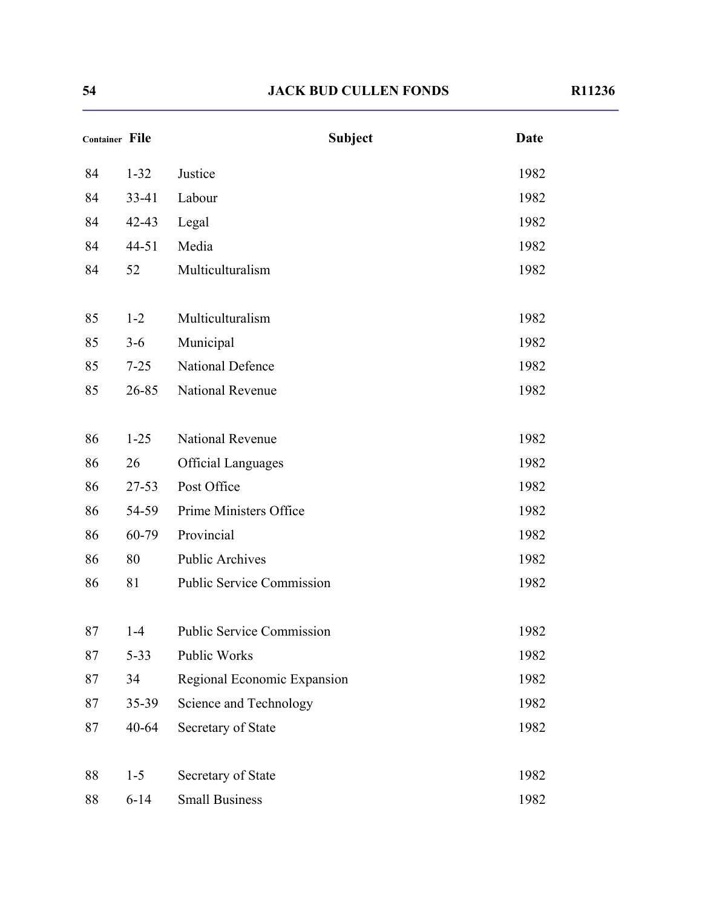| <b>Container File</b> |           | <b>Subject</b>                   | <b>Date</b> |
|-----------------------|-----------|----------------------------------|-------------|
| 84                    | $1 - 32$  | Justice                          | 1982        |
| 84                    | 33-41     | Labour                           | 1982        |
| 84                    | $42 - 43$ | Legal                            | 1982        |
| 84                    | 44-51     | Media                            | 1982        |
| 84                    | 52        | Multiculturalism                 | 1982        |
| 85                    | $1 - 2$   | Multiculturalism                 | 1982        |
| 85                    | $3 - 6$   | Municipal                        | 1982        |
| 85                    | $7 - 25$  | <b>National Defence</b>          | 1982        |
| 85                    | 26-85     | National Revenue                 | 1982        |
| 86                    | $1 - 25$  | <b>National Revenue</b>          | 1982        |
| 86                    | 26        | <b>Official Languages</b>        | 1982        |
| 86                    | $27 - 53$ | Post Office                      | 1982        |
| 86                    | 54-59     | Prime Ministers Office           | 1982        |
| 86                    | 60-79     | Provincial                       | 1982        |
| 86                    | 80        | <b>Public Archives</b>           | 1982        |
| 86                    | 81        | <b>Public Service Commission</b> | 1982        |
| 87                    | $1-4$     | <b>Public Service Commission</b> | 1982        |
| 87                    | $5 - 33$  | Public Works                     | 1982        |
| 87                    | 34        | Regional Economic Expansion      | 1982        |
| 87                    | $35 - 39$ | Science and Technology           | 1982        |
| 87                    | $40 - 64$ | Secretary of State               | 1982        |
| 88                    | $1 - 5$   | Secretary of State               | 1982        |
| 88                    | $6 - 14$  | <b>Small Business</b>            | 1982        |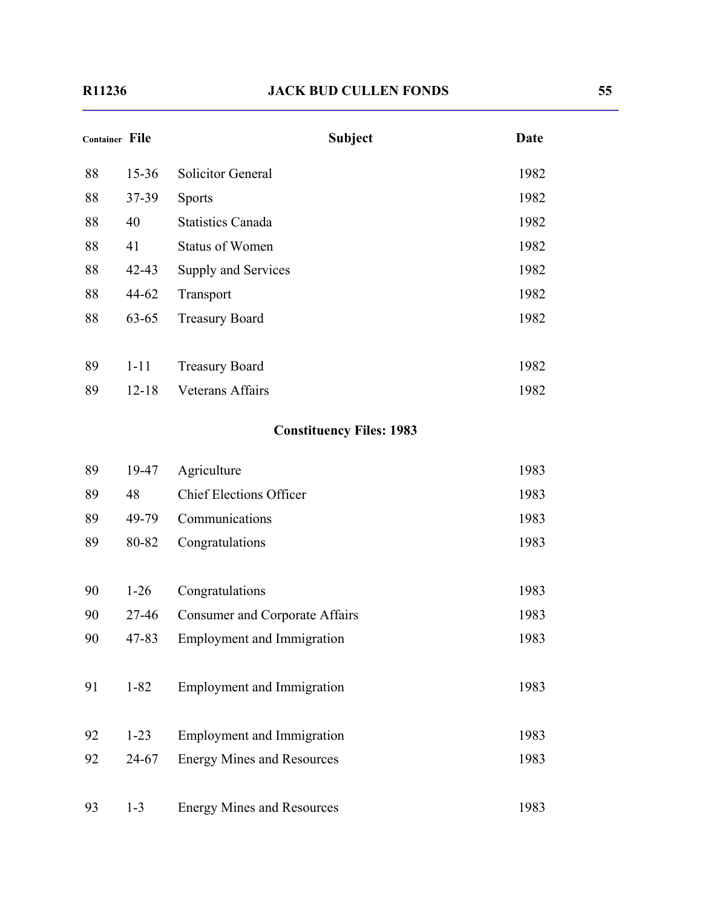| <b>Container File</b> |           | <b>Subject</b>                        | <b>Date</b> |
|-----------------------|-----------|---------------------------------------|-------------|
| 88                    | $15 - 36$ | <b>Solicitor General</b>              | 1982        |
| 88                    | $37 - 39$ | <b>Sports</b>                         | 1982        |
| 88                    | 40        | <b>Statistics Canada</b>              | 1982        |
| 88                    | 41        | <b>Status of Women</b>                | 1982        |
| 88                    | $42 - 43$ | Supply and Services                   | 1982        |
| 88                    | 44-62     | Transport                             | 1982        |
| 88                    | $63 - 65$ | <b>Treasury Board</b>                 | 1982        |
| 89                    | $1 - 11$  | <b>Treasury Board</b>                 | 1982        |
| 89                    | $12 - 18$ | <b>Veterans Affairs</b>               | 1982        |
|                       |           | <b>Constituency Files: 1983</b>       |             |
| 89                    | 19-47     | Agriculture                           | 1983        |
| 89                    | 48        | <b>Chief Elections Officer</b>        | 1983        |
| 89                    | 49-79     | Communications                        | 1983        |
| 89                    | 80-82     | Congratulations                       | 1983        |
| 90                    | $1-26$    | Congratulations                       | 1983        |
| 90                    | 27-46     | <b>Consumer and Corporate Affairs</b> | 1983        |
| 90                    | 47-83     | <b>Employment and Immigration</b>     | 1983        |
| 91                    | $1 - 82$  | <b>Employment and Immigration</b>     | 1983        |
| 92                    | $1 - 23$  | <b>Employment and Immigration</b>     | 1983        |
| 92                    | 24-67     | <b>Energy Mines and Resources</b>     | 1983        |
| 93                    | $1 - 3$   | <b>Energy Mines and Resources</b>     | 1983        |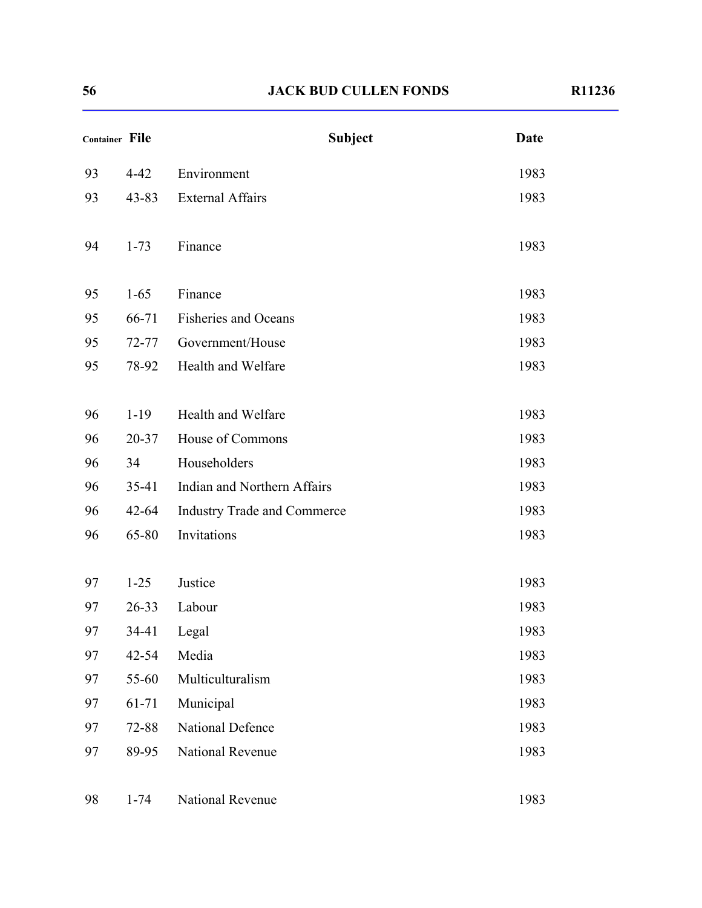| <b>Container File</b> |           | <b>Subject</b>                     | <b>Date</b> |
|-----------------------|-----------|------------------------------------|-------------|
| 93                    | $4 - 42$  | Environment                        | 1983        |
| 93                    | $43 - 83$ | <b>External Affairs</b>            | 1983        |
| 94                    | $1 - 73$  | Finance                            | 1983        |
| 95                    | $1 - 65$  | Finance                            | 1983        |
| 95                    | 66-71     | <b>Fisheries and Oceans</b>        | 1983        |
| 95                    | $72 - 77$ | Government/House                   | 1983        |
| 95                    | 78-92     | Health and Welfare                 | 1983        |
| 96                    | $1 - 19$  | Health and Welfare                 | 1983        |
| 96                    | $20 - 37$ | House of Commons                   | 1983        |
| 96                    | 34        | Householders                       | 1983        |
| 96                    | $35-41$   | Indian and Northern Affairs        | 1983        |
| 96                    | $42 - 64$ | <b>Industry Trade and Commerce</b> | 1983        |
| 96                    | 65-80     | Invitations                        | 1983        |
| 97                    | $1 - 25$  | Justice                            | 1983        |
| 97                    | $26 - 33$ | Labour                             | 1983        |
| 97                    | 34-41     | Legal                              | 1983        |
| 97                    | 42-54     | Media                              | 1983        |
| 97                    | 55-60     | Multiculturalism                   | 1983        |
| 97                    | 61-71     | Municipal                          | 1983        |
| 97                    | 72-88     | National Defence                   | 1983        |
| 97                    | 89-95     | National Revenue                   | 1983        |
| 98                    | $1 - 74$  | National Revenue                   | 1983        |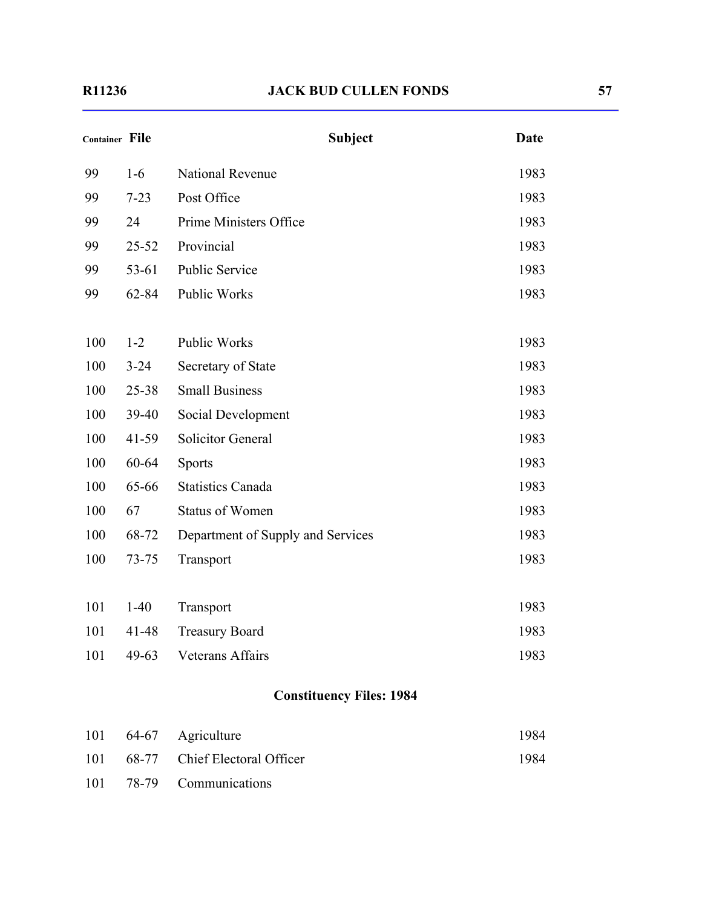| <b>Container File</b> |           | <b>Subject</b>                    | <b>Date</b> |
|-----------------------|-----------|-----------------------------------|-------------|
| 99                    | $1-6$     | <b>National Revenue</b>           | 1983        |
| 99                    | $7 - 23$  | Post Office                       | 1983        |
| 99                    | 24        | Prime Ministers Office            | 1983        |
| 99                    | $25 - 52$ | Provincial                        | 1983        |
| 99                    | $53 - 61$ | <b>Public Service</b>             | 1983        |
| 99                    | 62-84     | Public Works                      | 1983        |
|                       |           |                                   |             |
| 100                   | $1 - 2$   | <b>Public Works</b>               | 1983        |
| 100                   | $3 - 24$  | Secretary of State                | 1983        |
| 100                   | $25 - 38$ | <b>Small Business</b>             | 1983        |
| 100                   | 39-40     | Social Development                | 1983        |
| 100                   | $41 - 59$ | Solicitor General                 | 1983        |
| 100                   | 60-64     | <b>Sports</b>                     | 1983        |
| 100                   | 65-66     | <b>Statistics Canada</b>          | 1983        |
| 100                   | 67        | <b>Status of Women</b>            | 1983        |
| 100                   | 68-72     | Department of Supply and Services | 1983        |
| 100                   | $73 - 75$ | Transport                         | 1983        |
|                       |           |                                   |             |
| 101                   | $1-40$    | Transport                         | 1983        |
| 101                   | 41-48     | <b>Treasury Board</b>             | 1983        |
| 101                   | 49-63     | <b>Veterans Affairs</b>           | 1983        |
|                       |           | <b>Constituency Files: 1984</b>   |             |

|     | 101 64-67 Agriculture         | 1984 |
|-----|-------------------------------|------|
| 101 | 68-77 Chief Electoral Officer | 1984 |
| 101 | 78-79 Communications          |      |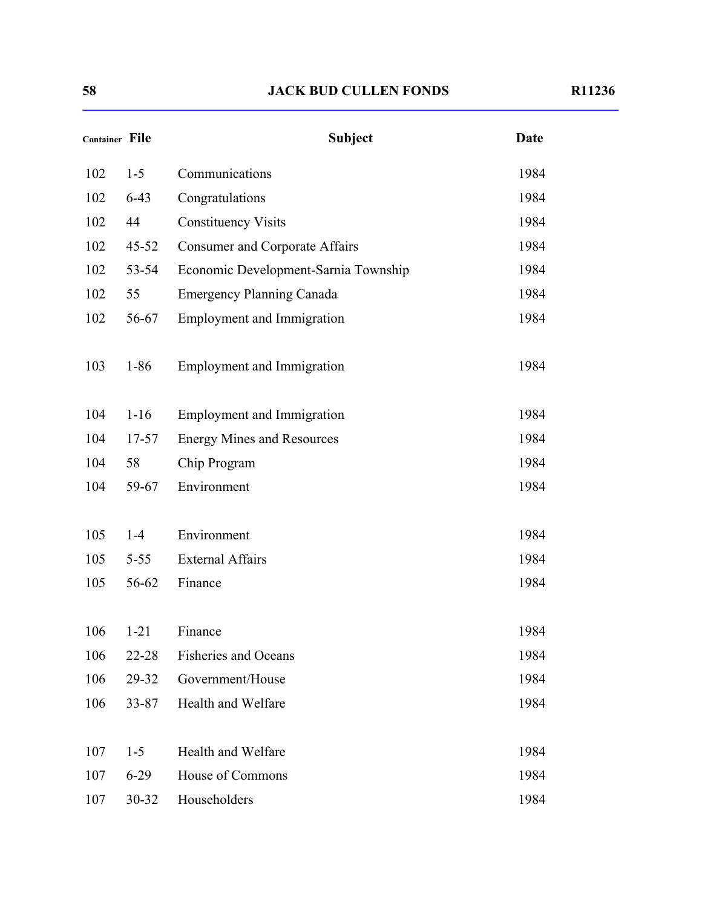| <b>Container File</b> |           | <b>Subject</b>                        | <b>Date</b> |
|-----------------------|-----------|---------------------------------------|-------------|
| 102                   | $1 - 5$   | Communications                        | 1984        |
| 102                   | $6-43$    | Congratulations                       | 1984        |
| 102                   | 44        | <b>Constituency Visits</b>            | 1984        |
| 102                   | $45 - 52$ | <b>Consumer and Corporate Affairs</b> | 1984        |
| 102                   | 53-54     | Economic Development-Sarnia Township  | 1984        |
| 102                   | 55        | <b>Emergency Planning Canada</b>      | 1984        |
| 102                   | 56-67     | <b>Employment and Immigration</b>     | 1984        |
| 103                   | $1 - 86$  | <b>Employment and Immigration</b>     | 1984        |
| 104                   | $1 - 16$  | <b>Employment and Immigration</b>     | 1984        |
| 104                   | $17 - 57$ | <b>Energy Mines and Resources</b>     | 1984        |
| 104                   | 58        | Chip Program                          | 1984        |
| 104                   | 59-67     | Environment                           | 1984        |
| 105                   | $1-4$     | Environment                           | 1984        |
| 105                   | $5 - 55$  | <b>External Affairs</b>               | 1984        |
| 105                   | 56-62     | Finance                               | 1984        |
| 106                   | $1 - 21$  | Finance                               | 1984        |
| 106                   | 22-28     | <b>Fisheries and Oceans</b>           | 1984        |
| 106                   | 29-32     | Government/House                      | 1984        |
| 106                   | 33-87     | Health and Welfare                    | 1984        |
| 107                   | $1 - 5$   | Health and Welfare                    | 1984        |
| 107                   | $6-29$    | House of Commons                      | 1984        |
| 107                   | 30-32     | Householders                          | 1984        |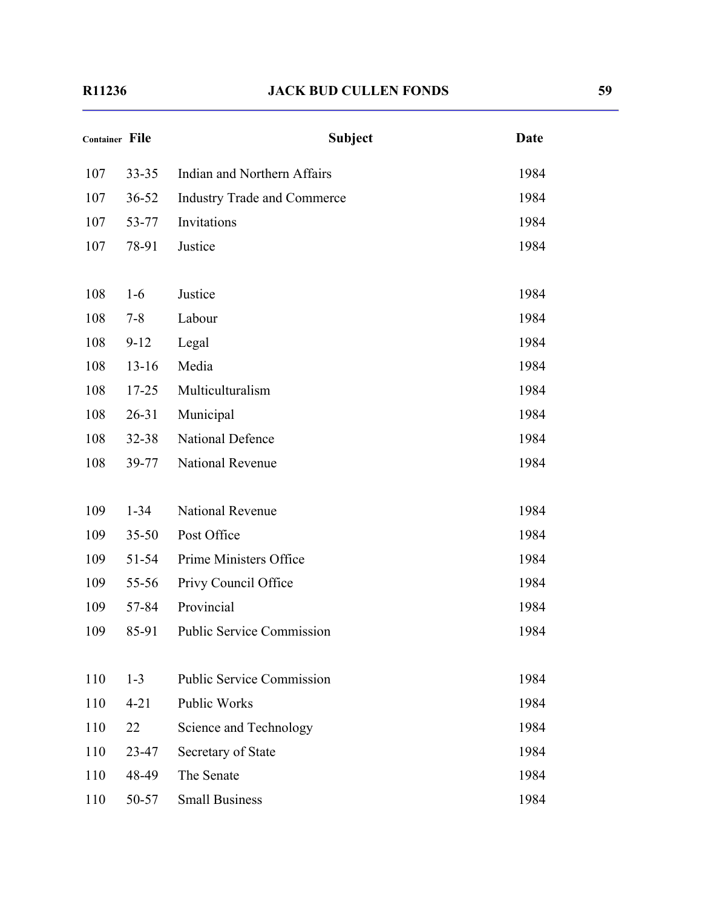| Container File |           | <b>Subject</b>                     | <b>Date</b> |
|----------------|-----------|------------------------------------|-------------|
| 107            | $33 - 35$ | Indian and Northern Affairs        | 1984        |
| 107            | $36 - 52$ | <b>Industry Trade and Commerce</b> | 1984        |
| 107            | 53-77     | Invitations                        | 1984        |
| 107            | 78-91     | Justice                            | 1984        |
| 108            | $1-6$     | Justice                            | 1984        |
| 108            | $7 - 8$   | Labour                             | 1984        |
| 108            | $9 - 12$  | Legal                              | 1984        |
| 108            | $13 - 16$ | Media                              | 1984        |
| 108            | $17 - 25$ | Multiculturalism                   | 1984        |
| 108            | $26 - 31$ | Municipal                          | 1984        |
| 108            | $32 - 38$ | National Defence                   | 1984        |
| 108            | 39-77     | National Revenue                   | 1984        |
| 109            | $1 - 34$  | <b>National Revenue</b>            | 1984        |
| 109            | $35 - 50$ | Post Office                        | 1984        |
| 109            | $51 - 54$ | Prime Ministers Office             | 1984        |
| 109            | 55-56     | Privy Council Office               | 1984        |
| 109            | 57-84     | Provincial                         | 1984        |
| 109            | 85-91     | <b>Public Service Commission</b>   | 1984        |
| 110            | $1 - 3$   | <b>Public Service Commission</b>   | 1984        |
| 110            | $4 - 21$  | <b>Public Works</b>                | 1984        |
| 110            | 22        | Science and Technology             | 1984        |
| 110            | 23-47     | Secretary of State                 | 1984        |
| 110            | 48-49     | The Senate                         | 1984        |
| 110            | 50-57     | <b>Small Business</b>              | 1984        |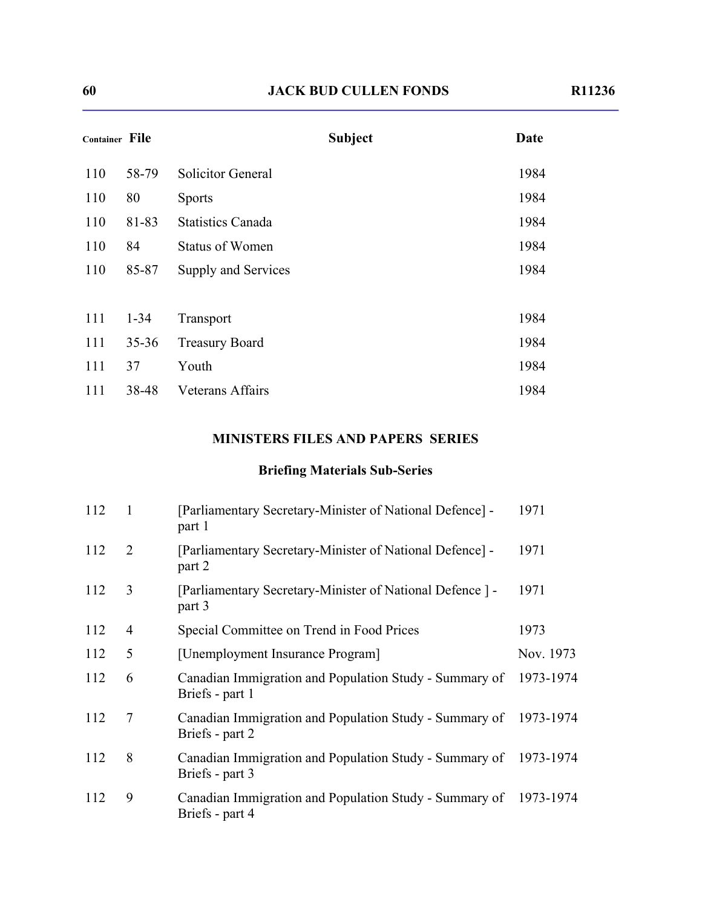| <b>Container File</b> |           | <b>Subject</b>           | Date |
|-----------------------|-----------|--------------------------|------|
| 110                   | 58-79     | <b>Solicitor General</b> | 1984 |
| 110                   | 80        | <b>Sports</b>            | 1984 |
| 110                   | 81-83     | <b>Statistics Canada</b> | 1984 |
| 110                   | 84        | <b>Status of Women</b>   | 1984 |
| 110                   | 85-87     | Supply and Services      | 1984 |
|                       |           |                          |      |
| 111                   | $1 - 34$  | Transport                | 1984 |
| 111                   | $35 - 36$ | <b>Treasury Board</b>    | 1984 |
| 111                   | 37        | Youth                    | 1984 |
| 111                   | 38-48     | <b>Veterans Affairs</b>  | 1984 |

#### **MINISTERS FILES AND PAPERS SERIES**

# **Briefing Materials Sub-Series**

| 112 | $\overline{1}$ | [Parliamentary Secretary-Minister of National Defence] -<br>part 1                  | 1971      |
|-----|----------------|-------------------------------------------------------------------------------------|-----------|
| 112 | $\overline{2}$ | [Parliamentary Secretary-Minister of National Defence] -<br>part 2                  | 1971      |
| 112 | 3              | [Parliamentary Secretary-Minister of National Defence] -<br>part 3                  | 1971      |
| 112 | 4              | Special Committee on Trend in Food Prices                                           | 1973      |
| 112 | 5              | [Unemployment Insurance Program]                                                    | Nov. 1973 |
| 112 | 6              | Canadian Immigration and Population Study - Summary of<br>Briefs - part 1           | 1973-1974 |
| 112 | 7              | Canadian Immigration and Population Study - Summary of 1973-1974<br>Briefs - part 2 |           |
| 112 | 8              | Canadian Immigration and Population Study - Summary of 1973-1974<br>Briefs - part 3 |           |
| 112 | 9              | Canadian Immigration and Population Study - Summary of 1973-1974<br>Briefs - part 4 |           |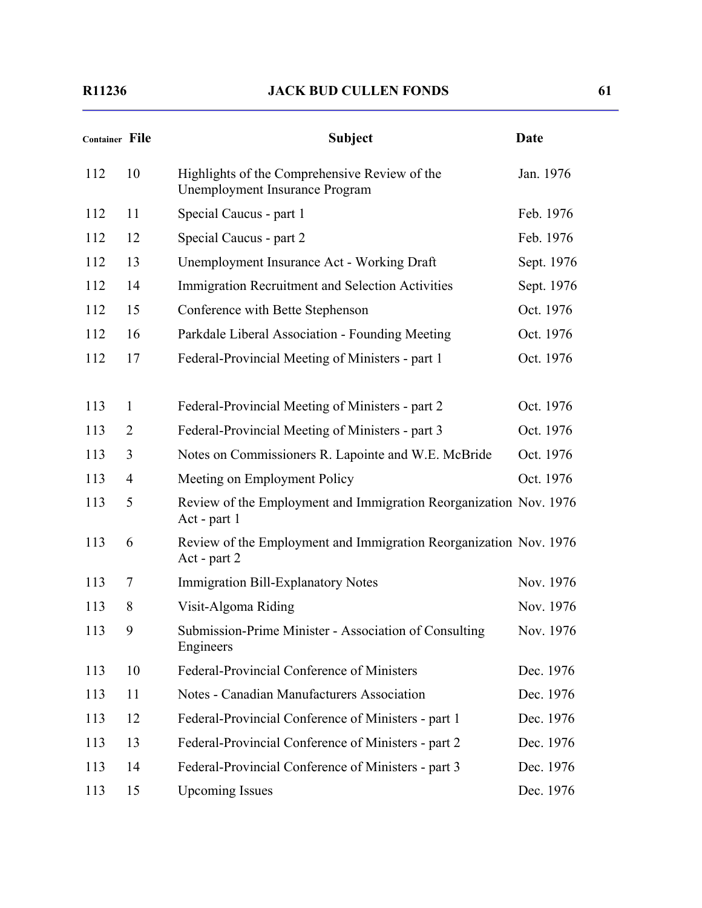| <b>Container File</b> |                | <b>Subject</b>                                                                    | <b>Date</b> |
|-----------------------|----------------|-----------------------------------------------------------------------------------|-------------|
| 112                   | 10             | Highlights of the Comprehensive Review of the<br>Unemployment Insurance Program   | Jan. 1976   |
| 112                   | 11             | Special Caucus - part 1                                                           | Feb. 1976   |
| 112                   | 12             | Special Caucus - part 2                                                           | Feb. 1976   |
| 112                   | 13             | Unemployment Insurance Act - Working Draft                                        | Sept. 1976  |
| 112                   | 14             | <b>Immigration Recruitment and Selection Activities</b>                           | Sept. 1976  |
| 112                   | 15             | Conference with Bette Stephenson                                                  | Oct. 1976   |
| 112                   | 16             | Parkdale Liberal Association - Founding Meeting                                   | Oct. 1976   |
| 112                   | 17             | Federal-Provincial Meeting of Ministers - part 1                                  | Oct. 1976   |
| 113                   | $\mathbf{1}$   | Federal-Provincial Meeting of Ministers - part 2                                  | Oct. 1976   |
| 113                   | $\overline{2}$ | Federal-Provincial Meeting of Ministers - part 3                                  | Oct. 1976   |
| 113                   | 3              | Notes on Commissioners R. Lapointe and W.E. McBride                               | Oct. 1976   |
| 113                   | 4              | Meeting on Employment Policy                                                      | Oct. 1976   |
| 113                   | 5              | Review of the Employment and Immigration Reorganization Nov. 1976<br>Act - part 1 |             |
| 113                   | 6              | Review of the Employment and Immigration Reorganization Nov. 1976<br>Act - part 2 |             |
| 113                   | 7              | Immigration Bill-Explanatory Notes                                                | Nov. 1976   |
| 113                   | 8              | Visit-Algoma Riding                                                               | Nov. 1976   |
| 113                   | 9              | Submission-Prime Minister - Association of Consulting<br>Engineers                | Nov. 1976   |
| 113                   | 10             | Federal-Provincial Conference of Ministers                                        | Dec. 1976   |
| 113                   | 11             | Notes - Canadian Manufacturers Association                                        | Dec. 1976   |
| 113                   | 12             | Federal-Provincial Conference of Ministers - part 1                               | Dec. 1976   |
| 113                   | 13             | Federal-Provincial Conference of Ministers - part 2                               | Dec. 1976   |
| 113                   | 14             | Federal-Provincial Conference of Ministers - part 3                               | Dec. 1976   |
| 113                   | 15             | <b>Upcoming Issues</b>                                                            | Dec. 1976   |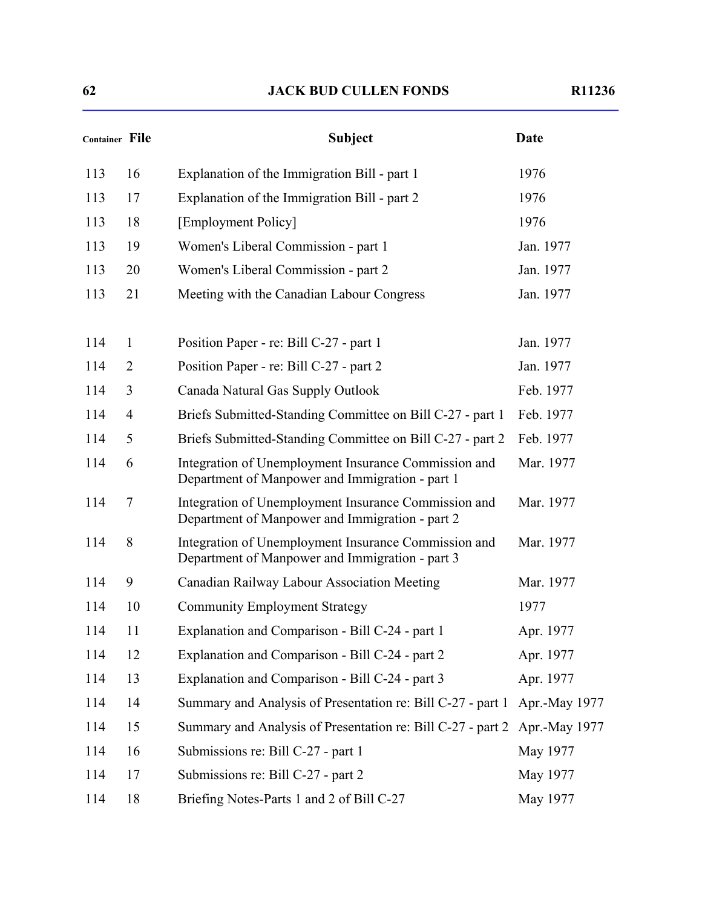| Container File |                | <b>Subject</b>                                                                                          | <b>Date</b>   |
|----------------|----------------|---------------------------------------------------------------------------------------------------------|---------------|
| 113            | 16             | Explanation of the Immigration Bill - part 1                                                            | 1976          |
| 113            | 17             | Explanation of the Immigration Bill - part 2                                                            | 1976          |
| 113            | 18             | [Employment Policy]                                                                                     | 1976          |
| 113            | 19             | Women's Liberal Commission - part 1                                                                     | Jan. 1977     |
| 113            | 20             | Women's Liberal Commission - part 2                                                                     | Jan. 1977     |
| 113            | 21             | Meeting with the Canadian Labour Congress                                                               | Jan. 1977     |
| 114            | $\mathbf{1}$   | Position Paper - re: Bill C-27 - part 1                                                                 | Jan. 1977     |
| 114            | 2              | Position Paper - re: Bill C-27 - part 2                                                                 | Jan. 1977     |
| 114            | 3              | Canada Natural Gas Supply Outlook                                                                       | Feb. 1977     |
| 114            | $\overline{4}$ | Briefs Submitted-Standing Committee on Bill C-27 - part 1                                               | Feb. 1977     |
| 114            | 5              | Briefs Submitted-Standing Committee on Bill C-27 - part 2                                               | Feb. 1977     |
| 114            | 6              | Integration of Unemployment Insurance Commission and<br>Department of Manpower and Immigration - part 1 | Mar. 1977     |
| 114            | 7              | Integration of Unemployment Insurance Commission and<br>Department of Manpower and Immigration - part 2 | Mar. 1977     |
| 114            | 8              | Integration of Unemployment Insurance Commission and<br>Department of Manpower and Immigration - part 3 | Mar. 1977     |
| 114            | 9              | Canadian Railway Labour Association Meeting                                                             | Mar. 1977     |
| 114            | 10             | <b>Community Employment Strategy</b>                                                                    | 1977          |
| 114            | 11             | Explanation and Comparison - Bill C-24 - part 1                                                         | Apr. 1977     |
| 114            | 12             | Explanation and Comparison - Bill C-24 - part 2                                                         | Apr. 1977     |
| 114            | 13             | Explanation and Comparison - Bill C-24 - part 3                                                         | Apr. 1977     |
| 114            | 14             | Summary and Analysis of Presentation re: Bill C-27 - part 1                                             | Apr.-May 1977 |
| 114            | 15             | Summary and Analysis of Presentation re: Bill C-27 - part 2                                             | Apr.-May 1977 |
| 114            | 16             | Submissions re: Bill C-27 - part 1                                                                      | May 1977      |
| 114            | 17             | Submissions re: Bill C-27 - part 2                                                                      | May 1977      |
| 114            | 18             | Briefing Notes-Parts 1 and 2 of Bill C-27                                                               | May 1977      |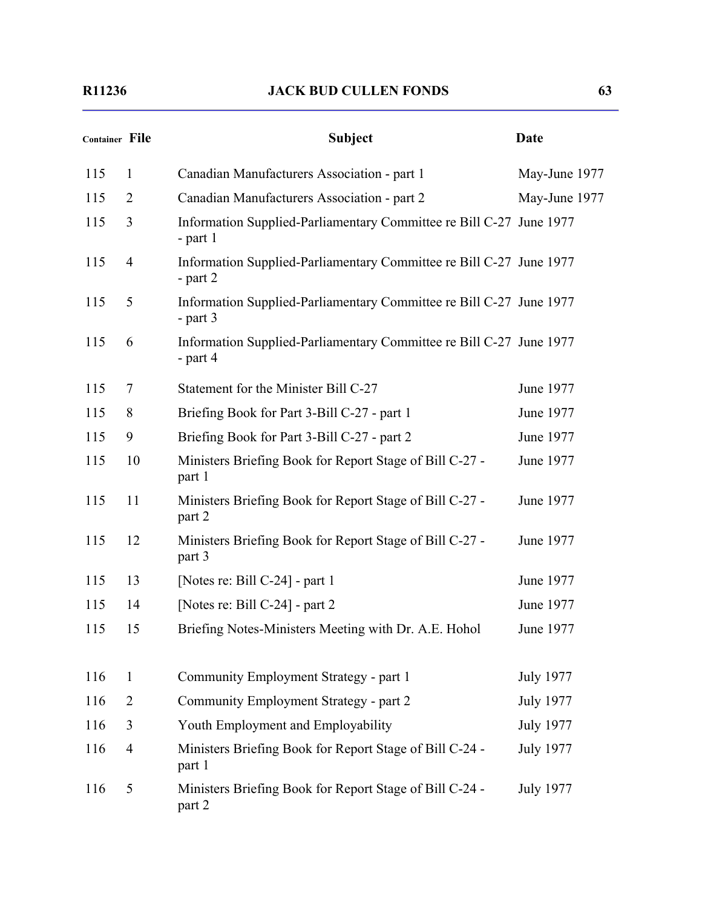| <b>Container File</b> |                | <b>Subject</b>                                                                    | <b>Date</b>      |
|-----------------------|----------------|-----------------------------------------------------------------------------------|------------------|
| 115                   | $\mathbf{1}$   | Canadian Manufacturers Association - part 1                                       | May-June 1977    |
| 115                   | $\overline{2}$ | Canadian Manufacturers Association - part 2                                       | May-June 1977    |
| 115                   | 3              | Information Supplied-Parliamentary Committee re Bill C-27 June 1977<br>$-$ part 1 |                  |
| 115                   | $\overline{4}$ | Information Supplied-Parliamentary Committee re Bill C-27 June 1977<br>- part $2$ |                  |
| 115                   | 5              | Information Supplied-Parliamentary Committee re Bill C-27 June 1977<br>- part $3$ |                  |
| 115                   | 6              | Information Supplied-Parliamentary Committee re Bill C-27 June 1977<br>- part 4   |                  |
| 115                   | 7              | Statement for the Minister Bill C-27                                              | June 1977        |
| 115                   | 8              | Briefing Book for Part 3-Bill C-27 - part 1                                       | June 1977        |
| 115                   | 9              | Briefing Book for Part 3-Bill C-27 - part 2                                       | June 1977        |
| 115                   | 10             | Ministers Briefing Book for Report Stage of Bill C-27 -<br>part 1                 | June 1977        |
| 115                   | 11             | Ministers Briefing Book for Report Stage of Bill C-27 -<br>part 2                 | June 1977        |
| 115                   | 12             | Ministers Briefing Book for Report Stage of Bill C-27 -<br>part 3                 | June 1977        |
| 115                   | 13             | [Notes re: Bill C-24] - part 1                                                    | June 1977        |
| 115                   | 14             | [Notes re: Bill C-24] - part 2                                                    | June 1977        |
| 115                   | 15             | Briefing Notes-Ministers Meeting with Dr. A.E. Hohol                              | June 1977        |
| 116                   | $\mathbf{1}$   | Community Employment Strategy - part 1                                            | <b>July 1977</b> |
| 116                   | 2              | Community Employment Strategy - part 2                                            | <b>July 1977</b> |
| 116                   | 3              | Youth Employment and Employability                                                | <b>July 1977</b> |
| 116                   | $\overline{4}$ | Ministers Briefing Book for Report Stage of Bill C-24 -<br>part 1                 | <b>July 1977</b> |
| 116                   | 5              | Ministers Briefing Book for Report Stage of Bill C-24 -<br>part 2                 | <b>July 1977</b> |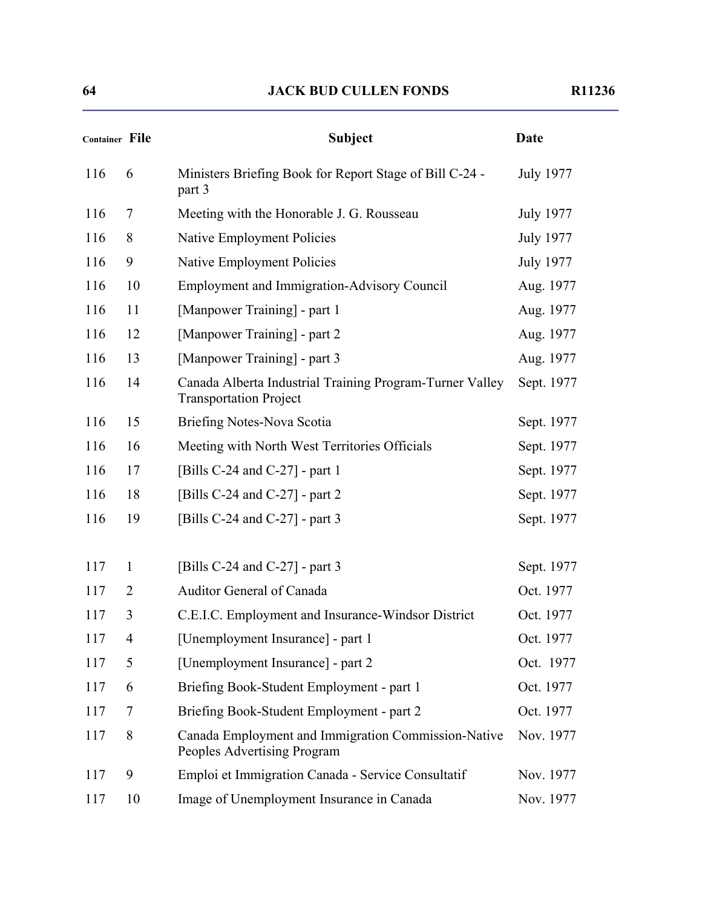| <b>Container File</b> |                | <b>Subject</b>                                                                            | <b>Date</b>      |
|-----------------------|----------------|-------------------------------------------------------------------------------------------|------------------|
| 116                   | 6              | Ministers Briefing Book for Report Stage of Bill C-24 -<br>part 3                         | <b>July 1977</b> |
| 116                   | $\overline{7}$ | Meeting with the Honorable J. G. Rousseau                                                 | <b>July 1977</b> |
| 116                   | 8              | Native Employment Policies                                                                | <b>July 1977</b> |
| 116                   | 9              | Native Employment Policies                                                                | <b>July 1977</b> |
| 116                   | 10             | <b>Employment and Immigration-Advisory Council</b>                                        | Aug. 1977        |
| 116                   | 11             | [Manpower Training] - part 1                                                              | Aug. 1977        |
| 116                   | 12             | [Manpower Training] - part 2                                                              | Aug. 1977        |
| 116                   | 13             | [Manpower Training] - part 3                                                              | Aug. 1977        |
| 116                   | 14             | Canada Alberta Industrial Training Program-Turner Valley<br><b>Transportation Project</b> | Sept. 1977       |
| 116                   | 15             | Briefing Notes-Nova Scotia                                                                | Sept. 1977       |
| 116                   | 16             | Meeting with North West Territories Officials                                             | Sept. 1977       |
| 116                   | 17             | [Bills C-24 and C-27] - part 1                                                            | Sept. 1977       |
| 116                   | 18             | [Bills C-24 and C-27] - part 2                                                            | Sept. 1977       |
| 116                   | 19             | [Bills C-24 and C-27] - part 3                                                            | Sept. 1977       |
| 117                   | $\mathbf{1}$   | [Bills C-24 and C-27] - part 3                                                            | Sept. 1977       |
| 117                   | $\overline{2}$ | Auditor General of Canada                                                                 | Oct. 1977        |
| 117                   | 3              | C.E.I.C. Employment and Insurance-Windsor District                                        | Oct. 1977        |
| 117                   | 4              | [Unemployment Insurance] - part 1                                                         | Oct. 1977        |
| 117                   | 5              | [Unemployment Insurance] - part 2                                                         | Oct. 1977        |
| 117                   | 6              | Briefing Book-Student Employment - part 1                                                 | Oct. 1977        |
| 117                   | 7              | Briefing Book-Student Employment - part 2                                                 | Oct. 1977        |
| 117                   | 8              | Canada Employment and Immigration Commission-Native<br>Peoples Advertising Program        | Nov. 1977        |
| 117                   | 9              | Emploi et Immigration Canada - Service Consultatif                                        | Nov. 1977        |
| 117                   | 10             | Image of Unemployment Insurance in Canada                                                 | Nov. 1977        |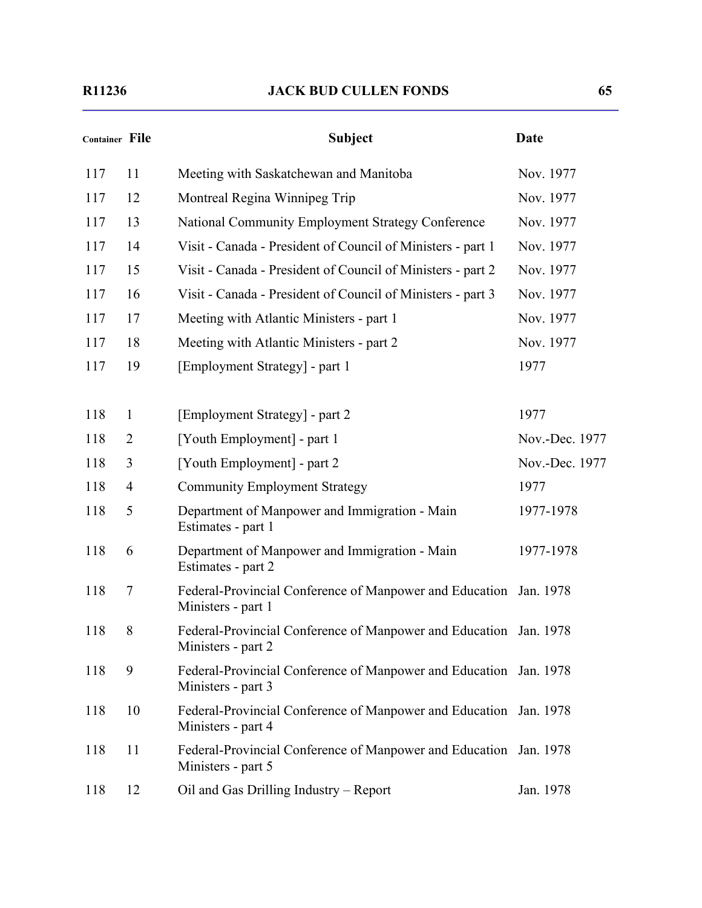| <b>Container File</b> |                | <b>Subject</b>                                                                          | <b>Date</b>    |
|-----------------------|----------------|-----------------------------------------------------------------------------------------|----------------|
| 117                   | 11             | Meeting with Saskatchewan and Manitoba                                                  | Nov. 1977      |
| 117                   | 12             | Montreal Regina Winnipeg Trip                                                           | Nov. 1977      |
| 117                   | 13             | National Community Employment Strategy Conference                                       | Nov. 1977      |
| 117                   | 14             | Visit - Canada - President of Council of Ministers - part 1                             | Nov. 1977      |
| 117                   | 15             | Visit - Canada - President of Council of Ministers - part 2                             | Nov. 1977      |
| 117                   | 16             | Visit - Canada - President of Council of Ministers - part 3                             | Nov. 1977      |
| 117                   | 17             | Meeting with Atlantic Ministers - part 1                                                | Nov. 1977      |
| 117                   | 18             | Meeting with Atlantic Ministers - part 2                                                | Nov. 1977      |
| 117                   | 19             | [Employment Strategy] - part 1                                                          | 1977           |
| 118                   | $\mathbf{1}$   | [Employment Strategy] - part 2                                                          | 1977           |
| 118                   | $\overline{2}$ | [Youth Employment] - part 1                                                             | Nov.-Dec. 1977 |
| 118                   | 3              | [Youth Employment] - part 2                                                             | Nov.-Dec. 1977 |
| 118                   | $\overline{4}$ | <b>Community Employment Strategy</b>                                                    | 1977           |
| 118                   | 5              | Department of Manpower and Immigration - Main<br>Estimates - part 1                     | 1977-1978      |
| 118                   | 6              | Department of Manpower and Immigration - Main<br>Estimates - part 2                     | 1977-1978      |
| 118                   | 7              | Federal-Provincial Conference of Manpower and Education Jan. 1978<br>Ministers - part 1 |                |
| 118                   | 8              | Federal-Provincial Conference of Manpower and Education Jan. 1978<br>Ministers - part 2 |                |
| 118                   | 9              | Federal-Provincial Conference of Manpower and Education Jan. 1978<br>Ministers - part 3 |                |
| 118                   | 10             | Federal-Provincial Conference of Manpower and Education Jan. 1978<br>Ministers - part 4 |                |
| 118                   | 11             | Federal-Provincial Conference of Manpower and Education Jan. 1978<br>Ministers - part 5 |                |
| 118                   | 12             | Oil and Gas Drilling Industry - Report                                                  | Jan. 1978      |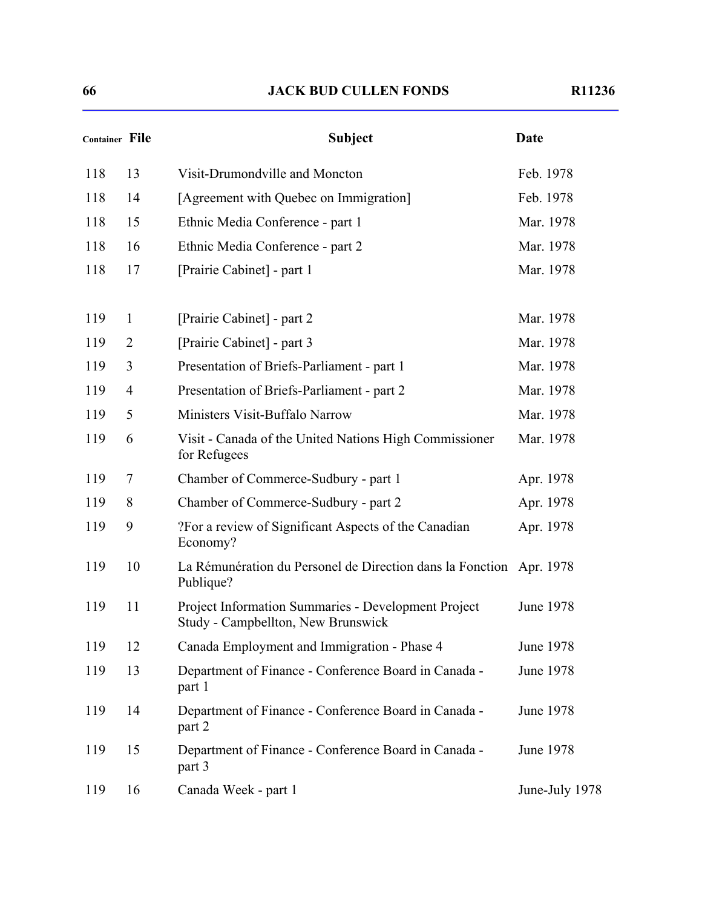| Container File |                | <b>Subject</b>                                                                            | Date             |
|----------------|----------------|-------------------------------------------------------------------------------------------|------------------|
| 118            | 13             | Visit-Drumondville and Moncton                                                            | Feb. 1978        |
| 118            | 14             | [Agreement with Quebec on Immigration]                                                    | Feb. 1978        |
| 118            | 15             | Ethnic Media Conference - part 1                                                          | Mar. 1978        |
| 118            | 16             | Ethnic Media Conference - part 2                                                          | Mar. 1978        |
| 118            | 17             | [Prairie Cabinet] - part 1                                                                | Mar. 1978        |
| 119            | $\mathbf{1}$   | [Prairie Cabinet] - part 2                                                                | Mar. 1978        |
| 119            | $\overline{2}$ | [Prairie Cabinet] - part 3                                                                | Mar. 1978        |
| 119            | 3              | Presentation of Briefs-Parliament - part 1                                                | Mar. 1978        |
| 119            | 4              | Presentation of Briefs-Parliament - part 2                                                | Mar. 1978        |
| 119            | 5              | Ministers Visit-Buffalo Narrow                                                            | Mar. 1978        |
| 119            | 6              | Visit - Canada of the United Nations High Commissioner<br>for Refugees                    | Mar. 1978        |
| 119            | 7              | Chamber of Commerce-Sudbury - part 1                                                      | Apr. 1978        |
| 119            | 8              | Chamber of Commerce-Sudbury - part 2                                                      | Apr. 1978        |
| 119            | 9              | ?For a review of Significant Aspects of the Canadian<br>Economy?                          | Apr. 1978        |
| 119            | 10             | La Rémunération du Personel de Direction dans la Fonction Apr. 1978<br>Publique?          |                  |
| 119            | 11             | Project Information Summaries - Development Project<br>Study - Campbellton, New Brunswick | June 1978        |
| 119            | 12             | Canada Employment and Immigration - Phase 4                                               | <b>June 1978</b> |
| 119            | 13             | Department of Finance - Conference Board in Canada -<br>part 1                            | June 1978        |
| 119            | 14             | Department of Finance - Conference Board in Canada -<br>part 2                            | June 1978        |
| 119            | 15             | Department of Finance - Conference Board in Canada -<br>part 3                            | June 1978        |
| 119            | 16             | Canada Week - part 1                                                                      | June-July 1978   |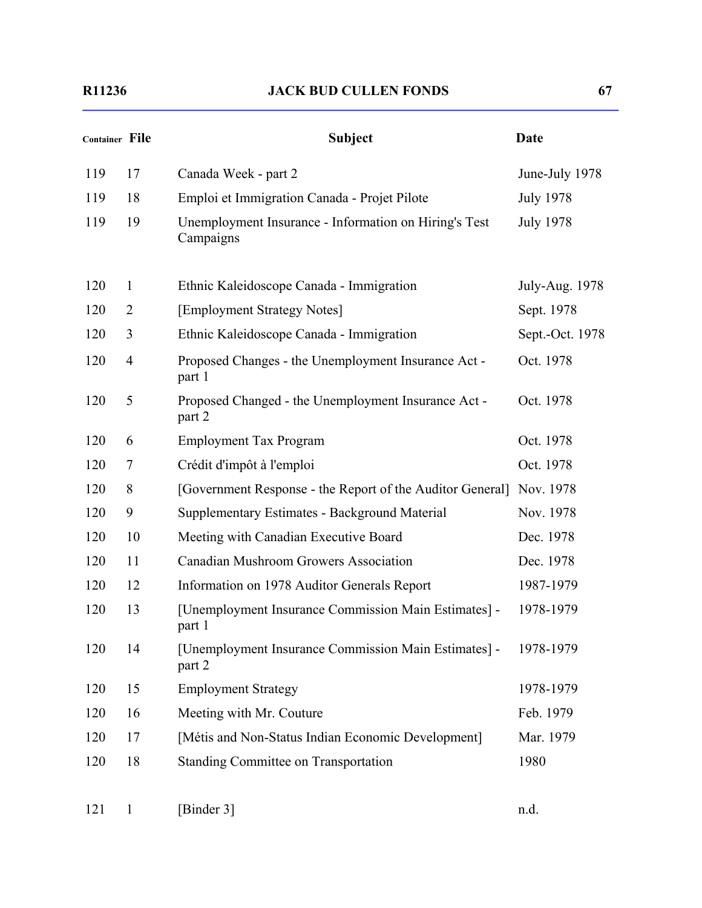| Container File |                | <b>Subject</b>                                                     | <b>Date</b>      |
|----------------|----------------|--------------------------------------------------------------------|------------------|
| 119            | 17             | Canada Week - part 2                                               | June-July 1978   |
| 119            | 18             | Emploi et Immigration Canada - Projet Pilote                       | <b>July 1978</b> |
| 119            | 19             | Unemployment Insurance - Information on Hiring's Test<br>Campaigns | <b>July 1978</b> |
| 120            | $\mathbf{1}$   | Ethnic Kaleidoscope Canada - Immigration                           | July-Aug. 1978   |
| 120            | $\overline{2}$ | [Employment Strategy Notes]                                        | Sept. 1978       |
| 120            | 3              | Ethnic Kaleidoscope Canada - Immigration                           | Sept.-Oct. 1978  |
| 120            | $\overline{4}$ | Proposed Changes - the Unemployment Insurance Act -<br>part 1      | Oct. 1978        |
| 120            | 5              | Proposed Changed - the Unemployment Insurance Act -<br>part 2      | Oct. 1978        |
| 120            | 6              | <b>Employment Tax Program</b>                                      | Oct. 1978        |
| 120            | 7              | Crédit d'impôt à l'emploi                                          | Oct. 1978        |
| 120            | 8              | [Government Response - the Report of the Auditor General]          | Nov. 1978        |
| 120            | 9              | Supplementary Estimates - Background Material                      | Nov. 1978        |
| 120            | 10             | Meeting with Canadian Executive Board                              | Dec. 1978        |
| 120            | 11             | <b>Canadian Mushroom Growers Association</b>                       | Dec. 1978        |
| 120            | 12             | Information on 1978 Auditor Generals Report                        | 1987-1979        |
| 120            | 13             | [Unemployment Insurance Commission Main Estimates] -<br>part 1     | 1978-1979        |
| 120            | 14             | [Unemployment Insurance Commission Main Estimates] -<br>part 2     | 1978-1979        |
| 120            | 15             | <b>Employment Strategy</b>                                         | 1978-1979        |
| 120            | 16             | Meeting with Mr. Couture                                           | Feb. 1979        |
| 120            | 17             | [Métis and Non-Status Indian Economic Development]                 | Mar. 1979        |
| 120            | 18             | <b>Standing Committee on Transportation</b>                        | 1980             |

121 1 [Binder 3] n.d.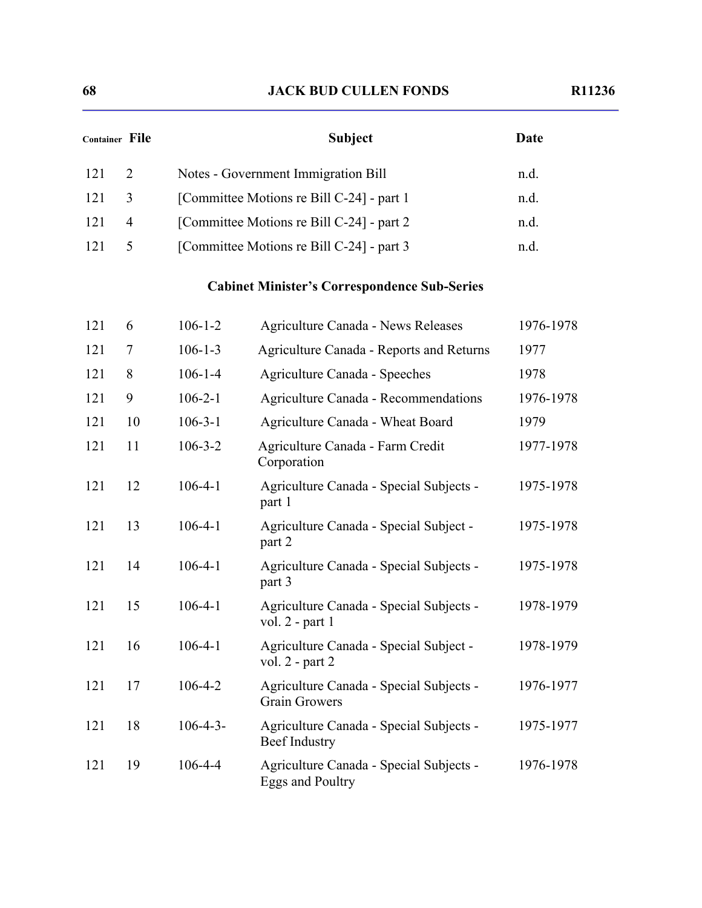| Container File |                | <b>Subject</b>                            | Date |
|----------------|----------------|-------------------------------------------|------|
| -121           | 2              | Notes - Government Immigration Bill       | n.d. |
| -121           | 3              | [Committee Motions re Bill C-24] - part 1 | n.d. |
| 121            | $\overline{4}$ | [Committee Motions re Bill C-24] - part 2 | n.d. |
| 121            | 5              | [Committee Motions re Bill C-24] - part 3 | n.d. |
|                |                |                                           |      |

# **Cabinet Minister's Correspondence Sub-Series**

| 121 | 6  | $106 - 1 - 2$   | <b>Agriculture Canada - News Releases</b>                       | 1976-1978 |
|-----|----|-----------------|-----------------------------------------------------------------|-----------|
| 121 | 7  | $106 - 1 - 3$   | Agriculture Canada - Reports and Returns                        | 1977      |
| 121 | 8  | $106 - 1 - 4$   | <b>Agriculture Canada - Speeches</b>                            | 1978      |
| 121 | 9  | $106 - 2 - 1$   | Agriculture Canada - Recommendations                            | 1976-1978 |
| 121 | 10 | $106 - 3 - 1$   | Agriculture Canada - Wheat Board                                | 1979      |
| 121 | 11 | $106 - 3 - 2$   | Agriculture Canada - Farm Credit<br>Corporation                 | 1977-1978 |
| 121 | 12 | $106 - 4 - 1$   | Agriculture Canada - Special Subjects -<br>part 1               | 1975-1978 |
| 121 | 13 | $106 - 4 - 1$   | Agriculture Canada - Special Subject -<br>part 2                | 1975-1978 |
| 121 | 14 | $106 - 4 - 1$   | Agriculture Canada - Special Subjects -<br>part 3               | 1975-1978 |
| 121 | 15 | $106 - 4 - 1$   | Agriculture Canada - Special Subjects -<br>vol. $2$ - part 1    | 1978-1979 |
| 121 | 16 | $106 - 4 - 1$   | Agriculture Canada - Special Subject -<br>vol. $2$ - part $2$   | 1978-1979 |
| 121 | 17 | $106 - 4 - 2$   | Agriculture Canada - Special Subjects -<br><b>Grain Growers</b> | 1976-1977 |
| 121 | 18 | $106 - 4 - 3 -$ | Agriculture Canada - Special Subjects -<br><b>Beef Industry</b> | 1975-1977 |
| 121 | 19 | $106 - 4 - 4$   | Agriculture Canada - Special Subjects -<br>Eggs and Poultry     | 1976-1978 |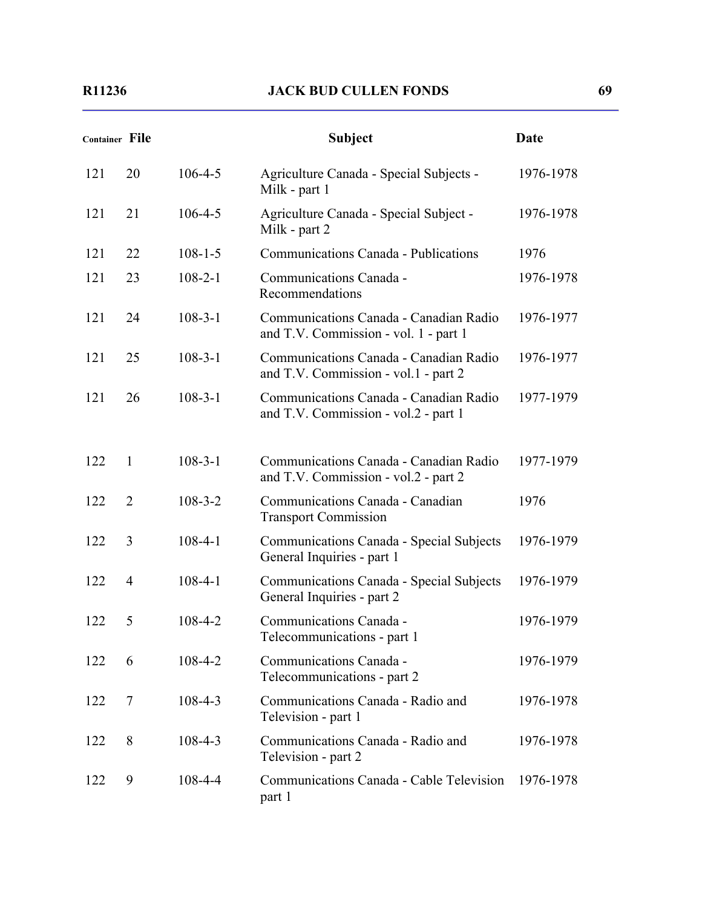|     | <b>Container File</b> |               | <b>Subject</b>                                                                  | Date      |
|-----|-----------------------|---------------|---------------------------------------------------------------------------------|-----------|
| 121 | 20                    | $106 - 4 - 5$ | Agriculture Canada - Special Subjects -<br>Milk - part 1                        | 1976-1978 |
| 121 | 21                    | $106 - 4 - 5$ | Agriculture Canada - Special Subject -<br>Milk - part 2                         | 1976-1978 |
| 121 | 22                    | $108 - 1 - 5$ | Communications Canada - Publications                                            | 1976      |
| 121 | 23                    | $108 - 2 - 1$ | Communications Canada -<br>Recommendations                                      | 1976-1978 |
| 121 | 24                    | $108 - 3 - 1$ | Communications Canada - Canadian Radio<br>and T.V. Commission - vol. 1 - part 1 | 1976-1977 |
| 121 | 25                    | $108 - 3 - 1$ | Communications Canada - Canadian Radio<br>and T.V. Commission - vol.1 - part 2  | 1976-1977 |
| 121 | 26                    | $108 - 3 - 1$ | Communications Canada - Canadian Radio<br>and T.V. Commission - vol.2 - part 1  | 1977-1979 |
| 122 | $\mathbf{1}$          | $108 - 3 - 1$ | Communications Canada - Canadian Radio<br>and T.V. Commission - vol.2 - part 2  | 1977-1979 |
| 122 | $\overline{2}$        | $108 - 3 - 2$ | Communications Canada - Canadian<br><b>Transport Commission</b>                 | 1976      |
| 122 | 3                     | $108 - 4 - 1$ | Communications Canada - Special Subjects<br>General Inquiries - part 1          | 1976-1979 |
| 122 | $\overline{4}$        | $108 - 4 - 1$ | Communications Canada - Special Subjects<br>General Inquiries - part 2          | 1976-1979 |
| 122 | 5                     | $108 - 4 - 2$ | Communications Canada -<br>Telecommunications - part 1                          | 1976-1979 |
| 122 | 6                     | $108 - 4 - 2$ | Communications Canada -<br>Telecommunications - part 2                          | 1976-1979 |
| 122 | 7                     | $108 - 4 - 3$ | Communications Canada - Radio and<br>Television - part 1                        | 1976-1978 |
| 122 | 8                     | $108 - 4 - 3$ | Communications Canada - Radio and<br>Television - part 2                        | 1976-1978 |
| 122 | 9                     | $108 - 4 - 4$ | Communications Canada - Cable Television<br>part 1                              | 1976-1978 |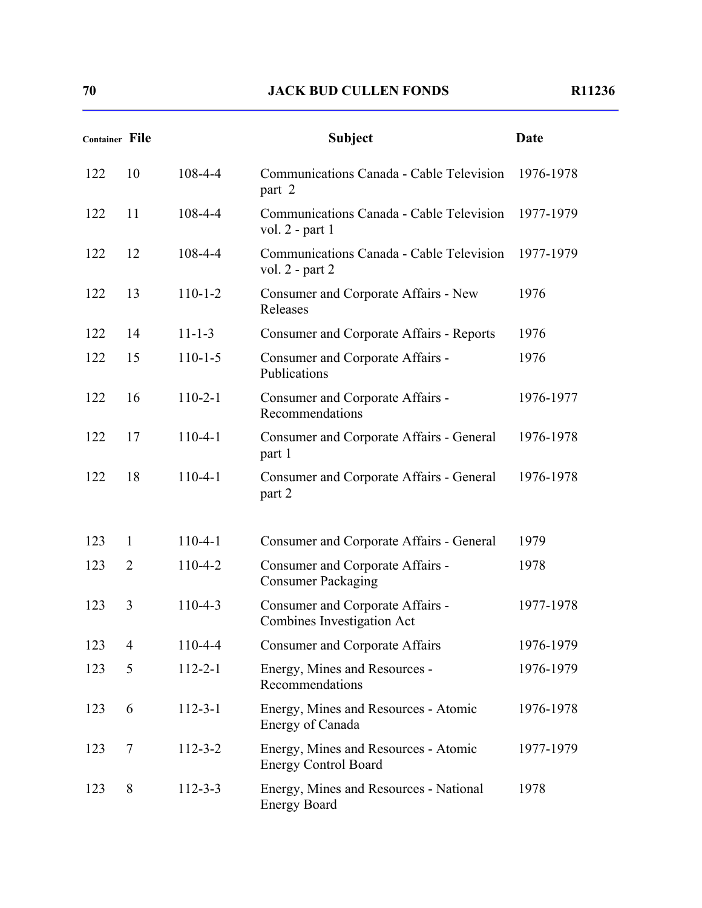| <b>Container File</b> |                |               | <b>Subject</b>                                                      | Date      |
|-----------------------|----------------|---------------|---------------------------------------------------------------------|-----------|
| 122                   | 10             | 108-4-4       | Communications Canada - Cable Television<br>part 2                  | 1976-1978 |
| 122                   | 11             | 108-4-4       | Communications Canada - Cable Television<br>vol. $2$ - part 1       | 1977-1979 |
| 122                   | 12             | $108 - 4 - 4$ | Communications Canada - Cable Television<br>vol. $2$ - part $2$     | 1977-1979 |
| 122                   | 13             | $110 - 1 - 2$ | Consumer and Corporate Affairs - New<br>Releases                    | 1976      |
| 122                   | 14             | $11 - 1 - 3$  | <b>Consumer and Corporate Affairs - Reports</b>                     | 1976      |
| 122                   | 15             | $110 - 1 - 5$ | Consumer and Corporate Affairs -<br>Publications                    | 1976      |
| 122                   | 16             | $110-2-1$     | Consumer and Corporate Affairs -<br>Recommendations                 | 1976-1977 |
| 122                   | 17             | $110-4-1$     | Consumer and Corporate Affairs - General<br>part 1                  | 1976-1978 |
| 122                   | 18             | $110-4-1$     | Consumer and Corporate Affairs - General<br>part 2                  | 1976-1978 |
| 123                   | $\mathbf{1}$   | $110-4-1$     | Consumer and Corporate Affairs - General                            | 1979      |
| 123                   | 2              | 110-4-2       | Consumer and Corporate Affairs -<br><b>Consumer Packaging</b>       | 1978      |
| 123                   | 3              | $110 - 4 - 3$ | Consumer and Corporate Affairs -<br>Combines Investigation Act      | 1977-1978 |
| 123                   | $\overline{4}$ | 110-4-4       | <b>Consumer and Corporate Affairs</b>                               | 1976-1979 |
| 123                   | 5              | $112 - 2 - 1$ | Energy, Mines and Resources -<br>Recommendations                    | 1976-1979 |
| 123                   | 6              | $112 - 3 - 1$ | Energy, Mines and Resources - Atomic<br>Energy of Canada            | 1976-1978 |
| 123                   | 7              | $112 - 3 - 2$ | Energy, Mines and Resources - Atomic<br><b>Energy Control Board</b> | 1977-1979 |
| 123                   | 8              | $112 - 3 - 3$ | Energy, Mines and Resources - National<br><b>Energy Board</b>       | 1978      |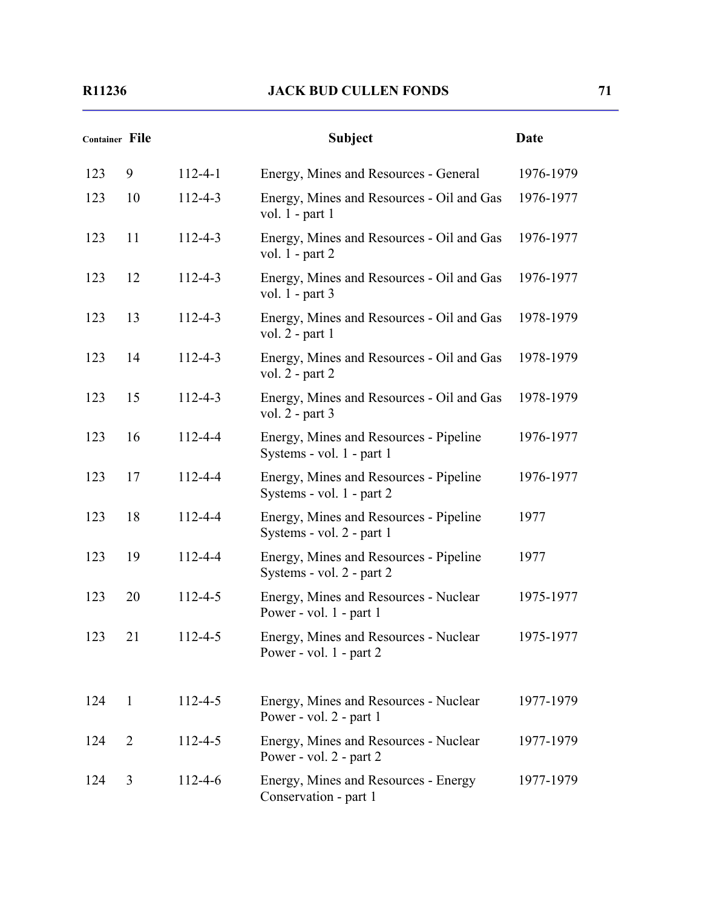|     | <b>Container File</b> |               | <b>Subject</b>                                                       | <b>Date</b> |
|-----|-----------------------|---------------|----------------------------------------------------------------------|-------------|
| 123 | 9                     | $112 - 4 - 1$ | Energy, Mines and Resources - General                                | 1976-1979   |
| 123 | 10                    | $112 - 4 - 3$ | Energy, Mines and Resources - Oil and Gas<br>vol. $1$ - part 1       | 1976-1977   |
| 123 | 11                    | $112 - 4 - 3$ | Energy, Mines and Resources - Oil and Gas<br>vol. $1$ - part $2$     | 1976-1977   |
| 123 | 12                    | $112 - 4 - 3$ | Energy, Mines and Resources - Oil and Gas<br>vol. $1$ - part 3       | 1976-1977   |
| 123 | 13                    | $112 - 4 - 3$ | Energy, Mines and Resources - Oil and Gas<br>vol. $2$ - part 1       | 1978-1979   |
| 123 | 14                    | $112 - 4 - 3$ | Energy, Mines and Resources - Oil and Gas<br>vol. $2$ - part $2$     | 1978-1979   |
| 123 | 15                    | $112 - 4 - 3$ | Energy, Mines and Resources - Oil and Gas<br>vol. $2$ - part 3       | 1978-1979   |
| 123 | 16                    | $112 - 4 - 4$ | Energy, Mines and Resources - Pipeline<br>Systems - vol. 1 - part 1  | 1976-1977   |
| 123 | 17                    | 112-4-4       | Energy, Mines and Resources - Pipeline<br>Systems - vol. 1 - part 2  | 1976-1977   |
| 123 | 18                    | 112-4-4       | Energy, Mines and Resources - Pipeline<br>Systems - vol. 2 - part 1  | 1977        |
| 123 | 19                    | 112-4-4       | Energy, Mines and Resources - Pipeline<br>Systems - vol. 2 - part 2  | 1977        |
| 123 | 20                    | 112-4-5       | Energy, Mines and Resources - Nuclear<br>Power - vol. $1$ - part 1   | 1975-1977   |
| 123 | 21                    | $112 - 4 - 5$ | Energy, Mines and Resources - Nuclear<br>Power - vol. $1$ - part $2$ | 1975-1977   |
| 124 | $\mathbf{1}$          | $112 - 4 - 5$ | Energy, Mines and Resources - Nuclear<br>Power - vol. 2 - part 1     | 1977-1979   |
| 124 | 2                     | 112-4-5       | Energy, Mines and Resources - Nuclear<br>Power - vol. $2$ - part $2$ | 1977-1979   |
| 124 | 3                     | $112 - 4 - 6$ | Energy, Mines and Resources - Energy<br>Conservation - part 1        | 1977-1979   |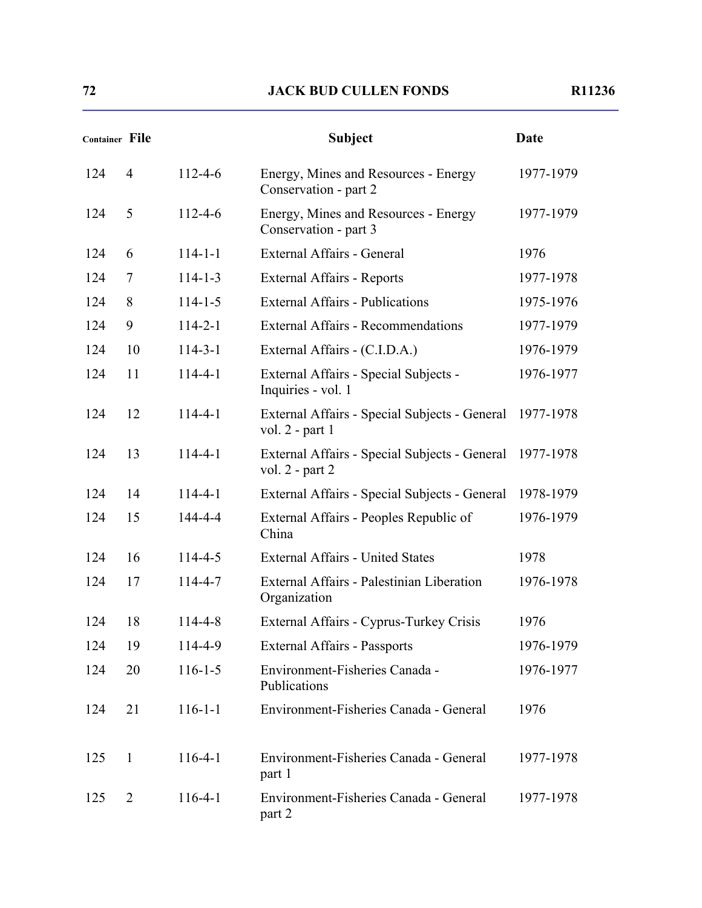| <b>Container File</b> |                |               | <b>Subject</b>                                                       | Date      |
|-----------------------|----------------|---------------|----------------------------------------------------------------------|-----------|
| 124                   | $\overline{4}$ | $112 - 4 - 6$ | Energy, Mines and Resources - Energy<br>Conservation - part 2        | 1977-1979 |
| 124                   | 5              | $112 - 4 - 6$ | Energy, Mines and Resources - Energy<br>Conservation - part 3        | 1977-1979 |
| 124                   | 6              | $114 - 1 - 1$ | External Affairs - General                                           | 1976      |
| 124                   | 7              | $114 - 1 - 3$ | <b>External Affairs - Reports</b>                                    | 1977-1978 |
| 124                   | 8              | $114 - 1 - 5$ | <b>External Affairs - Publications</b>                               | 1975-1976 |
| 124                   | 9              | $114 - 2 - 1$ | <b>External Affairs - Recommendations</b>                            | 1977-1979 |
| 124                   | 10             | $114 - 3 - 1$ | External Affairs - (C.I.D.A.)                                        | 1976-1979 |
| 124                   | 11             | $114 - 4 - 1$ | External Affairs - Special Subjects -<br>Inquiries - vol. 1          | 1976-1977 |
| 124                   | 12             | $114 - 4 - 1$ | External Affairs - Special Subjects - General<br>vol. $2$ - part 1   | 1977-1978 |
| 124                   | 13             | $114 - 4 - 1$ | External Affairs - Special Subjects - General<br>vol. $2$ - part $2$ | 1977-1978 |
| 124                   | 14             | $114 - 4 - 1$ | External Affairs - Special Subjects - General                        | 1978-1979 |
| 124                   | 15             | 144-4-4       | External Affairs - Peoples Republic of<br>China                      | 1976-1979 |
| 124                   | 16             | 114-4-5       | <b>External Affairs - United States</b>                              | 1978      |
| 124                   | 17             | 114-4-7       | External Affairs - Palestinian Liberation<br>Organization            | 1976-1978 |
| 124                   | 18             | $114 - 4 - 8$ | External Affairs - Cyprus-Turkey Crisis                              | 1976      |
| 124                   | 19             | 114-4-9       | External Affairs - Passports                                         | 1976-1979 |
| 124                   | 20             | $116 - 1 - 5$ | Environment-Fisheries Canada -<br>Publications                       | 1976-1977 |
| 124                   | 21             | $116 - 1 - 1$ | Environment-Fisheries Canada - General                               | 1976      |
| 125                   | $\mathbf{1}$   | $116-4-1$     | Environment-Fisheries Canada - General<br>part 1                     | 1977-1978 |
| 125                   | 2              | $116-4-1$     | Environment-Fisheries Canada - General<br>part 2                     | 1977-1978 |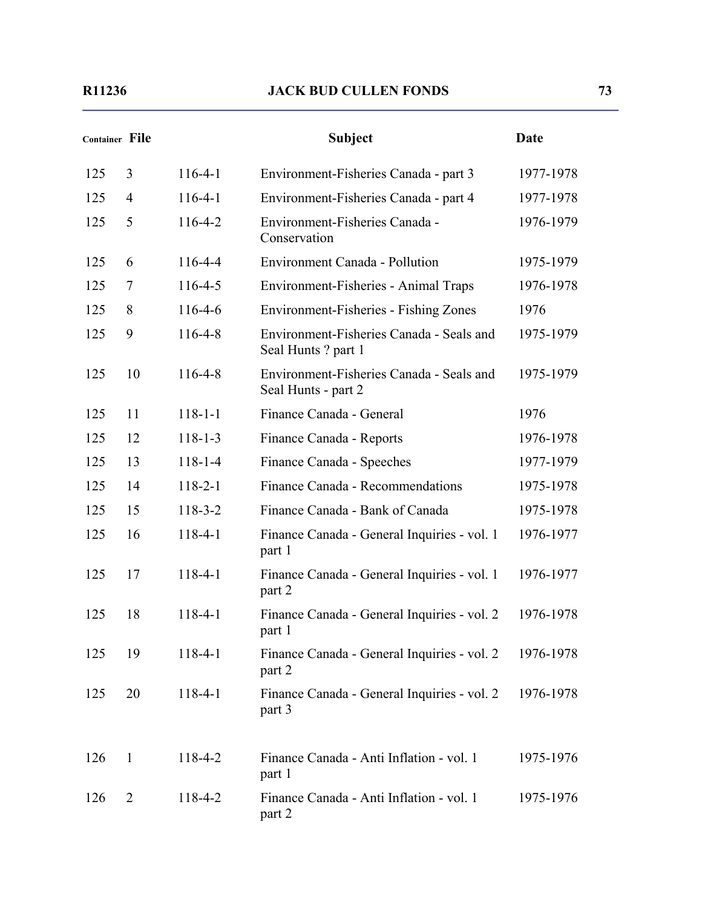| <b>Container File</b> |                |               | <b>Subject</b>                                                  | <b>Date</b> |
|-----------------------|----------------|---------------|-----------------------------------------------------------------|-------------|
| 125                   | 3              | $116-4-1$     | Environment-Fisheries Canada - part 3                           | 1977-1978   |
| 125                   | 4              | $116-4-1$     | Environment-Fisheries Canada - part 4                           | 1977-1978   |
| 125                   | 5              | $116 - 4 - 2$ | Environment-Fisheries Canada -<br>Conservation                  | 1976-1979   |
| 125                   | 6              | 116-4-4       | <b>Environment Canada - Pollution</b>                           | 1975-1979   |
| 125                   | 7              | $116 - 4 - 5$ | Environment-Fisheries - Animal Traps                            | 1976-1978   |
| 125                   | 8              | $116-4-6$     | Environment-Fisheries - Fishing Zones                           | 1976        |
| 125                   | 9              | 116-4-8       | Environment-Fisheries Canada - Seals and<br>Seal Hunts? part 1  | 1975-1979   |
| 125                   | 10             | $116 - 4 - 8$ | Environment-Fisheries Canada - Seals and<br>Seal Hunts - part 2 | 1975-1979   |
| 125                   | 11             | $118 - 1 - 1$ | Finance Canada - General                                        | 1976        |
| 125                   | 12             | $118 - 1 - 3$ | Finance Canada - Reports                                        | 1976-1978   |
| 125                   | 13             | $118 - 1 - 4$ | Finance Canada - Speeches                                       | 1977-1979   |
| 125                   | 14             | $118 - 2 - 1$ | Finance Canada - Recommendations                                | 1975-1978   |
| 125                   | 15             | $118 - 3 - 2$ | Finance Canada - Bank of Canada                                 | 1975-1978   |
| 125                   | 16             | 118-4-1       | Finance Canada - General Inquiries - vol. 1<br>part 1           | 1976-1977   |
| 125                   | 17             | 118-4-1       | Finance Canada - General Inquiries - vol. 1<br>part 2           | 1976-1977   |
| 125                   | 18             | $118-4-1$     | Finance Canada - General Inquiries - vol. 2<br>part 1           | 1976-1978   |
| 125                   | 19             | $118 - 4 - 1$ | Finance Canada - General Inquiries - vol. 2<br>part 2           | 1976-1978   |
| 125                   | 20             | $118 - 4 - 1$ | Finance Canada - General Inquiries - vol. 2<br>part 3           | 1976-1978   |
| 126                   | $\mathbf{1}$   | 118-4-2       | Finance Canada - Anti Inflation - vol. 1<br>part 1              | 1975-1976   |
| 126                   | $\overline{2}$ | 118-4-2       | Finance Canada - Anti Inflation - vol. 1<br>part 2              | 1975-1976   |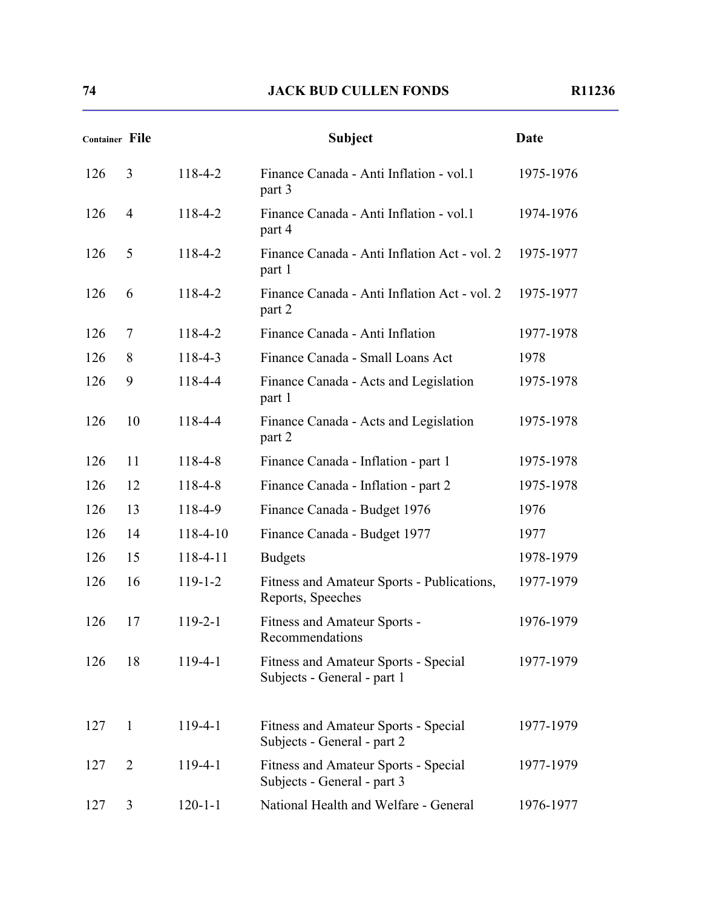| Container File |                |               | <b>Subject</b>                                                             | <b>Date</b> |
|----------------|----------------|---------------|----------------------------------------------------------------------------|-------------|
| 126            | 3              | 118-4-2       | Finance Canada - Anti Inflation - vol.1<br>part 3                          | 1975-1976   |
| 126            | $\overline{4}$ | 118-4-2       | Finance Canada - Anti Inflation - vol.1<br>part 4                          | 1974-1976   |
| 126            | 5              | 118-4-2       | Finance Canada - Anti Inflation Act - vol. 2<br>part 1                     | 1975-1977   |
| 126            | 6              | 118-4-2       | Finance Canada - Anti Inflation Act - vol. 2<br>part 2                     | 1975-1977   |
| 126            | 7              | 118-4-2       | Finance Canada - Anti Inflation                                            | 1977-1978   |
| 126            | 8              | 118-4-3       | Finance Canada - Small Loans Act                                           | 1978        |
| 126            | 9              | 118-4-4       | Finance Canada - Acts and Legislation<br>part 1                            | 1975-1978   |
| 126            | 10             | 118-4-4       | Finance Canada - Acts and Legislation<br>part 2                            | 1975-1978   |
| 126            | 11             | 118-4-8       | Finance Canada - Inflation - part 1                                        | 1975-1978   |
| 126            | 12             | 118-4-8       | Finance Canada - Inflation - part 2                                        | 1975-1978   |
| 126            | 13             | 118-4-9       | Finance Canada - Budget 1976                                               | 1976        |
| 126            | 14             | 118-4-10      | Finance Canada - Budget 1977                                               | 1977        |
| 126            | 15             | 118-4-11      | <b>Budgets</b>                                                             | 1978-1979   |
| 126            | 16             | $119 - 1 - 2$ | Fitness and Amateur Sports - Publications,<br>Reports, Speeches            | 1977-1979   |
| 126            | 17             | $119 - 2 - 1$ | Fitness and Amateur Sports -<br>Recommendations                            | 1976-1979   |
| 126            | 18             | $119-4-1$     | Fitness and Amateur Sports - Special<br>Subjects - General - part 1        | 1977-1979   |
| 127            | $\mathbf{1}$   | 119-4-1       | <b>Fitness and Amateur Sports - Special</b><br>Subjects - General - part 2 | 1977-1979   |
| 127            | $\overline{2}$ | 119-4-1       | Fitness and Amateur Sports - Special<br>Subjects - General - part 3        | 1977-1979   |
| 127            | 3              | $120 - 1 - 1$ | National Health and Welfare - General                                      | 1976-1977   |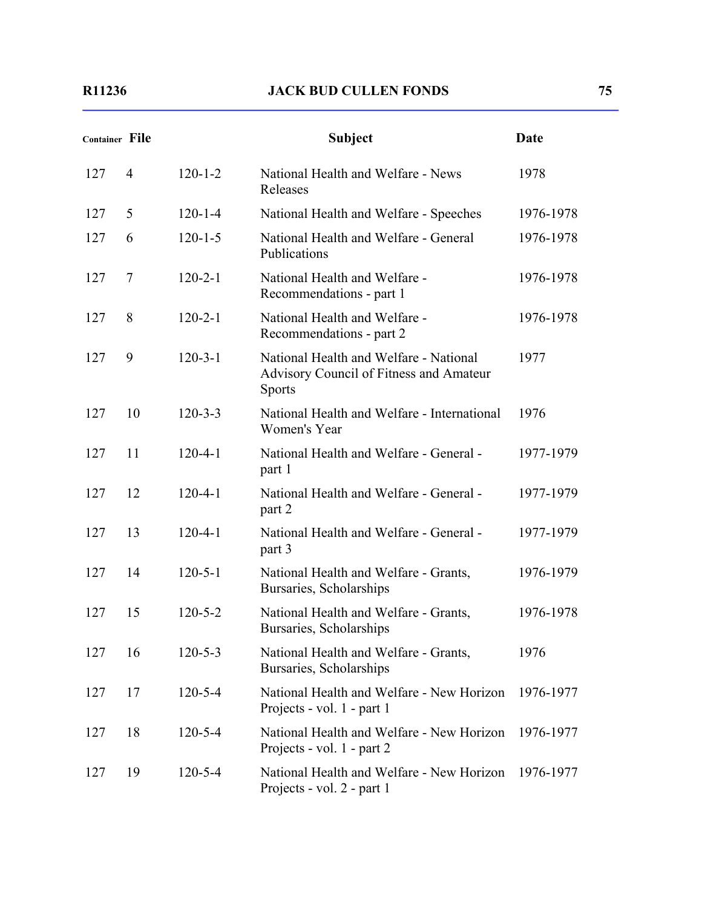| Container File |                |               | <b>Subject</b>                                                                                     | Date      |
|----------------|----------------|---------------|----------------------------------------------------------------------------------------------------|-----------|
| 127            | $\overline{4}$ | $120 - 1 - 2$ | National Health and Welfare - News<br>Releases                                                     | 1978      |
| 127            | 5              | $120 - 1 - 4$ | National Health and Welfare - Speeches                                                             | 1976-1978 |
| 127            | 6              | $120 - 1 - 5$ | National Health and Welfare - General<br>Publications                                              | 1976-1978 |
| 127            | 7              | $120 - 2 - 1$ | National Health and Welfare -<br>Recommendations - part 1                                          | 1976-1978 |
| 127            | 8              | $120 - 2 - 1$ | National Health and Welfare -<br>Recommendations - part 2                                          | 1976-1978 |
| 127            | 9              | $120 - 3 - 1$ | National Health and Welfare - National<br>Advisory Council of Fitness and Amateur<br><b>Sports</b> | 1977      |
| 127            | 10             | $120 - 3 - 3$ | National Health and Welfare - International<br>Women's Year                                        | 1976      |
| 127            | 11             | $120 - 4 - 1$ | National Health and Welfare - General -<br>part 1                                                  | 1977-1979 |
| 127            | 12             | $120 - 4 - 1$ | National Health and Welfare - General -<br>part 2                                                  | 1977-1979 |
| 127            | 13             | $120 - 4 - 1$ | National Health and Welfare - General -<br>part 3                                                  | 1977-1979 |
| 127            | 14             | $120 - 5 - 1$ | National Health and Welfare - Grants,<br>Bursaries, Scholarships                                   | 1976-1979 |
| 127            | 15             | $120 - 5 - 2$ | National Health and Welfare - Grants,<br>Bursaries, Scholarships                                   | 1976-1978 |
| 127            | 16             | $120 - 5 - 3$ | National Health and Welfare - Grants,<br>Bursaries, Scholarships                                   | 1976      |
| 127            | 17             | $120 - 5 - 4$ | National Health and Welfare - New Horizon<br>Projects - vol. 1 - part 1                            | 1976-1977 |
| 127            | 18             | $120 - 5 - 4$ | National Health and Welfare - New Horizon<br>Projects - vol. 1 - part 2                            | 1976-1977 |
| 127            | 19             | $120 - 5 - 4$ | National Health and Welfare - New Horizon<br>Projects - vol. 2 - part 1                            | 1976-1977 |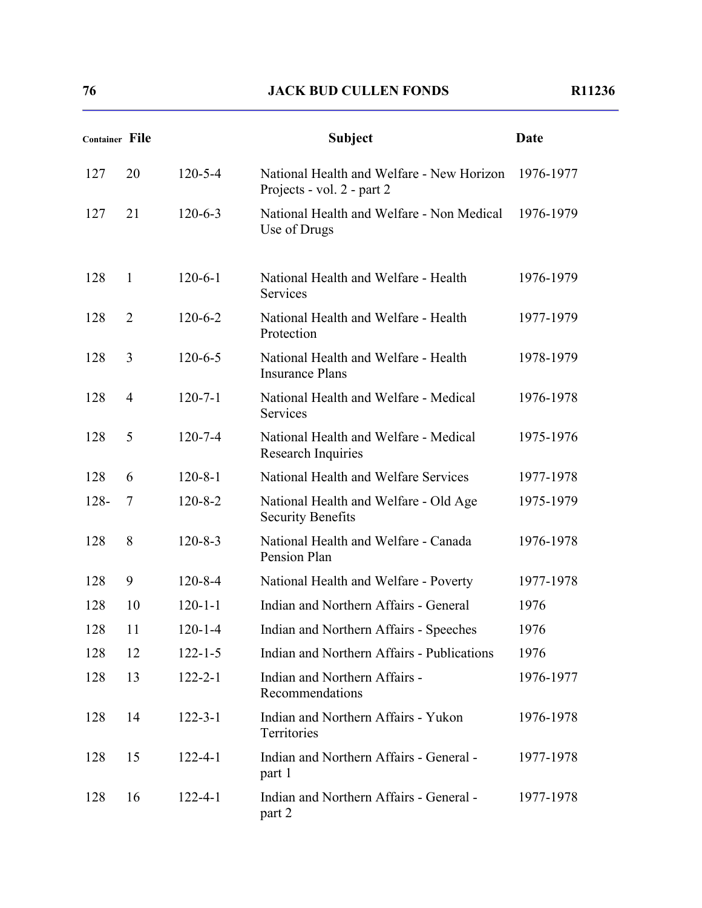| Container File |                |               | <b>Subject</b>                                                          | Date      |
|----------------|----------------|---------------|-------------------------------------------------------------------------|-----------|
| 127            | 20             | $120 - 5 - 4$ | National Health and Welfare - New Horizon<br>Projects - vol. 2 - part 2 | 1976-1977 |
| 127            | 21             | $120 - 6 - 3$ | National Health and Welfare - Non Medical<br>Use of Drugs               | 1976-1979 |
| 128            | $\mathbf{1}$   | $120 - 6 - 1$ | National Health and Welfare - Health<br>Services                        | 1976-1979 |
| 128            | $\overline{2}$ | $120 - 6 - 2$ | National Health and Welfare - Health<br>Protection                      | 1977-1979 |
| 128            | 3              | $120 - 6 - 5$ | National Health and Welfare - Health<br><b>Insurance Plans</b>          | 1978-1979 |
| 128            | $\overline{4}$ | $120 - 7 - 1$ | National Health and Welfare - Medical<br>Services                       | 1976-1978 |
| 128            | 5              | $120 - 7 - 4$ | National Health and Welfare - Medical<br>Research Inquiries             | 1975-1976 |
| 128            | 6              | $120 - 8 - 1$ | National Health and Welfare Services                                    | 1977-1978 |
| $128 -$        | 7              | $120 - 8 - 2$ | National Health and Welfare - Old Age<br><b>Security Benefits</b>       | 1975-1979 |
| 128            | 8              | $120 - 8 - 3$ | National Health and Welfare - Canada<br>Pension Plan                    | 1976-1978 |
| 128            | 9              | $120 - 8 - 4$ | National Health and Welfare - Poverty                                   | 1977-1978 |
| 128            | 10             | $120 - 1 - 1$ | Indian and Northern Affairs - General                                   | 1976      |
| 128            | 11             | $120 - 1 - 4$ | Indian and Northern Affairs - Speeches                                  | 1976      |
| 128            | 12             | $122 - 1 - 5$ | Indian and Northern Affairs - Publications                              | 1976      |
| 128            | 13             | $122 - 2 - 1$ | Indian and Northern Affairs -<br>Recommendations                        | 1976-1977 |
| 128            | 14             | $122 - 3 - 1$ | Indian and Northern Affairs - Yukon<br>Territories                      | 1976-1978 |
| 128            | 15             | $122 - 4 - 1$ | Indian and Northern Affairs - General -<br>part 1                       | 1977-1978 |
| 128            | 16             | $122 - 4 - 1$ | Indian and Northern Affairs - General -<br>part 2                       | 1977-1978 |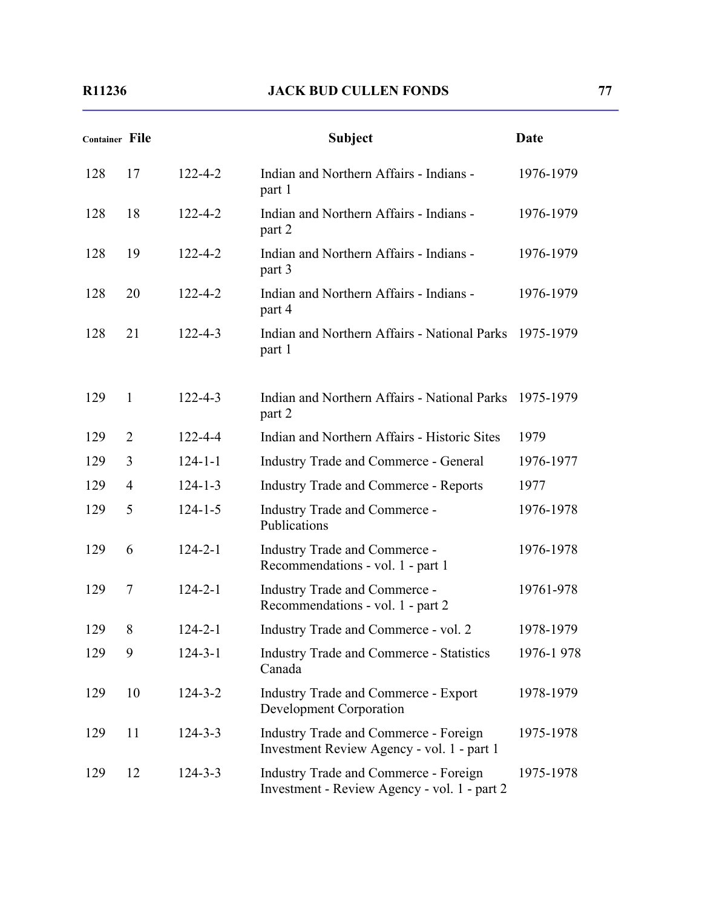| <b>Container File</b> |                |               | <b>Subject</b>                                                                        | Date      |
|-----------------------|----------------|---------------|---------------------------------------------------------------------------------------|-----------|
| 128                   | 17             | $122 - 4 - 2$ | Indian and Northern Affairs - Indians -<br>part 1                                     | 1976-1979 |
| 128                   | 18             | $122 - 4 - 2$ | Indian and Northern Affairs - Indians -<br>part 2                                     | 1976-1979 |
| 128                   | 19             | $122 - 4 - 2$ | Indian and Northern Affairs - Indians -<br>part 3                                     | 1976-1979 |
| 128                   | 20             | $122 - 4 - 2$ | Indian and Northern Affairs - Indians -<br>part 4                                     | 1976-1979 |
| 128                   | 21             | $122 - 4 - 3$ | Indian and Northern Affairs - National Parks 1975-1979<br>part 1                      |           |
| 129                   | $\mathbf{1}$   | $122 - 4 - 3$ | Indian and Northern Affairs - National Parks 1975-1979<br>part 2                      |           |
| 129                   | 2              | $122 - 4 - 4$ | Indian and Northern Affairs - Historic Sites                                          | 1979      |
| 129                   | 3              | $124 - 1 - 1$ | <b>Industry Trade and Commerce - General</b>                                          | 1976-1977 |
| 129                   | $\overline{4}$ | $124 - 1 - 3$ | <b>Industry Trade and Commerce - Reports</b>                                          | 1977      |
| 129                   | 5              | $124 - 1 - 5$ | <b>Industry Trade and Commerce -</b><br>Publications                                  | 1976-1978 |
| 129                   | 6              | $124 - 2 - 1$ | <b>Industry Trade and Commerce -</b><br>Recommendations - vol. 1 - part 1             | 1976-1978 |
| 129                   | $\overline{7}$ | $124 - 2 - 1$ | Industry Trade and Commerce -<br>Recommendations - vol. 1 - part 2                    | 19761-978 |
| 129                   | 8              | $124 - 2 - 1$ | Industry Trade and Commerce - vol. 2                                                  | 1978-1979 |
| 129                   | 9              | $124 - 3 - 1$ | <b>Industry Trade and Commerce - Statistics</b><br>Canada                             | 1976-1978 |
| 129                   | 10             | $124 - 3 - 2$ | <b>Industry Trade and Commerce - Export</b><br><b>Development Corporation</b>         | 1978-1979 |
| 129                   | 11             | $124 - 3 - 3$ | Industry Trade and Commerce - Foreign<br>Investment Review Agency - vol. 1 - part 1   | 1975-1978 |
| 129                   | 12             | $124 - 3 - 3$ | Industry Trade and Commerce - Foreign<br>Investment - Review Agency - vol. 1 - part 2 | 1975-1978 |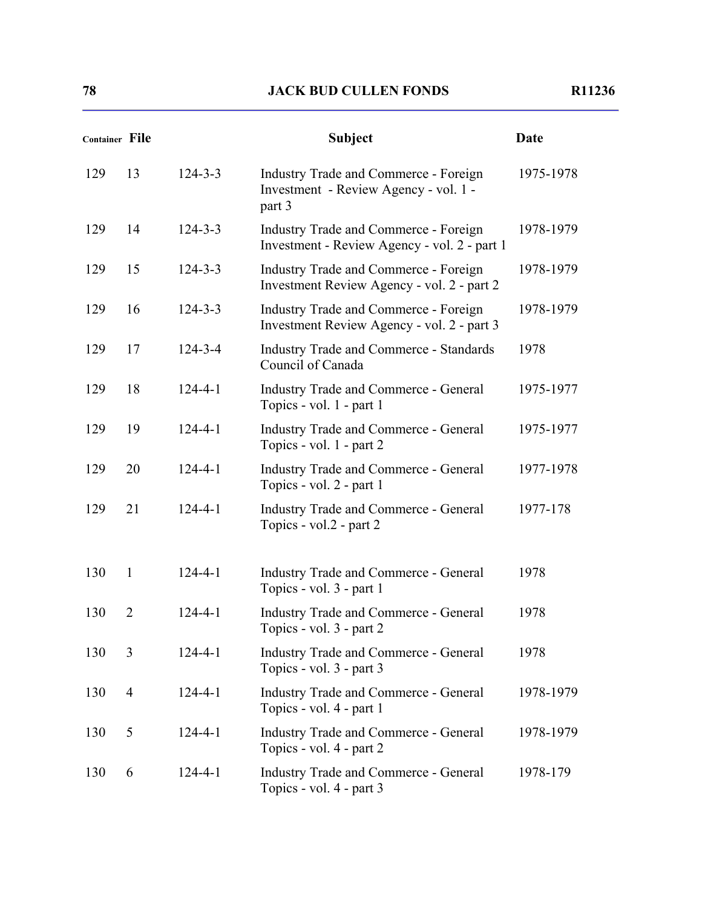| <b>Container File</b> |                |               | <b>Subject</b>                                                                             | Date      |
|-----------------------|----------------|---------------|--------------------------------------------------------------------------------------------|-----------|
| 129                   | 13             | $124 - 3 - 3$ | Industry Trade and Commerce - Foreign<br>Investment - Review Agency - vol. 1 -<br>part 3   | 1975-1978 |
| 129                   | 14             | $124 - 3 - 3$ | Industry Trade and Commerce - Foreign<br>Investment - Review Agency - vol. 2 - part 1      | 1978-1979 |
| 129                   | 15             | $124 - 3 - 3$ | Industry Trade and Commerce - Foreign<br>Investment Review Agency - vol. 2 - part 2        | 1978-1979 |
| 129                   | 16             | $124 - 3 - 3$ | <b>Industry Trade and Commerce - Foreign</b><br>Investment Review Agency - vol. 2 - part 3 | 1978-1979 |
| 129                   | 17             | $124 - 3 - 4$ | <b>Industry Trade and Commerce - Standards</b><br>Council of Canada                        | 1978      |
| 129                   | 18             | $124 - 4 - 1$ | <b>Industry Trade and Commerce - General</b><br>Topics - vol. 1 - part 1                   | 1975-1977 |
| 129                   | 19             | $124 - 4 - 1$ | <b>Industry Trade and Commerce - General</b><br>Topics - vol. 1 - part 2                   | 1975-1977 |
| 129                   | 20             | $124 - 4 - 1$ | <b>Industry Trade and Commerce - General</b><br>Topics - vol. 2 - part 1                   | 1977-1978 |
| 129                   | 21             | $124 - 4 - 1$ | <b>Industry Trade and Commerce - General</b><br>Topics - vol.2 - part 2                    | 1977-178  |
| 130                   | 1              | $124 - 4 - 1$ | <b>Industry Trade and Commerce - General</b><br>Topics - vol. 3 - part 1                   | 1978      |
| 130                   | $\overline{2}$ | $124 - 4 - 1$ | <b>Industry Trade and Commerce - General</b><br>Topics - vol. 3 - part 2                   | 1978      |
| 130                   | 3              | $124 - 4 - 1$ | <b>Industry Trade and Commerce - General</b><br>Topics - vol. 3 - part 3                   | 1978      |
| 130                   | $\overline{4}$ | $124 - 4 - 1$ | <b>Industry Trade and Commerce - General</b><br>Topics - vol. 4 - part 1                   | 1978-1979 |
| 130                   | 5              | $124 - 4 - 1$ | <b>Industry Trade and Commerce - General</b><br>Topics - vol. 4 - part 2                   | 1978-1979 |
| 130                   | 6              | $124 - 4 - 1$ | <b>Industry Trade and Commerce - General</b><br>Topics - vol. 4 - part 3                   | 1978-179  |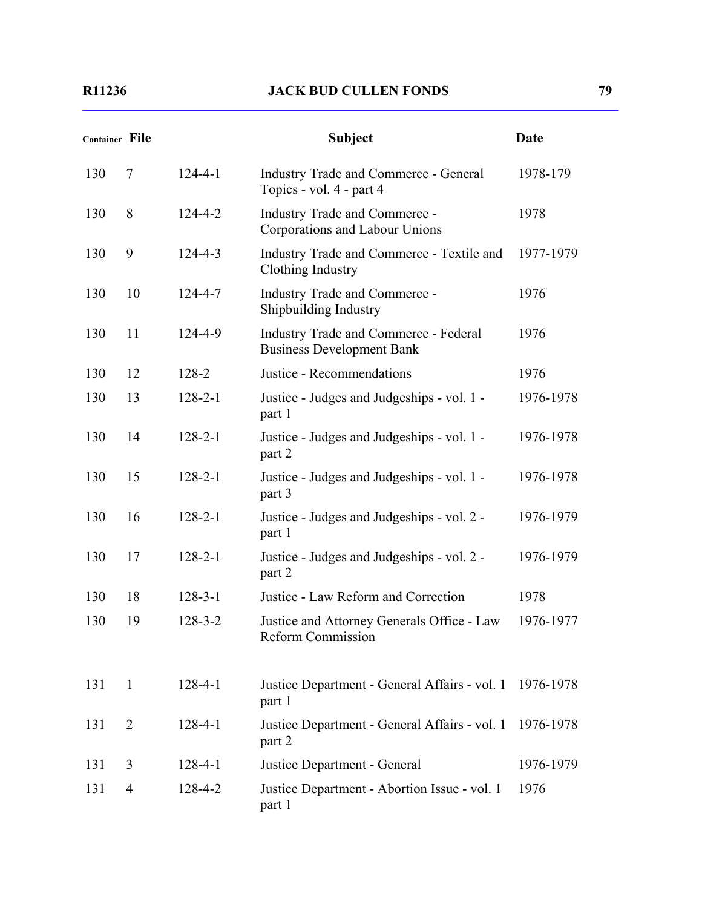| <b>Container File</b> |                |               | <b>Subject</b>                                                                   | <b>Date</b> |
|-----------------------|----------------|---------------|----------------------------------------------------------------------------------|-------------|
| 130                   | $\overline{7}$ | $124 - 4 - 1$ | <b>Industry Trade and Commerce - General</b><br>Topics - vol. 4 - part 4         | 1978-179    |
| 130                   | 8              | $124 - 4 - 2$ | Industry Trade and Commerce -<br>Corporations and Labour Unions                  | 1978        |
| 130                   | 9              | $124 - 4 - 3$ | Industry Trade and Commerce - Textile and<br>Clothing Industry                   | 1977-1979   |
| 130                   | 10             | $124 - 4 - 7$ | Industry Trade and Commerce -<br>Shipbuilding Industry                           | 1976        |
| 130                   | 11             | 124-4-9       | <b>Industry Trade and Commerce - Federal</b><br><b>Business Development Bank</b> | 1976        |
| 130                   | 12             | 128-2         | Justice - Recommendations                                                        | 1976        |
| 130                   | 13             | $128 - 2 - 1$ | Justice - Judges and Judgeships - vol. 1 -<br>part 1                             | 1976-1978   |
| 130                   | 14             | $128 - 2 - 1$ | Justice - Judges and Judgeships - vol. 1 -<br>part 2                             | 1976-1978   |
| 130                   | 15             | $128 - 2 - 1$ | Justice - Judges and Judgeships - vol. 1 -<br>part 3                             | 1976-1978   |
| 130                   | 16             | $128 - 2 - 1$ | Justice - Judges and Judgeships - vol. 2 -<br>part 1                             | 1976-1979   |
| 130                   | 17             | $128 - 2 - 1$ | Justice - Judges and Judgeships - vol. 2 -<br>part 2                             | 1976-1979   |
| 130                   | 18             | $128 - 3 - 1$ | Justice - Law Reform and Correction                                              | 1978        |
| 130                   | 19             | $128 - 3 - 2$ | Justice and Attorney Generals Office - Law<br><b>Reform Commission</b>           | 1976-1977   |
| 131                   | $\mathbf{1}$   | $128 - 4 - 1$ | Justice Department - General Affairs - vol. 1<br>part 1                          | 1976-1978   |
| 131                   | $\overline{2}$ | $128 - 4 - 1$ | Justice Department - General Affairs - vol. 1<br>part 2                          | 1976-1978   |
| 131                   | 3              | $128 - 4 - 1$ | Justice Department - General                                                     | 1976-1979   |
| 131                   | $\overline{4}$ | 128-4-2       | Justice Department - Abortion Issue - vol. 1<br>part 1                           | 1976        |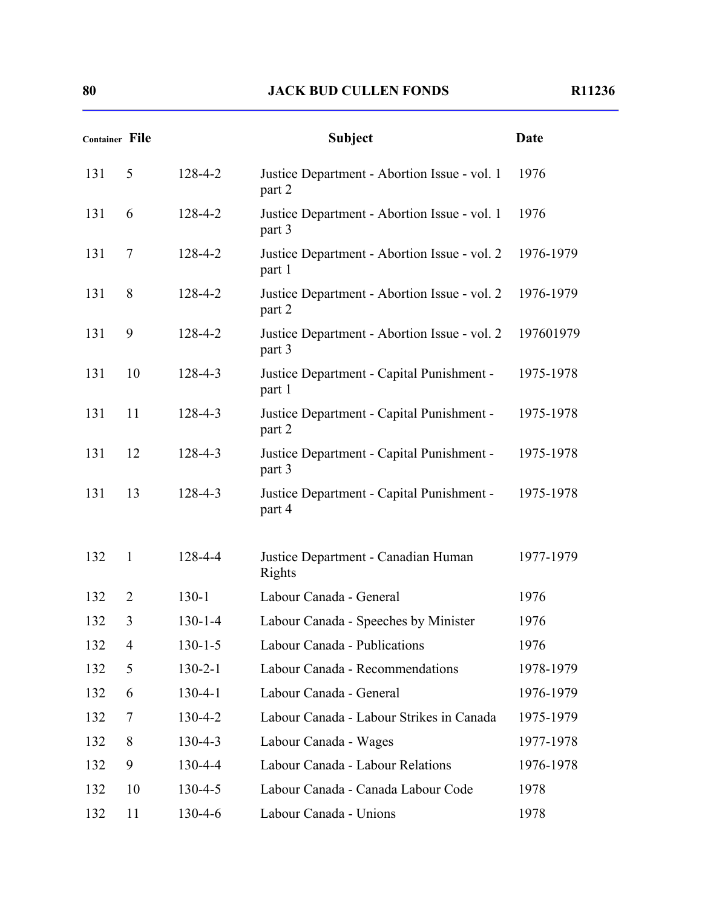| <b>Container File</b> |                |               | <b>Subject</b>                                         | Date      |
|-----------------------|----------------|---------------|--------------------------------------------------------|-----------|
| 131                   | 5              | 128-4-2       | Justice Department - Abortion Issue - vol. 1<br>part 2 | 1976      |
| 131                   | 6              | 128-4-2       | Justice Department - Abortion Issue - vol. 1<br>part 3 | 1976      |
| 131                   | 7              | 128-4-2       | Justice Department - Abortion Issue - vol. 2<br>part 1 | 1976-1979 |
| 131                   | 8              | 128-4-2       | Justice Department - Abortion Issue - vol. 2<br>part 2 | 1976-1979 |
| 131                   | 9              | 128-4-2       | Justice Department - Abortion Issue - vol. 2<br>part 3 | 197601979 |
| 131                   | 10             | $128 - 4 - 3$ | Justice Department - Capital Punishment -<br>part 1    | 1975-1978 |
| 131                   | 11             | 128-4-3       | Justice Department - Capital Punishment -<br>part 2    | 1975-1978 |
| 131                   | 12             | $128 - 4 - 3$ | Justice Department - Capital Punishment -<br>part 3    | 1975-1978 |
| 131                   | 13             | 128-4-3       | Justice Department - Capital Punishment -<br>part 4    | 1975-1978 |
| 132                   | $\mathbf{1}$   | 128-4-4       | Justice Department - Canadian Human<br>Rights          | 1977-1979 |
| 132                   | $\overline{2}$ | $130-1$       | Labour Canada - General                                | 1976      |
| 132                   | 3              | $130 - 1 - 4$ | Labour Canada - Speeches by Minister                   | 1976      |
| 132                   | 4              | 130-1-5       | Labour Canada - Publications                           | 1976      |
| 132                   | 5              | $130 - 2 - 1$ | Labour Canada - Recommendations                        | 1978-1979 |
| 132                   | 6              | $130 - 4 - 1$ | Labour Canada - General                                | 1976-1979 |
| 132                   | 7              | $130 - 4 - 2$ | Labour Canada - Labour Strikes in Canada               | 1975-1979 |
| 132                   | 8              | $130 - 4 - 3$ | Labour Canada - Wages                                  | 1977-1978 |
| 132                   | 9              | $130 - 4 - 4$ | Labour Canada - Labour Relations                       | 1976-1978 |
| 132                   | 10             | $130 - 4 - 5$ | Labour Canada - Canada Labour Code                     | 1978      |
| 132                   | 11             | 130-4-6       | Labour Canada - Unions                                 | 1978      |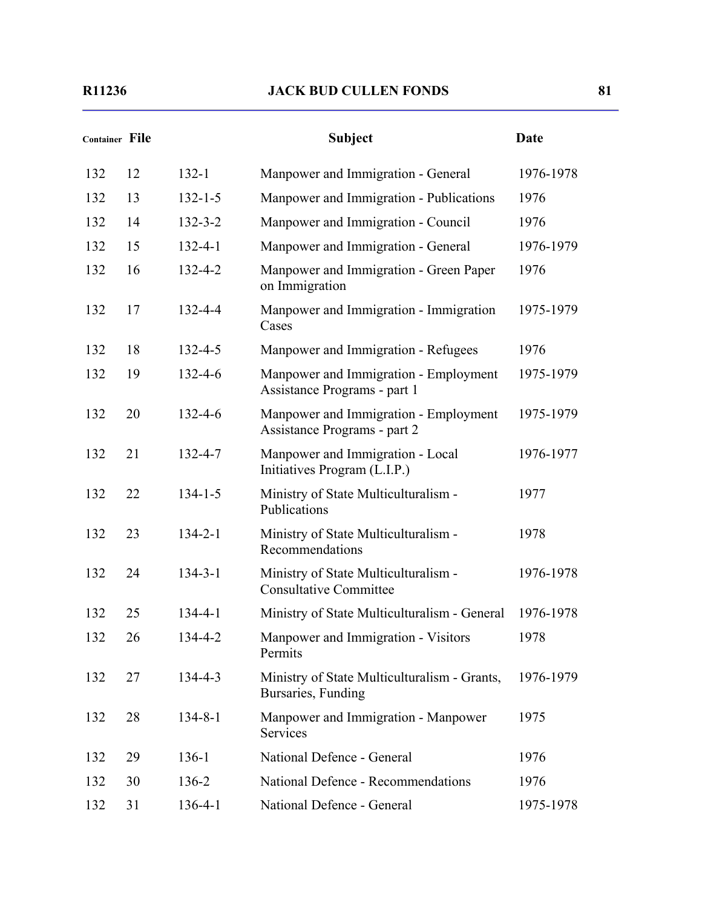| <b>Container File</b> |    |               | <b>Subject</b>                                                        | Date      |
|-----------------------|----|---------------|-----------------------------------------------------------------------|-----------|
| 132                   | 12 | $132 - 1$     | Manpower and Immigration - General                                    | 1976-1978 |
| 132                   | 13 | $132 - 1 - 5$ | Manpower and Immigration - Publications                               | 1976      |
| 132                   | 14 | $132 - 3 - 2$ | Manpower and Immigration - Council                                    | 1976      |
| 132                   | 15 | $132 - 4 - 1$ | Manpower and Immigration - General                                    | 1976-1979 |
| 132                   | 16 | $132 - 4 - 2$ | Manpower and Immigration - Green Paper<br>on Immigration              | 1976      |
| 132                   | 17 | 132-4-4       | Manpower and Immigration - Immigration<br>Cases                       | 1975-1979 |
| 132                   | 18 | $132 - 4 - 5$ | Manpower and Immigration - Refugees                                   | 1976      |
| 132                   | 19 | $132 - 4 - 6$ | Manpower and Immigration - Employment<br>Assistance Programs - part 1 | 1975-1979 |
| 132                   | 20 | $132 - 4 - 6$ | Manpower and Immigration - Employment<br>Assistance Programs - part 2 | 1975-1979 |
| 132                   | 21 | $132 - 4 - 7$ | Manpower and Immigration - Local<br>Initiatives Program (L.I.P.)      | 1976-1977 |
| 132                   | 22 | $134 - 1 - 5$ | Ministry of State Multiculturalism -<br>Publications                  | 1977      |
| 132                   | 23 | $134 - 2 - 1$ | Ministry of State Multiculturalism -<br>Recommendations               | 1978      |
| 132                   | 24 | $134 - 3 - 1$ | Ministry of State Multiculturalism -<br><b>Consultative Committee</b> | 1976-1978 |
| 132                   | 25 | $134 - 4 - 1$ | Ministry of State Multiculturalism - General                          | 1976-1978 |
| 132                   | 26 | 134-4-2       | Manpower and Immigration - Visitors<br>Permits                        | 1978      |
| 132                   | 27 | 134-4-3       | Ministry of State Multiculturalism - Grants,<br>Bursaries, Funding    | 1976-1979 |
| 132                   | 28 | $134 - 8 - 1$ | Manpower and Immigration - Manpower<br>Services                       | 1975      |
| 132                   | 29 | $136-1$       | National Defence - General                                            | 1976      |
| 132                   | 30 | 136-2         | National Defence - Recommendations                                    | 1976      |
| 132                   | 31 | $136 - 4 - 1$ | National Defence - General                                            | 1975-1978 |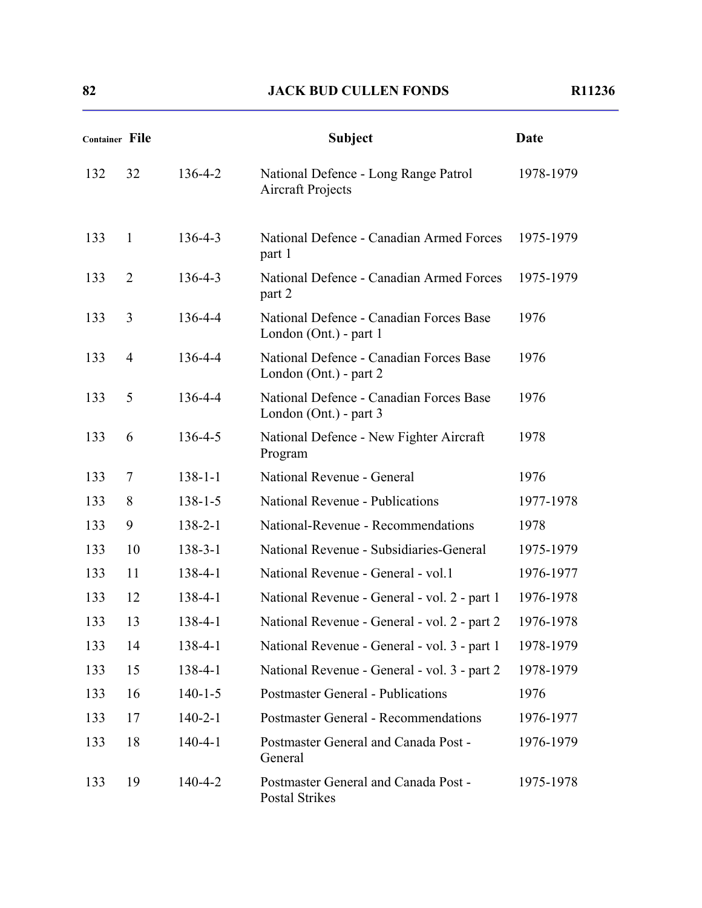| <b>Container File</b> |                |               | <b>Subject</b>                                                    | <b>Date</b> |
|-----------------------|----------------|---------------|-------------------------------------------------------------------|-------------|
| 132                   | 32             | 136-4-2       | National Defence - Long Range Patrol<br><b>Aircraft Projects</b>  | 1978-1979   |
| 133                   | $\mathbf{1}$   | $136 - 4 - 3$ | National Defence - Canadian Armed Forces<br>part 1                | 1975-1979   |
| 133                   | $\overline{2}$ | $136 - 4 - 3$ | National Defence - Canadian Armed Forces<br>part 2                | 1975-1979   |
| 133                   | 3              | 136-4-4       | National Defence - Canadian Forces Base<br>London (Ont.) - part 1 | 1976        |
| 133                   | $\overline{4}$ | 136-4-4       | National Defence - Canadian Forces Base<br>London (Ont.) - part 2 | 1976        |
| 133                   | 5              | 136-4-4       | National Defence - Canadian Forces Base<br>London (Ont.) - part 3 | 1976        |
| 133                   | 6              | $136 - 4 - 5$ | National Defence - New Fighter Aircraft<br>Program                | 1978        |
| 133                   | 7              | $138 - 1 - 1$ | National Revenue - General                                        | 1976        |
| 133                   | 8              | $138 - 1 - 5$ | National Revenue - Publications                                   | 1977-1978   |
| 133                   | 9              | $138 - 2 - 1$ | National-Revenue - Recommendations                                | 1978        |
| 133                   | 10             | $138 - 3 - 1$ | National Revenue - Subsidiaries-General                           | 1975-1979   |
| 133                   | 11             | 138-4-1       | National Revenue - General - vol.1                                | 1976-1977   |
| 133                   | 12             | 138-4-1       | National Revenue - General - vol. 2 - part 1                      | 1976-1978   |
| 133                   | 13             | $138 - 4 - 1$ | National Revenue - General - vol. 2 - part 2                      | 1976-1978   |
| 133                   | 14             | 138-4-1       | National Revenue - General - vol. 3 - part 1                      | 1978-1979   |
| 133                   | 15             | 138-4-1       | National Revenue - General - vol. 3 - part 2                      | 1978-1979   |
| 133                   | 16             | $140 - 1 - 5$ | <b>Postmaster General - Publications</b>                          | 1976        |
| 133                   | 17             | $140 - 2 - 1$ | <b>Postmaster General - Recommendations</b>                       | 1976-1977   |
| 133                   | 18             | $140 - 4 - 1$ | Postmaster General and Canada Post -<br>General                   | 1976-1979   |
| 133                   | 19             | $140 - 4 - 2$ | Postmaster General and Canada Post -<br>Postal Strikes            | 1975-1978   |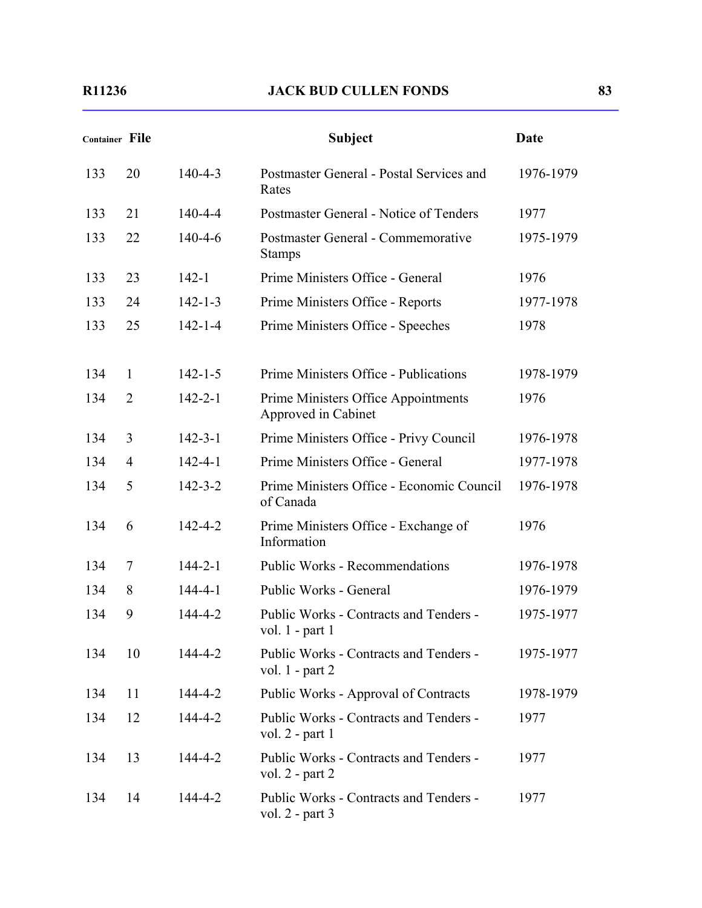| <b>Container File</b> |                |               | <b>Subject</b>                                                | Date      |
|-----------------------|----------------|---------------|---------------------------------------------------------------|-----------|
| 133                   | 20             | $140 - 4 - 3$ | Postmaster General - Postal Services and<br>Rates             | 1976-1979 |
| 133                   | 21             | $140 - 4 - 4$ | Postmaster General - Notice of Tenders                        | 1977      |
| 133                   | 22             | $140 - 4 - 6$ | Postmaster General - Commemorative<br><b>Stamps</b>           | 1975-1979 |
| 133                   | 23             | $142 - 1$     | Prime Ministers Office - General                              | 1976      |
| 133                   | 24             | $142 - 1 - 3$ | Prime Ministers Office - Reports                              | 1977-1978 |
| 133                   | 25             | $142 - 1 - 4$ | Prime Ministers Office - Speeches                             | 1978      |
| 134                   | $\mathbf{1}$   | $142 - 1 - 5$ | Prime Ministers Office - Publications                         | 1978-1979 |
| 134                   | $\overline{2}$ | $142 - 2 - 1$ | Prime Ministers Office Appointments<br>Approved in Cabinet    | 1976      |
| 134                   | 3              | $142 - 3 - 1$ | Prime Ministers Office - Privy Council                        | 1976-1978 |
| 134                   | 4              | $142 - 4 - 1$ | Prime Ministers Office - General                              | 1977-1978 |
| 134                   | 5              | $142 - 3 - 2$ | Prime Ministers Office - Economic Council<br>of Canada        | 1976-1978 |
| 134                   | 6              | $142 - 4 - 2$ | Prime Ministers Office - Exchange of<br>Information           | 1976      |
| 134                   | 7              | $144 - 2 - 1$ | <b>Public Works - Recommendations</b>                         | 1976-1978 |
| 134                   | 8              | $144 - 4 - 1$ | Public Works - General                                        | 1976-1979 |
| 134                   | 9              | 144-4-2       | Public Works - Contracts and Tenders -<br>vol. $1$ - part $1$ | 1975-1977 |
| 134                   | 10             | 144-4-2       | Public Works - Contracts and Tenders -<br>vol. $1$ - part $2$ | 1975-1977 |
| 134                   | 11             | 144-4-2       | Public Works - Approval of Contracts                          | 1978-1979 |
| 134                   | 12             | 144-4-2       | Public Works - Contracts and Tenders -<br>vol. $2$ - part 1   | 1977      |
| 134                   | 13             | 144-4-2       | Public Works - Contracts and Tenders -<br>vol. $2$ - part $2$ | 1977      |
| 134                   | 14             | 144-4-2       | Public Works - Contracts and Tenders -<br>vol. $2$ - part 3   | 1977      |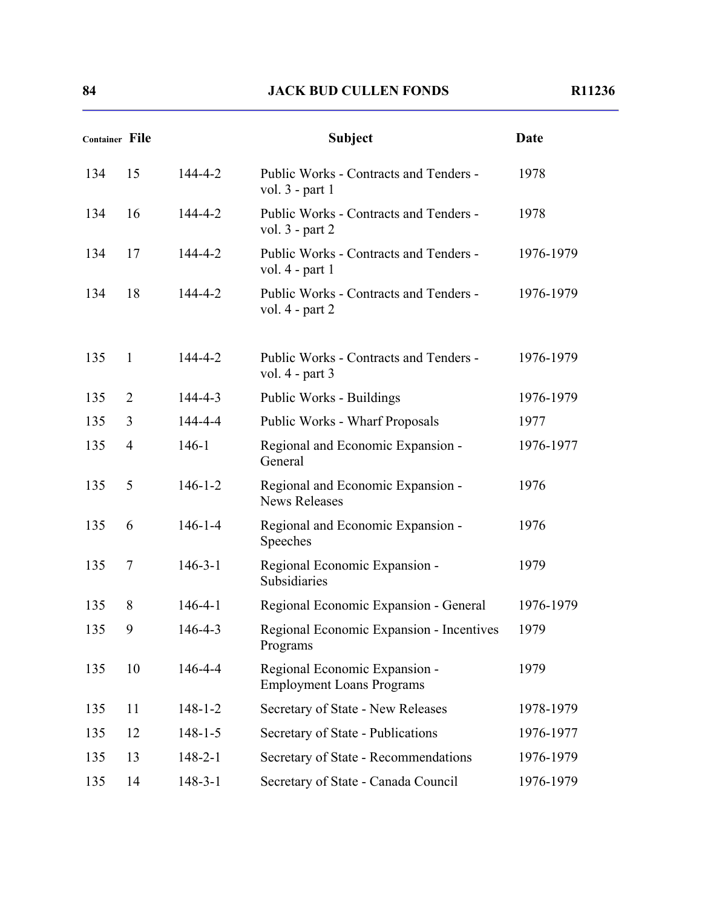| <b>Container File</b> |                |               | <b>Subject</b>                                                    | <b>Date</b> |
|-----------------------|----------------|---------------|-------------------------------------------------------------------|-------------|
| 134                   | 15             | 144-4-2       | Public Works - Contracts and Tenders -<br>vol. $3$ - part 1       | 1978        |
| 134                   | 16             | 144-4-2       | Public Works - Contracts and Tenders -<br>vol. $3$ - part $2$     | 1978        |
| 134                   | 17             | $144 - 4 - 2$ | Public Works - Contracts and Tenders -<br>vol. $4$ - part 1       | 1976-1979   |
| 134                   | 18             | $144 - 4 - 2$ | Public Works - Contracts and Tenders -<br>vol. $4$ - part $2$     | 1976-1979   |
| 135                   | $\mathbf{1}$   | 144-4-2       | Public Works - Contracts and Tenders -<br>vol. $4$ - part 3       | 1976-1979   |
| 135                   | $\overline{2}$ | $144 - 4 - 3$ | Public Works - Buildings                                          | 1976-1979   |
| 135                   | 3              | 144-4-4       | Public Works - Wharf Proposals                                    | 1977        |
| 135                   | $\overline{4}$ | $146 - 1$     | Regional and Economic Expansion -<br>General                      | 1976-1977   |
| 135                   | 5              | $146 - 1 - 2$ | Regional and Economic Expansion -<br><b>News Releases</b>         | 1976        |
| 135                   | 6              | $146 - 1 - 4$ | Regional and Economic Expansion -<br>Speeches                     | 1976        |
| 135                   | $\overline{7}$ | $146 - 3 - 1$ | Regional Economic Expansion -<br>Subsidiaries                     | 1979        |
| 135                   | 8              | $146 - 4 - 1$ | Regional Economic Expansion - General                             | 1976-1979   |
| 135                   | 9              | $146 - 4 - 3$ | Regional Economic Expansion - Incentives<br>Programs              | 1979        |
| 135                   | 10             | $146 - 4 - 4$ | Regional Economic Expansion -<br><b>Employment Loans Programs</b> | 1979        |
| 135                   | 11             | $148 - 1 - 2$ | Secretary of State - New Releases                                 | 1978-1979   |
| 135                   | 12             | $148 - 1 - 5$ | Secretary of State - Publications                                 | 1976-1977   |
| 135                   | 13             | $148 - 2 - 1$ | Secretary of State - Recommendations                              | 1976-1979   |
| 135                   | 14             | $148 - 3 - 1$ | Secretary of State - Canada Council                               | 1976-1979   |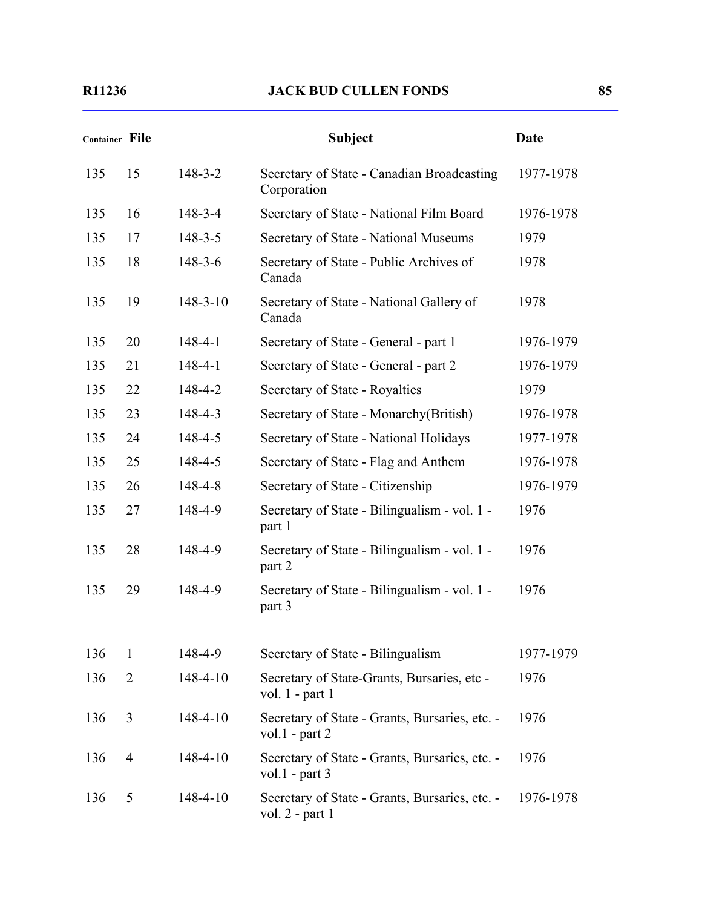| <b>Container File</b> |                |                | <b>Subject</b>                                                        | <b>Date</b> |
|-----------------------|----------------|----------------|-----------------------------------------------------------------------|-------------|
| 135                   | 15             | $148 - 3 - 2$  | Secretary of State - Canadian Broadcasting<br>Corporation             | 1977-1978   |
| 135                   | 16             | $148 - 3 - 4$  | Secretary of State - National Film Board                              | 1976-1978   |
| 135                   | 17             | $148 - 3 - 5$  | Secretary of State - National Museums                                 | 1979        |
| 135                   | 18             | $148 - 3 - 6$  | Secretary of State - Public Archives of<br>Canada                     | 1978        |
| 135                   | 19             | $148 - 3 - 10$ | Secretary of State - National Gallery of<br>Canada                    | 1978        |
| 135                   | 20             | $148 - 4 - 1$  | Secretary of State - General - part 1                                 | 1976-1979   |
| 135                   | 21             | $148 - 4 - 1$  | Secretary of State - General - part 2                                 | 1976-1979   |
| 135                   | 22             | 148-4-2        | Secretary of State - Royalties                                        | 1979        |
| 135                   | 23             | 148-4-3        | Secretary of State - Monarchy (British)                               | 1976-1978   |
| 135                   | 24             | 148-4-5        | Secretary of State - National Holidays                                | 1977-1978   |
| 135                   | 25             | $148 - 4 - 5$  | Secretary of State - Flag and Anthem                                  | 1976-1978   |
| 135                   | 26             | 148-4-8        | Secretary of State - Citizenship                                      | 1976-1979   |
| 135                   | 27             | 148-4-9        | Secretary of State - Bilingualism - vol. 1 -<br>part 1                | 1976        |
| 135                   | 28             | 148-4-9        | Secretary of State - Bilingualism - vol. 1 -<br>part 2                | 1976        |
| 135                   | 29             | 148-4-9        | Secretary of State - Bilingualism - vol. 1 -<br>part 3                | 1976        |
| 136                   | 1              | 148-4-9        | Secretary of State - Bilingualism                                     | 1977-1979   |
| 136                   | $\overline{2}$ | 148-4-10       | Secretary of State-Grants, Bursaries, etc -<br>vol. $1$ - part $1$    | 1976        |
| 136                   | 3              | 148-4-10       | Secretary of State - Grants, Bursaries, etc. -<br>vol. $1$ - part $2$ | 1976        |
| 136                   | $\overline{4}$ | 148-4-10       | Secretary of State - Grants, Bursaries, etc. -<br>vol.1 - part $3$    | 1976        |
| 136                   | 5              | 148-4-10       | Secretary of State - Grants, Bursaries, etc. -<br>vol. $2$ - part 1   | 1976-1978   |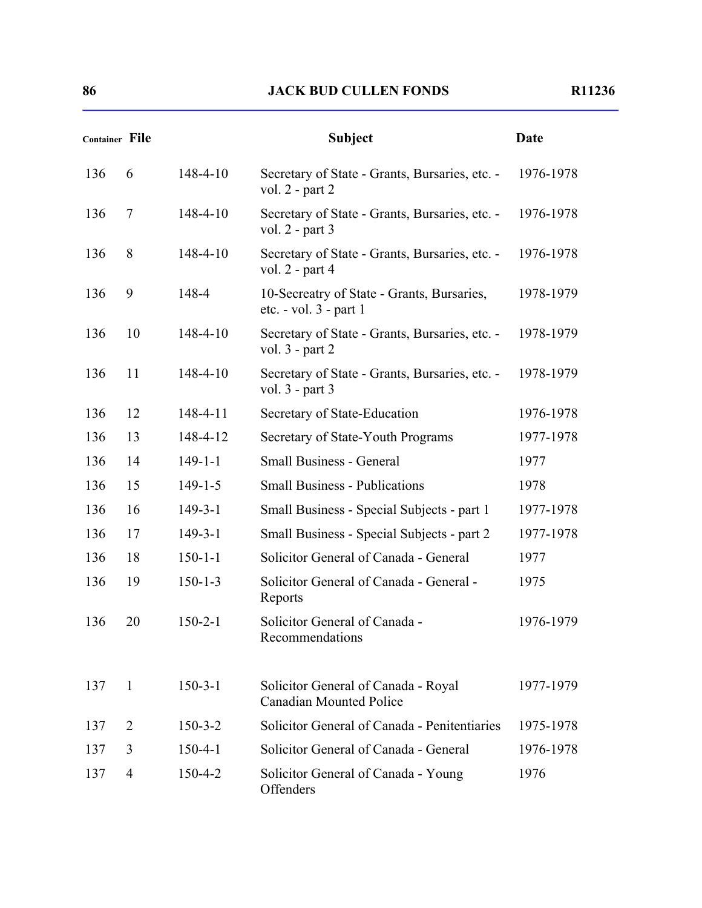| <b>Container File</b> |              |                | <b>Subject</b>                                                           | <b>Date</b> |
|-----------------------|--------------|----------------|--------------------------------------------------------------------------|-------------|
| 136                   | 6            | $148 - 4 - 10$ | Secretary of State - Grants, Bursaries, etc. -<br>vol. 2 - part 2        | 1976-1978   |
| 136                   | 7            | 148-4-10       | Secretary of State - Grants, Bursaries, etc. -<br>vol. $2$ - part 3      | 1976-1978   |
| 136                   | 8            | 148-4-10       | Secretary of State - Grants, Bursaries, etc. -<br>vol. $2$ - part 4      | 1976-1978   |
| 136                   | 9            | 148-4          | 10-Secreatry of State - Grants, Bursaries,<br>etc. $-$ vol. $3$ - part 1 | 1978-1979   |
| 136                   | 10           | $148 - 4 - 10$ | Secretary of State - Grants, Bursaries, etc. -<br>vol. $3$ - part $2$    | 1978-1979   |
| 136                   | 11           | $148 - 4 - 10$ | Secretary of State - Grants, Bursaries, etc. -<br>vol. $3$ - part $3$    | 1978-1979   |
| 136                   | 12           | $148 - 4 - 11$ | Secretary of State-Education                                             | 1976-1978   |
| 136                   | 13           | 148-4-12       | Secretary of State-Youth Programs                                        | 1977-1978   |
| 136                   | 14           | $149 - 1 - 1$  | <b>Small Business - General</b>                                          | 1977        |
| 136                   | 15           | $149 - 1 - 5$  | <b>Small Business - Publications</b>                                     | 1978        |
| 136                   | 16           | $149 - 3 - 1$  | Small Business - Special Subjects - part 1                               | 1977-1978   |
| 136                   | 17           | $149 - 3 - 1$  | Small Business - Special Subjects - part 2                               | 1977-1978   |
| 136                   | 18           | $150 - 1 - 1$  | Solicitor General of Canada - General                                    | 1977        |
| 136                   | 19           | $150 - 1 - 3$  | Solicitor General of Canada - General -<br>Reports                       | 1975        |
| 136                   | 20           | $150 - 2 - 1$  | Solicitor General of Canada -<br>Recommendations                         | 1976-1979   |
| 137                   | $\mathbf{1}$ | $150 - 3 - 1$  | Solicitor General of Canada - Royal<br><b>Canadian Mounted Police</b>    | 1977-1979   |
| 137                   | 2            | $150 - 3 - 2$  | Solicitor General of Canada - Penitentiaries                             | 1975-1978   |
| 137                   | 3            | $150 - 4 - 1$  | Solicitor General of Canada - General                                    | 1976-1978   |
| 137                   | 4            | $150 - 4 - 2$  | Solicitor General of Canada - Young<br>Offenders                         | 1976        |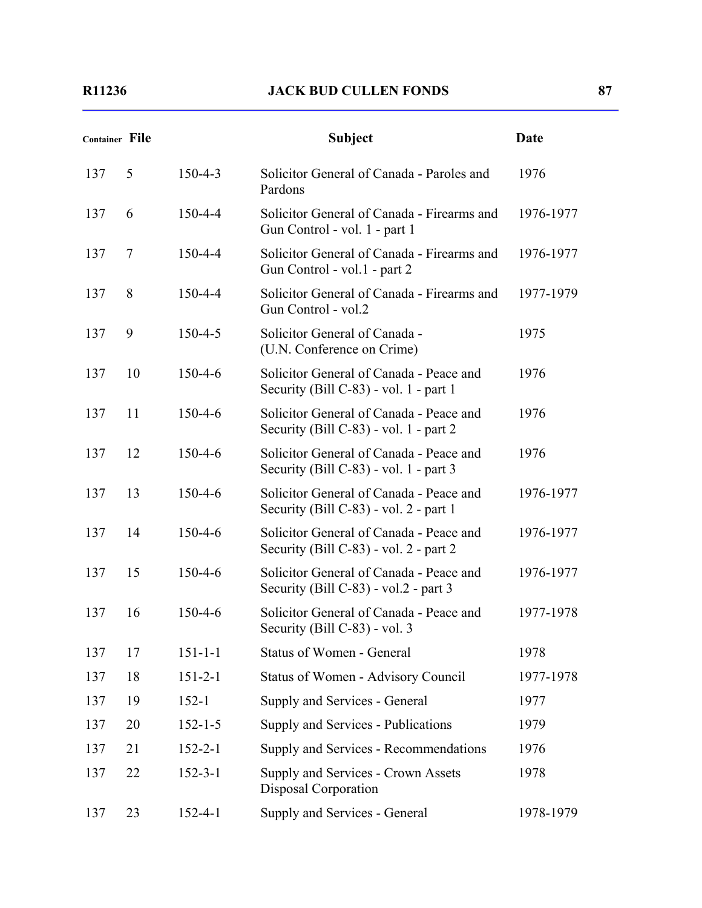|     | <b>Container File</b> |               | <b>Subject</b>                                                                    | <b>Date</b> |
|-----|-----------------------|---------------|-----------------------------------------------------------------------------------|-------------|
| 137 | 5                     | $150 - 4 - 3$ | Solicitor General of Canada - Paroles and<br>Pardons                              | 1976        |
| 137 | 6                     | $150 - 4 - 4$ | Solicitor General of Canada - Firearms and<br>Gun Control - vol. 1 - part 1       | 1976-1977   |
| 137 | 7                     | $150 - 4 - 4$ | Solicitor General of Canada - Firearms and<br>Gun Control - vol.1 - part 2        | 1976-1977   |
| 137 | 8                     | $150 - 4 - 4$ | Solicitor General of Canada - Firearms and<br>Gun Control - vol.2                 | 1977-1979   |
| 137 | 9                     | $150 - 4 - 5$ | Solicitor General of Canada -<br>(U.N. Conference on Crime)                       | 1975        |
| 137 | 10                    | $150 - 4 - 6$ | Solicitor General of Canada - Peace and<br>Security (Bill C-83) - vol. 1 - part 1 | 1976        |
| 137 | 11                    | $150 - 4 - 6$ | Solicitor General of Canada - Peace and<br>Security (Bill C-83) - vol. 1 - part 2 | 1976        |
| 137 | 12                    | $150 - 4 - 6$ | Solicitor General of Canada - Peace and<br>Security (Bill C-83) - vol. 1 - part 3 | 1976        |
| 137 | 13                    | $150 - 4 - 6$ | Solicitor General of Canada - Peace and<br>Security (Bill C-83) - vol. 2 - part 1 | 1976-1977   |
| 137 | 14                    | $150 - 4 - 6$ | Solicitor General of Canada - Peace and<br>Security (Bill C-83) - vol. 2 - part 2 | 1976-1977   |
| 137 | 15                    | 150-4-6       | Solicitor General of Canada - Peace and<br>Security (Bill C-83) - vol.2 - part 3  | 1976-1977   |
| 137 | 16                    | $150 - 4 - 6$ | Solicitor General of Canada - Peace and<br>Security (Bill C-83) - vol. 3          | 1977-1978   |
| 137 | 17                    | $151 - 1 - 1$ | <b>Status of Women - General</b>                                                  | 1978        |
| 137 | 18                    | $151 - 2 - 1$ | Status of Women - Advisory Council                                                | 1977-1978   |
| 137 | 19                    | $152 - 1$     | Supply and Services - General                                                     | 1977        |
| 137 | 20                    | $152 - 1 - 5$ | Supply and Services - Publications                                                | 1979        |
| 137 | 21                    | $152 - 2 - 1$ | Supply and Services - Recommendations                                             | 1976        |
| 137 | 22                    | $152 - 3 - 1$ | Supply and Services - Crown Assets<br>Disposal Corporation                        | 1978        |
| 137 | 23                    | $152 - 4 - 1$ | Supply and Services - General                                                     | 1978-1979   |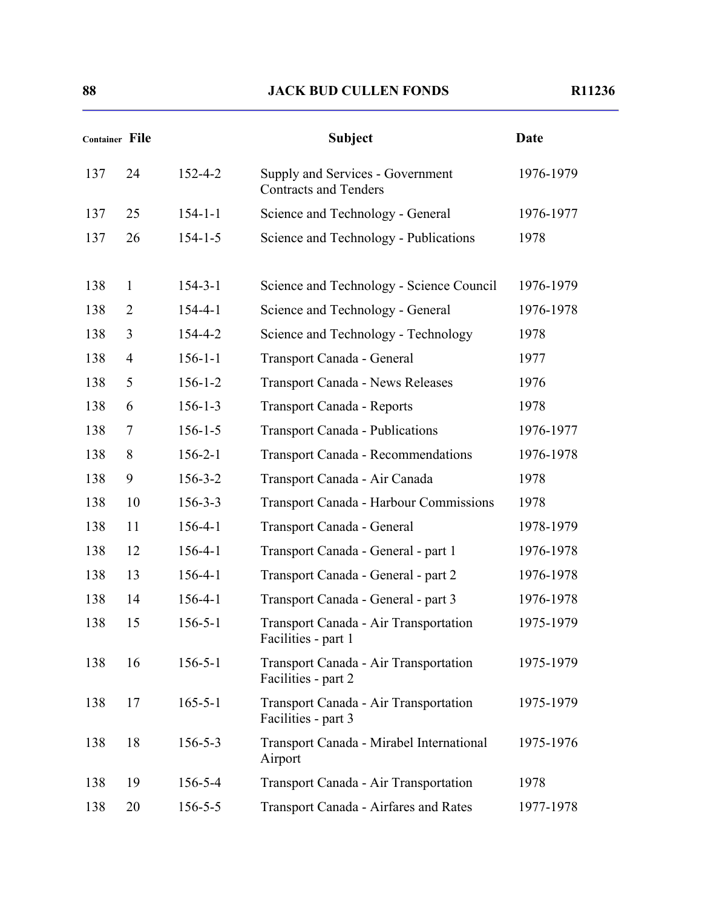|     | Container File |               | <b>Subject</b>                                                   | <b>Date</b> |
|-----|----------------|---------------|------------------------------------------------------------------|-------------|
| 137 | 24             | $152 - 4 - 2$ | Supply and Services - Government<br><b>Contracts and Tenders</b> | 1976-1979   |
| 137 | 25             | $154 - 1 - 1$ | Science and Technology - General                                 | 1976-1977   |
| 137 | 26             | $154 - 1 - 5$ | Science and Technology - Publications                            | 1978        |
| 138 | $\mathbf{1}$   | $154 - 3 - 1$ | Science and Technology - Science Council                         | 1976-1979   |
| 138 | 2              | $154 - 4 - 1$ | Science and Technology - General                                 | 1976-1978   |
| 138 | 3              | 154-4-2       | Science and Technology - Technology                              | 1978        |
| 138 | $\overline{4}$ | $156 - 1 - 1$ | Transport Canada - General                                       | 1977        |
| 138 | 5              | $156 - 1 - 2$ | <b>Transport Canada - News Releases</b>                          | 1976        |
| 138 | 6              | $156 - 1 - 3$ | <b>Transport Canada - Reports</b>                                | 1978        |
| 138 | $\overline{7}$ | $156 - 1 - 5$ | <b>Transport Canada - Publications</b>                           | 1976-1977   |
| 138 | 8              | $156 - 2 - 1$ | <b>Transport Canada - Recommendations</b>                        | 1976-1978   |
| 138 | 9              | $156 - 3 - 2$ | Transport Canada - Air Canada                                    | 1978        |
| 138 | 10             | $156 - 3 - 3$ | <b>Transport Canada - Harbour Commissions</b>                    | 1978        |
| 138 | 11             | $156 - 4 - 1$ | Transport Canada - General                                       | 1978-1979   |
| 138 | 12             | $156 - 4 - 1$ | Transport Canada - General - part 1                              | 1976-1978   |
| 138 | 13             | $156 - 4 - 1$ | Transport Canada - General - part 2                              | 1976-1978   |
| 138 | 14             | $156 - 4 - 1$ | Transport Canada - General - part 3                              | 1976-1978   |
| 138 | 15             | $156 - 5 - 1$ | Transport Canada - Air Transportation<br>Facilities - part 1     | 1975-1979   |
| 138 | 16             | $156 - 5 - 1$ | Transport Canada - Air Transportation<br>Facilities - part 2     | 1975-1979   |
| 138 | 17             | $165 - 5 - 1$ | Transport Canada - Air Transportation<br>Facilities - part 3     | 1975-1979   |
| 138 | 18             | $156 - 5 - 3$ | Transport Canada - Mirabel International<br>Airport              | 1975-1976   |
| 138 | 19             | $156 - 5 - 4$ | Transport Canada - Air Transportation                            | 1978        |
| 138 | 20             | $156 - 5 - 5$ | Transport Canada - Airfares and Rates                            | 1977-1978   |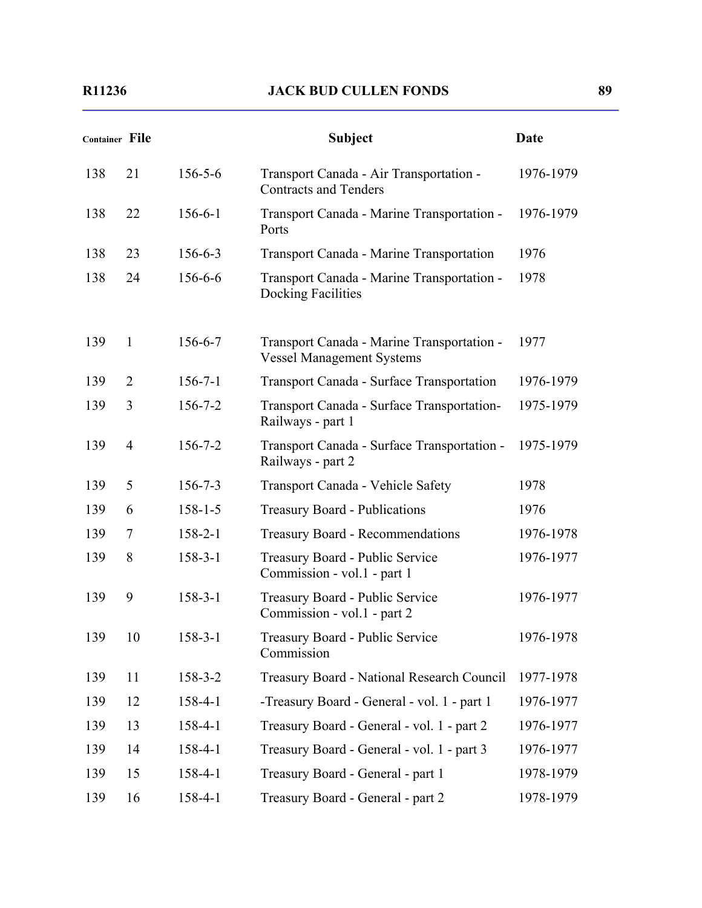|     | Container File |               | <b>Subject</b>                                                                 | <b>Date</b> |
|-----|----------------|---------------|--------------------------------------------------------------------------------|-------------|
| 138 | 21             | $156 - 5 - 6$ | Transport Canada - Air Transportation -<br><b>Contracts and Tenders</b>        | 1976-1979   |
| 138 | 22             | $156 - 6 - 1$ | Transport Canada - Marine Transportation -<br>Ports                            | 1976-1979   |
| 138 | 23             | $156 - 6 - 3$ | Transport Canada - Marine Transportation                                       | 1976        |
| 138 | 24             | 156-6-6       | Transport Canada - Marine Transportation -<br>Docking Facilities               | 1978        |
| 139 | $\mathbf{1}$   | 156-6-7       | Transport Canada - Marine Transportation -<br><b>Vessel Management Systems</b> | 1977        |
| 139 | 2              | $156 - 7 - 1$ | Transport Canada - Surface Transportation                                      | 1976-1979   |
| 139 | 3              | $156 - 7 - 2$ | Transport Canada - Surface Transportation-<br>Railways - part 1                | 1975-1979   |
| 139 | $\overline{4}$ | $156 - 7 - 2$ | Transport Canada - Surface Transportation -<br>Railways - part 2               | 1975-1979   |
| 139 | 5              | $156 - 7 - 3$ | Transport Canada - Vehicle Safety                                              | 1978        |
| 139 | 6              | $158 - 1 - 5$ | <b>Treasury Board - Publications</b>                                           | 1976        |
| 139 | 7              | $158 - 2 - 1$ | <b>Treasury Board - Recommendations</b>                                        | 1976-1978   |
| 139 | 8              | $158 - 3 - 1$ | Treasury Board - Public Service<br>Commission - vol.1 - part 1                 | 1976-1977   |
| 139 | 9              | $158 - 3 - 1$ | Treasury Board - Public Service<br>Commission - vol.1 - part 2                 | 1976-1977   |
| 139 | 10             | $158 - 3 - 1$ | Treasury Board - Public Service<br>Commission                                  | 1976-1978   |
| 139 | 11             | $158 - 3 - 2$ | Treasury Board - National Research Council                                     | 1977-1978   |
| 139 | 12             | 158-4-1       | -Treasury Board - General - vol. 1 - part 1                                    | 1976-1977   |
| 139 | 13             | 158-4-1       | Treasury Board - General - vol. 1 - part 2                                     | 1976-1977   |
| 139 | 14             | $158 - 4 - 1$ | Treasury Board - General - vol. 1 - part 3                                     | 1976-1977   |
| 139 | 15             | $158 - 4 - 1$ | Treasury Board - General - part 1                                              | 1978-1979   |
| 139 | 16             | 158-4-1       | Treasury Board - General - part 2                                              | 1978-1979   |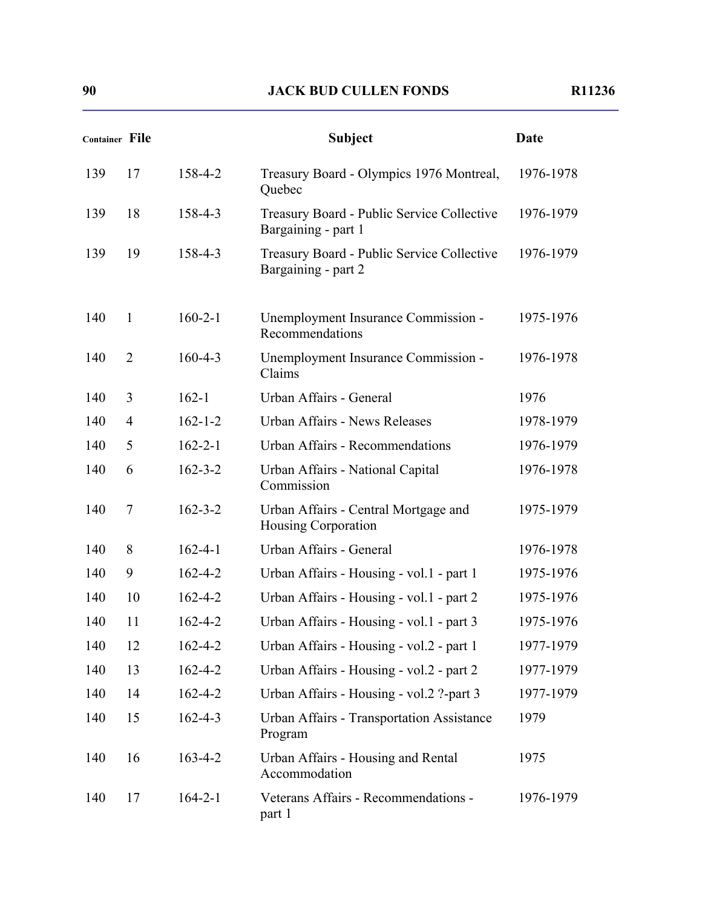| <b>Container File</b> |                |               | <b>Subject</b>                                                    | Date      |
|-----------------------|----------------|---------------|-------------------------------------------------------------------|-----------|
| 139                   | 17             | 158-4-2       | Treasury Board - Olympics 1976 Montreal,<br>Quebec                | 1976-1978 |
| 139                   | 18             | 158-4-3       | Treasury Board - Public Service Collective<br>Bargaining - part 1 | 1976-1979 |
| 139                   | 19             | 158-4-3       | Treasury Board - Public Service Collective<br>Bargaining - part 2 | 1976-1979 |
| 140                   | $\mathbf{1}$   | $160 - 2 - 1$ | Unemployment Insurance Commission -<br>Recommendations            | 1975-1976 |
| 140                   | $\overline{2}$ | $160 - 4 - 3$ | Unemployment Insurance Commission -<br>Claims                     | 1976-1978 |
| 140                   | 3              | $162 - 1$     | Urban Affairs - General                                           | 1976      |
| 140                   | $\overline{4}$ | $162 - 1 - 2$ | Urban Affairs - News Releases                                     | 1978-1979 |
| 140                   | 5              | $162 - 2 - 1$ | Urban Affairs - Recommendations                                   | 1976-1979 |
| 140                   | 6              | $162 - 3 - 2$ | Urban Affairs - National Capital<br>Commission                    | 1976-1978 |
| 140                   | 7              | $162 - 3 - 2$ | Urban Affairs - Central Mortgage and<br>Housing Corporation       | 1975-1979 |
| 140                   | 8              | $162 - 4 - 1$ | Urban Affairs - General                                           | 1976-1978 |
| 140                   | 9              | $162 - 4 - 2$ | Urban Affairs - Housing - vol.1 - part 1                          | 1975-1976 |
| 140                   | 10             | $162 - 4 - 2$ | Urban Affairs - Housing - vol.1 - part 2                          | 1975-1976 |
| 140                   | 11             | $162 - 4 - 2$ | Urban Affairs - Housing - vol.1 - part 3                          | 1975-1976 |
| 140                   | 12             | $162 - 4 - 2$ | Urban Affairs - Housing - vol.2 - part 1                          | 1977-1979 |
| 140                   | 13             | $162 - 4 - 2$ | Urban Affairs - Housing - vol.2 - part 2                          | 1977-1979 |
| 140                   | 14             | $162 - 4 - 2$ | Urban Affairs - Housing - vol.2 ?-part 3                          | 1977-1979 |
| 140                   | 15             | $162 - 4 - 3$ | <b>Urban Affairs - Transportation Assistance</b><br>Program       | 1979      |
| 140                   | 16             | $163 - 4 - 2$ | Urban Affairs - Housing and Rental<br>Accommodation               | 1975      |
| 140                   | 17             | $164 - 2 - 1$ | Veterans Affairs - Recommendations -<br>part 1                    | 1976-1979 |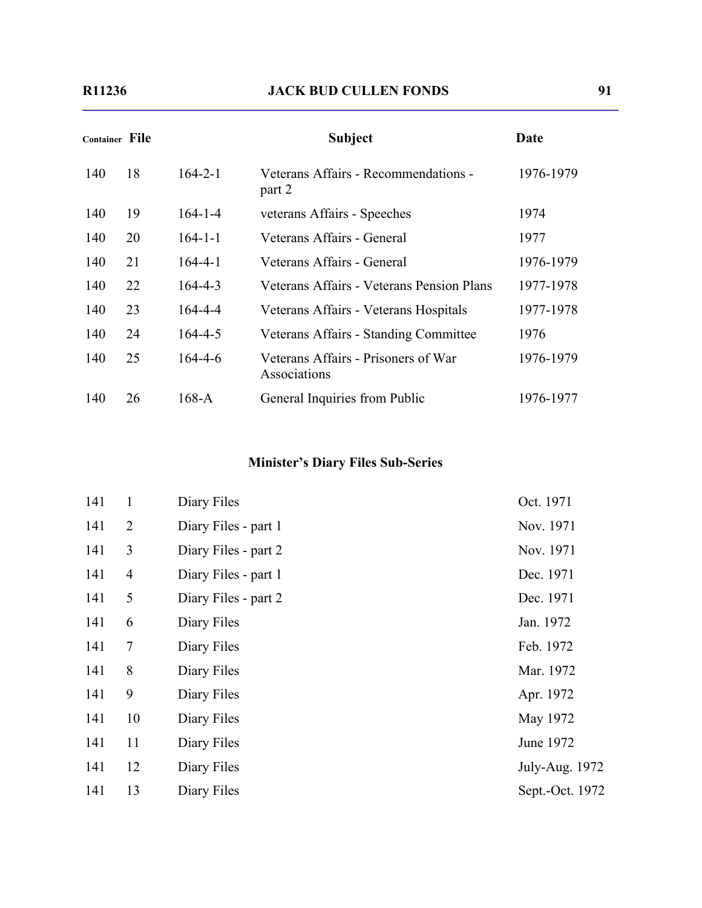| Container File |    |               | <b>Subject</b>                                      | Date      |
|----------------|----|---------------|-----------------------------------------------------|-----------|
| 140            | 18 | $164 - 2 - 1$ | Veterans Affairs - Recommendations -<br>part 2      | 1976-1979 |
| 140            | 19 | $164 - 1 - 4$ | veterans Affairs - Speeches                         | 1974      |
| 140            | 20 | $164 - 1 - 1$ | Veterans Affairs - General                          | 1977      |
| 140            | 21 | $164 - 4 - 1$ | Veterans Affairs - General                          | 1976-1979 |
| 140            | 22 | $164 - 4 - 3$ | Veterans Affairs - Veterans Pension Plans           | 1977-1978 |
| 140            | 23 | 164-4-4       | Veterans Affairs - Veterans Hospitals               | 1977-1978 |
| 140            | 24 | $164 - 4 - 5$ | Veterans Affairs - Standing Committee               | 1976      |
| 140            | 25 | $164 - 4 - 6$ | Veterans Affairs - Prisoners of War<br>Associations | 1976-1979 |
| 140            | 26 | $168-A$       | General Inquiries from Public                       | 1976-1977 |

# **Minister's Diary Files Sub-Series**

| $\mathbf{1}$   | Diary Files          | Oct. 1971       |
|----------------|----------------------|-----------------|
| $\overline{2}$ | Diary Files - part 1 | Nov. 1971       |
| $\overline{3}$ | Diary Files - part 2 | Nov. 1971       |
| $\overline{4}$ | Diary Files - part 1 | Dec. 1971       |
| 5              | Diary Files - part 2 | Dec. 1971       |
| 6              | Diary Files          | Jan. 1972       |
| 7              | Diary Files          | Feb. 1972       |
| 8              | Diary Files          | Mar. 1972       |
| 9              | Diary Files          | Apr. 1972       |
| 10             | Diary Files          | May 1972        |
| 11             | Diary Files          | June 1972       |
| 12             | Diary Files          | July-Aug. 1972  |
| 13             | Diary Files          | Sept.-Oct. 1972 |
|                |                      |                 |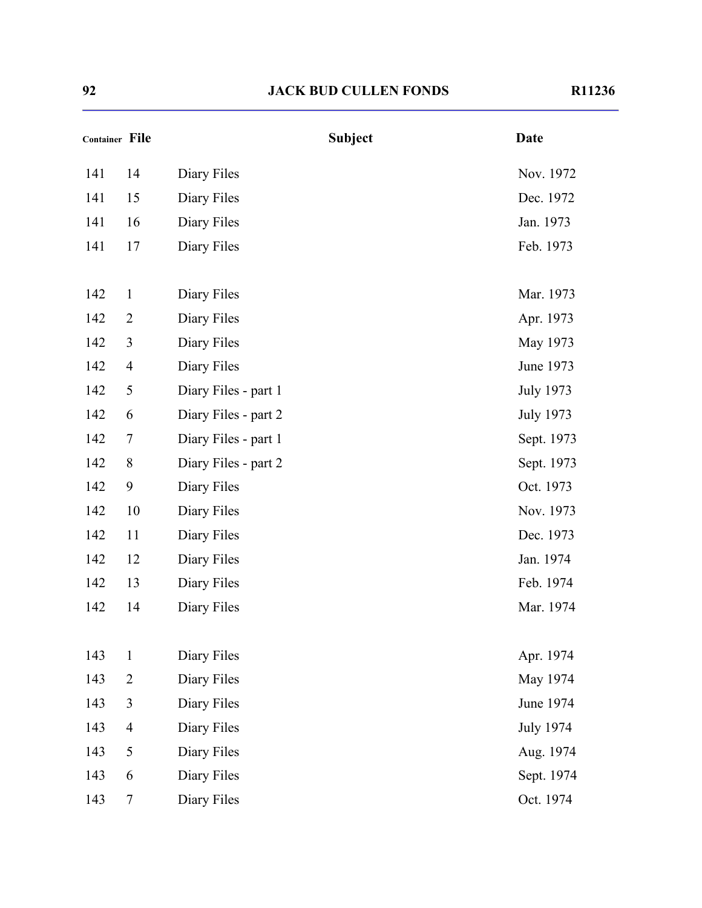| Container File |                |                      | <b>Subject</b> | <b>Date</b>      |
|----------------|----------------|----------------------|----------------|------------------|
| 141            | 14             | Diary Files          |                | Nov. 1972        |
| 141            | 15             | Diary Files          |                | Dec. 1972        |
| 141            | 16             | Diary Files          |                | Jan. 1973        |
| 141            | 17             | Diary Files          |                | Feb. 1973        |
| 142            | $\mathbf{1}$   | Diary Files          |                | Mar. 1973        |
| 142            | $\overline{2}$ | Diary Files          |                | Apr. 1973        |
| 142            | 3              | Diary Files          |                | May 1973         |
| 142            | $\overline{4}$ | Diary Files          |                | June 1973        |
| 142            | 5              | Diary Files - part 1 |                | <b>July 1973</b> |
| 142            | 6              | Diary Files - part 2 |                | <b>July 1973</b> |
| 142            | 7              | Diary Files - part 1 |                | Sept. 1973       |
| 142            | 8              | Diary Files - part 2 |                | Sept. 1973       |
| 142            | 9              | Diary Files          |                | Oct. 1973        |
| 142            | 10             | Diary Files          |                | Nov. 1973        |
| 142            | 11             | Diary Files          |                | Dec. 1973        |
| 142            | 12             | Diary Files          |                | Jan. 1974        |
| 142            | 13             | Diary Files          |                | Feb. 1974        |
| 142            | 14             | Diary Files          |                | Mar. 1974        |
| 143            | $\mathbf{1}$   | Diary Files          |                | Apr. 1974        |
| 143            | $\overline{2}$ | Diary Files          |                | May 1974         |
| 143            | 3              | Diary Files          |                | June 1974        |
| 143            | $\overline{4}$ | Diary Files          |                | <b>July 1974</b> |
| 143            | 5              | Diary Files          |                | Aug. 1974        |
| 143            | 6              | Diary Files          |                | Sept. 1974       |
| 143            | 7              | Diary Files          |                | Oct. 1974        |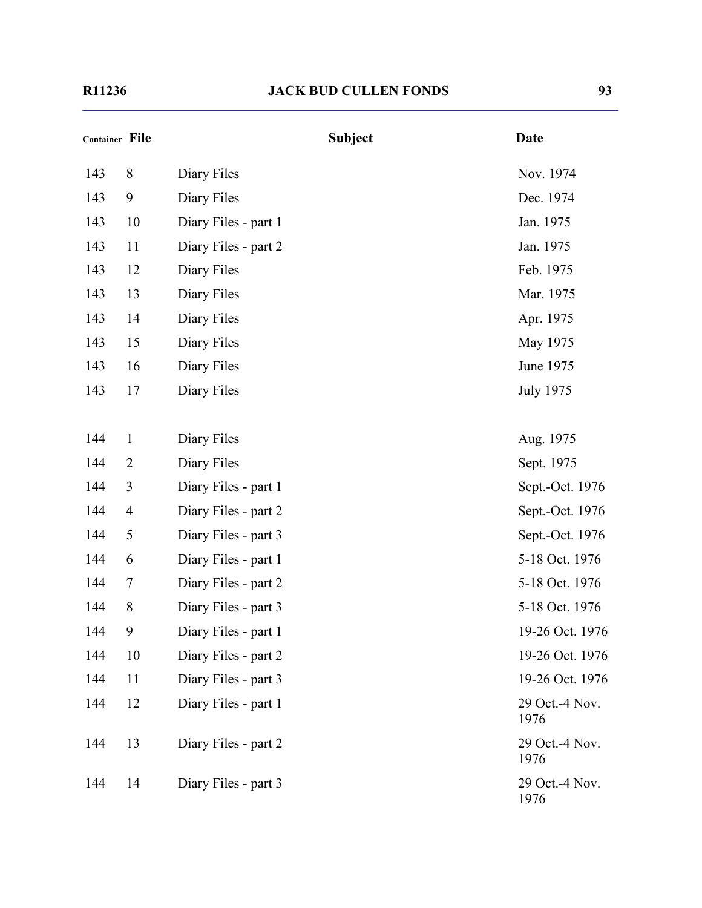| <b>Container File</b> |                |                      | <b>Subject</b> | <b>Date</b>            |
|-----------------------|----------------|----------------------|----------------|------------------------|
| 143                   | 8              | Diary Files          |                | Nov. 1974              |
| 143                   | 9              | Diary Files          |                | Dec. 1974              |
| 143                   | 10             | Diary Files - part 1 |                | Jan. 1975              |
| 143                   | 11             | Diary Files - part 2 |                | Jan. 1975              |
| 143                   | 12             | Diary Files          |                | Feb. 1975              |
| 143                   | 13             | Diary Files          |                | Mar. 1975              |
| 143                   | 14             | Diary Files          |                | Apr. 1975              |
| 143                   | 15             | Diary Files          |                | May 1975               |
| 143                   | 16             | Diary Files          |                | June 1975              |
| 143                   | 17             | Diary Files          |                | <b>July 1975</b>       |
| 144                   | $\mathbf{1}$   | Diary Files          |                | Aug. 1975              |
| 144                   | $\overline{2}$ | Diary Files          |                | Sept. 1975             |
| 144                   | 3              | Diary Files - part 1 |                | Sept.-Oct. 1976        |
| 144                   | $\overline{4}$ | Diary Files - part 2 |                | Sept.-Oct. 1976        |
| 144                   | 5              | Diary Files - part 3 |                | Sept.-Oct. 1976        |
| 144                   | 6              | Diary Files - part 1 |                | 5-18 Oct. 1976         |
| 144                   | 7              | Diary Files - part 2 |                | 5-18 Oct. 1976         |
| 144                   | 8              | Diary Files - part 3 |                | 5-18 Oct. 1976         |
| 144                   | 9              | Diary Files - part 1 |                | 19-26 Oct. 1976        |
| 144                   | 10             | Diary Files - part 2 |                | 19-26 Oct. 1976        |
| 144                   | 11             | Diary Files - part 3 |                | 19-26 Oct. 1976        |
| 144                   | 12             | Diary Files - part 1 |                | 29 Oct.-4 Nov.<br>1976 |
| 144                   | 13             | Diary Files - part 2 |                | 29 Oct.-4 Nov.<br>1976 |
| 144                   | 14             | Diary Files - part 3 |                | 29 Oct.-4 Nov.<br>1976 |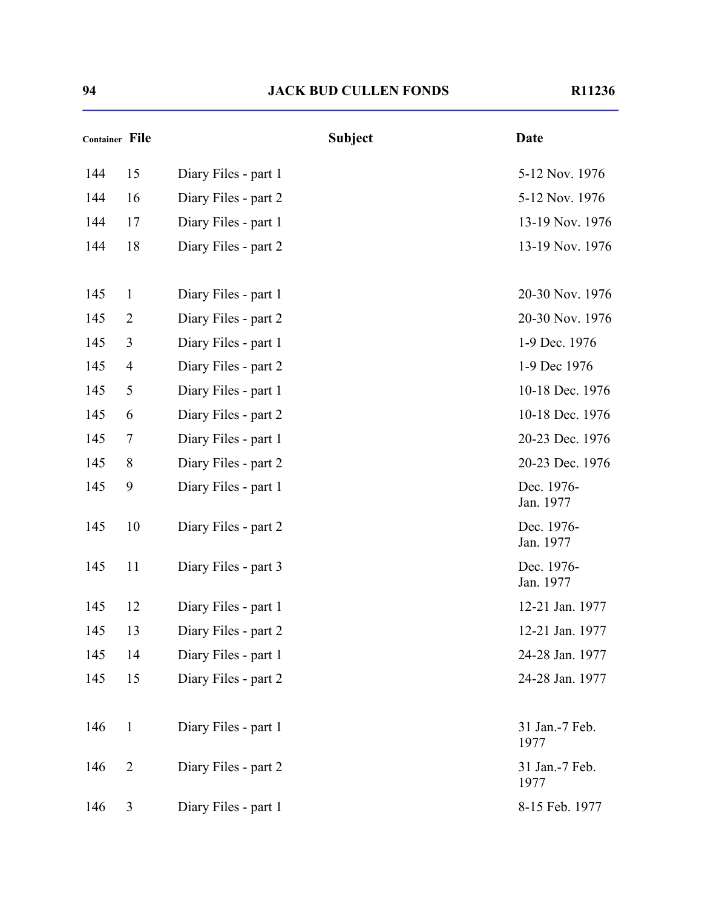| Container File |                |                      | <b>Subject</b> | <b>Date</b>             |
|----------------|----------------|----------------------|----------------|-------------------------|
| 144            | 15             | Diary Files - part 1 |                | 5-12 Nov. 1976          |
| 144            | 16             | Diary Files - part 2 |                | 5-12 Nov. 1976          |
| 144            | 17             | Diary Files - part 1 |                | 13-19 Nov. 1976         |
| 144            | 18             | Diary Files - part 2 |                | 13-19 Nov. 1976         |
| 145            | $\mathbf{1}$   | Diary Files - part 1 |                | 20-30 Nov. 1976         |
| 145            | $\overline{2}$ | Diary Files - part 2 |                | 20-30 Nov. 1976         |
| 145            | 3              | Diary Files - part 1 |                | 1-9 Dec. 1976           |
| 145            | $\overline{4}$ | Diary Files - part 2 |                | 1-9 Dec 1976            |
| 145            | 5              | Diary Files - part 1 |                | 10-18 Dec. 1976         |
| 145            | 6              | Diary Files - part 2 |                | 10-18 Dec. 1976         |
| 145            | 7              | Diary Files - part 1 |                | 20-23 Dec. 1976         |
| 145            | 8              | Diary Files - part 2 |                | 20-23 Dec. 1976         |
| 145            | 9              | Diary Files - part 1 |                | Dec. 1976-<br>Jan. 1977 |
| 145            | 10             | Diary Files - part 2 |                | Dec. 1976-<br>Jan. 1977 |
| 145            | 11             | Diary Files - part 3 |                | Dec. 1976-<br>Jan. 1977 |
| 145            | 12             | Diary Files - part 1 |                | 12-21 Jan. 1977         |
| 145            | 13             | Diary Files - part 2 |                | 12-21 Jan. 1977         |
| 145            | 14             | Diary Files - part 1 |                | 24-28 Jan. 1977         |
| 145            | 15             | Diary Files - part 2 |                | 24-28 Jan. 1977         |
| 146            | $\mathbf{1}$   | Diary Files - part 1 |                | 31 Jan.-7 Feb.<br>1977  |
| 146            | $\overline{2}$ | Diary Files - part 2 |                | 31 Jan.-7 Feb.<br>1977  |
| 146            | 3              | Diary Files - part 1 |                | 8-15 Feb. 1977          |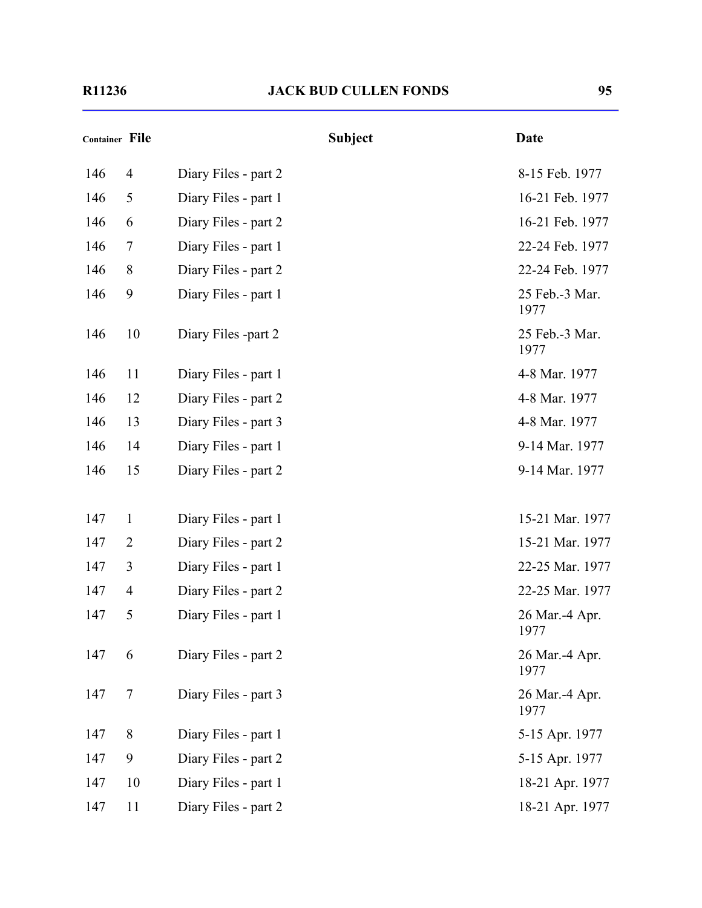| Container File |                |                      | <b>Subject</b> | <b>Date</b>            |
|----------------|----------------|----------------------|----------------|------------------------|
| 146            | 4              | Diary Files - part 2 |                | 8-15 Feb. 1977         |
| 146            | 5              | Diary Files - part 1 |                | 16-21 Feb. 1977        |
| 146            | 6              | Diary Files - part 2 |                | 16-21 Feb. 1977        |
| 146            | $\overline{7}$ | Diary Files - part 1 |                | 22-24 Feb. 1977        |
| 146            | $8\,$          | Diary Files - part 2 |                | 22-24 Feb. 1977        |
| 146            | 9              | Diary Files - part 1 |                | 25 Feb.-3 Mar.<br>1977 |
| 146            | 10             | Diary Files -part 2  |                | 25 Feb.-3 Mar.<br>1977 |
| 146            | 11             | Diary Files - part 1 |                | 4-8 Mar. 1977          |
| 146            | 12             | Diary Files - part 2 |                | 4-8 Mar. 1977          |
| 146            | 13             | Diary Files - part 3 |                | 4-8 Mar. 1977          |
| 146            | 14             | Diary Files - part 1 |                | 9-14 Mar. 1977         |
| 146            | 15             | Diary Files - part 2 |                | 9-14 Mar. 1977         |
| 147            | $\mathbf{1}$   | Diary Files - part 1 |                | 15-21 Mar. 1977        |
| 147            | $\overline{2}$ | Diary Files - part 2 |                | 15-21 Mar. 1977        |
| 147            | 3              | Diary Files - part 1 |                | 22-25 Mar. 1977        |
| 147            | $\overline{4}$ | Diary Files - part 2 |                | 22-25 Mar. 1977        |
| 147            | 5              | Diary Files - part 1 |                | 26 Mar.-4 Apr.<br>1977 |
| 147            | 6              | Diary Files - part 2 |                | 26 Mar.-4 Apr.<br>1977 |
| 147            | 7              | Diary Files - part 3 |                | 26 Mar.-4 Apr.<br>1977 |
| 147            | 8              | Diary Files - part 1 |                | 5-15 Apr. 1977         |
| 147            | 9              | Diary Files - part 2 |                | 5-15 Apr. 1977         |
| 147            | 10             | Diary Files - part 1 |                | 18-21 Apr. 1977        |
| 147            | 11             | Diary Files - part 2 |                | 18-21 Apr. 1977        |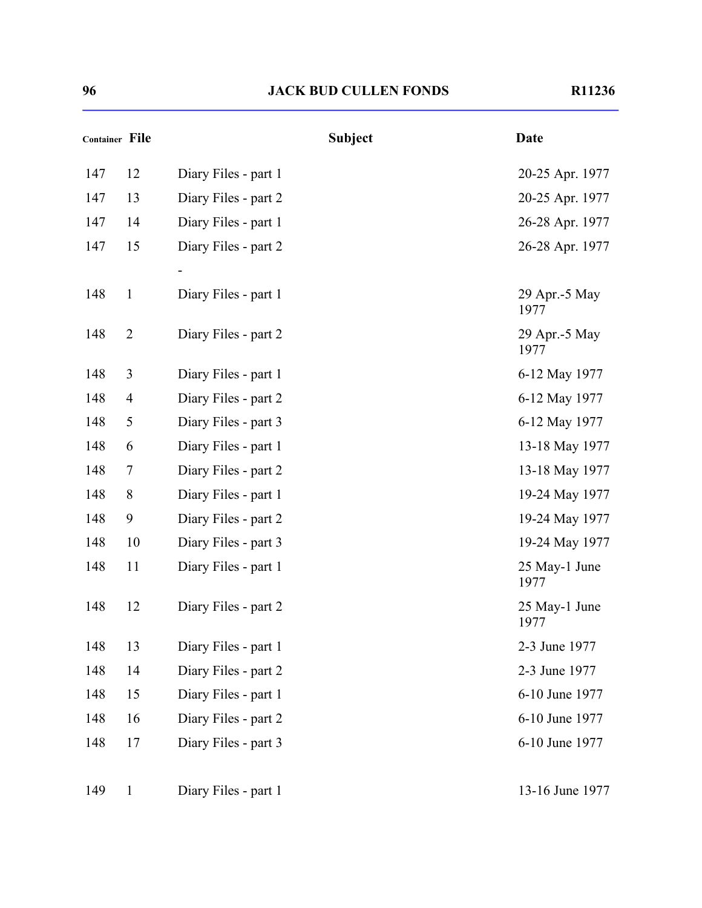| Container File |                |                      | <b>Subject</b> | <b>Date</b>           |
|----------------|----------------|----------------------|----------------|-----------------------|
| 147            | 12             | Diary Files - part 1 |                | 20-25 Apr. 1977       |
| 147            | 13             | Diary Files - part 2 |                | 20-25 Apr. 1977       |
| 147            | 14             | Diary Files - part 1 |                | 26-28 Apr. 1977       |
| 147            | 15             | Diary Files - part 2 |                | 26-28 Apr. 1977       |
|                |                |                      |                |                       |
| 148            | $\mathbf{1}$   | Diary Files - part 1 |                | 29 Apr.-5 May<br>1977 |
| 148            | $\overline{2}$ | Diary Files - part 2 |                | 29 Apr.-5 May<br>1977 |
| 148            | 3              | Diary Files - part 1 |                | 6-12 May 1977         |
| 148            | $\overline{4}$ | Diary Files - part 2 |                | 6-12 May 1977         |
| 148            | 5              | Diary Files - part 3 |                | 6-12 May 1977         |
| 148            | 6              | Diary Files - part 1 |                | 13-18 May 1977        |
| 148            | 7              | Diary Files - part 2 |                | 13-18 May 1977        |
| 148            | 8              | Diary Files - part 1 |                | 19-24 May 1977        |
| 148            | 9              | Diary Files - part 2 |                | 19-24 May 1977        |
| 148            | 10             | Diary Files - part 3 |                | 19-24 May 1977        |
| 148            | 11             | Diary Files - part 1 |                | 25 May-1 June<br>1977 |
| 148            | 12             | Diary Files - part 2 |                | 25 May-1 June<br>1977 |
| 148            | 13             | Diary Files - part 1 |                | 2-3 June 1977         |
| 148            | 14             | Diary Files - part 2 |                | 2-3 June 1977         |
| 148            | 15             | Diary Files - part 1 |                | 6-10 June 1977        |
| 148            | 16             | Diary Files - part 2 |                | 6-10 June 1977        |
| 148            | 17             | Diary Files - part 3 |                | 6-10 June 1977        |
| 149            | $\mathbf{1}$   | Diary Files - part 1 |                | 13-16 June 1977       |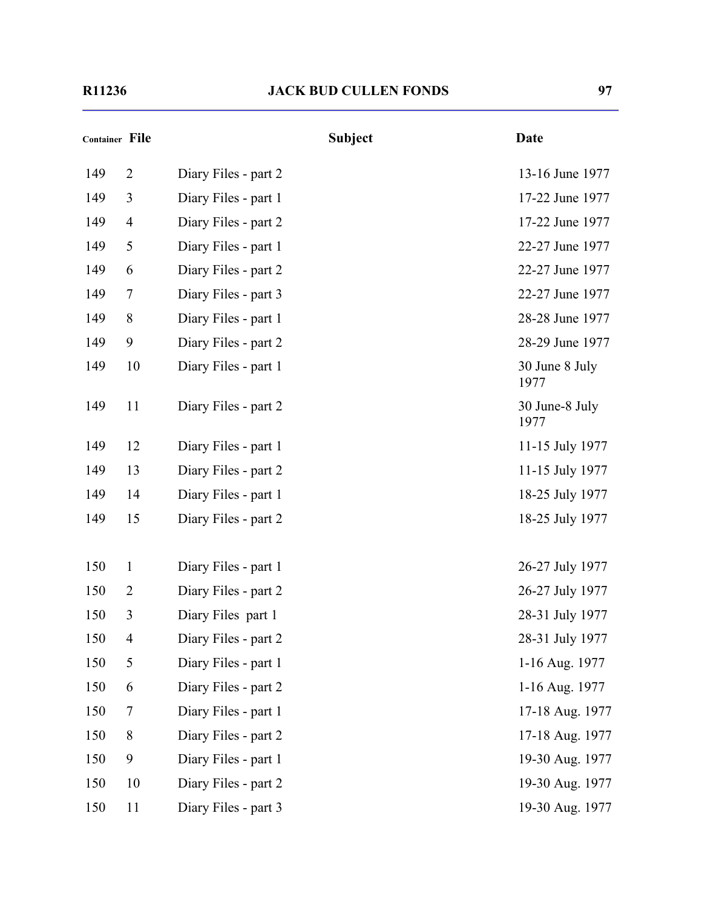| <b>Container File</b> |                |                      | <b>Subject</b> | <b>Date</b>            |
|-----------------------|----------------|----------------------|----------------|------------------------|
| 149                   | $\overline{2}$ | Diary Files - part 2 |                | 13-16 June 1977        |
| 149                   | 3              | Diary Files - part 1 |                | 17-22 June 1977        |
| 149                   | $\overline{4}$ | Diary Files - part 2 |                | 17-22 June 1977        |
| 149                   | 5              | Diary Files - part 1 |                | 22-27 June 1977        |
| 149                   | 6              | Diary Files - part 2 |                | 22-27 June 1977        |
| 149                   | 7              | Diary Files - part 3 |                | 22-27 June 1977        |
| 149                   | 8              | Diary Files - part 1 |                | 28-28 June 1977        |
| 149                   | 9              | Diary Files - part 2 |                | 28-29 June 1977        |
| 149                   | 10             | Diary Files - part 1 |                | 30 June 8 July<br>1977 |
| 149                   | 11             | Diary Files - part 2 |                | 30 June-8 July<br>1977 |
| 149                   | 12             | Diary Files - part 1 |                | 11-15 July 1977        |
| 149                   | 13             | Diary Files - part 2 |                | 11-15 July 1977        |
| 149                   | 14             | Diary Files - part 1 |                | 18-25 July 1977        |
| 149                   | 15             | Diary Files - part 2 |                | 18-25 July 1977        |
| 150                   | $\mathbf{1}$   | Diary Files - part 1 |                | 26-27 July 1977        |
| 150                   | $\overline{2}$ | Diary Files - part 2 |                | 26-27 July 1977        |
| 150                   | 3              | Diary Files part 1   |                | 28-31 July 1977        |
| 150                   | $\overline{4}$ | Diary Files - part 2 |                | 28-31 July 1977        |
| 150                   | 5              | Diary Files - part 1 |                | 1-16 Aug. 1977         |
| 150                   | 6              | Diary Files - part 2 |                | 1-16 Aug. 1977         |
| 150                   | $\overline{7}$ | Diary Files - part 1 |                | 17-18 Aug. 1977        |
| 150                   | 8              | Diary Files - part 2 |                | 17-18 Aug. 1977        |
| 150                   | 9              | Diary Files - part 1 |                | 19-30 Aug. 1977        |
| 150                   | 10             | Diary Files - part 2 |                | 19-30 Aug. 1977        |
| 150                   | 11             | Diary Files - part 3 |                | 19-30 Aug. 1977        |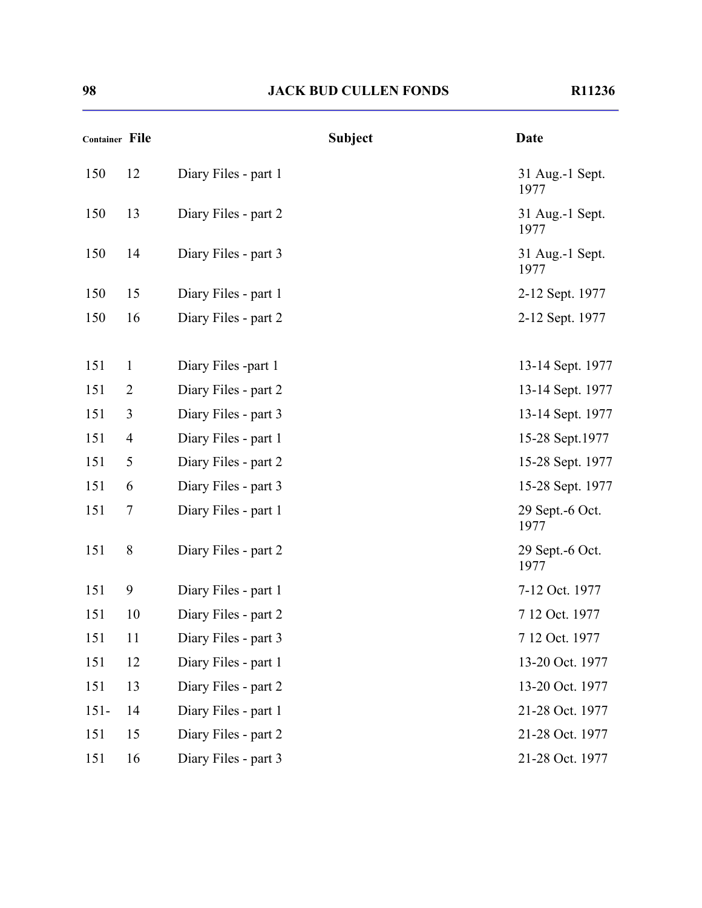| <b>Container File</b> |                |                      | <b>Subject</b> | <b>Date</b>               |
|-----------------------|----------------|----------------------|----------------|---------------------------|
| 150                   | 12             | Diary Files - part 1 |                | 31 Aug.-1 Sept.<br>1977   |
| 150                   | 13             | Diary Files - part 2 |                | 31 Aug.-1 Sept.<br>1977   |
| 150                   | 14             | Diary Files - part 3 |                | 31 Aug.-1 Sept.<br>1977   |
| 150                   | 15             | Diary Files - part 1 |                | 2-12 Sept. 1977           |
| 150                   | 16             | Diary Files - part 2 |                | 2-12 Sept. 1977           |
| 151                   | $\mathbf{1}$   | Diary Files -part 1  |                | 13-14 Sept. 1977          |
| 151                   | $\overline{2}$ | Diary Files - part 2 |                | 13-14 Sept. 1977          |
| 151                   | 3              | Diary Files - part 3 |                | 13-14 Sept. 1977          |
| 151                   | $\overline{4}$ | Diary Files - part 1 |                | 15-28 Sept.1977           |
| 151                   | 5              | Diary Files - part 2 |                | 15-28 Sept. 1977          |
| 151                   | 6              | Diary Files - part 3 |                | 15-28 Sept. 1977          |
| 151                   | $\tau$         | Diary Files - part 1 |                | 29 Sept. - 6 Oct.<br>1977 |
| 151                   | 8              | Diary Files - part 2 |                | 29 Sept.-6 Oct.<br>1977   |
| 151                   | 9              | Diary Files - part 1 |                | 7-12 Oct. 1977            |
| 151                   | 10             | Diary Files - part 2 |                | 7 12 Oct. 1977            |
| 151                   | 11             | Diary Files - part 3 |                | 7 12 Oct. 1977            |
| 151                   | 12             | Diary Files - part 1 |                | 13-20 Oct. 1977           |
| 151                   | 13             | Diary Files - part 2 |                | 13-20 Oct. 1977           |
| $151 -$               | 14             | Diary Files - part 1 |                | 21-28 Oct. 1977           |
| 151                   | 15             | Diary Files - part 2 |                | 21-28 Oct. 1977           |
| 151                   | 16             | Diary Files - part 3 |                | 21-28 Oct. 1977           |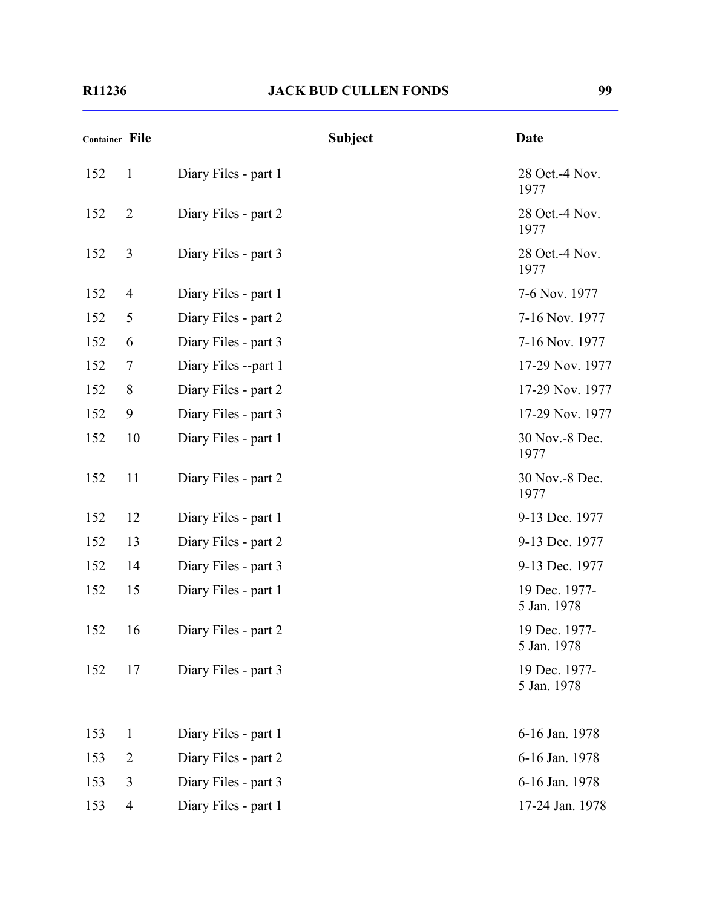| Container File |                |                      | <b>Subject</b> | <b>Date</b>                  |
|----------------|----------------|----------------------|----------------|------------------------------|
| 152            | $\mathbf{1}$   | Diary Files - part 1 |                | 28 Oct.-4 Nov.<br>1977       |
| 152            | $\overline{2}$ | Diary Files - part 2 |                | 28 Oct.-4 Nov.<br>1977       |
| 152            | 3              | Diary Files - part 3 |                | 28 Oct.-4 Nov.<br>1977       |
| 152            | $\overline{4}$ | Diary Files - part 1 |                | 7-6 Nov. 1977                |
| 152            | 5              | Diary Files - part 2 |                | 7-16 Nov. 1977               |
| 152            | 6              | Diary Files - part 3 |                | 7-16 Nov. 1977               |
| 152            | 7              | Diary Files --part 1 |                | 17-29 Nov. 1977              |
| 152            | $8\,$          | Diary Files - part 2 |                | 17-29 Nov. 1977              |
| 152            | 9              | Diary Files - part 3 |                | 17-29 Nov. 1977              |
| 152            | 10             | Diary Files - part 1 |                | 30 Nov.-8 Dec.<br>1977       |
| 152            | 11             | Diary Files - part 2 |                | 30 Nov.-8 Dec.<br>1977       |
| 152            | 12             | Diary Files - part 1 |                | 9-13 Dec. 1977               |
| 152            | 13             | Diary Files - part 2 |                | 9-13 Dec. 1977               |
| 152            | 14             | Diary Files - part 3 |                | 9-13 Dec. 1977               |
| 152            | 15             | Diary Files - part 1 |                | 19 Dec. 1977-<br>5 Jan. 1978 |
| 152            | 16             | Diary Files - part 2 |                | 19 Dec. 1977-<br>5 Jan. 1978 |
| 152            | 17             | Diary Files - part 3 |                | 19 Dec. 1977-<br>5 Jan. 1978 |
| 153            | $\mathbf{1}$   | Diary Files - part 1 |                | 6-16 Jan. 1978               |
| 153            | $\overline{2}$ | Diary Files - part 2 |                | 6-16 Jan. 1978               |
| 153            | 3              | Diary Files - part 3 |                | 6-16 Jan. 1978               |
| 153            | 4              | Diary Files - part 1 |                | 17-24 Jan. 1978              |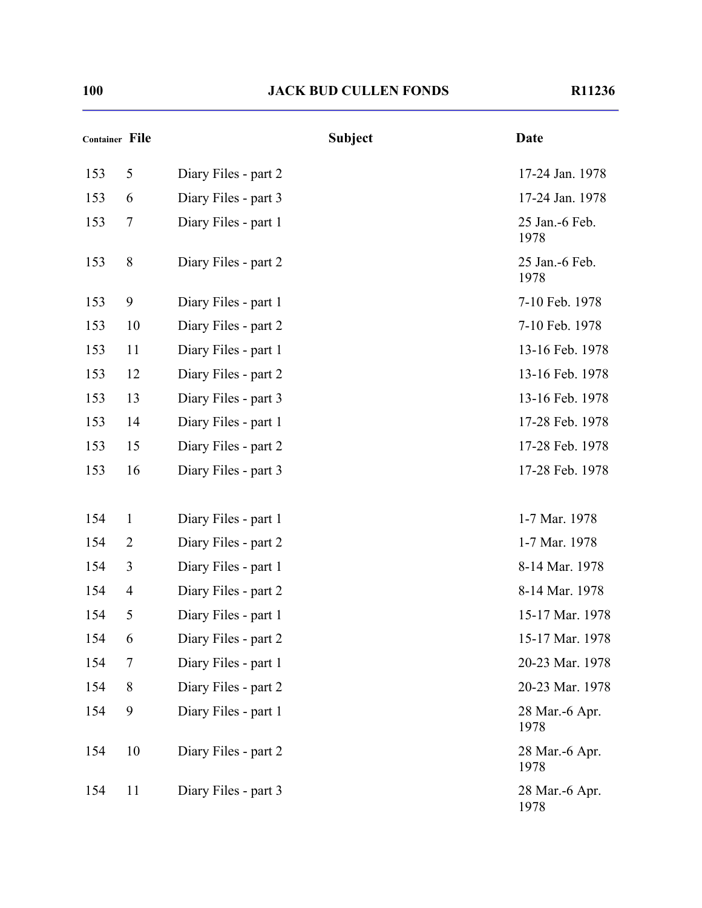| Container File |                |                      | <b>Subject</b> | <b>Date</b>            |
|----------------|----------------|----------------------|----------------|------------------------|
| 153            | 5              | Diary Files - part 2 |                | 17-24 Jan. 1978        |
| 153            | 6              | Diary Files - part 3 |                | 17-24 Jan. 1978        |
| 153            | $\overline{7}$ | Diary Files - part 1 |                | 25 Jan.-6 Feb.<br>1978 |
| 153            | 8              | Diary Files - part 2 |                | 25 Jan.-6 Feb.<br>1978 |
| 153            | 9              | Diary Files - part 1 |                | 7-10 Feb. 1978         |
| 153            | 10             | Diary Files - part 2 |                | 7-10 Feb. 1978         |
| 153            | 11             | Diary Files - part 1 |                | 13-16 Feb. 1978        |
| 153            | 12             | Diary Files - part 2 |                | 13-16 Feb. 1978        |
| 153            | 13             | Diary Files - part 3 |                | 13-16 Feb. 1978        |
| 153            | 14             | Diary Files - part 1 |                | 17-28 Feb. 1978        |
| 153            | 15             | Diary Files - part 2 |                | 17-28 Feb. 1978        |
| 153            | 16             | Diary Files - part 3 |                | 17-28 Feb. 1978        |
|                |                |                      |                |                        |
| 154            | $\mathbf{1}$   | Diary Files - part 1 |                | 1-7 Mar. 1978          |
| 154            | 2              | Diary Files - part 2 |                | 1-7 Mar. 1978          |
| 154            | 3              | Diary Files - part 1 |                | 8-14 Mar. 1978         |
| 154            | $\overline{4}$ | Diary Files - part 2 |                | 8-14 Mar. 1978         |
| 154            | 5              | Diary Files - part 1 |                | 15-17 Mar. 1978        |
| 154            | 6              | Diary Files - part 2 |                | 15-17 Mar. 1978        |
| 154            | 7              | Diary Files - part 1 |                | 20-23 Mar. 1978        |
| 154            | 8              | Diary Files - part 2 |                | 20-23 Mar. 1978        |
| 154            | 9              | Diary Files - part 1 |                | 28 Mar.-6 Apr.<br>1978 |
| 154            | 10             | Diary Files - part 2 |                | 28 Mar.-6 Apr.<br>1978 |
| 154            | 11             | Diary Files - part 3 |                | 28 Mar.-6 Apr.<br>1978 |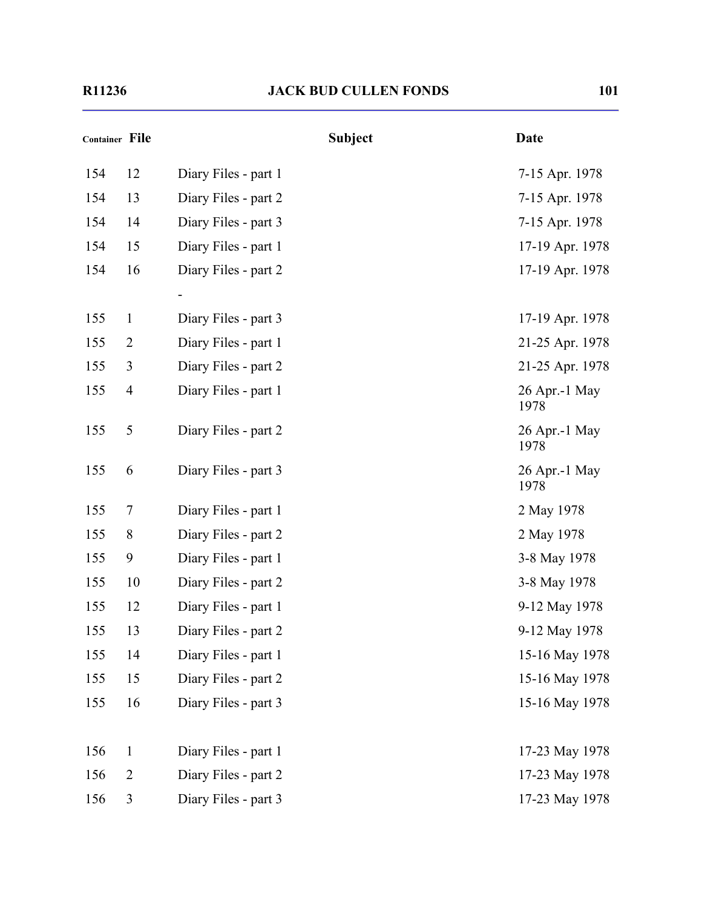|     | Container File |                      | <b>Subject</b> | <b>Date</b>           |
|-----|----------------|----------------------|----------------|-----------------------|
| 154 | 12             | Diary Files - part 1 |                | 7-15 Apr. 1978        |
| 154 | 13             | Diary Files - part 2 |                | 7-15 Apr. 1978        |
| 154 | 14             | Diary Files - part 3 |                | 7-15 Apr. 1978        |
| 154 | 15             | Diary Files - part 1 |                | 17-19 Apr. 1978       |
| 154 | 16             | Diary Files - part 2 |                | 17-19 Apr. 1978       |
|     |                |                      |                |                       |
| 155 | $\mathbf{1}$   | Diary Files - part 3 |                | 17-19 Apr. 1978       |
| 155 | $\overline{2}$ | Diary Files - part 1 |                | 21-25 Apr. 1978       |
| 155 | 3              | Diary Files - part 2 |                | 21-25 Apr. 1978       |
| 155 | $\overline{4}$ | Diary Files - part 1 |                | 26 Apr.-1 May<br>1978 |
| 155 | $\mathfrak{S}$ | Diary Files - part 2 |                | 26 Apr.-1 May<br>1978 |
| 155 | 6              | Diary Files - part 3 |                | 26 Apr.-1 May<br>1978 |
| 155 | 7              | Diary Files - part 1 |                | 2 May 1978            |
| 155 | 8              | Diary Files - part 2 |                | 2 May 1978            |
| 155 | 9              | Diary Files - part 1 |                | 3-8 May 1978          |
| 155 | 10             | Diary Files - part 2 |                | 3-8 May 1978          |
| 155 | 12             | Diary Files - part 1 |                | 9-12 May 1978         |
| 155 | 13             | Diary Files - part 2 |                | 9-12 May 1978         |
| 155 | 14             | Diary Files - part 1 |                | 15-16 May 1978        |
| 155 | 15             | Diary Files - part 2 |                | 15-16 May 1978        |
| 155 | 16             | Diary Files - part 3 |                | 15-16 May 1978        |
| 156 | $\mathbf{1}$   | Diary Files - part 1 |                | 17-23 May 1978        |
| 156 | $\overline{2}$ | Diary Files - part 2 |                | 17-23 May 1978        |
| 156 | 3              | Diary Files - part 3 |                | 17-23 May 1978        |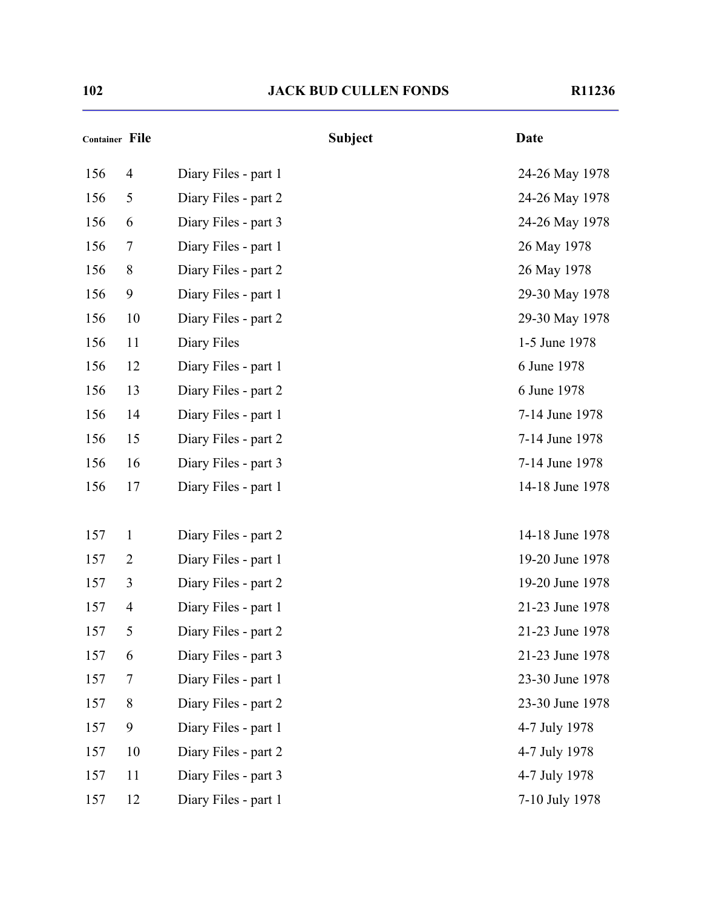| Container File |                |                      | <b>Subject</b> | <b>Date</b>     |
|----------------|----------------|----------------------|----------------|-----------------|
| 156            | $\overline{4}$ | Diary Files - part 1 |                | 24-26 May 1978  |
| 156            | 5              | Diary Files - part 2 |                | 24-26 May 1978  |
| 156            | 6              | Diary Files - part 3 |                | 24-26 May 1978  |
| 156            | $\overline{7}$ | Diary Files - part 1 |                | 26 May 1978     |
| 156            | 8              | Diary Files - part 2 |                | 26 May 1978     |
| 156            | 9              | Diary Files - part 1 |                | 29-30 May 1978  |
| 156            | 10             | Diary Files - part 2 |                | 29-30 May 1978  |
| 156            | 11             | Diary Files          |                | 1-5 June 1978   |
| 156            | 12             | Diary Files - part 1 |                | 6 June 1978     |
| 156            | 13             | Diary Files - part 2 |                | 6 June 1978     |
| 156            | 14             | Diary Files - part 1 |                | 7-14 June 1978  |
| 156            | 15             | Diary Files - part 2 |                | 7-14 June 1978  |
| 156            | 16             | Diary Files - part 3 |                | 7-14 June 1978  |
| 156            | 17             | Diary Files - part 1 |                | 14-18 June 1978 |
|                |                |                      |                |                 |
| 157            | $\mathbf{1}$   | Diary Files - part 2 |                | 14-18 June 1978 |
| 157            | $\overline{2}$ | Diary Files - part 1 |                | 19-20 June 1978 |
| 157            | $\mathfrak{Z}$ | Diary Files - part 2 |                | 19-20 June 1978 |
| 157            | $\overline{4}$ | Diary Files - part 1 |                | 21-23 June 1978 |
| 157            | 5              | Diary Files - part 2 |                | 21-23 June 1978 |
| 157            | 6              | Diary Files - part 3 |                | 21-23 June 1978 |
| 157            | $\overline{7}$ | Diary Files - part 1 |                | 23-30 June 1978 |
| 157            | 8              | Diary Files - part 2 |                | 23-30 June 1978 |
| 157            | 9              | Diary Files - part 1 |                | 4-7 July 1978   |
| 157            | 10             | Diary Files - part 2 |                | 4-7 July 1978   |
| 157            | 11             | Diary Files - part 3 |                | 4-7 July 1978   |
| 157            | 12             | Diary Files - part 1 |                | 7-10 July 1978  |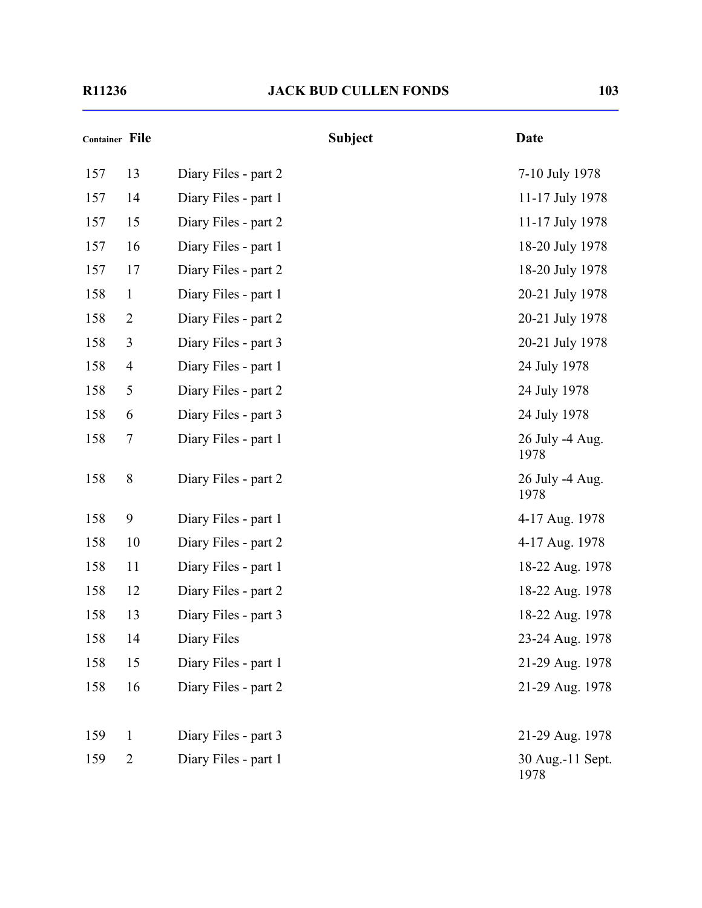| Container File |                | <b>Subject</b>       | <b>Date</b>              |
|----------------|----------------|----------------------|--------------------------|
| 157            | 13             | Diary Files - part 2 | 7-10 July 1978           |
| 157            | 14             | Diary Files - part 1 | 11-17 July 1978          |
| 157            | 15             | Diary Files - part 2 | 11-17 July 1978          |
| 157            | 16             | Diary Files - part 1 | 18-20 July 1978          |
| 157            | 17             | Diary Files - part 2 | 18-20 July 1978          |
| 158            | $\mathbf{1}$   | Diary Files - part 1 | 20-21 July 1978          |
| 158            | $\overline{2}$ | Diary Files - part 2 | 20-21 July 1978          |
| 158            | 3              | Diary Files - part 3 | 20-21 July 1978          |
| 158            | $\overline{4}$ | Diary Files - part 1 | 24 July 1978             |
| 158            | 5              | Diary Files - part 2 | 24 July 1978             |
| 158            | 6              | Diary Files - part 3 | 24 July 1978             |
| 158            | 7              | Diary Files - part 1 | 26 July -4 Aug.<br>1978  |
| 158            | 8              | Diary Files - part 2 | 26 July -4 Aug.<br>1978  |
| 158            | 9              | Diary Files - part 1 | 4-17 Aug. 1978           |
| 158            | 10             | Diary Files - part 2 | 4-17 Aug. 1978           |
| 158            | 11             | Diary Files - part 1 | 18-22 Aug. 1978          |
| 158            | 12             | Diary Files - part 2 | 18-22 Aug. 1978          |
| 158            | 13             | Diary Files - part 3 | 18-22 Aug. 1978          |
| 158            | 14             | Diary Files          | 23-24 Aug. 1978          |
| 158            | 15             | Diary Files - part 1 | 21-29 Aug. 1978          |
| 158            | 16             | Diary Files - part 2 | 21-29 Aug. 1978          |
| 159            | $\mathbf{1}$   | Diary Files - part 3 | 21-29 Aug. 1978          |
| 159            | $\overline{2}$ | Diary Files - part 1 | 30 Aug.-11 Sept.<br>1978 |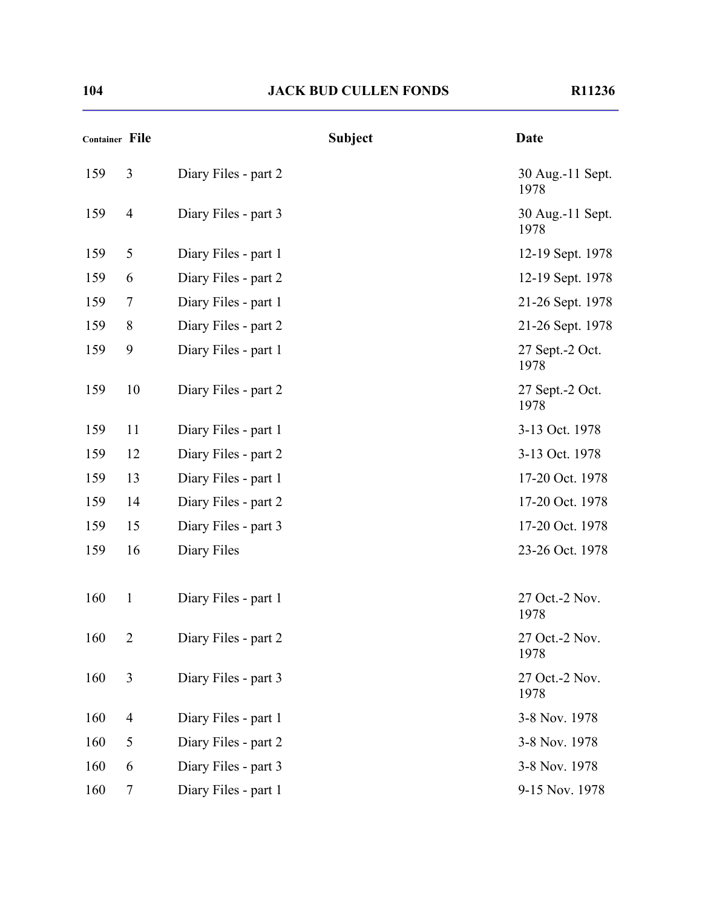| Container File |                  |                      | <b>Subject</b> | <b>Date</b>               |
|----------------|------------------|----------------------|----------------|---------------------------|
| 159            | 3                | Diary Files - part 2 |                | 30 Aug.-11 Sept.<br>1978  |
| 159            | $\overline{4}$   | Diary Files - part 3 |                | 30 Aug.-11 Sept.<br>1978  |
| 159            | 5                | Diary Files - part 1 |                | 12-19 Sept. 1978          |
| 159            | 6                | Diary Files - part 2 |                | 12-19 Sept. 1978          |
| 159            | 7                | Diary Files - part 1 |                | 21-26 Sept. 1978          |
| 159            | $8\,$            | Diary Files - part 2 |                | 21-26 Sept. 1978          |
| 159            | 9                | Diary Files - part 1 |                | 27 Sept. - 2 Oct.<br>1978 |
| 159            | 10               | Diary Files - part 2 |                | 27 Sept.-2 Oct.<br>1978   |
| 159            | 11               | Diary Files - part 1 |                | 3-13 Oct. 1978            |
| 159            | 12               | Diary Files - part 2 |                | 3-13 Oct. 1978            |
| 159            | 13               | Diary Files - part 1 |                | 17-20 Oct. 1978           |
| 159            | 14               | Diary Files - part 2 |                | 17-20 Oct. 1978           |
| 159            | 15               | Diary Files - part 3 |                | 17-20 Oct. 1978           |
| 159            | 16               | Diary Files          |                | 23-26 Oct. 1978           |
| 160            | $\mathbf{1}$     | Diary Files - part 1 |                | 27 Oct.-2 Nov.<br>1978    |
| 160            | $\overline{2}$   | Diary Files - part 2 |                | 27 Oct.-2 Nov.<br>1978    |
| 160            | 3                | Diary Files - part 3 |                | 27 Oct.-2 Nov.<br>1978    |
| 160            | $\overline{4}$   | Diary Files - part 1 |                | 3-8 Nov. 1978             |
| 160            | 5                | Diary Files - part 2 |                | 3-8 Nov. 1978             |
| 160            | 6                | Diary Files - part 3 |                | 3-8 Nov. 1978             |
| 160            | $\boldsymbol{7}$ | Diary Files - part 1 |                | 9-15 Nov. 1978            |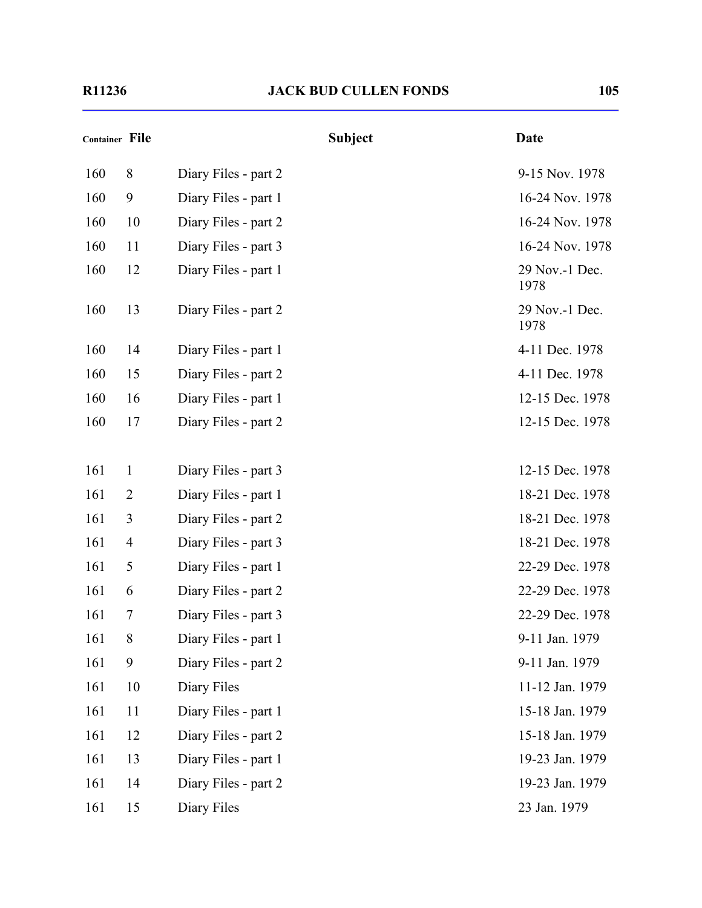| Container File |                | <b>Subject</b>       | <b>Date</b>            |
|----------------|----------------|----------------------|------------------------|
| 160            | 8              | Diary Files - part 2 | 9-15 Nov. 1978         |
| 160            | 9              | Diary Files - part 1 | 16-24 Nov. 1978        |
| 160            | 10             | Diary Files - part 2 | 16-24 Nov. 1978        |
| 160            | 11             | Diary Files - part 3 | 16-24 Nov. 1978        |
| 160            | 12             | Diary Files - part 1 | 29 Nov.-1 Dec.<br>1978 |
| 160            | 13             | Diary Files - part 2 | 29 Nov.-1 Dec.<br>1978 |
| 160            | 14             | Diary Files - part 1 | 4-11 Dec. 1978         |
| 160            | 15             | Diary Files - part 2 | 4-11 Dec. 1978         |
| 160            | 16             | Diary Files - part 1 | 12-15 Dec. 1978        |
| 160            | 17             | Diary Files - part 2 | 12-15 Dec. 1978        |
|                |                |                      |                        |
| 161            | $\mathbf{1}$   | Diary Files - part 3 | 12-15 Dec. 1978        |
| 161            | $\overline{2}$ | Diary Files - part 1 | 18-21 Dec. 1978        |
| 161            | 3              | Diary Files - part 2 | 18-21 Dec. 1978        |
| 161            | $\overline{4}$ | Diary Files - part 3 | 18-21 Dec. 1978        |
| 161            | 5              | Diary Files - part 1 | 22-29 Dec. 1978        |
| 161            | 6              | Diary Files - part 2 | 22-29 Dec. 1978        |
| 161            | 7              | Diary Files - part 3 | 22-29 Dec. 1978        |
| 161            | 8              | Diary Files - part 1 | 9-11 Jan. 1979         |
| 161            | 9              | Diary Files - part 2 | 9-11 Jan. 1979         |
| 161            | 10             | Diary Files          | 11-12 Jan. 1979        |
| 161            | 11             | Diary Files - part 1 | 15-18 Jan. 1979        |
| 161            | 12             | Diary Files - part 2 | 15-18 Jan. 1979        |
| 161            | 13             | Diary Files - part 1 | 19-23 Jan. 1979        |
| 161            | 14             | Diary Files - part 2 | 19-23 Jan. 1979        |
| 161            | 15             | Diary Files          | 23 Jan. 1979           |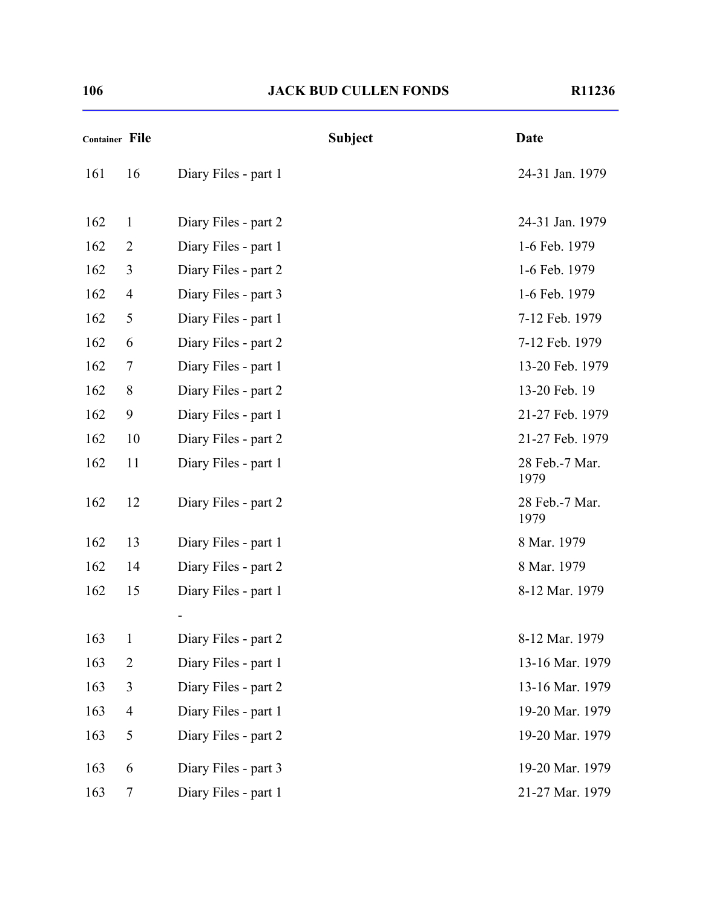| Container File |                |                      | <b>Subject</b> | <b>Date</b>            |
|----------------|----------------|----------------------|----------------|------------------------|
| 161            | 16             | Diary Files - part 1 |                | 24-31 Jan. 1979        |
| 162            | $\mathbf{1}$   | Diary Files - part 2 |                | 24-31 Jan. 1979        |
| 162            | $\overline{2}$ | Diary Files - part 1 |                | 1-6 Feb. 1979          |
| 162            | 3              | Diary Files - part 2 |                | 1-6 Feb. 1979          |
| 162            | $\overline{4}$ | Diary Files - part 3 |                | 1-6 Feb. 1979          |
| 162            | 5              | Diary Files - part 1 |                | 7-12 Feb. 1979         |
| 162            | 6              | Diary Files - part 2 |                | 7-12 Feb. 1979         |
| 162            | 7              | Diary Files - part 1 |                | 13-20 Feb. 1979        |
| 162            | $8\,$          | Diary Files - part 2 |                | 13-20 Feb. 19          |
| 162            | 9              | Diary Files - part 1 |                | 21-27 Feb. 1979        |
| 162            | 10             | Diary Files - part 2 |                | 21-27 Feb. 1979        |
| 162            | 11             | Diary Files - part 1 |                | 28 Feb.-7 Mar.<br>1979 |
| 162            | 12             | Diary Files - part 2 |                | 28 Feb.-7 Mar.<br>1979 |
| 162            | 13             | Diary Files - part 1 |                | 8 Mar. 1979            |
| 162            | 14             | Diary Files - part 2 |                | 8 Mar. 1979            |
| 162            | 15             | Diary Files - part 1 |                | 8-12 Mar. 1979         |
|                |                |                      |                |                        |
| 163            | $\mathbf{1}$   | Diary Files - part 2 |                | 8-12 Mar. 1979         |
| 163            | $\overline{2}$ | Diary Files - part 1 |                | 13-16 Mar. 1979        |
| 163            | $\overline{3}$ | Diary Files - part 2 |                | 13-16 Mar. 1979        |
| 163            | $\overline{4}$ | Diary Files - part 1 |                | 19-20 Mar. 1979        |
| 163            | 5              | Diary Files - part 2 |                | 19-20 Mar. 1979        |
| 163            | 6              | Diary Files - part 3 |                | 19-20 Mar. 1979        |
| 163            | 7              | Diary Files - part 1 |                | 21-27 Mar. 1979        |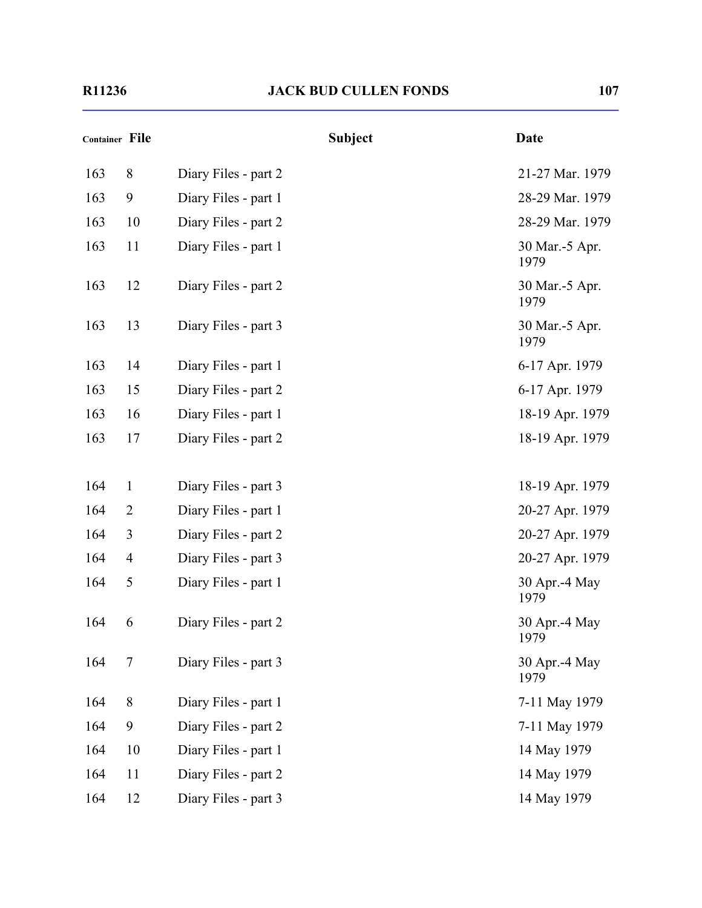| <b>Container File</b> |                |                      | <b>Subject</b> | <b>Date</b>            |
|-----------------------|----------------|----------------------|----------------|------------------------|
| 163                   | 8              | Diary Files - part 2 |                | 21-27 Mar. 1979        |
| 163                   | 9              | Diary Files - part 1 |                | 28-29 Mar. 1979        |
| 163                   | 10             | Diary Files - part 2 |                | 28-29 Mar. 1979        |
| 163                   | 11             | Diary Files - part 1 |                | 30 Mar.-5 Apr.<br>1979 |
| 163                   | 12             | Diary Files - part 2 |                | 30 Mar.-5 Apr.<br>1979 |
| 163                   | 13             | Diary Files - part 3 |                | 30 Mar.-5 Apr.<br>1979 |
| 163                   | 14             | Diary Files - part 1 |                | 6-17 Apr. 1979         |
| 163                   | 15             | Diary Files - part 2 |                | 6-17 Apr. 1979         |
| 163                   | 16             | Diary Files - part 1 |                | 18-19 Apr. 1979        |
| 163                   | 17             | Diary Files - part 2 |                | 18-19 Apr. 1979        |
| 164                   | 1              | Diary Files - part 3 |                | 18-19 Apr. 1979        |
| 164                   | $\overline{2}$ | Diary Files - part 1 |                | 20-27 Apr. 1979        |
| 164                   | 3              | Diary Files - part 2 |                | 20-27 Apr. 1979        |
| 164                   | $\overline{4}$ | Diary Files - part 3 |                | 20-27 Apr. 1979        |
| 164                   | 5              | Diary Files - part 1 |                | 30 Apr.-4 May<br>1979  |
| 164                   | 6              | Diary Files - part 2 |                | 30 Apr.-4 May<br>1979  |
| 164                   | $\tau$         | Diary Files - part 3 |                | 30 Apr.-4 May<br>1979  |
| 164                   | $8\,$          | Diary Files - part 1 |                | 7-11 May 1979          |
| 164                   | 9              | Diary Files - part 2 |                | 7-11 May 1979          |
| 164                   | 10             | Diary Files - part 1 |                | 14 May 1979            |
| 164                   | 11             | Diary Files - part 2 |                | 14 May 1979            |
| 164                   | 12             | Diary Files - part 3 |                | 14 May 1979            |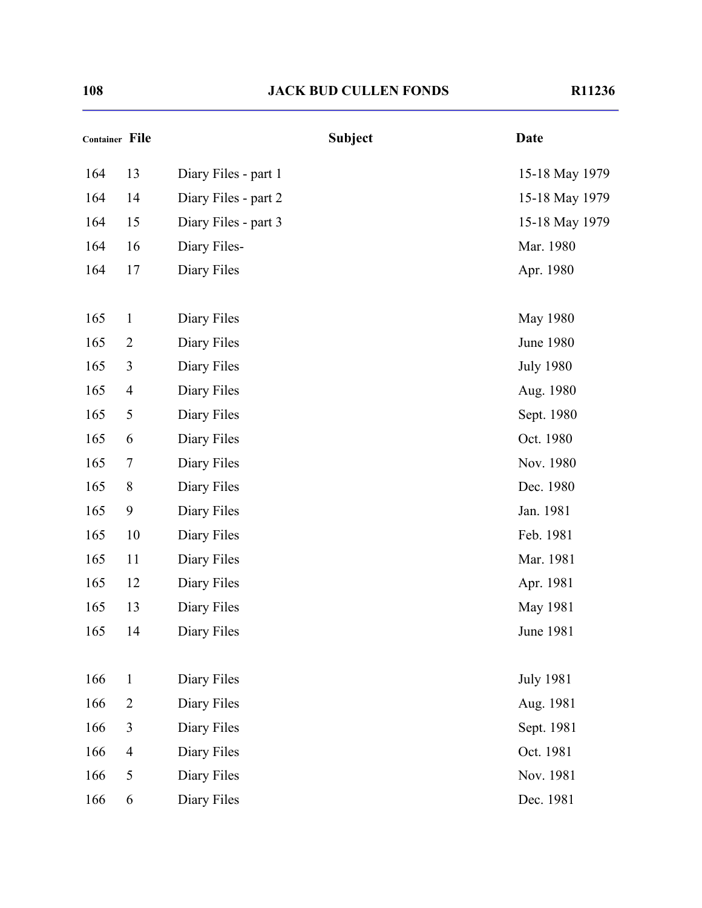| Container File |                |                      | <b>Subject</b> | <b>Date</b>      |
|----------------|----------------|----------------------|----------------|------------------|
| 164            | 13             | Diary Files - part 1 |                | 15-18 May 1979   |
| 164            | 14             | Diary Files - part 2 |                | 15-18 May 1979   |
| 164            | 15             | Diary Files - part 3 |                | 15-18 May 1979   |
| 164            | 16             | Diary Files-         |                | Mar. 1980        |
| 164            | 17             | Diary Files          |                | Apr. 1980        |
| 165            | $\mathbf{1}$   | Diary Files          |                | May 1980         |
| 165            | $\overline{2}$ | Diary Files          |                | <b>June 1980</b> |
| 165            | 3              | Diary Files          |                | <b>July 1980</b> |
| 165            | $\overline{4}$ | Diary Files          |                | Aug. 1980        |
| 165            | $\mathfrak{S}$ | Diary Files          |                | Sept. 1980       |
| 165            | 6              | Diary Files          |                | Oct. 1980        |
| 165            | $\overline{7}$ | Diary Files          |                | Nov. 1980        |
| 165            | 8              | Diary Files          |                | Dec. 1980        |
| 165            | 9              | Diary Files          |                | Jan. 1981        |
| 165            | 10             | Diary Files          |                | Feb. 1981        |
| 165            | 11             | Diary Files          |                | Mar. 1981        |
| 165            | 12             | Diary Files          |                | Apr. 1981        |
| 165            | 13             | Diary Files          |                | May 1981         |
| 165            | 14             | Diary Files          |                | <b>June 1981</b> |
| 166            | $\mathbf{1}$   | Diary Files          |                | <b>July 1981</b> |
| 166            | $\overline{2}$ | Diary Files          |                | Aug. 1981        |
| 166            | 3              | Diary Files          |                | Sept. 1981       |
| 166            | $\overline{4}$ | Diary Files          |                | Oct. 1981        |
| 166            | 5              | Diary Files          |                | Nov. 1981        |
| 166            | 6              | Diary Files          |                | Dec. 1981        |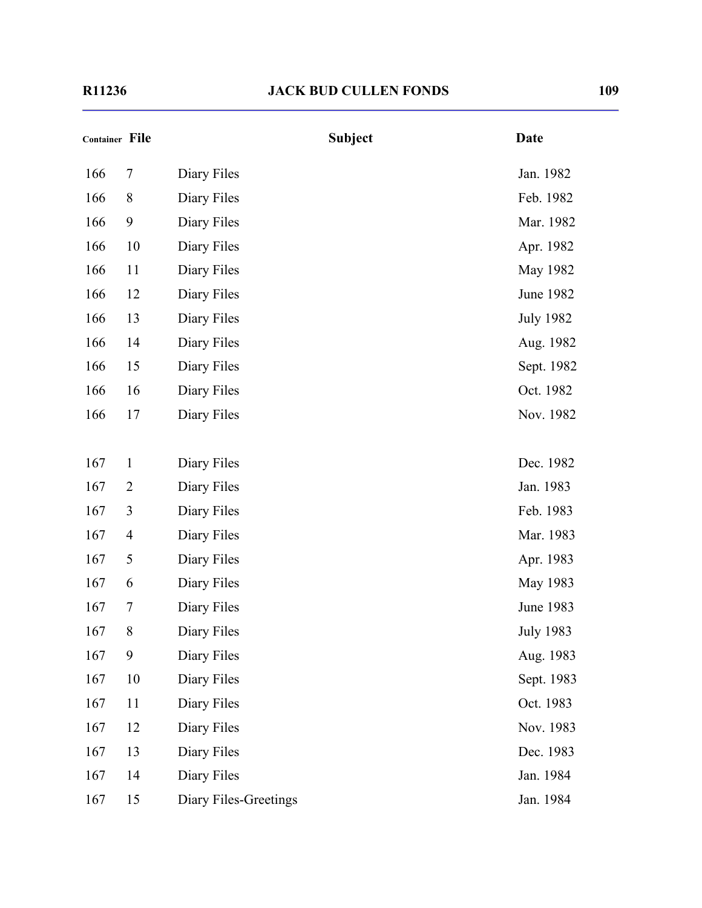|     | <b>Container File</b> |                       | <b>Subject</b> | <b>Date</b>      |
|-----|-----------------------|-----------------------|----------------|------------------|
| 166 | 7                     | Diary Files           |                | Jan. 1982        |
| 166 | 8                     | Diary Files           |                | Feb. 1982        |
| 166 | 9                     | Diary Files           |                | Mar. 1982        |
| 166 | 10                    | Diary Files           |                | Apr. 1982        |
| 166 | 11                    | Diary Files           |                | May 1982         |
| 166 | 12                    | Diary Files           |                | June 1982        |
| 166 | 13                    | Diary Files           |                | <b>July 1982</b> |
| 166 | 14                    | Diary Files           |                | Aug. 1982        |
| 166 | 15                    | Diary Files           |                | Sept. 1982       |
| 166 | 16                    | Diary Files           |                | Oct. 1982        |
| 166 | 17                    | Diary Files           |                | Nov. 1982        |
|     |                       |                       |                |                  |
| 167 | $\mathbf{1}$          | Diary Files           |                | Dec. 1982        |
| 167 | $\overline{2}$        | Diary Files           |                | Jan. 1983        |
| 167 | 3                     | Diary Files           |                | Feb. 1983        |
| 167 | $\overline{4}$        | Diary Files           |                | Mar. 1983        |
| 167 | 5                     | Diary Files           |                | Apr. 1983        |
| 167 | 6                     | Diary Files           |                | May 1983         |
| 167 | 7                     | Diary Files           |                | June 1983        |
| 167 | 8                     | Diary Files           |                | <b>July 1983</b> |
| 167 | 9                     | Diary Files           |                | Aug. 1983        |
| 167 | 10                    | Diary Files           |                | Sept. 1983       |
| 167 | 11                    | Diary Files           |                | Oct. 1983        |
| 167 | 12                    | Diary Files           |                | Nov. 1983        |
| 167 | 13                    | Diary Files           |                | Dec. 1983        |
| 167 | 14                    | Diary Files           |                | Jan. 1984        |
| 167 | 15                    | Diary Files-Greetings |                | Jan. 1984        |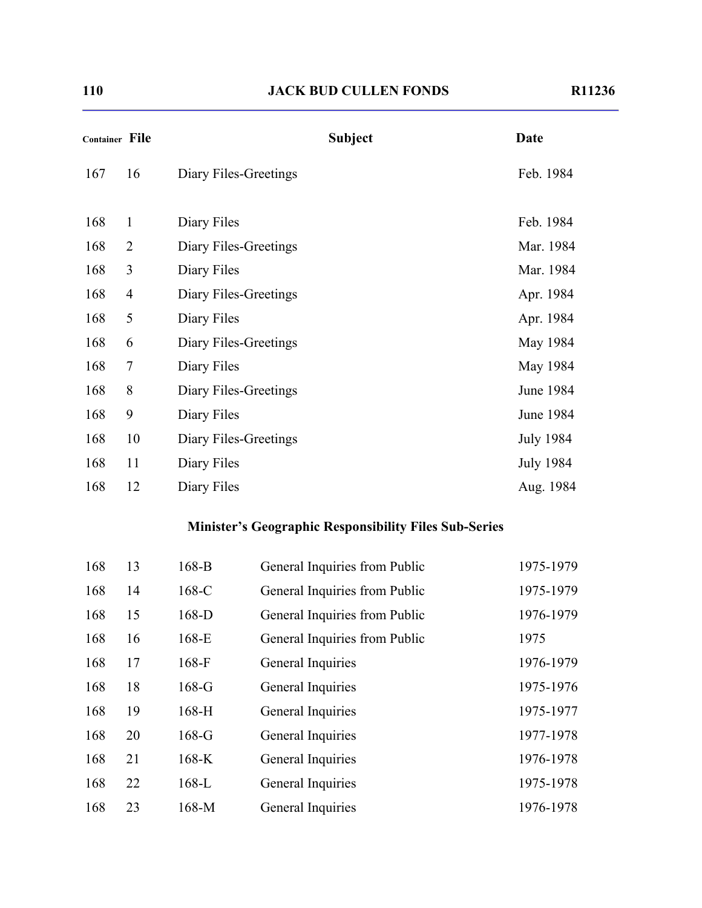| <b>Container File</b> |                       | <b>Date</b>      |
|-----------------------|-----------------------|------------------|
| 16                    | Diary Files-Greetings | Feb. 1984        |
| $\mathbf{1}$          | Diary Files           | Feb. 1984        |
| $\overline{2}$        | Diary Files-Greetings | Mar. 1984        |
| 3                     | Diary Files           | Mar. 1984        |
| $\overline{4}$        | Diary Files-Greetings | Apr. 1984        |
| 5                     | Diary Files           | Apr. 1984        |
| 6                     | Diary Files-Greetings | May 1984         |
| $\tau$                | Diary Files           | May 1984         |
| 8                     | Diary Files-Greetings | June 1984        |
| 9                     | Diary Files           | June 1984        |
| 10                    | Diary Files-Greetings | <b>July 1984</b> |
| 11                    | Diary Files           | <b>July 1984</b> |
| 12                    | Diary Files           | Aug. 1984        |
|                       |                       | <b>Subject</b>   |

## **Minister's Geographic Responsibility Files Sub-Series**

| 168 | 13 | $168 - B$ | General Inquiries from Public | 1975-1979 |
|-----|----|-----------|-------------------------------|-----------|
| 168 | 14 | $168-C$   | General Inquiries from Public | 1975-1979 |
| 168 | 15 | $168-D$   | General Inquiries from Public | 1976-1979 |
| 168 | 16 | $168-E$   | General Inquiries from Public | 1975      |
| 168 | 17 | $168-F$   | General Inquiries             | 1976-1979 |
| 168 | 18 | $168-G$   | General Inquiries             | 1975-1976 |
| 168 | 19 | $168-H$   | General Inquiries             | 1975-1977 |
| 168 | 20 | $168-G$   | General Inquiries             | 1977-1978 |
| 168 | 21 | $168-K$   | General Inquiries             | 1976-1978 |
| 168 | 22 | $168-L$   | General Inquiries             | 1975-1978 |
| 168 | 23 | $168-M$   | General Inquiries             | 1976-1978 |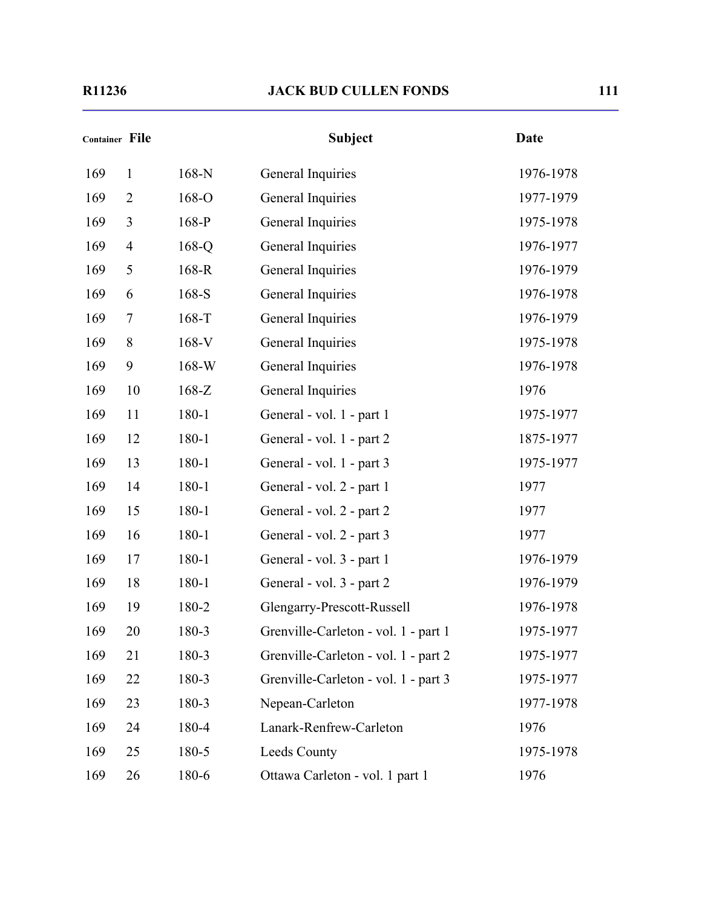| <b>Container File</b> |                |         | <b>Subject</b>                       | <b>Date</b> |
|-----------------------|----------------|---------|--------------------------------------|-------------|
| 169                   | $\mathbf{1}$   | $168-N$ | General Inquiries                    | 1976-1978   |
| 169                   | $\overline{2}$ | 168-O   | General Inquiries                    | 1977-1979   |
| 169                   | 3              | $168-P$ | General Inquiries                    | 1975-1978   |
| 169                   | $\overline{4}$ | $168-Q$ | General Inquiries                    | 1976-1977   |
| 169                   | 5              | 168-R   | General Inquiries                    | 1976-1979   |
| 169                   | 6              | $168-S$ | General Inquiries                    | 1976-1978   |
| 169                   | $\tau$         | $168-T$ | General Inquiries                    | 1976-1979   |
| 169                   | 8              | 168-V   | General Inquiries                    | 1975-1978   |
| 169                   | 9              | $168-W$ | General Inquiries                    | 1976-1978   |
| 169                   | 10             | $168-Z$ | General Inquiries                    | 1976        |
| 169                   | 11             | 180-1   | General - vol. 1 - part 1            | 1975-1977   |
| 169                   | 12             | 180-1   | General - vol. 1 - part 2            | 1875-1977   |
| 169                   | 13             | 180-1   | General - vol. 1 - part 3            | 1975-1977   |
| 169                   | 14             | 180-1   | General - vol. 2 - part 1            | 1977        |
| 169                   | 15             | 180-1   | General - vol. 2 - part 2            | 1977        |
| 169                   | 16             | 180-1   | General - vol. 2 - part 3            | 1977        |
| 169                   | 17             | 180-1   | General - vol. 3 - part 1            | 1976-1979   |
| 169                   | 18             | 180-1   | General - vol. 3 - part 2            | 1976-1979   |
| 169                   | 19             | 180-2   | Glengarry-Prescott-Russell           | 1976-1978   |
| 169                   | 20             | 180-3   | Grenville-Carleton - vol. 1 - part 1 | 1975-1977   |
| 169                   | 21             | 180-3   | Grenville-Carleton - vol. 1 - part 2 | 1975-1977   |
| 169                   | 22             | 180-3   | Grenville-Carleton - vol. 1 - part 3 | 1975-1977   |
| 169                   | 23             | 180-3   | Nepean-Carleton                      | 1977-1978   |
| 169                   | 24             | 180-4   | Lanark-Renfrew-Carleton              | 1976        |
| 169                   | 25             | 180-5   | Leeds County                         | 1975-1978   |
| 169                   | 26             | 180-6   | Ottawa Carleton - vol. 1 part 1      | 1976        |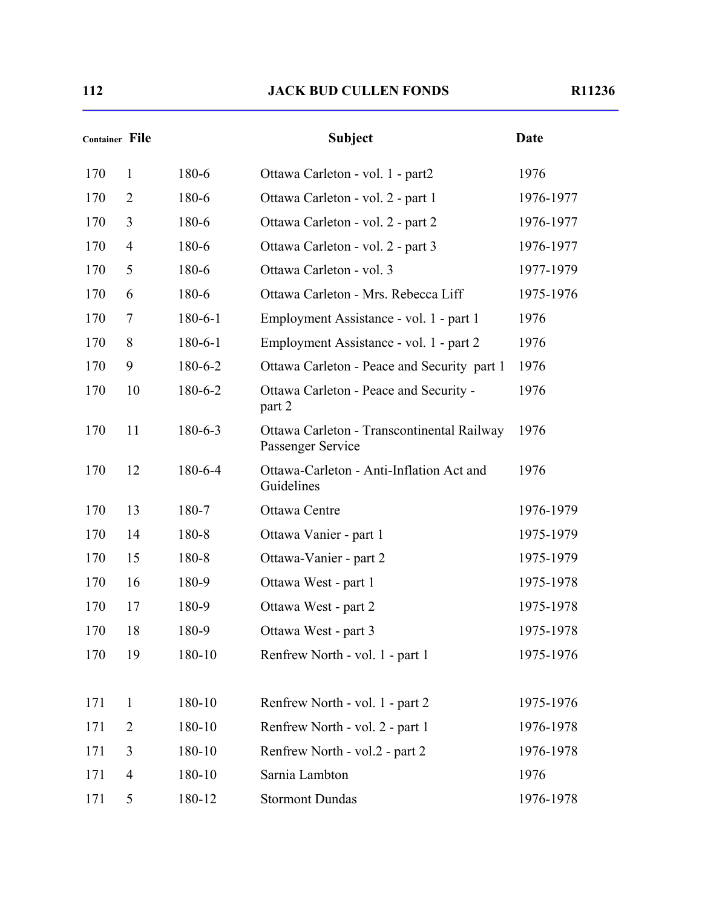| Container File |                |               | <b>Subject</b>                                                  | Date      |
|----------------|----------------|---------------|-----------------------------------------------------------------|-----------|
| 170            | $\mathbf{1}$   | 180-6         | Ottawa Carleton - vol. 1 - part2                                | 1976      |
| 170            | $\overline{2}$ | 180-6         | Ottawa Carleton - vol. 2 - part 1                               | 1976-1977 |
| 170            | 3              | 180-6         | Ottawa Carleton - vol. 2 - part 2                               | 1976-1977 |
| 170            | $\overline{4}$ | 180-6         | Ottawa Carleton - vol. 2 - part 3                               | 1976-1977 |
| 170            | 5              | 180-6         | Ottawa Carleton - vol. 3                                        | 1977-1979 |
| 170            | 6              | 180-6         | Ottawa Carleton - Mrs. Rebecca Liff                             | 1975-1976 |
| 170            | 7              | $180 - 6 - 1$ | Employment Assistance - vol. 1 - part 1                         | 1976      |
| 170            | 8              | $180 - 6 - 1$ | Employment Assistance - vol. 1 - part 2                         | 1976      |
| 170            | 9              | 180-6-2       | Ottawa Carleton - Peace and Security part 1                     | 1976      |
| 170            | 10             | 180-6-2       | Ottawa Carleton - Peace and Security -<br>part 2                | 1976      |
| 170            | 11             | $180 - 6 - 3$ | Ottawa Carleton - Transcontinental Railway<br>Passenger Service | 1976      |
| 170            | 12             | 180-6-4       | Ottawa-Carleton - Anti-Inflation Act and<br>Guidelines          | 1976      |
| 170            | 13             | 180-7         | Ottawa Centre                                                   | 1976-1979 |
| 170            | 14             | 180-8         | Ottawa Vanier - part 1                                          | 1975-1979 |
| 170            | 15             | 180-8         | Ottawa-Vanier - part 2                                          | 1975-1979 |
| 170            | 16             | 180-9         | Ottawa West - part 1                                            | 1975-1978 |
| 170            | 17             | 180-9         | Ottawa West - part 2                                            | 1975-1978 |
| 170            | 18             | 180-9         | Ottawa West - part 3                                            | 1975-1978 |
| 170            | 19             | 180-10        | Renfrew North - vol. 1 - part 1                                 | 1975-1976 |
| 171            | $\mathbf{1}$   | 180-10        | Renfrew North - vol. 1 - part 2                                 | 1975-1976 |
| 171            | $\overline{2}$ | 180-10        | Renfrew North - vol. 2 - part 1                                 | 1976-1978 |
| 171            | 3              | 180-10        | Renfrew North - vol.2 - part 2                                  | 1976-1978 |
| 171            | $\overline{4}$ | 180-10        | Sarnia Lambton                                                  | 1976      |
| 171            | 5              | 180-12        | <b>Stormont Dundas</b>                                          | 1976-1978 |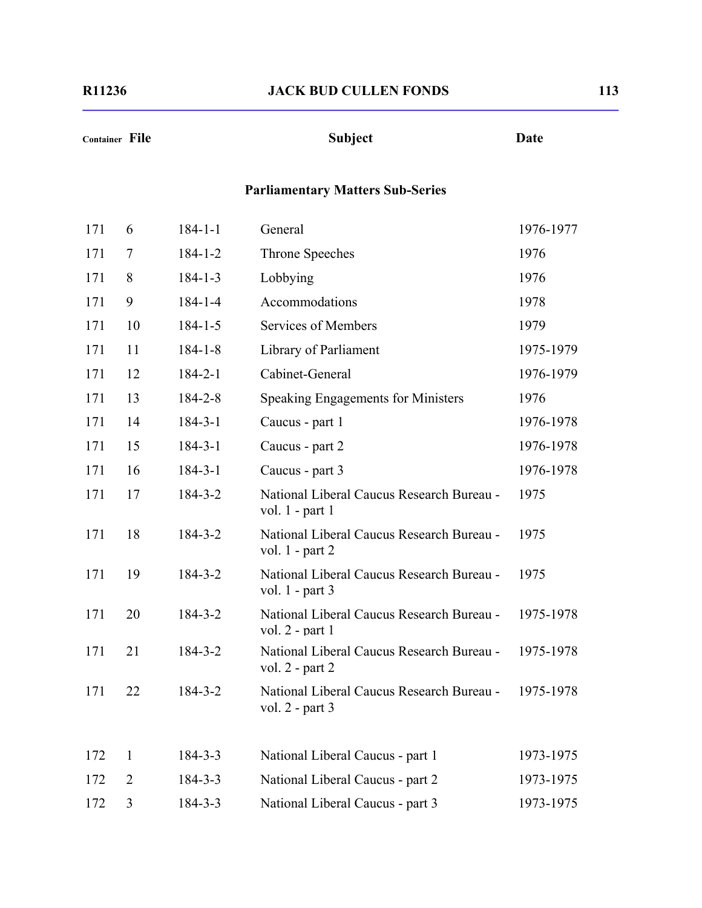# **Container File Subject Date Parliamentary Matters Sub-Series** 171 6 184-1-1 General 1976-1977 171 7 184-1-2 Throne Speeches 1976 171 8 184-1-3 Lobbying 1976 171 9 184-1-4 Accommodations 1978 171 10 184-1-5 Services of Members 1979 171 11 184-1-8 Library of Parliament 1975-1979 171 12 184-2-1 Cabinet-General 1976-1979 171 13 184-2-8 Speaking Engagements for Ministers 1976 171 14 184-3-1 Caucus - part 1 1976-1978 171 15 184-3-1 Caucus - part 2 1976-1978 171 16 184-3-1 Caucus - part 3 1976-1978 171 17 184-3-2 National Liberal Caucus Research Bureau vol. 1 - part 1 1975 171 18 184-3-2 National Liberal Caucus Research Bureau vol. 1 - part 2 1975 171 19 184-3-2 National Liberal Caucus Research Bureau vol. 1 - part 3 1975 171 20 184-3-2 National Liberal Caucus Research Bureau vol. 2 - part 1 1975-1978 171 21 184-3-2 National Liberal Caucus Research Bureau vol. 2 - part 2 1975-1978 171 22 184-3-2 National Liberal Caucus Research Bureau vol. 2 - part 3 1975-1978 172 1 184-3-3 National Liberal Caucus - part 1 1973-1975 172 2 184-3-3 National Liberal Caucus - part 2 1973-1975

172 3 184-3-3 National Liberal Caucus - part 3 1973-1975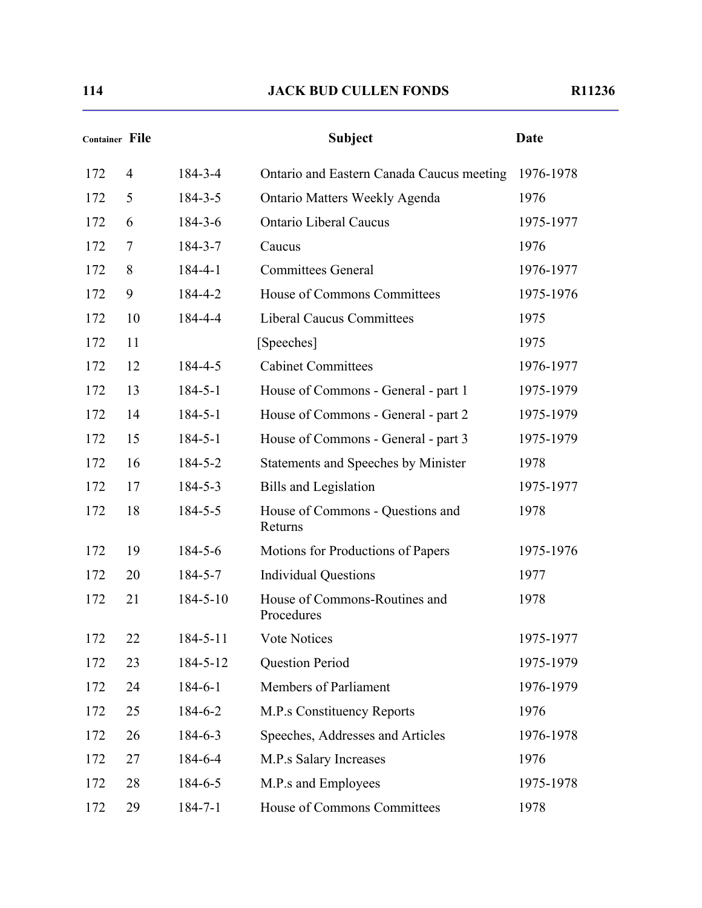| Container File |                |                | <b>Subject</b>                              | <b>Date</b> |
|----------------|----------------|----------------|---------------------------------------------|-------------|
| 172            | $\overline{4}$ | 184-3-4        | Ontario and Eastern Canada Caucus meeting   | 1976-1978   |
| 172            | 5              | $184 - 3 - 5$  | <b>Ontario Matters Weekly Agenda</b>        | 1976        |
| 172            | 6              | $184 - 3 - 6$  | <b>Ontario Liberal Caucus</b>               | 1975-1977   |
| 172            | 7              | $184 - 3 - 7$  | Caucus                                      | 1976        |
| 172            | 8              | $184 - 4 - 1$  | <b>Committees General</b>                   | 1976-1977   |
| 172            | 9              | 184-4-2        | House of Commons Committees                 | 1975-1976   |
| 172            | 10             | 184-4-4        | <b>Liberal Caucus Committees</b>            | 1975        |
| 172            | 11             |                | [Speeches]                                  | 1975        |
| 172            | 12             | 184-4-5        | <b>Cabinet Committees</b>                   | 1976-1977   |
| 172            | 13             | $184 - 5 - 1$  | House of Commons - General - part 1         | 1975-1979   |
| 172            | 14             | $184 - 5 - 1$  | House of Commons - General - part 2         | 1975-1979   |
| 172            | 15             | $184 - 5 - 1$  | House of Commons - General - part 3         | 1975-1979   |
| 172            | 16             | 184-5-2        | <b>Statements and Speeches by Minister</b>  | 1978        |
| 172            | 17             | $184 - 5 - 3$  | <b>Bills and Legislation</b>                | 1975-1977   |
| 172            | 18             | $184 - 5 - 5$  | House of Commons - Questions and<br>Returns | 1978        |
| 172            | 19             | $184 - 5 - 6$  | Motions for Productions of Papers           | 1975-1976   |
| 172            | 20             | 184-5-7        | <b>Individual Questions</b>                 | 1977        |
| 172            | 21             | $184 - 5 - 10$ | House of Commons-Routines and<br>Procedures | 1978        |
| 172            | 22             | $184 - 5 - 11$ | Vote Notices                                | 1975-1977   |
| 172            | 23             | 184-5-12       | Question Period                             | 1975-1979   |
| 172            | 24             | $184 - 6 - 1$  | Members of Parliament                       | 1976-1979   |
| 172            | 25             | 184-6-2        | <b>M.P.s Constituency Reports</b>           | 1976        |
| 172            | 26             | $184 - 6 - 3$  | Speeches, Addresses and Articles            | 1976-1978   |
| 172            | 27             | 184-6-4        | M.P.s Salary Increases                      | 1976        |
| 172            | 28             | 184-6-5        | M.P.s and Employees                         | 1975-1978   |
| 172            | 29             | $184 - 7 - 1$  | House of Commons Committees                 | 1978        |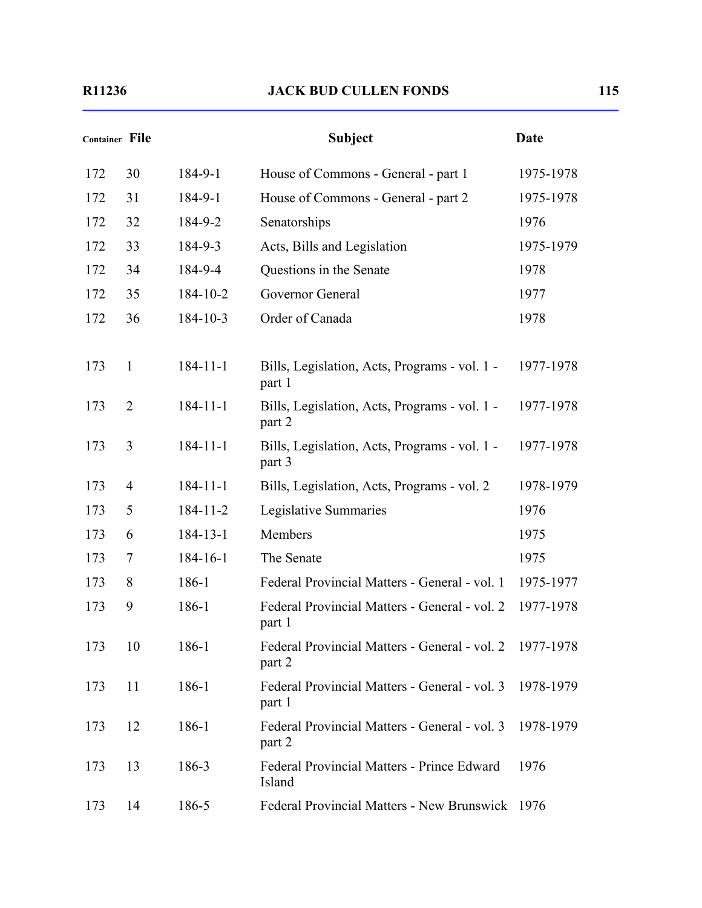| <b>Container File</b> |                |                | <b>Subject</b>                                          | <b>Date</b> |
|-----------------------|----------------|----------------|---------------------------------------------------------|-------------|
| 172                   | 30             | 184-9-1        | House of Commons - General - part 1                     | 1975-1978   |
| 172                   | 31             | 184-9-1        | House of Commons - General - part 2                     | 1975-1978   |
| 172                   | 32             | 184-9-2        | Senatorships                                            | 1976        |
| 172                   | 33             | 184-9-3        | Acts, Bills and Legislation                             | 1975-1979   |
| 172                   | 34             | 184-9-4        | Questions in the Senate                                 | 1978        |
| 172                   | 35             | 184-10-2       | Governor General                                        | 1977        |
| 172                   | 36             | $184 - 10 - 3$ | Order of Canada                                         | 1978        |
| 173                   | 1              | $184 - 11 - 1$ | Bills, Legislation, Acts, Programs - vol. 1 -<br>part 1 | 1977-1978   |
| 173                   | $\overline{2}$ | $184 - 11 - 1$ | Bills, Legislation, Acts, Programs - vol. 1 -<br>part 2 | 1977-1978   |
| 173                   | 3              | $184 - 11 - 1$ | Bills, Legislation, Acts, Programs - vol. 1 -<br>part 3 | 1977-1978   |
| 173                   | 4              | $184 - 11 - 1$ | Bills, Legislation, Acts, Programs - vol. 2             | 1978-1979   |
| 173                   | 5              | $184 - 11 - 2$ | Legislative Summaries                                   | 1976        |
| 173                   | 6              | $184 - 13 - 1$ | Members                                                 | 1975        |
| 173                   | 7              | $184 - 16 - 1$ | The Senate                                              | 1975        |
| 173                   | 8              | 186-1          | Federal Provincial Matters - General - vol. 1           | 1975-1977   |
| 173                   | 9              | 186-1          | Federal Provincial Matters - General - vol. 2<br>part 1 | 1977-1978   |
| 173                   | 10             | 186-1          | Federal Provincial Matters - General - vol. 2<br>part 2 | 1977-1978   |
| 173                   | 11             | $186-1$        | Federal Provincial Matters - General - vol. 3<br>part 1 | 1978-1979   |
| 173                   | 12             | 186-1          | Federal Provincial Matters - General - vol. 3<br>part 2 | 1978-1979   |
| 173                   | 13             | 186-3          | Federal Provincial Matters - Prince Edward<br>Island    | 1976        |
| 173                   | 14             | 186-5          | <b>Federal Provincial Matters - New Brunswick</b>       | 1976        |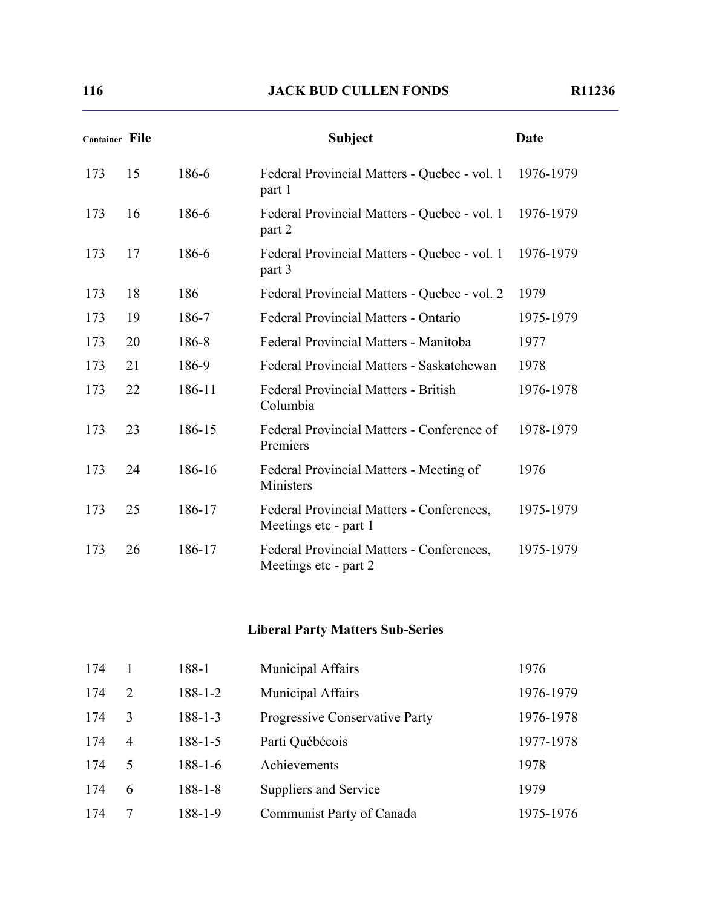| Container File |    |        | <b>Subject</b>                                                     | <b>Date</b> |
|----------------|----|--------|--------------------------------------------------------------------|-------------|
| 173            | 15 | 186-6  | Federal Provincial Matters - Quebec - vol. 1<br>part 1             | 1976-1979   |
| 173            | 16 | 186-6  | Federal Provincial Matters - Quebec - vol. 1<br>part 2             | 1976-1979   |
| 173            | 17 | 186-6  | Federal Provincial Matters - Quebec - vol. 1<br>part 3             | 1976-1979   |
| 173            | 18 | 186    | Federal Provincial Matters - Quebec - vol. 2                       | 1979        |
| 173            | 19 | 186-7  | Federal Provincial Matters - Ontario                               | 1975-1979   |
| 173            | 20 | 186-8  | Federal Provincial Matters - Manitoba                              | 1977        |
| 173            | 21 | 186-9  | Federal Provincial Matters - Saskatchewan                          | 1978        |
| 173            | 22 | 186-11 | <b>Federal Provincial Matters - British</b><br>Columbia            | 1976-1978   |
| 173            | 23 | 186-15 | Federal Provincial Matters - Conference of<br>Premiers             | 1978-1979   |
| 173            | 24 | 186-16 | Federal Provincial Matters - Meeting of<br>Ministers               | 1976        |
| 173            | 25 | 186-17 | Federal Provincial Matters - Conferences,<br>Meetings etc - part 1 | 1975-1979   |
| 173            | 26 | 186-17 | Federal Provincial Matters - Conferences,<br>Meetings etc - part 2 | 1975-1979   |

#### **Liberal Party Matters Sub-Series**

| 174 |                | 188-1         | Municipal Affairs              | 1976      |
|-----|----------------|---------------|--------------------------------|-----------|
| 174 | $\mathcal{L}$  | $188 - 1 - 2$ | <b>Municipal Affairs</b>       | 1976-1979 |
| 174 | 3              | $188 - 1 - 3$ | Progressive Conservative Party | 1976-1978 |
| 174 | $\overline{4}$ | $188 - 1 - 5$ | Parti Québécois                | 1977-1978 |
| 174 | 5              | $188 - 1 - 6$ | Achievements                   | 1978      |
| 174 | 6              | $188 - 1 - 8$ | Suppliers and Service          | 1979      |
| 174 |                | 188-1-9       | Communist Party of Canada      | 1975-1976 |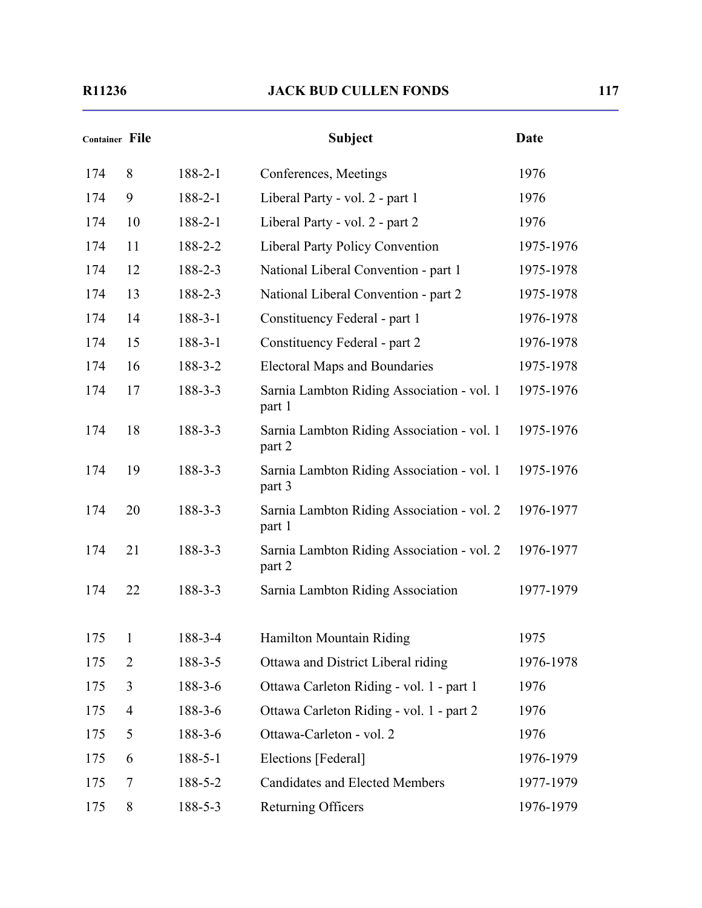| <b>Container File</b> |                |               | <b>Subject</b>                                       | <b>Date</b> |
|-----------------------|----------------|---------------|------------------------------------------------------|-------------|
| 174                   | 8              | $188 - 2 - 1$ | Conferences, Meetings                                | 1976        |
| 174                   | 9              | $188 - 2 - 1$ | Liberal Party - vol. 2 - part 1                      | 1976        |
| 174                   | 10             | $188 - 2 - 1$ | Liberal Party - vol. 2 - part 2                      | 1976        |
| 174                   | 11             | 188-2-2       | <b>Liberal Party Policy Convention</b>               | 1975-1976   |
| 174                   | 12             | 188-2-3       | National Liberal Convention - part 1                 | 1975-1978   |
| 174                   | 13             | 188-2-3       | National Liberal Convention - part 2                 | 1975-1978   |
| 174                   | 14             | $188 - 3 - 1$ | Constituency Federal - part 1                        | 1976-1978   |
| 174                   | 15             | $188 - 3 - 1$ | Constituency Federal - part 2                        | 1976-1978   |
| 174                   | 16             | 188-3-2       | <b>Electoral Maps and Boundaries</b>                 | 1975-1978   |
| 174                   | 17             | 188-3-3       | Sarnia Lambton Riding Association - vol. 1<br>part 1 | 1975-1976   |
| 174                   | 18             | 188-3-3       | Sarnia Lambton Riding Association - vol. 1<br>part 2 | 1975-1976   |
| 174                   | 19             | 188-3-3       | Sarnia Lambton Riding Association - vol. 1<br>part 3 | 1975-1976   |
| 174                   | 20             | 188-3-3       | Sarnia Lambton Riding Association - vol. 2<br>part 1 | 1976-1977   |
| 174                   | 21             | 188-3-3       | Sarnia Lambton Riding Association - vol. 2<br>part 2 | 1976-1977   |
| 174                   | 22             | 188-3-3       | Sarnia Lambton Riding Association                    | 1977-1979   |
| 175                   | 1              | 188-3-4       | Hamilton Mountain Riding                             | 1975        |
| 175                   | $\overline{2}$ | 188-3-5       | Ottawa and District Liberal riding                   | 1976-1978   |
| 175                   | 3              | $188 - 3 - 6$ | Ottawa Carleton Riding - vol. 1 - part 1             | 1976        |
| 175                   | $\overline{4}$ | $188 - 3 - 6$ | Ottawa Carleton Riding - vol. 1 - part 2             | 1976        |
| 175                   | 5              | $188 - 3 - 6$ | Ottawa-Carleton - vol. 2                             | 1976        |
| 175                   | 6              | $188 - 5 - 1$ | Elections [Federal]                                  | 1976-1979   |
| 175                   | 7              | 188-5-2       | <b>Candidates and Elected Members</b>                | 1977-1979   |
| 175                   | 8              | 188-5-3       | Returning Officers                                   | 1976-1979   |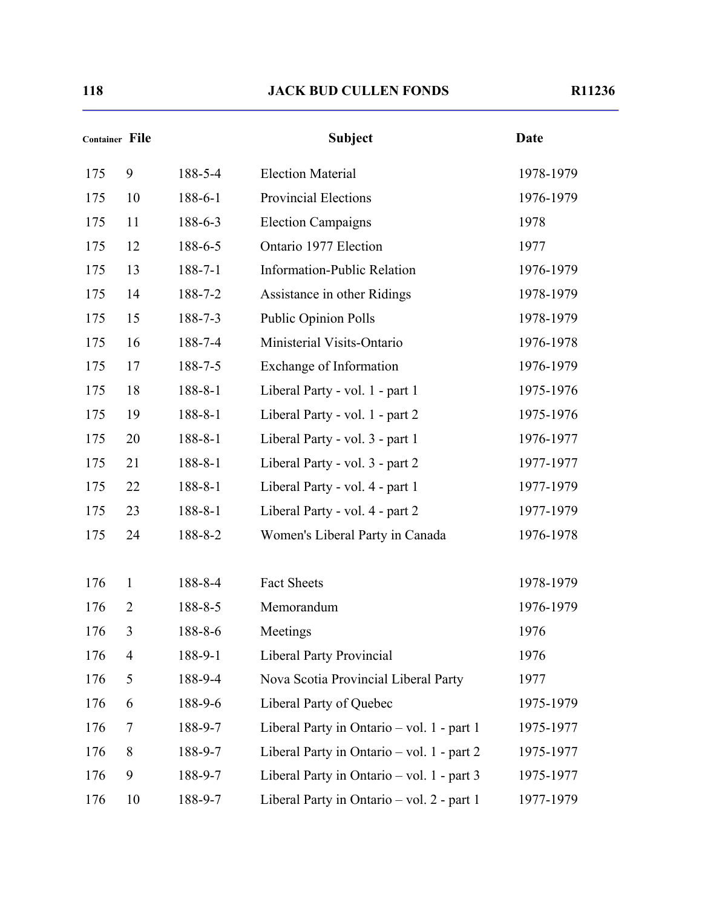| <b>Container File</b> |                |               | <b>Subject</b>                             | <b>Date</b> |
|-----------------------|----------------|---------------|--------------------------------------------|-------------|
| 175                   | 9              | 188-5-4       | <b>Election Material</b>                   | 1978-1979   |
| 175                   | 10             | $188 - 6 - 1$ | <b>Provincial Elections</b>                | 1976-1979   |
| 175                   | 11             | 188-6-3       | <b>Election Campaigns</b>                  | 1978        |
| 175                   | 12             | 188-6-5       | Ontario 1977 Election                      | 1977        |
| 175                   | 13             | $188 - 7 - 1$ | <b>Information-Public Relation</b>         | 1976-1979   |
| 175                   | 14             | 188-7-2       | Assistance in other Ridings                | 1978-1979   |
| 175                   | 15             | 188-7-3       | Public Opinion Polls                       | 1978-1979   |
| 175                   | 16             | 188-7-4       | Ministerial Visits-Ontario                 | 1976-1978   |
| 175                   | 17             | 188-7-5       | Exchange of Information                    | 1976-1979   |
| 175                   | 18             | $188 - 8 - 1$ | Liberal Party - vol. 1 - part 1            | 1975-1976   |
| 175                   | 19             | $188 - 8 - 1$ | Liberal Party - vol. 1 - part 2            | 1975-1976   |
| 175                   | 20             | $188 - 8 - 1$ | Liberal Party - vol. 3 - part 1            | 1976-1977   |
| 175                   | 21             | $188 - 8 - 1$ | Liberal Party - vol. 3 - part 2            | 1977-1977   |
| 175                   | 22             | $188 - 8 - 1$ | Liberal Party - vol. 4 - part 1            | 1977-1979   |
| 175                   | 23             | $188 - 8 - 1$ | Liberal Party - vol. 4 - part 2            | 1977-1979   |
| 175                   | 24             | 188-8-2       | Women's Liberal Party in Canada            | 1976-1978   |
| 176                   | $\mathbf{1}$   | 188-8-4       | Fact Sheets                                | 1978-1979   |
| 176                   | $\overline{2}$ | 188-8-5       | Memorandum                                 | 1976-1979   |
| 176                   | 3              | 188-8-6       | Meetings                                   | 1976        |
| 176                   | $\overline{4}$ | 188-9-1       | <b>Liberal Party Provincial</b>            | 1976        |
| 176                   | 5              | 188-9-4       | Nova Scotia Provincial Liberal Party       | 1977        |
| 176                   | 6              | 188-9-6       | Liberal Party of Quebec                    | 1975-1979   |
| 176                   | 7              | 188-9-7       | Liberal Party in Ontario – vol. 1 - part 1 | 1975-1977   |
| 176                   | 8              | 188-9-7       | Liberal Party in Ontario – vol. 1 - part 2 | 1975-1977   |
| 176                   | 9              | 188-9-7       | Liberal Party in Ontario – vol. 1 - part 3 | 1975-1977   |
| 176                   | 10             | 188-9-7       | Liberal Party in Ontario – vol. 2 - part 1 | 1977-1979   |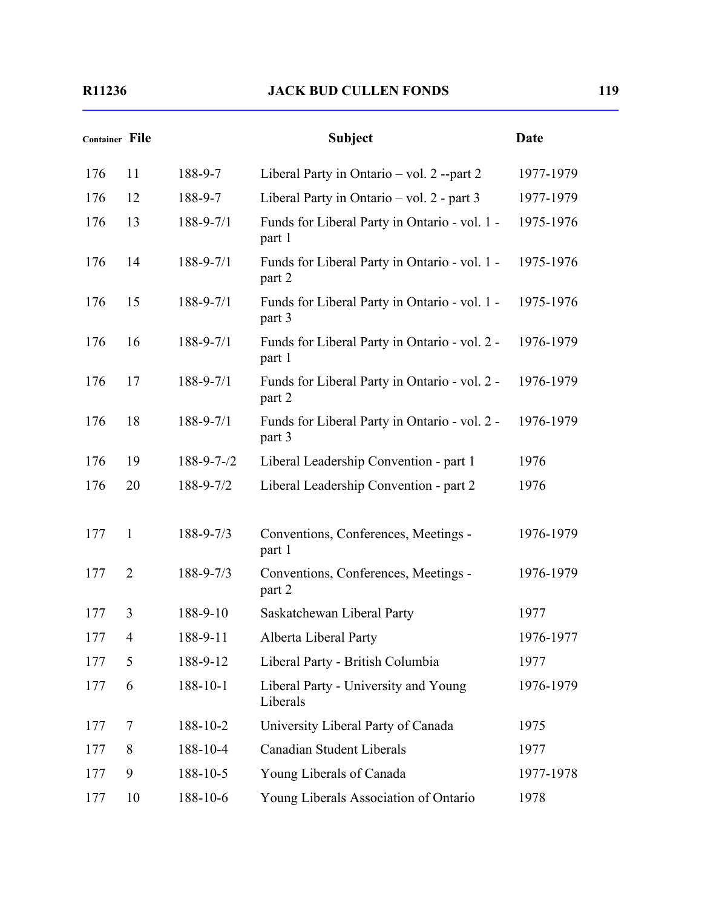| <b>Container File</b> |                |                    | <b>Subject</b>                                          | <b>Date</b> |
|-----------------------|----------------|--------------------|---------------------------------------------------------|-------------|
| 176                   | 11             | 188-9-7            | Liberal Party in Ontario – vol. 2 --part 2              | 1977-1979   |
| 176                   | 12             | 188-9-7            | Liberal Party in Ontario – vol. 2 - part 3              | 1977-1979   |
| 176                   | 13             | 188-9-7/1          | Funds for Liberal Party in Ontario - vol. 1 -<br>part 1 | 1975-1976   |
| 176                   | 14             | $188 - 9 - 7/1$    | Funds for Liberal Party in Ontario - vol. 1 -<br>part 2 | 1975-1976   |
| 176                   | 15             | 188-9-7/1          | Funds for Liberal Party in Ontario - vol. 1 -<br>part 3 | 1975-1976   |
| 176                   | 16             | $188 - 9 - 7/1$    | Funds for Liberal Party in Ontario - vol. 2 -<br>part 1 | 1976-1979   |
| 176                   | 17             | 188-9-7/1          | Funds for Liberal Party in Ontario - vol. 2 -<br>part 2 | 1976-1979   |
| 176                   | 18             | $188 - 9 - 7/1$    | Funds for Liberal Party in Ontario - vol. 2 -<br>part 3 | 1976-1979   |
| 176                   | 19             | $188 - 9 - 7 - 72$ | Liberal Leadership Convention - part 1                  | 1976        |
| 176                   | 20             | 188-9-7/2          | Liberal Leadership Convention - part 2                  | 1976        |
| 177                   | 1              | $188 - 9 - 7/3$    | Conventions, Conferences, Meetings -<br>part 1          | 1976-1979   |
| 177                   | $\overline{2}$ | 188-9-7/3          | Conventions, Conferences, Meetings -<br>part 2          | 1976-1979   |
| 177                   | 3              | 188-9-10           | Saskatchewan Liberal Party                              | 1977        |
| 177                   | 4              | 188-9-11           | Alberta Liberal Party                                   | 1976-1977   |
| 177                   | 5              | 188-9-12           | Liberal Party - British Columbia                        | 1977        |
| 177                   | 6              | 188-10-1           | Liberal Party - University and Young<br>Liberals        | 1976-1979   |
| 177                   | 7              | 188-10-2           | University Liberal Party of Canada                      | 1975        |
| 177                   | 8              | 188-10-4           | Canadian Student Liberals                               | 1977        |
| 177                   | 9              | 188-10-5           | Young Liberals of Canada                                | 1977-1978   |
| 177                   | 10             | 188-10-6           | Young Liberals Association of Ontario                   | 1978        |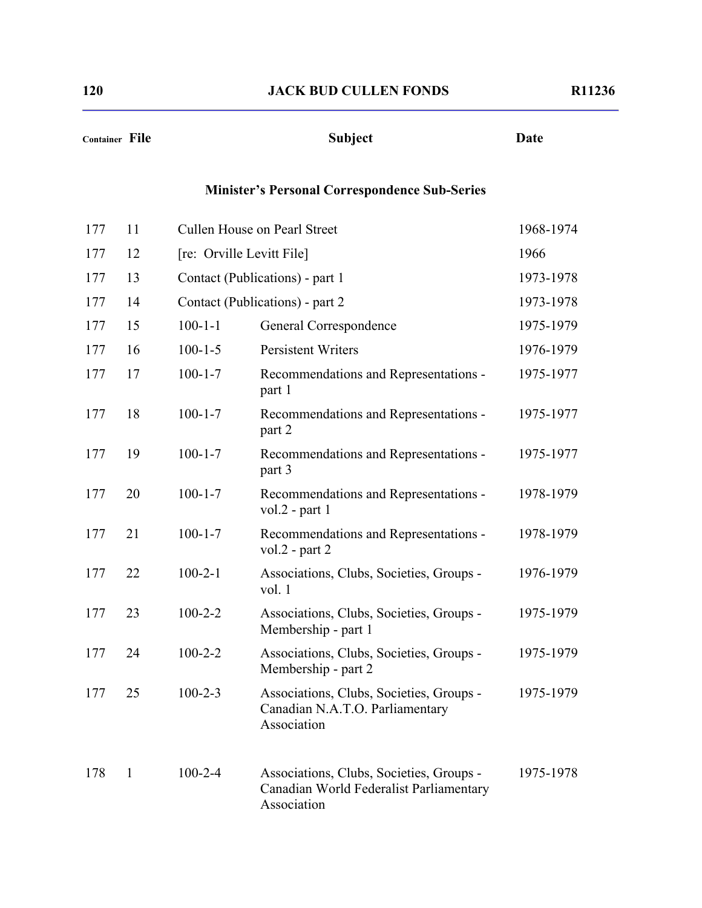| Container File |              |                           | <b>Subject</b>                                                                                     | <b>Date</b> |
|----------------|--------------|---------------------------|----------------------------------------------------------------------------------------------------|-------------|
|                |              |                           | <b>Minister's Personal Correspondence Sub-Series</b>                                               |             |
| 177            | 11           |                           | Cullen House on Pearl Street                                                                       | 1968-1974   |
| 177            | 12           | [re: Orville Levitt File] |                                                                                                    | 1966        |
| 177            | 13           |                           | Contact (Publications) - part 1                                                                    | 1973-1978   |
| 177            | 14           |                           | Contact (Publications) - part 2                                                                    | 1973-1978   |
| 177            | 15           | $100 - 1 - 1$             | General Correspondence                                                                             | 1975-1979   |
| 177            | 16           | $100 - 1 - 5$             | <b>Persistent Writers</b>                                                                          | 1976-1979   |
| 177            | 17           | $100 - 1 - 7$             | Recommendations and Representations -<br>part 1                                                    | 1975-1977   |
| 177            | 18           | $100 - 1 - 7$             | Recommendations and Representations -<br>part 2                                                    | 1975-1977   |
| 177            | 19           | $100 - 1 - 7$             | Recommendations and Representations -<br>part 3                                                    | 1975-1977   |
| 177            | 20           | $100 - 1 - 7$             | Recommendations and Representations -<br>vol. $2$ - part 1                                         | 1978-1979   |
| 177            | 21           | $100 - 1 - 7$             | Recommendations and Representations -<br>vol. $2$ - part $2$                                       | 1978-1979   |
| 177            | 22           | $100 - 2 - 1$             | Associations, Clubs, Societies, Groups -<br>vol. $1$                                               | 1976-1979   |
| 177            | 23           | $100 - 2 - 2$             | Associations, Clubs, Societies, Groups -<br>Membership - part 1                                    | 1975-1979   |
| 177            | 24           | $100 - 2 - 2$             | Associations, Clubs, Societies, Groups -<br>Membership - part 2                                    | 1975-1979   |
| 177            | 25           | $100 - 2 - 3$             | Associations, Clubs, Societies, Groups -<br>Canadian N.A.T.O. Parliamentary<br>Association         | 1975-1979   |
| 178            | $\mathbf{1}$ | $100 - 2 - 4$             | Associations, Clubs, Societies, Groups -<br>Canadian World Federalist Parliamentary<br>Association | 1975-1978   |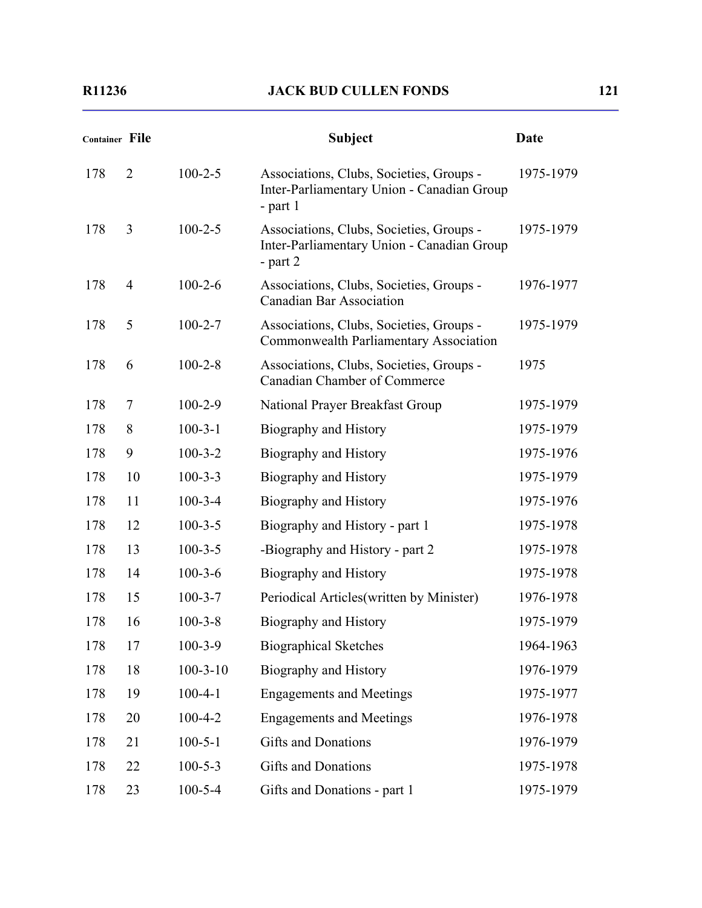| <b>Container File</b> |                |                | <b>Subject</b>                                                                                       | Date      |
|-----------------------|----------------|----------------|------------------------------------------------------------------------------------------------------|-----------|
| 178                   | $\overline{2}$ | $100 - 2 - 5$  | Associations, Clubs, Societies, Groups -<br>Inter-Parliamentary Union - Canadian Group<br>- part $1$ | 1975-1979 |
| 178                   | 3              | $100 - 2 - 5$  | Associations, Clubs, Societies, Groups -<br>Inter-Parliamentary Union - Canadian Group<br>- part $2$ | 1975-1979 |
| 178                   | 4              | $100 - 2 - 6$  | Associations, Clubs, Societies, Groups -<br><b>Canadian Bar Association</b>                          | 1976-1977 |
| 178                   | 5              | $100 - 2 - 7$  | Associations, Clubs, Societies, Groups -<br>Commonwealth Parliamentary Association                   | 1975-1979 |
| 178                   | 6              | $100 - 2 - 8$  | Associations, Clubs, Societies, Groups -<br><b>Canadian Chamber of Commerce</b>                      | 1975      |
| 178                   | $\overline{7}$ | $100 - 2 - 9$  | National Prayer Breakfast Group                                                                      | 1975-1979 |
| 178                   | 8              | $100 - 3 - 1$  | Biography and History                                                                                | 1975-1979 |
| 178                   | 9              | $100 - 3 - 2$  | Biography and History                                                                                | 1975-1976 |
| 178                   | 10             | $100 - 3 - 3$  | Biography and History                                                                                | 1975-1979 |
| 178                   | 11             | $100 - 3 - 4$  | Biography and History                                                                                | 1975-1976 |
| 178                   | 12             | $100 - 3 - 5$  | Biography and History - part 1                                                                       | 1975-1978 |
| 178                   | 13             | $100 - 3 - 5$  | -Biography and History - part 2                                                                      | 1975-1978 |
| 178                   | 14             | $100 - 3 - 6$  | Biography and History                                                                                | 1975-1978 |
| 178                   | 15             | $100 - 3 - 7$  | Periodical Articles (written by Minister)                                                            | 1976-1978 |
| 178                   | 16             | $100 - 3 - 8$  | Biography and History                                                                                | 1975-1979 |
| 178                   | 17             | $100 - 3 - 9$  | <b>Biographical Sketches</b>                                                                         | 1964-1963 |
| 178                   | 18             | $100 - 3 - 10$ | Biography and History                                                                                | 1976-1979 |
| 178                   | 19             | $100 - 4 - 1$  | <b>Engagements and Meetings</b>                                                                      | 1975-1977 |
| 178                   | 20             | $100 - 4 - 2$  | <b>Engagements and Meetings</b>                                                                      | 1976-1978 |
| 178                   | 21             | $100 - 5 - 1$  | <b>Gifts and Donations</b>                                                                           | 1976-1979 |
| 178                   | 22             | $100 - 5 - 3$  | <b>Gifts and Donations</b>                                                                           | 1975-1978 |
| 178                   | 23             | $100 - 5 - 4$  | Gifts and Donations - part 1                                                                         | 1975-1979 |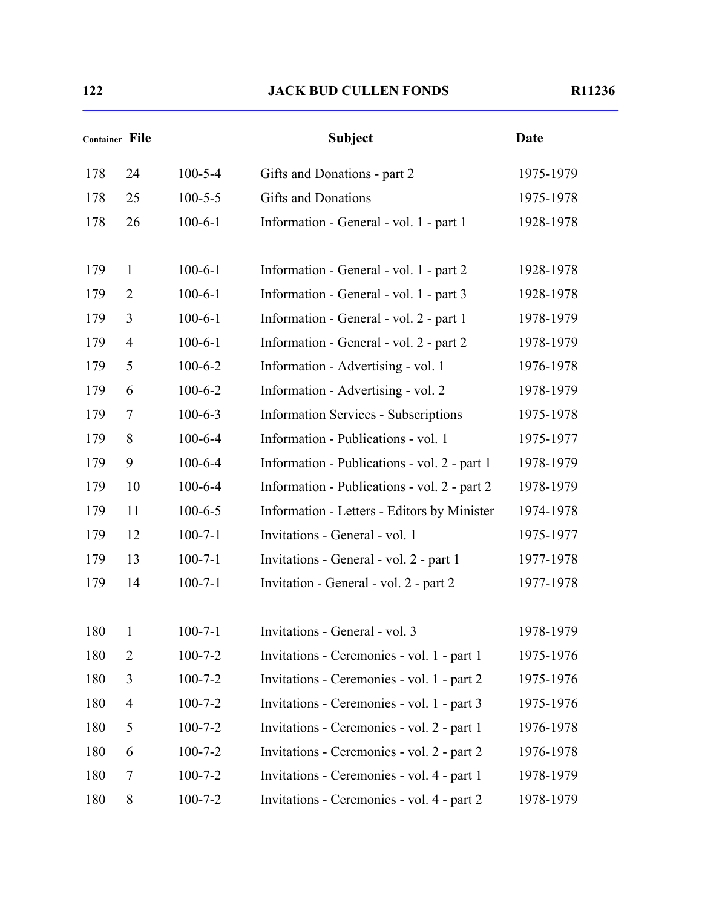|     | <b>Container File</b> |               | <b>Subject</b>                               | <b>Date</b> |
|-----|-----------------------|---------------|----------------------------------------------|-------------|
| 178 | 24                    | $100 - 5 - 4$ | Gifts and Donations - part 2                 | 1975-1979   |
| 178 | 25                    | $100 - 5 - 5$ | <b>Gifts and Donations</b>                   | 1975-1978   |
| 178 | 26                    | $100 - 6 - 1$ | Information - General - vol. 1 - part 1      | 1928-1978   |
| 179 | $\mathbf{1}$          | $100 - 6 - 1$ | Information - General - vol. 1 - part 2      | 1928-1978   |
| 179 | $\overline{2}$        | $100 - 6 - 1$ | Information - General - vol. 1 - part 3      | 1928-1978   |
| 179 | 3                     | $100 - 6 - 1$ | Information - General - vol. 2 - part 1      | 1978-1979   |
| 179 | $\overline{4}$        | $100 - 6 - 1$ | Information - General - vol. 2 - part 2      | 1978-1979   |
| 179 | 5                     | $100 - 6 - 2$ | Information - Advertising - vol. 1           | 1976-1978   |
| 179 | 6                     | $100 - 6 - 2$ | Information - Advertising - vol. 2           | 1978-1979   |
| 179 | $\tau$                | $100 - 6 - 3$ | <b>Information Services - Subscriptions</b>  | 1975-1978   |
| 179 | 8                     | $100 - 6 - 4$ | Information - Publications - vol. 1          | 1975-1977   |
| 179 | 9                     | $100 - 6 - 4$ | Information - Publications - vol. 2 - part 1 | 1978-1979   |
| 179 | 10                    | $100 - 6 - 4$ | Information - Publications - vol. 2 - part 2 | 1978-1979   |
| 179 | 11                    | $100 - 6 - 5$ | Information - Letters - Editors by Minister  | 1974-1978   |
| 179 | 12                    | $100 - 7 - 1$ | Invitations - General - vol. 1               | 1975-1977   |
| 179 | 13                    | $100 - 7 - 1$ | Invitations - General - vol. 2 - part 1      | 1977-1978   |
| 179 | 14                    | $100 - 7 - 1$ | Invitation - General - vol. 2 - part 2       | 1977-1978   |
| 180 | 1                     | $100 - 7 - 1$ | Invitations - General - vol. 3               | 1978-1979   |
| 180 | $\overline{2}$        | $100 - 7 - 2$ | Invitations - Ceremonies - vol. 1 - part 1   | 1975-1976   |
| 180 | 3                     | $100 - 7 - 2$ | Invitations - Ceremonies - vol. 1 - part 2   | 1975-1976   |
| 180 | $\overline{4}$        | $100 - 7 - 2$ | Invitations - Ceremonies - vol. 1 - part 3   | 1975-1976   |
| 180 | 5                     | $100 - 7 - 2$ | Invitations - Ceremonies - vol. 2 - part 1   | 1976-1978   |
| 180 | 6                     | $100 - 7 - 2$ | Invitations - Ceremonies - vol. 2 - part 2   | 1976-1978   |
| 180 | 7                     | $100 - 7 - 2$ | Invitations - Ceremonies - vol. 4 - part 1   | 1978-1979   |
| 180 | 8                     | $100 - 7 - 2$ | Invitations - Ceremonies - vol. 4 - part 2   | 1978-1979   |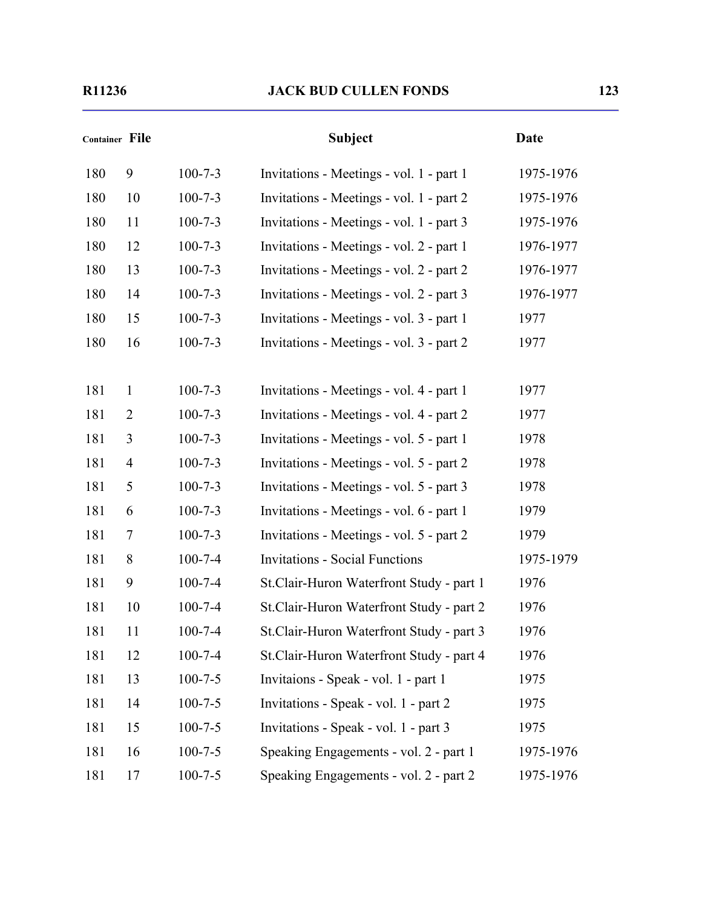| Container File |                |               | <b>Subject</b>                            | <b>Date</b> |
|----------------|----------------|---------------|-------------------------------------------|-------------|
| 180            | 9              | $100 - 7 - 3$ | Invitations - Meetings - vol. 1 - part 1  | 1975-1976   |
| 180            | 10             | $100 - 7 - 3$ | Invitations - Meetings - vol. 1 - part 2  | 1975-1976   |
| 180            | 11             | $100 - 7 - 3$ | Invitations - Meetings - vol. 1 - part 3  | 1975-1976   |
| 180            | 12             | $100 - 7 - 3$ | Invitations - Meetings - vol. 2 - part 1  | 1976-1977   |
| 180            | 13             | $100 - 7 - 3$ | Invitations - Meetings - vol. 2 - part 2  | 1976-1977   |
| 180            | 14             | $100 - 7 - 3$ | Invitations - Meetings - vol. 2 - part 3  | 1976-1977   |
| 180            | 15             | $100 - 7 - 3$ | Invitations - Meetings - vol. 3 - part 1  | 1977        |
| 180            | 16             | $100 - 7 - 3$ | Invitations - Meetings - vol. 3 - part 2  | 1977        |
|                |                |               |                                           |             |
| 181            | 1              | $100 - 7 - 3$ | Invitations - Meetings - vol. 4 - part 1  | 1977        |
| 181            | $\overline{2}$ | $100 - 7 - 3$ | Invitations - Meetings - vol. 4 - part 2  | 1977        |
| 181            | 3              | $100 - 7 - 3$ | Invitations - Meetings - vol. 5 - part 1  | 1978        |
| 181            | $\overline{4}$ | $100 - 7 - 3$ | Invitations - Meetings - vol. 5 - part 2  | 1978        |
| 181            | 5              | $100 - 7 - 3$ | Invitations - Meetings - vol. 5 - part 3  | 1978        |
| 181            | 6              | $100 - 7 - 3$ | Invitations - Meetings - vol. 6 - part 1  | 1979        |
| 181            | 7              | $100 - 7 - 3$ | Invitations - Meetings - vol. 5 - part 2  | 1979        |
| 181            | 8              | $100 - 7 - 4$ | <b>Invitations - Social Functions</b>     | 1975-1979   |
| 181            | 9              | $100 - 7 - 4$ | St.Clair-Huron Waterfront Study - part 1  | 1976        |
| 181            | 10             | $100 - 7 - 4$ | St.Clair-Huron Waterfront Study - part 2  | 1976        |
| 181            | 11             | $100 - 7 - 4$ | St. Clair-Huron Waterfront Study - part 3 | 1976        |
| 181            | 12             | $100 - 7 - 4$ | St.Clair-Huron Waterfront Study - part 4  | 1976        |
| 181            | 13             | $100 - 7 - 5$ | Invitaions - Speak - vol. 1 - part 1      | 1975        |
| 181            | 14             | $100 - 7 - 5$ | Invitations - Speak - vol. 1 - part 2     | 1975        |
| 181            | 15             | $100 - 7 - 5$ | Invitations - Speak - vol. 1 - part 3     | 1975        |
| 181            | 16             | $100 - 7 - 5$ | Speaking Engagements - vol. 2 - part 1    | 1975-1976   |

181 17 100-7-5 Speaking Engagements - vol. 2 - part 2 1975-1976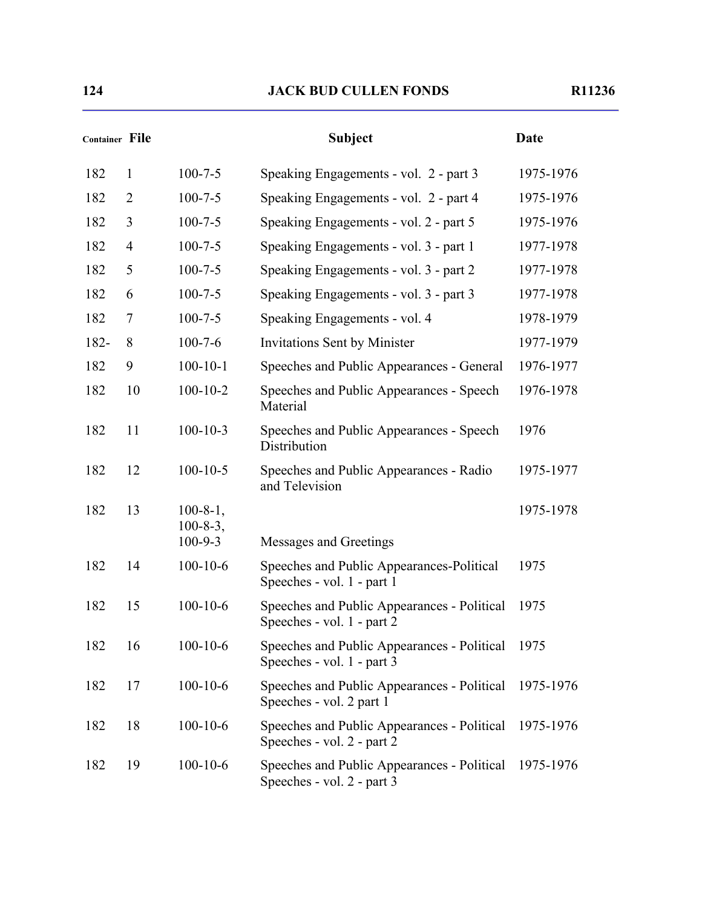| <b>Container File</b> |                |                                                     | <b>Subject</b>                                                                 | <b>Date</b> |
|-----------------------|----------------|-----------------------------------------------------|--------------------------------------------------------------------------------|-------------|
| 182                   | $\mathbf{1}$   | $100 - 7 - 5$                                       | Speaking Engagements - vol. 2 - part 3                                         | 1975-1976   |
| 182                   | $\overline{2}$ | $100 - 7 - 5$                                       | Speaking Engagements - vol. 2 - part 4                                         | 1975-1976   |
| 182                   | 3              | $100 - 7 - 5$                                       | Speaking Engagements - vol. 2 - part 5                                         | 1975-1976   |
| 182                   | $\overline{4}$ | $100 - 7 - 5$                                       | Speaking Engagements - vol. 3 - part 1                                         | 1977-1978   |
| 182                   | 5              | $100 - 7 - 5$                                       | Speaking Engagements - vol. 3 - part 2                                         | 1977-1978   |
| 182                   | 6              | $100 - 7 - 5$                                       | Speaking Engagements - vol. 3 - part 3                                         | 1977-1978   |
| 182                   | 7              | $100 - 7 - 5$                                       | Speaking Engagements - vol. 4                                                  | 1978-1979   |
| 182-                  | 8              | $100 - 7 - 6$                                       | <b>Invitations Sent by Minister</b>                                            | 1977-1979   |
| 182                   | 9              | $100 - 10 - 1$                                      | Speeches and Public Appearances - General                                      | 1976-1977   |
| 182                   | 10             | $100 - 10 - 2$                                      | Speeches and Public Appearances - Speech<br>Material                           | 1976-1978   |
| 182                   | 11             | $100 - 10 - 3$                                      | Speeches and Public Appearances - Speech<br>Distribution                       | 1976        |
| 182                   | 12             | $100 - 10 - 5$                                      | Speeches and Public Appearances - Radio<br>and Television                      | 1975-1977   |
| 182                   | 13             | $100 - 8 - 1$ ,<br>$100 - 8 - 3$ ,<br>$100 - 9 - 3$ | Messages and Greetings                                                         | 1975-1978   |
| 182                   | 14             | $100 - 10 - 6$                                      | Speeches and Public Appearances-Political<br>Speeches - vol. 1 - part 1        | 1975        |
| 182                   | 15             | $100 - 10 - 6$                                      | Speeches and Public Appearances - Political<br>Speeches - vol. 1 - part 2      | 1975        |
| 182                   | 16             | $100 - 10 - 6$                                      | Speeches and Public Appearances - Political 1975<br>Speeches - vol. 1 - part 3 |             |
| 182                   | 17             | $100 - 10 - 6$                                      | Speeches and Public Appearances - Political<br>Speeches - vol. 2 part 1        | 1975-1976   |
| 182                   | 18             | $100 - 10 - 6$                                      | Speeches and Public Appearances - Political<br>Speeches - vol. 2 - part 2      | 1975-1976   |
| 182                   | 19             | $100 - 10 - 6$                                      | Speeches and Public Appearances - Political<br>Speeches - vol. 2 - part 3      | 1975-1976   |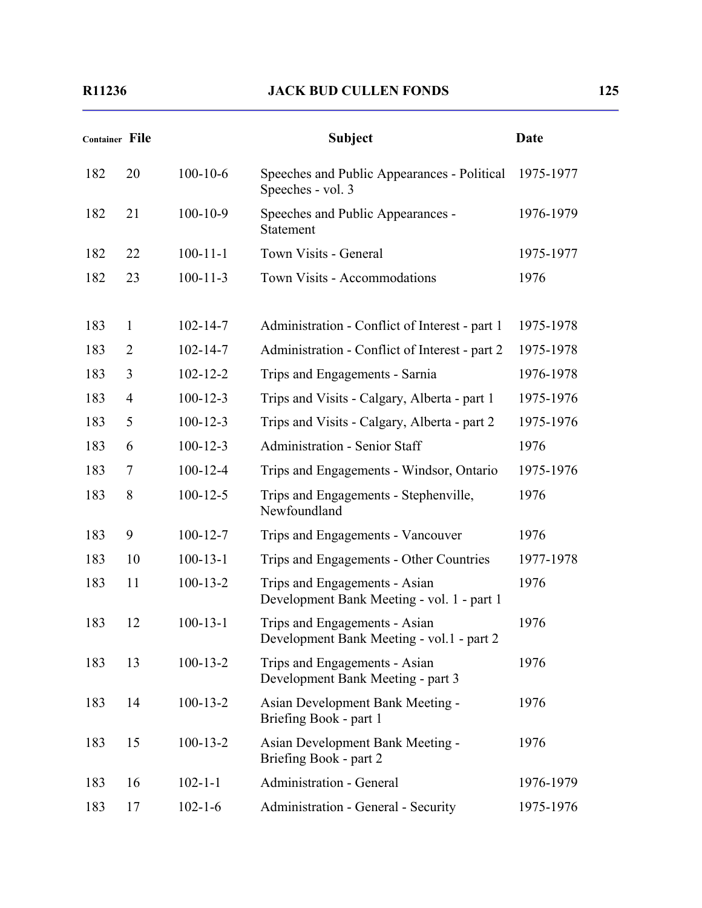|     | <b>Container File</b> |                | <b>Subject</b>                                                              | Date      |
|-----|-----------------------|----------------|-----------------------------------------------------------------------------|-----------|
| 182 | 20                    | $100 - 10 - 6$ | Speeches and Public Appearances - Political<br>Speeches - vol. 3            | 1975-1977 |
| 182 | 21                    | $100 - 10 - 9$ | Speeches and Public Appearances -<br>Statement                              | 1976-1979 |
| 182 | 22                    | $100 - 11 - 1$ | Town Visits - General                                                       | 1975-1977 |
| 182 | 23                    | $100 - 11 - 3$ | Town Visits - Accommodations                                                | 1976      |
| 183 | 1                     | $102 - 14 - 7$ | Administration - Conflict of Interest - part 1                              | 1975-1978 |
| 183 | $\overline{2}$        | $102 - 14 - 7$ | Administration - Conflict of Interest - part 2                              | 1975-1978 |
| 183 | 3                     | $102 - 12 - 2$ | Trips and Engagements - Sarnia                                              | 1976-1978 |
| 183 | $\overline{4}$        | $100 - 12 - 3$ | Trips and Visits - Calgary, Alberta - part 1                                | 1975-1976 |
| 183 | 5                     | $100 - 12 - 3$ | Trips and Visits - Calgary, Alberta - part 2                                | 1975-1976 |
| 183 | 6                     | $100 - 12 - 3$ | <b>Administration - Senior Staff</b>                                        | 1976      |
| 183 | 7                     | $100 - 12 - 4$ | Trips and Engagements - Windsor, Ontario                                    | 1975-1976 |
| 183 | 8                     | $100 - 12 - 5$ | Trips and Engagements - Stephenville,<br>Newfoundland                       | 1976      |
| 183 | 9                     | $100 - 12 - 7$ | Trips and Engagements - Vancouver                                           | 1976      |
| 183 | 10                    | $100 - 13 - 1$ | Trips and Engagements - Other Countries                                     | 1977-1978 |
| 183 | 11                    | $100 - 13 - 2$ | Trips and Engagements - Asian<br>Development Bank Meeting - vol. 1 - part 1 | 1976      |
| 183 | 12                    | $100 - 13 - 1$ | Trips and Engagements - Asian<br>Development Bank Meeting - vol.1 - part 2  | 1976      |
| 183 | 13                    | $100-13-2$     | Trips and Engagements - Asian<br>Development Bank Meeting - part 3          | 1976      |
| 183 | 14                    | $100 - 13 - 2$ | Asian Development Bank Meeting -<br>Briefing Book - part 1                  | 1976      |
| 183 | 15                    | $100 - 13 - 2$ | Asian Development Bank Meeting -<br>Briefing Book - part 2                  | 1976      |
| 183 | 16                    | $102 - 1 - 1$  | Administration - General                                                    | 1976-1979 |
| 183 | 17                    | $102 - 1 - 6$  | Administration - General - Security                                         | 1975-1976 |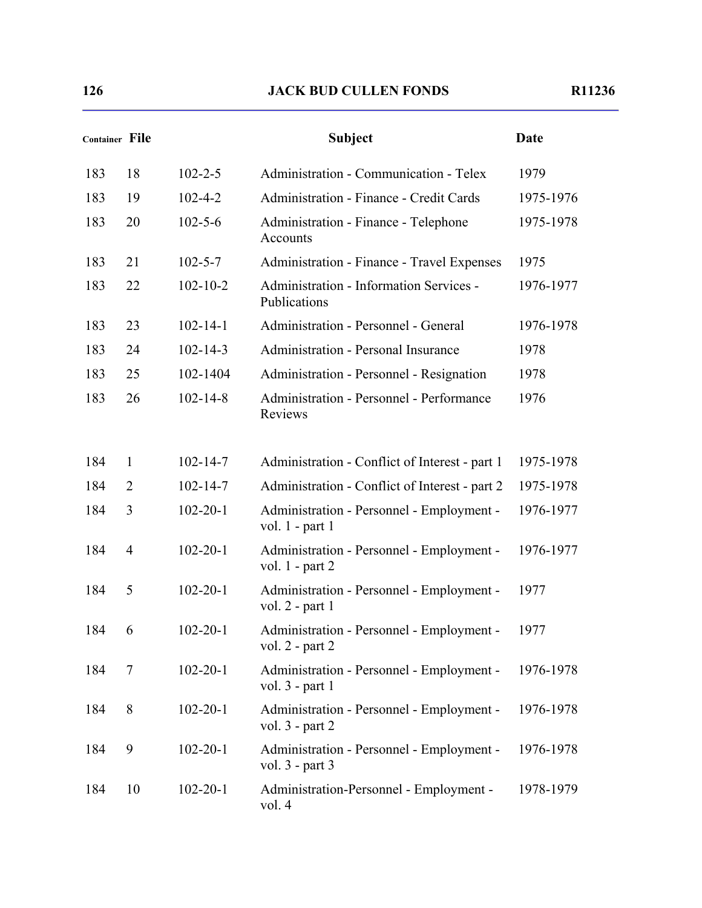| Container File |                |                | <b>Subject</b>                                                   | Date      |
|----------------|----------------|----------------|------------------------------------------------------------------|-----------|
| 183            | 18             | $102 - 2 - 5$  | Administration - Communication - Telex                           | 1979      |
| 183            | 19             | $102 - 4 - 2$  | <b>Administration - Finance - Credit Cards</b>                   | 1975-1976 |
| 183            | 20             | $102 - 5 - 6$  | Administration - Finance - Telephone<br>Accounts                 | 1975-1978 |
| 183            | 21             | $102 - 5 - 7$  | Administration - Finance - Travel Expenses                       | 1975      |
| 183            | 22             | $102 - 10 - 2$ | <b>Administration - Information Services -</b><br>Publications   | 1976-1977 |
| 183            | 23             | $102 - 14 - 1$ | Administration - Personnel - General                             | 1976-1978 |
| 183            | 24             | $102 - 14 - 3$ | <b>Administration - Personal Insurance</b>                       | 1978      |
| 183            | 25             | 102-1404       | Administration - Personnel - Resignation                         | 1978      |
| 183            | 26             | $102 - 14 - 8$ | <b>Administration - Personnel - Performance</b><br>Reviews       | 1976      |
| 184            | $\mathbf{1}$   | $102 - 14 - 7$ | Administration - Conflict of Interest - part 1                   | 1975-1978 |
| 184            | $\overline{2}$ | $102 - 14 - 7$ | Administration - Conflict of Interest - part 2                   | 1975-1978 |
| 184            | 3              | $102 - 20 - 1$ | Administration - Personnel - Employment -<br>vol. $1$ - part 1   | 1976-1977 |
| 184            | $\overline{4}$ | $102 - 20 - 1$ | Administration - Personnel - Employment -<br>vol. $1$ - part $2$ | 1976-1977 |
| 184            | 5              | $102 - 20 - 1$ | Administration - Personnel - Employment -<br>vol. $2$ - part 1   | 1977      |
| 184            | 6              | $102 - 20 - 1$ | Administration - Personnel - Employment -<br>vol. $2$ - part $2$ | 1977      |
| 184            | 7              | $102 - 20 - 1$ | Administration - Personnel - Employment -<br>vol. $3$ - part 1   | 1976-1978 |
| 184            | 8              | $102 - 20 - 1$ | Administration - Personnel - Employment -<br>vol. $3$ - part $2$ | 1976-1978 |
| 184            | 9              | $102 - 20 - 1$ | Administration - Personnel - Employment -<br>vol. $3$ - part $3$ | 1976-1978 |
| 184            | 10             | $102 - 20 - 1$ | Administration-Personnel - Employment -<br>vol. 4                | 1978-1979 |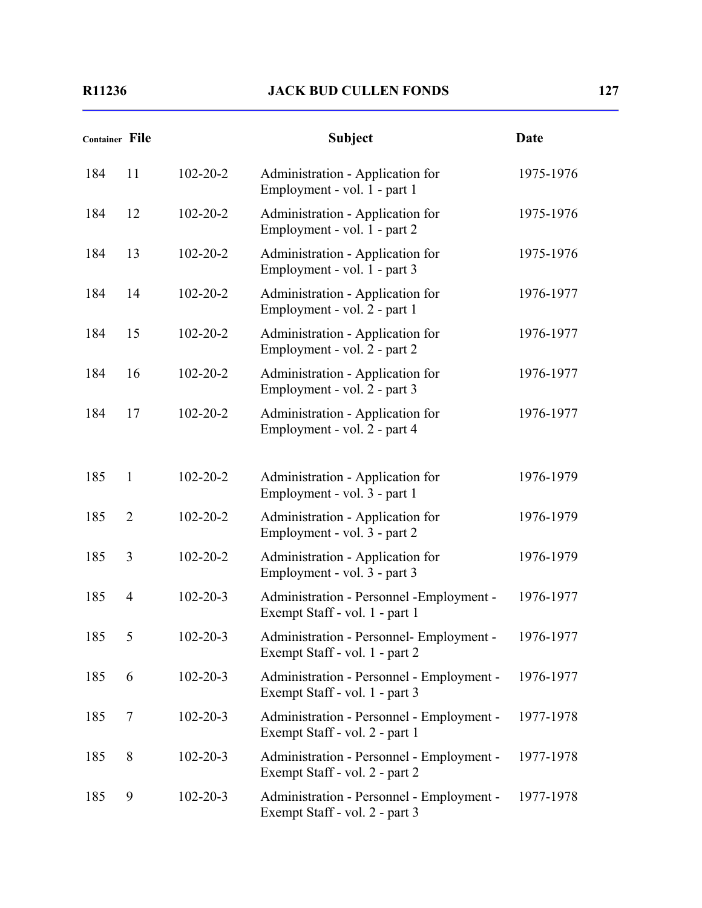| Container File |                |                | <b>Subject</b>                                                              | <b>Date</b> |
|----------------|----------------|----------------|-----------------------------------------------------------------------------|-------------|
| 184            | 11             | $102 - 20 - 2$ | Administration - Application for<br>Employment - vol. 1 - part 1            | 1975-1976   |
| 184            | 12             | $102 - 20 - 2$ | Administration - Application for<br>Employment - vol. 1 - part 2            | 1975-1976   |
| 184            | 13             | $102 - 20 - 2$ | Administration - Application for<br>Employment - vol. 1 - part 3            | 1975-1976   |
| 184            | 14             | $102 - 20 - 2$ | Administration - Application for<br>Employment - vol. 2 - part 1            | 1976-1977   |
| 184            | 15             | $102 - 20 - 2$ | Administration - Application for<br>Employment - vol. 2 - part 2            | 1976-1977   |
| 184            | 16             | $102 - 20 - 2$ | Administration - Application for<br>Employment - vol. 2 - part 3            | 1976-1977   |
| 184            | 17             | $102 - 20 - 2$ | Administration - Application for<br>Employment - vol. 2 - part 4            | 1976-1977   |
| 185            | $\mathbf{1}$   | $102 - 20 - 2$ | Administration - Application for<br>Employment - vol. 3 - part 1            | 1976-1979   |
| 185            | $\overline{2}$ | $102 - 20 - 2$ | Administration - Application for<br>Employment - vol. 3 - part 2            | 1976-1979   |
| 185            | 3              | $102 - 20 - 2$ | Administration - Application for<br>Employment - vol. 3 - part 3            | 1976-1979   |
| 185            | $\overline{4}$ | $102 - 20 - 3$ | Administration - Personnel - Employment -<br>Exempt Staff - vol. 1 - part 1 | 1976-1977   |
| 185            | 5              | $102 - 20 - 3$ | Administration - Personnel- Employment -<br>Exempt Staff - vol. 1 - part 2  | 1976-1977   |
| 185            | 6              | $102 - 20 - 3$ | Administration - Personnel - Employment -<br>Exempt Staff - vol. 1 - part 3 | 1976-1977   |
| 185            | 7              | $102 - 20 - 3$ | Administration - Personnel - Employment -<br>Exempt Staff - vol. 2 - part 1 | 1977-1978   |
| 185            | 8              | $102 - 20 - 3$ | Administration - Personnel - Employment -<br>Exempt Staff - vol. 2 - part 2 | 1977-1978   |
| 185            | 9              | $102 - 20 - 3$ | Administration - Personnel - Employment -<br>Exempt Staff - vol. 2 - part 3 | 1977-1978   |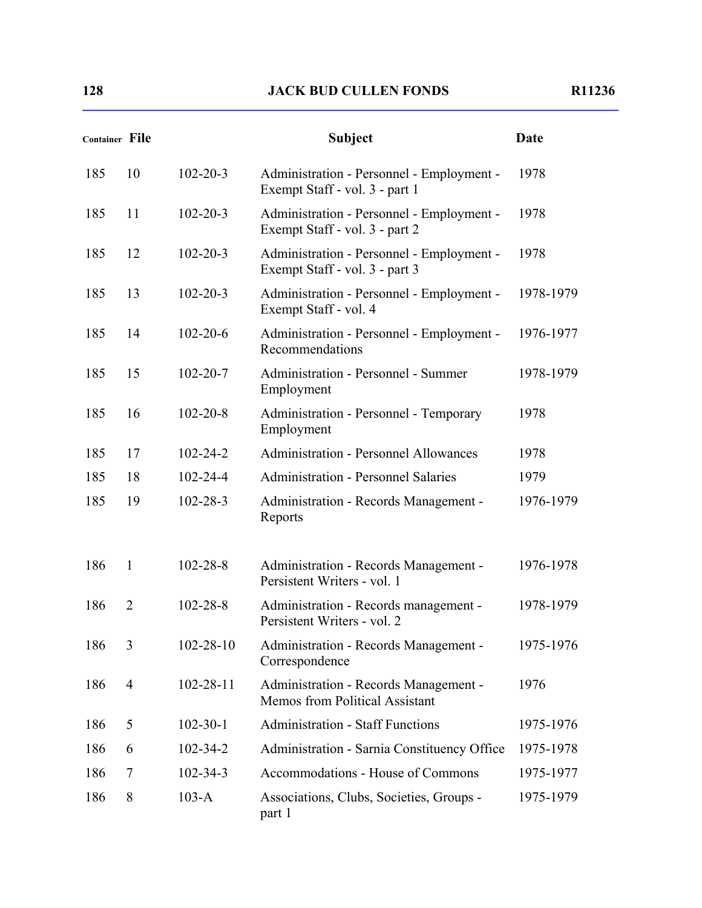| <b>Container File</b> |                |                 | <b>Subject</b>                                                              | Date      |
|-----------------------|----------------|-----------------|-----------------------------------------------------------------------------|-----------|
| 185                   | 10             | $102 - 20 - 3$  | Administration - Personnel - Employment -<br>Exempt Staff - vol. 3 - part 1 | 1978      |
| 185                   | 11             | $102 - 20 - 3$  | Administration - Personnel - Employment -<br>Exempt Staff - vol. 3 - part 2 | 1978      |
| 185                   | 12             | $102 - 20 - 3$  | Administration - Personnel - Employment -<br>Exempt Staff - vol. 3 - part 3 | 1978      |
| 185                   | 13             | $102 - 20 - 3$  | Administration - Personnel - Employment -<br>Exempt Staff - vol. 4          | 1978-1979 |
| 185                   | 14             | $102 - 20 - 6$  | Administration - Personnel - Employment -<br>Recommendations                | 1976-1977 |
| 185                   | 15             | $102 - 20 - 7$  | Administration - Personnel - Summer<br>Employment                           | 1978-1979 |
| 185                   | 16             | $102 - 20 - 8$  | Administration - Personnel - Temporary<br>Employment                        | 1978      |
| 185                   | 17             | $102 - 24 - 2$  | <b>Administration - Personnel Allowances</b>                                | 1978      |
| 185                   | 18             | $102 - 24 - 4$  | <b>Administration - Personnel Salaries</b>                                  | 1979      |
| 185                   | 19             | $102 - 28 - 3$  | Administration - Records Management -<br>Reports                            | 1976-1979 |
| 186                   | $\mathbf{1}$   | $102 - 28 - 8$  | Administration - Records Management -<br>Persistent Writers - vol. 1        | 1976-1978 |
| 186                   | $\overline{2}$ | $102 - 28 - 8$  | Administration - Records management -<br>Persistent Writers - vol. 2        | 1978-1979 |
| 186                   | 3              | $102 - 28 - 10$ | Administration - Records Management -<br>Correspondence                     | 1975-1976 |
| 186                   | $\overline{4}$ | $102 - 28 - 11$ | Administration - Records Management -<br>Memos from Political Assistant     | 1976      |
| 186                   | 5              | $102 - 30 - 1$  | <b>Administration - Staff Functions</b>                                     | 1975-1976 |
| 186                   | 6              | $102 - 34 - 2$  | Administration - Sarnia Constituency Office                                 | 1975-1978 |
| 186                   | 7              | $102 - 34 - 3$  | Accommodations - House of Commons                                           | 1975-1977 |
| 186                   | 8              | $103-A$         | Associations, Clubs, Societies, Groups -<br>part 1                          | 1975-1979 |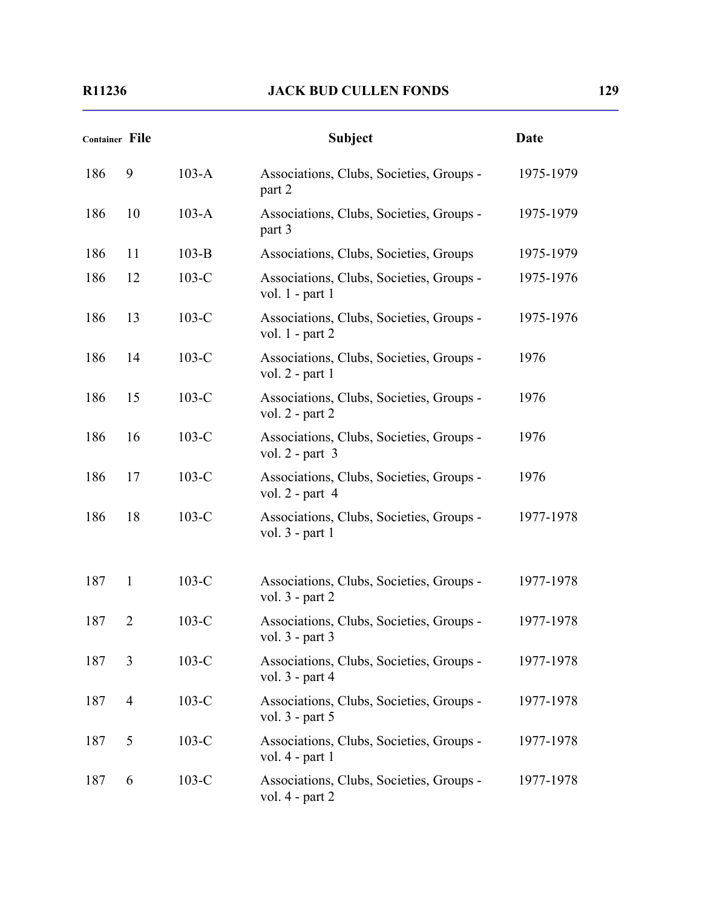| Container File |                |         | <b>Subject</b>                                                  | Date      |
|----------------|----------------|---------|-----------------------------------------------------------------|-----------|
| 186            | 9              | $103-A$ | Associations, Clubs, Societies, Groups -<br>part 2              | 1975-1979 |
| 186            | 10             | $103-A$ | Associations, Clubs, Societies, Groups -<br>part 3              | 1975-1979 |
| 186            | 11             | $103-B$ | Associations, Clubs, Societies, Groups                          | 1975-1979 |
| 186            | 12             | $103-C$ | Associations, Clubs, Societies, Groups -<br>vol. $1$ - part 1   | 1975-1976 |
| 186            | 13             | $103-C$ | Associations, Clubs, Societies, Groups -<br>vol. $1$ - part $2$ | 1975-1976 |
| 186            | 14             | $103-C$ | Associations, Clubs, Societies, Groups -<br>vol. $2$ - part 1   | 1976      |
| 186            | 15             | $103-C$ | Associations, Clubs, Societies, Groups -<br>vol. $2$ - part $2$ | 1976      |
| 186            | 16             | $103-C$ | Associations, Clubs, Societies, Groups -<br>vol. $2$ - part $3$ | 1976      |
| 186            | 17             | $103-C$ | Associations, Clubs, Societies, Groups -<br>vol. $2$ - part 4   | 1976      |
| 186            | 18             | $103-C$ | Associations, Clubs, Societies, Groups -<br>vol. 3 - part 1     | 1977-1978 |
| 187            | 1              | $103-C$ | Associations, Clubs, Societies, Groups -<br>vol. $3$ - part $2$ | 1977-1978 |
| 187            | $\overline{2}$ | $103-C$ | Associations, Clubs, Societies, Groups -<br>vol. 3 - part 3     | 1977-1978 |
| 187            | 3              | $103-C$ | Associations, Clubs, Societies, Groups -<br>vol. $3$ - part 4   | 1977-1978 |
| 187            | $\overline{4}$ | $103-C$ | Associations, Clubs, Societies, Groups -<br>vol. $3$ - part $5$ | 1977-1978 |
| 187            | 5              | $103-C$ | Associations, Clubs, Societies, Groups -<br>vol. $4$ - part 1   | 1977-1978 |
| 187            | 6              | $103-C$ | Associations, Clubs, Societies, Groups -<br>vol. 4 - part 2     | 1977-1978 |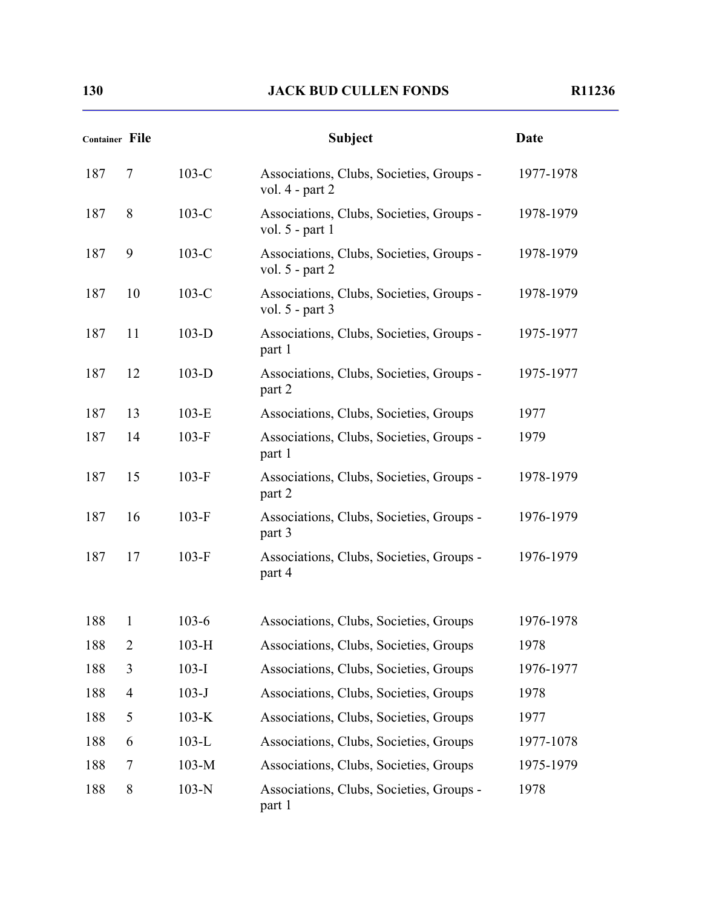|     | <b>Container File</b> |           | <b>Subject</b>                                                  | Date      |
|-----|-----------------------|-----------|-----------------------------------------------------------------|-----------|
| 187 | 7                     | $103-C$   | Associations, Clubs, Societies, Groups -<br>vol. $4$ - part $2$ | 1977-1978 |
| 187 | 8                     | $103-C$   | Associations, Clubs, Societies, Groups -<br>vol. $5$ - part 1   | 1978-1979 |
| 187 | 9                     | $103-C$   | Associations, Clubs, Societies, Groups -<br>vol. $5$ - part 2   | 1978-1979 |
| 187 | 10                    | $103-C$   | Associations, Clubs, Societies, Groups -<br>vol. $5$ - part 3   | 1978-1979 |
| 187 | 11                    | $103-D$   | Associations, Clubs, Societies, Groups -<br>part 1              | 1975-1977 |
| 187 | 12                    | $103-D$   | Associations, Clubs, Societies, Groups -<br>part 2              | 1975-1977 |
| 187 | 13                    | $103-E$   | Associations, Clubs, Societies, Groups                          | 1977      |
| 187 | 14                    | $103-F$   | Associations, Clubs, Societies, Groups -<br>part 1              | 1979      |
| 187 | 15                    | $103-F$   | Associations, Clubs, Societies, Groups -<br>part 2              | 1978-1979 |
| 187 | 16                    | $103-F$   | Associations, Clubs, Societies, Groups -<br>part 3              | 1976-1979 |
| 187 | 17                    | $103-F$   | Associations, Clubs, Societies, Groups -<br>part 4              | 1976-1979 |
| 188 | 1                     | $103 - 6$ | Associations, Clubs, Societies, Groups                          | 1976-1978 |
| 188 | $\overline{2}$        | $103-H$   | Associations, Clubs, Societies, Groups                          | 1978      |
| 188 | 3                     | $103-I$   | Associations, Clubs, Societies, Groups                          | 1976-1977 |
| 188 | $\overline{4}$        | $103-J$   | Associations, Clubs, Societies, Groups                          | 1978      |
| 188 | 5                     | $103-K$   | Associations, Clubs, Societies, Groups                          | 1977      |
| 188 | 6                     | $103-L$   | Associations, Clubs, Societies, Groups                          | 1977-1078 |
| 188 | 7                     | $103-M$   | Associations, Clubs, Societies, Groups                          | 1975-1979 |
| 188 | 8                     | $103-N$   | Associations, Clubs, Societies, Groups -<br>part 1              | 1978      |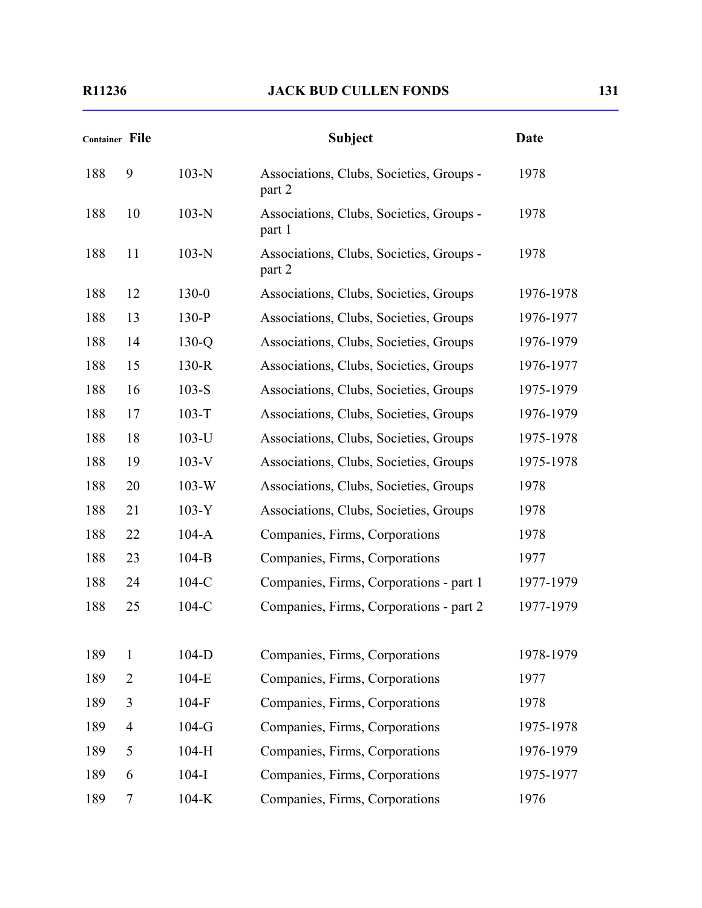| <b>Container File</b> |                |           | <b>Subject</b>                                     | Date      |
|-----------------------|----------------|-----------|----------------------------------------------------|-----------|
| 188                   | 9              | $103-N$   | Associations, Clubs, Societies, Groups -<br>part 2 | 1978      |
| 188                   | 10             | $103-N$   | Associations, Clubs, Societies, Groups -<br>part 1 | 1978      |
| 188                   | 11             | $103-N$   | Associations, Clubs, Societies, Groups -<br>part 2 | 1978      |
| 188                   | 12             | $130 - 0$ | Associations, Clubs, Societies, Groups             | 1976-1978 |
| 188                   | 13             | $130-P$   | Associations, Clubs, Societies, Groups             | 1976-1977 |
| 188                   | 14             | $130-Q$   | Associations, Clubs, Societies, Groups             | 1976-1979 |
| 188                   | 15             | $130-R$   | Associations, Clubs, Societies, Groups             | 1976-1977 |
| 188                   | 16             | $103-S$   | Associations, Clubs, Societies, Groups             | 1975-1979 |
| 188                   | 17             | $103-T$   | Associations, Clubs, Societies, Groups             | 1976-1979 |
| 188                   | 18             | $103-U$   | Associations, Clubs, Societies, Groups             | 1975-1978 |
| 188                   | 19             | $103-V$   | Associations, Clubs, Societies, Groups             | 1975-1978 |
| 188                   | 20             | $103-W$   | Associations, Clubs, Societies, Groups             | 1978      |
| 188                   | 21             | $103-Y$   | Associations, Clubs, Societies, Groups             | 1978      |
| 188                   | 22             | $104-A$   | Companies, Firms, Corporations                     | 1978      |
| 188                   | 23             | $104-B$   | Companies, Firms, Corporations                     | 1977      |
| 188                   | 24             | $104-C$   | Companies, Firms, Corporations - part 1            | 1977-1979 |
| 188                   | 25             | $104-C$   | Companies, Firms, Corporations - part 2            | 1977-1979 |
| 189                   | 1              | $104-D$   | Companies, Firms, Corporations                     | 1978-1979 |
| 189                   | $\overline{2}$ | $104-E$   | Companies, Firms, Corporations                     | 1977      |
| 189                   | 3              | $104-F$   | Companies, Firms, Corporations                     | 1978      |
| 189                   | $\overline{4}$ | $104-G$   | Companies, Firms, Corporations                     | 1975-1978 |
| 189                   | 5              | $104-H$   | Companies, Firms, Corporations                     | 1976-1979 |
| 189                   | 6              | $104-I$   | Companies, Firms, Corporations                     | 1975-1977 |
| 189                   | 7              | $104-K$   | Companies, Firms, Corporations                     | 1976      |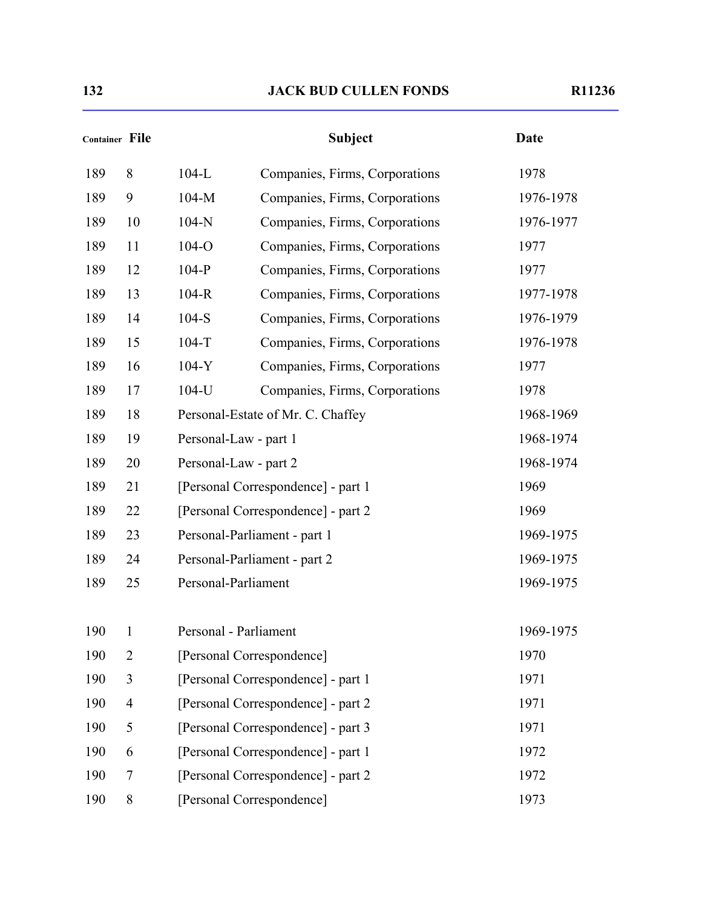| Container File |                |         | <b>Subject</b>                     | <b>Date</b> |
|----------------|----------------|---------|------------------------------------|-------------|
| 189            | 8              | $104-L$ | Companies, Firms, Corporations     | 1978        |
| 189            | 9              | $104-M$ | Companies, Firms, Corporations     | 1976-1978   |
| 189            | 10             | $104-N$ | Companies, Firms, Corporations     | 1976-1977   |
| 189            | 11             | 104-O   | Companies, Firms, Corporations     | 1977        |
| 189            | 12             | $104-P$ | Companies, Firms, Corporations     | 1977        |
| 189            | 13             | $104-R$ | Companies, Firms, Corporations     | 1977-1978   |
| 189            | 14             | $104-S$ | Companies, Firms, Corporations     | 1976-1979   |
| 189            | 15             | $104-T$ | Companies, Firms, Corporations     | 1976-1978   |
| 189            | 16             | $104-Y$ | Companies, Firms, Corporations     | 1977        |
| 189            | 17             | 104-U   | Companies, Firms, Corporations     | 1978        |
| 189            | 18             |         | Personal-Estate of Mr. C. Chaffey  | 1968-1969   |
| 189            | 19             |         | Personal-Law - part 1              | 1968-1974   |
| 189            | 20             |         | Personal-Law - part 2              | 1968-1974   |
| 189            | 21             |         | [Personal Correspondence] - part 1 | 1969        |
| 189            | 22             |         | [Personal Correspondence] - part 2 | 1969        |
| 189            | 23             |         | Personal-Parliament - part 1       | 1969-1975   |
| 189            | 24             |         | Personal-Parliament - part 2       | 1969-1975   |
| 189            | 25             |         | Personal-Parliament                | 1969-1975   |
| 190            | 1              |         | Personal - Parliament              | 1969-1975   |
| 190            | $\overline{2}$ |         | [Personal Correspondence]          | 1970        |
| 190            | 3              |         | [Personal Correspondence] - part 1 | 1971        |
| 190            | $\overline{4}$ |         | [Personal Correspondence] - part 2 | 1971        |
| 190            | 5              |         | [Personal Correspondence] - part 3 | 1971        |
| 190            | 6              |         | [Personal Correspondence] - part 1 | 1972        |
| 190            | 7              |         | [Personal Correspondence] - part 2 | 1972        |
| 190            | 8              |         | [Personal Correspondence]          | 1973        |